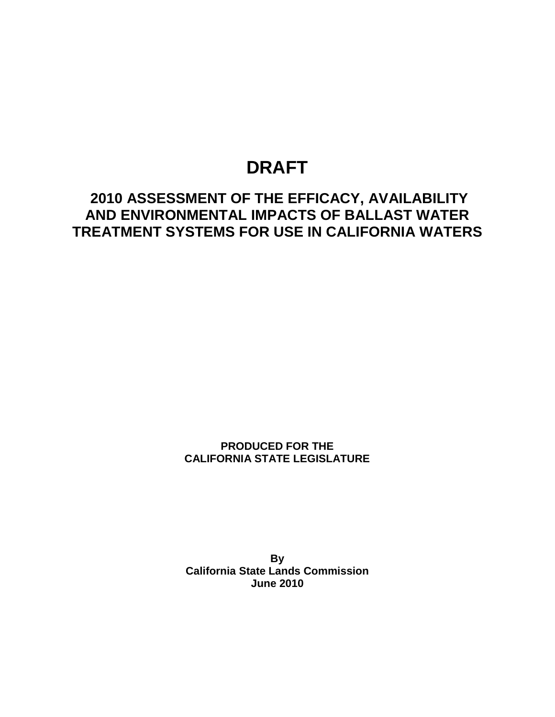# **DRAFT**

# **2010 ASSESSMENT OF THE EFFICACY, AVAILABILITY AND ENVIRONMENTAL IMPACTS OF BALLAST WATER TREATMENT SYSTEMS FOR USE IN CALIFORNIA WATERS**

**PRODUCED FOR THE CALIFORNIA STATE LEGISLATURE**

**By California State Lands Commission June 2010**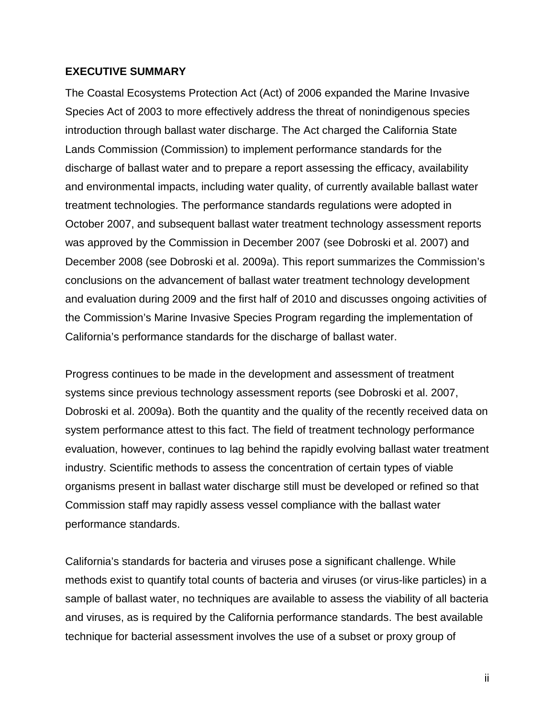## <span id="page-1-0"></span>**EXECUTIVE SUMMARY**

The Coastal Ecosystems Protection Act (Act) of 2006 expanded the Marine Invasive Species Act of 2003 to more effectively address the threat of nonindigenous species introduction through ballast water discharge. The Act charged the California State Lands Commission (Commission) to implement performance standards for the discharge of ballast water and to prepare a report assessing the efficacy, availability and environmental impacts, including water quality, of currently available ballast water treatment technologies. The performance standards regulations were adopted in October 2007, and subsequent ballast water treatment technology assessment reports was approved by the Commission in December 2007 (see Dobroski et al. 2007) and December 2008 (see Dobroski et al. 2009a). This report summarizes the Commission's conclusions on the advancement of ballast water treatment technology development and evaluation during 2009 and the first half of 2010 and discusses ongoing activities of the Commission's Marine Invasive Species Program regarding the implementation of California's performance standards for the discharge of ballast water.

Progress continues to be made in the development and assessment of treatment systems since previous technology assessment reports (see Dobroski et al. 2007, Dobroski et al. 2009a). Both the quantity and the quality of the recently received data on system performance attest to this fact. The field of treatment technology performance evaluation, however, continues to lag behind the rapidly evolving ballast water treatment industry. Scientific methods to assess the concentration of certain types of viable organisms present in ballast water discharge still must be developed or refined so that Commission staff may rapidly assess vessel compliance with the ballast water performance standards.

California's standards for bacteria and viruses pose a significant challenge. While methods exist to quantify total counts of bacteria and viruses (or virus-like particles) in a sample of ballast water, no techniques are available to assess the viability of all bacteria and viruses, as is required by the California performance standards. The best available technique for bacterial assessment involves the use of a subset or proxy group of

ii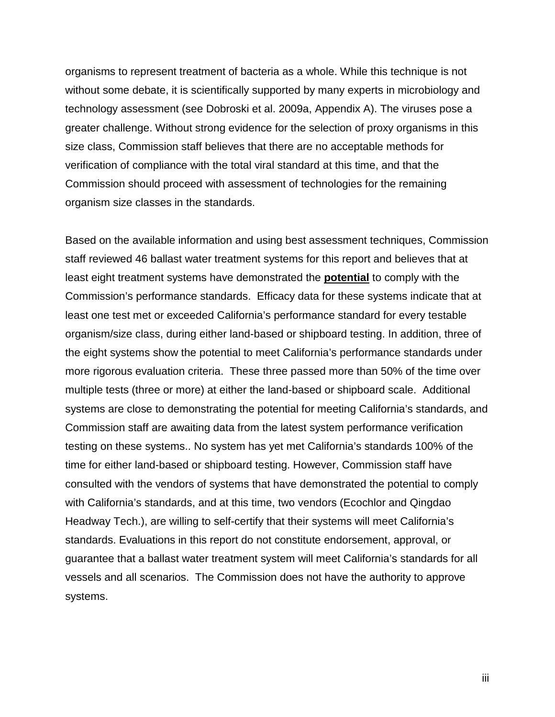organisms to represent treatment of bacteria as a whole. While this technique is not without some debate, it is scientifically supported by many experts in microbiology and technology assessment (see Dobroski et al. 2009a, Appendix A). The viruses pose a greater challenge. Without strong evidence for the selection of proxy organisms in this size class, Commission staff believes that there are no acceptable methods for verification of compliance with the total viral standard at this time, and that the Commission should proceed with assessment of technologies for the remaining organism size classes in the standards.

Based on the available information and using best assessment techniques, Commission staff reviewed 46 ballast water treatment systems for this report and believes that at least eight treatment systems have demonstrated the **potential** to comply with the Commission's performance standards. Efficacy data for these systems indicate that at least one test met or exceeded California's performance standard for every testable organism/size class, during either land-based or shipboard testing. In addition, three of the eight systems show the potential to meet California's performance standards under more rigorous evaluation criteria. These three passed more than 50% of the time over multiple tests (three or more) at either the land-based or shipboard scale. Additional systems are close to demonstrating the potential for meeting California's standards, and Commission staff are awaiting data from the latest system performance verification testing on these systems.. No system has yet met California's standards 100% of the time for either land-based or shipboard testing. However, Commission staff have consulted with the vendors of systems that have demonstrated the potential to comply with California's standards, and at this time, two vendors (Ecochlor and Qingdao Headway Tech.), are willing to self-certify that their systems will meet California's standards. Evaluations in this report do not constitute endorsement, approval, or guarantee that a ballast water treatment system will meet California's standards for all vessels and all scenarios. The Commission does not have the authority to approve systems.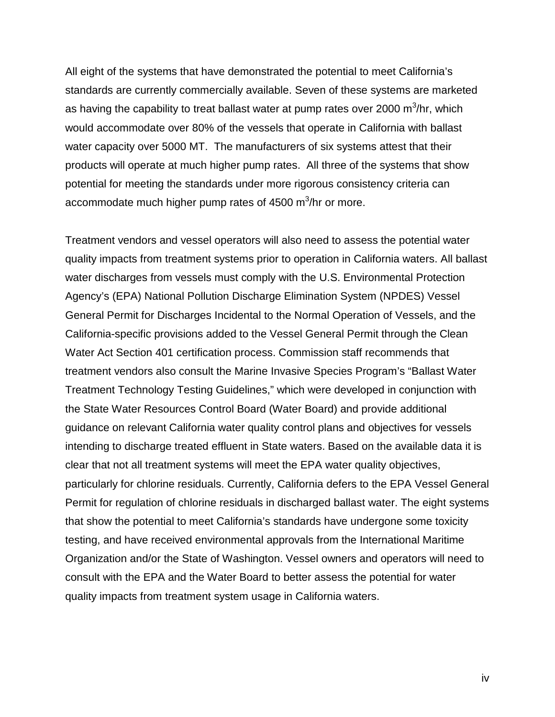All eight of the systems that have demonstrated the potential to meet California's standards are currently commercially available. Seven of these systems are marketed as having the capability to treat ballast water at pump rates over 2000  $\mathsf{m}^3\!$ hr, which would accommodate over 80% of the vessels that operate in California with ballast water capacity over 5000 MT. The manufacturers of six systems attest that their products will operate at much higher pump rates. All three of the systems that show potential for meeting the standards under more rigorous consistency criteria can accommodate much higher pump rates of 4500 m<sup>3</sup>/hr or more.

Treatment vendors and vessel operators will also need to assess the potential water quality impacts from treatment systems prior to operation in California waters. All ballast water discharges from vessels must comply with the U.S. Environmental Protection Agency's (EPA) National Pollution Discharge Elimination System (NPDES) Vessel General Permit for Discharges Incidental to the Normal Operation of Vessels, and the California-specific provisions added to the Vessel General Permit through the Clean Water Act Section 401 certification process. Commission staff recommends that treatment vendors also consult the Marine Invasive Species Program's "Ballast Water Treatment Technology Testing Guidelines," which were developed in conjunction with the State Water Resources Control Board (Water Board) and provide additional guidance on relevant California water quality control plans and objectives for vessels intending to discharge treated effluent in State waters. Based on the available data it is clear that not all treatment systems will meet the EPA water quality objectives, particularly for chlorine residuals. Currently, California defers to the EPA Vessel General Permit for regulation of chlorine residuals in discharged ballast water. The eight systems that show the potential to meet California's standards have undergone some toxicity testing, and have received environmental approvals from the International Maritime Organization and/or the State of Washington. Vessel owners and operators will need to consult with the EPA and the Water Board to better assess the potential for water quality impacts from treatment system usage in California waters.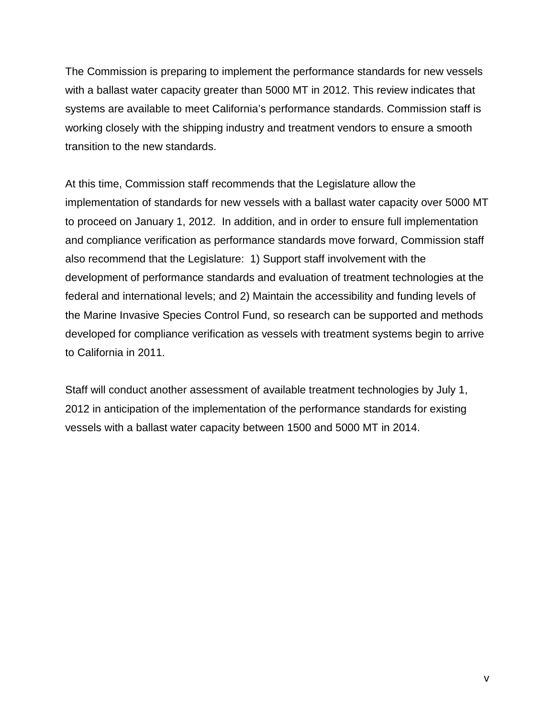The Commission is preparing to implement the performance standards for new vessels with a ballast water capacity greater than 5000 MT in 2012. This review indicates that systems are available to meet California's performance standards. Commission staff is working closely with the shipping industry and treatment vendors to ensure a smooth transition to the new standards.

At this time, Commission staff recommends that the Legislature allow the implementation of standards for new vessels with a ballast water capacity over 5000 MT to proceed on January 1, 2012. In addition, and in order to ensure full implementation and compliance verification as performance standards move forward, Commission staff also recommend that the Legislature: 1) Support staff involvement with the development of performance standards and evaluation of treatment technologies at the federal and international levels; and 2) Maintain the accessibility and funding levels of the Marine Invasive Species Control Fund, so research can be supported and methods developed for compliance verification as vessels with treatment systems begin to arrive to California in 2011.

Staff will conduct another assessment of available treatment technologies by July 1, 2012 in anticipation of the implementation of the performance standards for existing vessels with a ballast water capacity between 1500 and 5000 MT in 2014.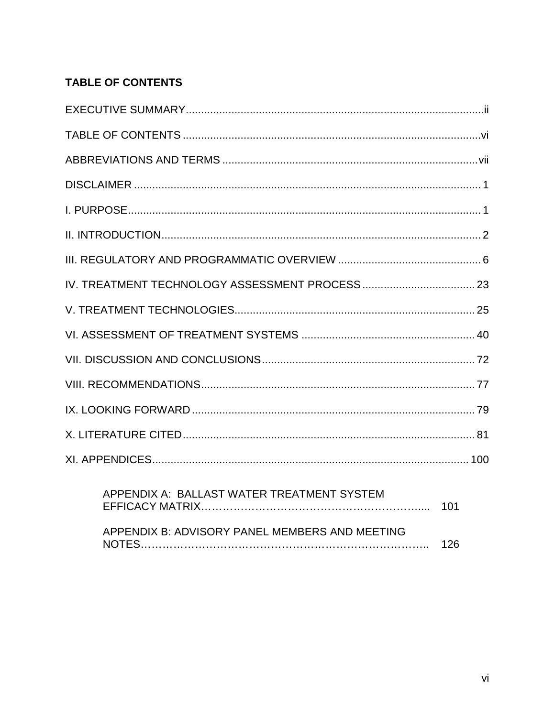# <span id="page-5-0"></span>**TABLE OF CONTENTS**

| APPENDIX A: BALLAST WATER TREATMENT SYSTEM     |     |
|------------------------------------------------|-----|
| APPENDIX B: ADVISORY PANEL MEMBERS AND MEETING | 126 |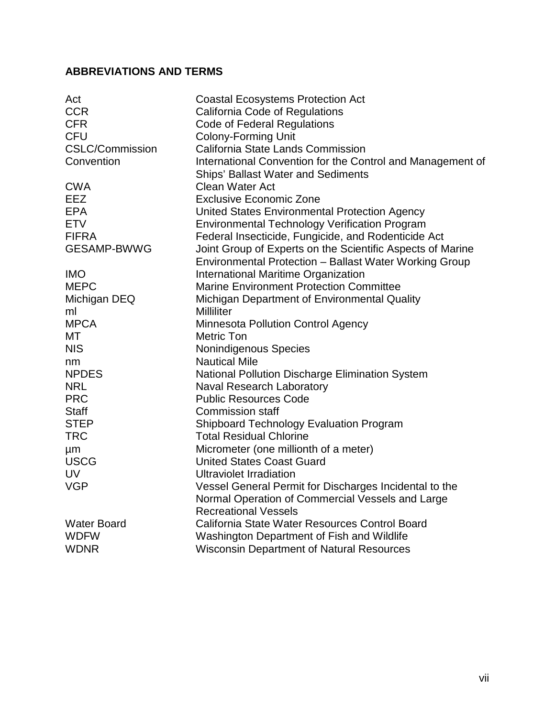## <span id="page-6-0"></span>**ABBREVIATIONS AND TERMS**

| Act                    | <b>Coastal Ecosystems Protection Act</b>                      |
|------------------------|---------------------------------------------------------------|
| <b>CCR</b>             | <b>California Code of Regulations</b>                         |
| <b>CFR</b>             | <b>Code of Federal Regulations</b>                            |
| <b>CFU</b>             | <b>Colony-Forming Unit</b>                                    |
| <b>CSLC/Commission</b> | California State Lands Commission                             |
| Convention             | International Convention for the Control and Management of    |
|                        | <b>Ships' Ballast Water and Sediments</b>                     |
| <b>CWA</b>             | <b>Clean Water Act</b>                                        |
| EEZ                    | <b>Exclusive Economic Zone</b>                                |
| <b>EPA</b>             | United States Environmental Protection Agency                 |
| <b>ETV</b>             | <b>Environmental Technology Verification Program</b>          |
| <b>FIFRA</b>           | Federal Insecticide, Fungicide, and Rodenticide Act           |
| <b>GESAMP-BWWG</b>     | Joint Group of Experts on the Scientific Aspects of Marine    |
|                        | <b>Environmental Protection - Ballast Water Working Group</b> |
| <b>IMO</b>             | <b>International Maritime Organization</b>                    |
| <b>MEPC</b>            | <b>Marine Environment Protection Committee</b>                |
| Michigan DEQ           | Michigan Department of Environmental Quality                  |
| ml                     | <b>Milliliter</b>                                             |
| <b>MPCA</b>            | <b>Minnesota Pollution Control Agency</b>                     |
| МT                     | <b>Metric Ton</b>                                             |
| <b>NIS</b>             | Nonindigenous Species                                         |
| nm                     | <b>Nautical Mile</b>                                          |
| <b>NPDES</b>           | National Pollution Discharge Elimination System               |
| <b>NRL</b>             | <b>Naval Research Laboratory</b>                              |
| <b>PRC</b>             | <b>Public Resources Code</b>                                  |
| <b>Staff</b>           | <b>Commission staff</b>                                       |
| <b>STEP</b>            | <b>Shipboard Technology Evaluation Program</b>                |
| <b>TRC</b>             | <b>Total Residual Chlorine</b>                                |
| μm                     | Micrometer (one millionth of a meter)                         |
| <b>USCG</b>            | <b>United States Coast Guard</b>                              |
| <b>UV</b>              | <b>Ultraviolet Irradiation</b>                                |
| <b>VGP</b>             | Vessel General Permit for Discharges Incidental to the        |
|                        | Normal Operation of Commercial Vessels and Large              |
|                        | <b>Recreational Vessels</b>                                   |
| <b>Water Board</b>     | California State Water Resources Control Board                |
| <b>WDFW</b>            | Washington Department of Fish and Wildlife                    |
| <b>WDNR</b>            | <b>Wisconsin Department of Natural Resources</b>              |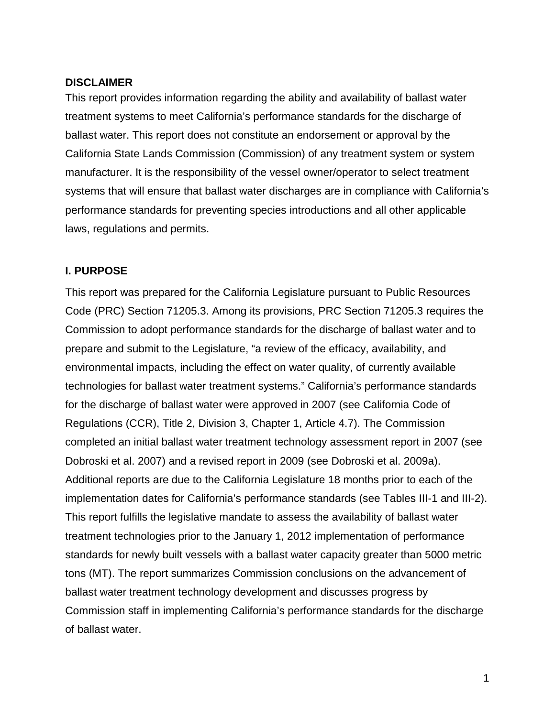### <span id="page-7-0"></span>**DISCLAIMER**

This report provides information regarding the ability and availability of ballast water treatment systems to meet California's performance standards for the discharge of ballast water. This report does not constitute an endorsement or approval by the California State Lands Commission (Commission) of any treatment system or system manufacturer. It is the responsibility of the vessel owner/operator to select treatment systems that will ensure that ballast water discharges are in compliance with California's performance standards for preventing species introductions and all other applicable laws, regulations and permits.

## <span id="page-7-1"></span>**I. PURPOSE**

This report was prepared for the California Legislature pursuant to Public Resources Code (PRC) Section 71205.3. Among its provisions, PRC Section 71205.3 requires the Commission to adopt performance standards for the discharge of ballast water and to prepare and submit to the Legislature, "a review of the efficacy, availability, and environmental impacts, including the effect on water quality, of currently available technologies for ballast water treatment systems." California's performance standards for the discharge of ballast water were approved in 2007 (see California Code of Regulations (CCR), Title 2, Division 3, Chapter 1, Article 4.7). The Commission completed an initial ballast water treatment technology assessment report in 2007 (see Dobroski et al. 2007) and a revised report in 2009 (see Dobroski et al. 2009a). Additional reports are due to the California Legislature 18 months prior to each of the implementation dates for California's performance standards (see Tables III-1 and III-2). This report fulfills the legislative mandate to assess the availability of ballast water treatment technologies prior to the January 1, 2012 implementation of performance standards for newly built vessels with a ballast water capacity greater than 5000 metric tons (MT). The report summarizes Commission conclusions on the advancement of ballast water treatment technology development and discusses progress by Commission staff in implementing California's performance standards for the discharge of ballast water.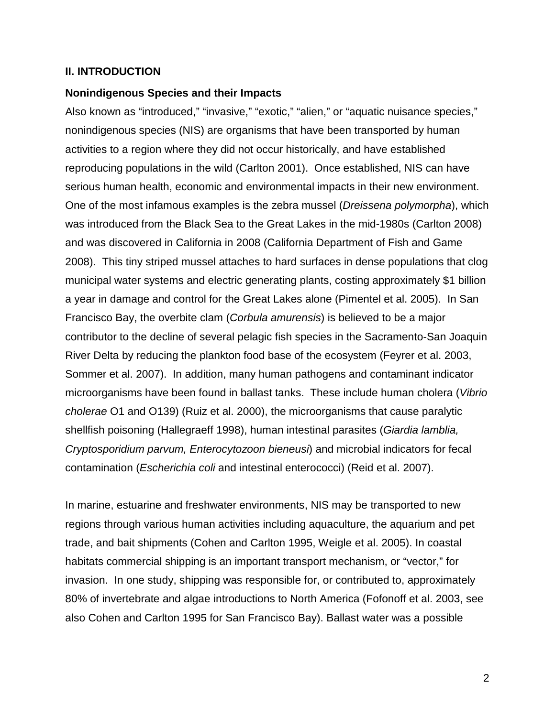#### <span id="page-8-0"></span>**II. INTRODUCTION**

#### **Nonindigenous Species and their Impacts**

Also known as "introduced," "invasive," "exotic," "alien," or "aquatic nuisance species," nonindigenous species (NIS) are organisms that have been transported by human activities to a region where they did not occur historically, and have established reproducing populations in the wild (Carlton 2001). Once established, NIS can have serious human health, economic and environmental impacts in their new environment. One of the most infamous examples is the zebra mussel (*Dreissena polymorpha*), which was introduced from the Black Sea to the Great Lakes in the mid-1980s (Carlton 2008) and was discovered in California in 2008 (California Department of Fish and Game 2008). This tiny striped mussel attaches to hard surfaces in dense populations that clog municipal water systems and electric generating plants, costing approximately \$1 billion a year in damage and control for the Great Lakes alone (Pimentel et al. 2005). In San Francisco Bay, the overbite clam (*Corbula amurensis*) is believed to be a major contributor to the decline of several pelagic fish species in the Sacramento-San Joaquin River Delta by reducing the plankton food base of the ecosystem (Feyrer et al. 2003, Sommer et al. 2007). In addition, many human pathogens and contaminant indicator microorganisms have been found in ballast tanks. These include human cholera (*Vibrio cholerae* O1 and O139) (Ruiz et al. 2000), the microorganisms that cause paralytic shellfish poisoning (Hallegraeff 1998), human intestinal parasites (*Giardia lamblia, Cryptosporidium parvum, Enterocytozoon bieneusi*) and microbial indicators for fecal contamination (*Escherichia coli* and intestinal enterococci) (Reid et al. 2007).

In marine, estuarine and freshwater environments, NIS may be transported to new regions through various human activities including aquaculture, the aquarium and pet trade, and bait shipments (Cohen and Carlton 1995, Weigle et al. 2005). In coastal habitats commercial shipping is an important transport mechanism, or "vector," for invasion. In one study, shipping was responsible for, or contributed to, approximately 80% of invertebrate and algae introductions to North America (Fofonoff et al. 2003, see also Cohen and Carlton 1995 for San Francisco Bay). Ballast water was a possible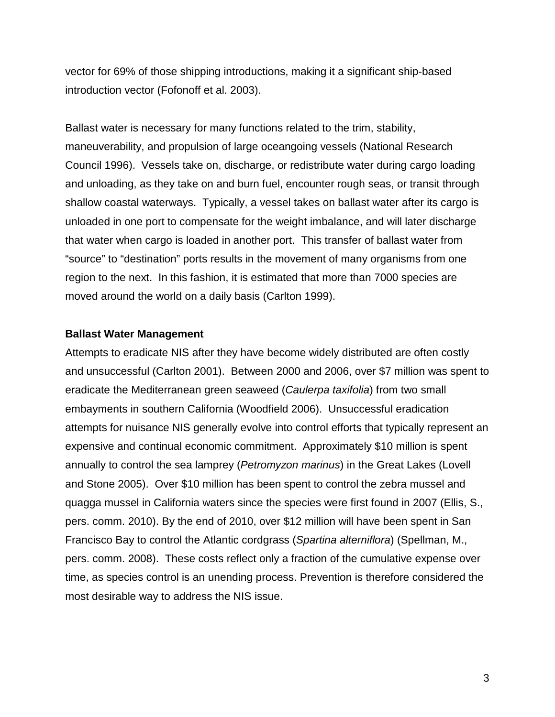vector for 69% of those shipping introductions, making it a significant ship-based introduction vector (Fofonoff et al. 2003).

Ballast water is necessary for many functions related to the trim, stability, maneuverability, and propulsion of large oceangoing vessels (National Research Council 1996). Vessels take on, discharge, or redistribute water during cargo loading and unloading, as they take on and burn fuel, encounter rough seas, or transit through shallow coastal waterways. Typically, a vessel takes on ballast water after its cargo is unloaded in one port to compensate for the weight imbalance, and will later discharge that water when cargo is loaded in another port. This transfer of ballast water from "source" to "destination" ports results in the movement of many organisms from one region to the next. In this fashion, it is estimated that more than 7000 species are moved around the world on a daily basis (Carlton 1999).

### **Ballast Water Management**

Attempts to eradicate NIS after they have become widely distributed are often costly and unsuccessful (Carlton 2001). Between 2000 and 2006, over \$7 million was spent to eradicate the Mediterranean green seaweed (*Caulerpa taxifolia*) from two small embayments in southern California (Woodfield 2006). Unsuccessful eradication attempts for nuisance NIS generally evolve into control efforts that typically represent an expensive and continual economic commitment. Approximately \$10 million is spent annually to control the sea lamprey (*Petromyzon marinus*) in the Great Lakes (Lovell and Stone 2005). Over \$10 million has been spent to control the zebra mussel and quagga mussel in California waters since the species were first found in 2007 (Ellis, S., pers. comm. 2010). By the end of 2010, over \$12 million will have been spent in San Francisco Bay to control the Atlantic cordgrass (*Spartina alterniflora*) (Spellman, M., pers. comm. 2008). These costs reflect only a fraction of the cumulative expense over time, as species control is an unending process. Prevention is therefore considered the most desirable way to address the NIS issue.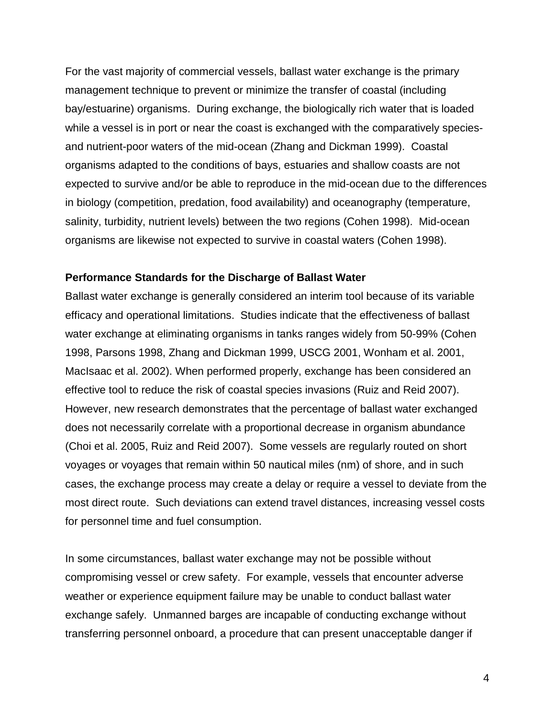For the vast majority of commercial vessels, ballast water exchange is the primary management technique to prevent or minimize the transfer of coastal (including bay/estuarine) organisms. During exchange, the biologically rich water that is loaded while a vessel is in port or near the coast is exchanged with the comparatively speciesand nutrient-poor waters of the mid-ocean (Zhang and Dickman 1999). Coastal organisms adapted to the conditions of bays, estuaries and shallow coasts are not expected to survive and/or be able to reproduce in the mid-ocean due to the differences in biology (competition, predation, food availability) and oceanography (temperature, salinity, turbidity, nutrient levels) between the two regions (Cohen 1998). Mid-ocean organisms are likewise not expected to survive in coastal waters (Cohen 1998).

#### **Performance Standards for the Discharge of Ballast Water**

Ballast water exchange is generally considered an interim tool because of its variable efficacy and operational limitations. Studies indicate that the effectiveness of ballast water exchange at eliminating organisms in tanks ranges widely from 50-99% (Cohen 1998, Parsons 1998, Zhang and Dickman 1999, USCG 2001, Wonham et al. 2001, MacIsaac et al. 2002). When performed properly, exchange has been considered an effective tool to reduce the risk of coastal species invasions (Ruiz and Reid 2007). However, new research demonstrates that the percentage of ballast water exchanged does not necessarily correlate with a proportional decrease in organism abundance (Choi et al. 2005, Ruiz and Reid 2007). Some vessels are regularly routed on short voyages or voyages that remain within 50 nautical miles (nm) of shore, and in such cases, the exchange process may create a delay or require a vessel to deviate from the most direct route. Such deviations can extend travel distances, increasing vessel costs for personnel time and fuel consumption.

In some circumstances, ballast water exchange may not be possible without compromising vessel or crew safety. For example, vessels that encounter adverse weather or experience equipment failure may be unable to conduct ballast water exchange safely. Unmanned barges are incapable of conducting exchange without transferring personnel onboard, a procedure that can present unacceptable danger if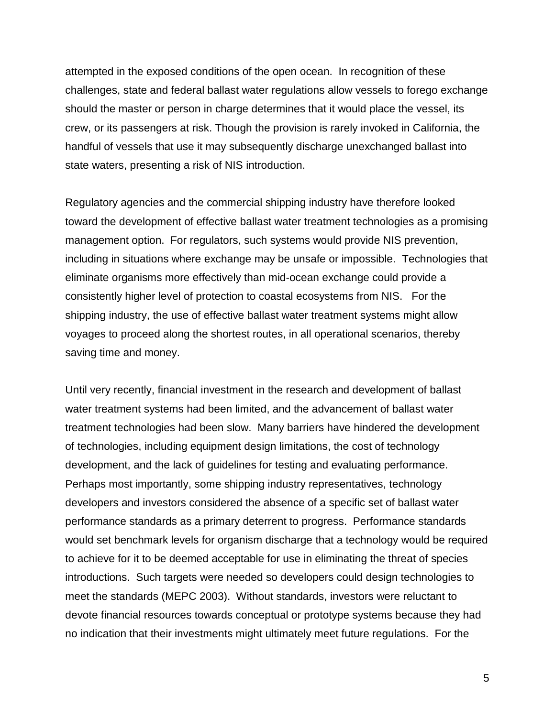attempted in the exposed conditions of the open ocean. In recognition of these challenges, state and federal ballast water regulations allow vessels to forego exchange should the master or person in charge determines that it would place the vessel, its crew, or its passengers at risk. Though the provision is rarely invoked in California, the handful of vessels that use it may subsequently discharge unexchanged ballast into state waters, presenting a risk of NIS introduction.

Regulatory agencies and the commercial shipping industry have therefore looked toward the development of effective ballast water treatment technologies as a promising management option. For regulators, such systems would provide NIS prevention, including in situations where exchange may be unsafe or impossible. Technologies that eliminate organisms more effectively than mid-ocean exchange could provide a consistently higher level of protection to coastal ecosystems from NIS. For the shipping industry, the use of effective ballast water treatment systems might allow voyages to proceed along the shortest routes, in all operational scenarios, thereby saving time and money.

Until very recently, financial investment in the research and development of ballast water treatment systems had been limited, and the advancement of ballast water treatment technologies had been slow. Many barriers have hindered the development of technologies, including equipment design limitations, the cost of technology development, and the lack of guidelines for testing and evaluating performance. Perhaps most importantly, some shipping industry representatives, technology developers and investors considered the absence of a specific set of ballast water performance standards as a primary deterrent to progress. Performance standards would set benchmark levels for organism discharge that a technology would be required to achieve for it to be deemed acceptable for use in eliminating the threat of species introductions. Such targets were needed so developers could design technologies to meet the standards (MEPC 2003). Without standards, investors were reluctant to devote financial resources towards conceptual or prototype systems because they had no indication that their investments might ultimately meet future regulations. For the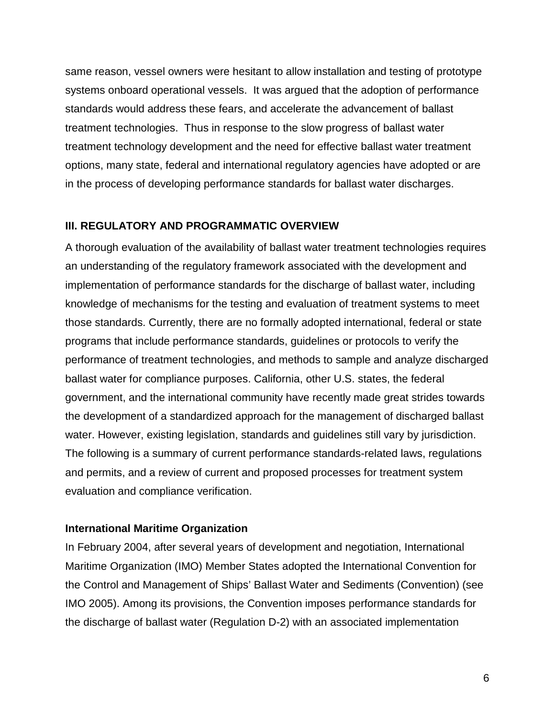same reason, vessel owners were hesitant to allow installation and testing of prototype systems onboard operational vessels. It was argued that the adoption of performance standards would address these fears, and accelerate the advancement of ballast treatment technologies. Thus in response to the slow progress of ballast water treatment technology development and the need for effective ballast water treatment options, many state, federal and international regulatory agencies have adopted or are in the process of developing performance standards for ballast water discharges.

## <span id="page-12-0"></span>**III. REGULATORY AND PROGRAMMATIC OVERVIEW**

A thorough evaluation of the availability of ballast water treatment technologies requires an understanding of the regulatory framework associated with the development and implementation of performance standards for the discharge of ballast water, including knowledge of mechanisms for the testing and evaluation of treatment systems to meet those standards. Currently, there are no formally adopted international, federal or state programs that include performance standards, guidelines or protocols to verify the performance of treatment technologies, and methods to sample and analyze discharged ballast water for compliance purposes. California, other U.S. states, the federal government, and the international community have recently made great strides towards the development of a standardized approach for the management of discharged ballast water. However, existing legislation, standards and guidelines still vary by jurisdiction. The following is a summary of current performance standards-related laws, regulations and permits, and a review of current and proposed processes for treatment system evaluation and compliance verification.

## **International Maritime Organization**

In February 2004, after several years of development and negotiation, International Maritime Organization (IMO) Member States adopted the International Convention for the Control and Management of Ships' Ballast Water and Sediments (Convention) (see IMO 2005). Among its provisions, the Convention imposes performance standards for the discharge of ballast water (Regulation D-2) with an associated implementation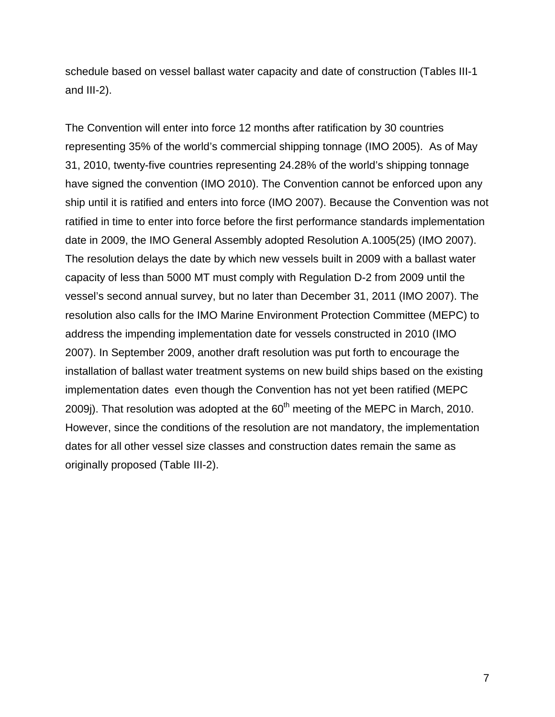schedule based on vessel ballast water capacity and date of construction (Tables III-1 and III-2).

The Convention will enter into force 12 months after ratification by 30 countries representing 35% of the world's commercial shipping tonnage (IMO 2005). As of May 31, 2010, twenty-five countries representing 24.28% of the world's shipping tonnage have signed the convention (IMO 2010). The Convention cannot be enforced upon any ship until it is ratified and enters into force (IMO 2007). Because the Convention was not ratified in time to enter into force before the first performance standards implementation date in 2009, the IMO General Assembly adopted Resolution A.1005(25) (IMO 2007). The resolution delays the date by which new vessels built in 2009 with a ballast water capacity of less than 5000 MT must comply with Regulation D-2 from 2009 until the vessel's second annual survey, but no later than December 31, 2011 (IMO 2007). The resolution also calls for the IMO Marine Environment Protection Committee (MEPC) to address the impending implementation date for vessels constructed in 2010 (IMO 2007). In September 2009, another draft resolution was put forth to encourage the installation of ballast water treatment systems on new build ships based on the existing implementation dates even though the Convention has not yet been ratified (MEPC 2009j). That resolution was adopted at the  $60<sup>th</sup>$  meeting of the MEPC in March, 2010. However, since the conditions of the resolution are not mandatory, the implementation dates for all other vessel size classes and construction dates remain the same as originally proposed (Table III-2).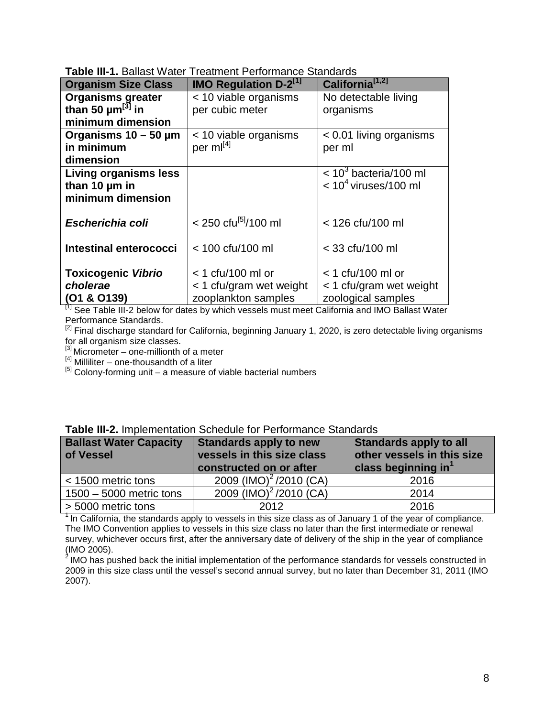| <b>Organism Size Class</b>        | <b>IMO Regulation D-2<sup>[1]</sup></b> | California <sup>[1,2]</sup>         |  |  |
|-----------------------------------|-----------------------------------------|-------------------------------------|--|--|
| <b>Organisms greater</b>          | < 10 viable organisms                   | No detectable living                |  |  |
| than 50 $\mu$ m <sup>[3]</sup> in | per cubic meter                         | organisms                           |  |  |
| minimum dimension                 |                                         |                                     |  |  |
| Organisms $10 - 50 \mu m$         | < 10 viable organisms                   | $< 0.01$ living organisms           |  |  |
| in minimum                        | per ml[4]                               | per ml                              |  |  |
| dimension                         |                                         |                                     |  |  |
| Living organisms less             |                                         | $<$ 10 <sup>3</sup> bacteria/100 ml |  |  |
| than 10 um in                     |                                         | $< 104$ viruses/100 ml              |  |  |
| minimum dimension                 |                                         |                                     |  |  |
|                                   |                                         |                                     |  |  |
| Escherichia coli                  | $<$ 250 cfu <sup>[5]</sup> /100 ml      | < 126 cfu/100 ml                    |  |  |
|                                   |                                         |                                     |  |  |
| Intestinal enterococci            | < 100 cfu/100 ml                        | < 33 cfu/100 ml                     |  |  |
|                                   |                                         |                                     |  |  |
| <b>Toxicogenic Vibrio</b>         | $<$ 1 cfu/100 ml or                     | $<$ 1 cfu/100 ml or                 |  |  |
| cholerae                          | $<$ 1 cfu/gram wet weight               | $<$ 1 cfu/gram wet weight           |  |  |
| (O1 & O139)                       | zooplankton samples                     | zoological samples                  |  |  |

**Table III-1.** Ballast Water Treatment Performance Standards

**(O1 & O139)** zooplankton samples zoological samples [1] See Table III-2 below for dates by which vessels must meet California and IMO Ballast Water Performance Standards.

<sup>[2]</sup> Final discharge standard for California, beginning January 1, 2020, is zero detectable living organisms for all organism size classes.

 $[3]$  Micrometer – one-millionth of a meter

 $[4]$  Milliliter – one-thousandth of a liter

<sup>[5]</sup> Colony-forming unit – a measure of viable bacterial numbers

| <b>Ballast Water Capacity</b><br>of Vessel | <b>Standards apply to new</b><br>vessels in this size class<br>constructed on or after | Standards apply to all<br>other vessels in this size<br>class beginning in <sup>1</sup> |
|--------------------------------------------|----------------------------------------------------------------------------------------|-----------------------------------------------------------------------------------------|
| < 1500 metric tons                         | 2009 (IMO) <sup>2</sup> /2010 (CA)                                                     | 2016                                                                                    |
| $1500 - 5000$ metric tons                  | 2009 (IMO) <sup>2</sup> /2010 (CA)                                                     | 2014                                                                                    |
| > 5000 metric tons                         | 2012                                                                                   | 2016                                                                                    |

| Table III-2. Implementation Schedule for Performance Standards |  |
|----------------------------------------------------------------|--|
|----------------------------------------------------------------|--|

 $<sup>1</sup>$  In California, the standards apply to vessels in this size class as of January 1 of the year of compliance.</sup> The IMO Convention applies to vessels in this size class no later than the first intermediate or renewal survey, whichever occurs first, after the anniversary date of delivery of the ship in the year of compliance (IMO 2005).

 $2$  IMO has pushed back the initial implementation of the performance standards for vessels constructed in 2009 in this size class until the vessel's second annual survey, but no later than December 31, 2011 (IMO 2007).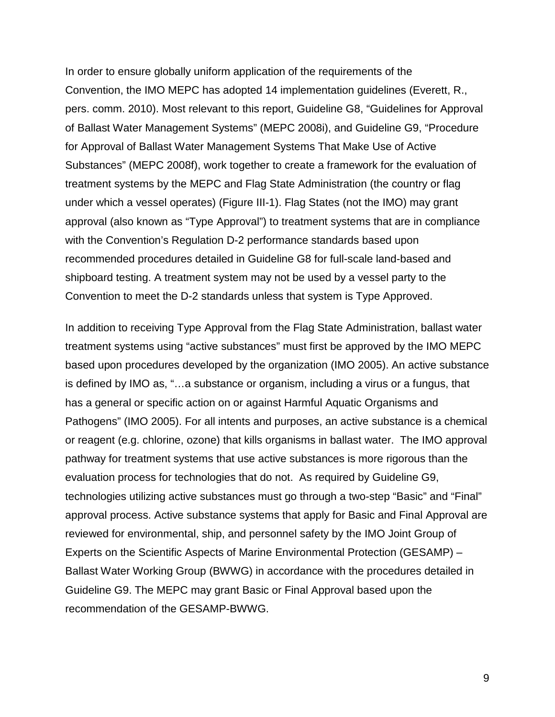In order to ensure globally uniform application of the requirements of the Convention, the IMO MEPC has adopted 14 implementation guidelines (Everett, R., pers. comm. 2010). Most relevant to this report, Guideline G8, "Guidelines for Approval of Ballast Water Management Systems" (MEPC 2008i), and Guideline G9, "Procedure for Approval of Ballast Water Management Systems That Make Use of Active Substances" (MEPC 2008f), work together to create a framework for the evaluation of treatment systems by the MEPC and Flag State Administration (the country or flag under which a vessel operates) (Figure III-1). Flag States (not the IMO) may grant approval (also known as "Type Approval") to treatment systems that are in compliance with the Convention's Regulation D-2 performance standards based upon recommended procedures detailed in Guideline G8 for full-scale land-based and shipboard testing. A treatment system may not be used by a vessel party to the Convention to meet the D-2 standards unless that system is Type Approved.

In addition to receiving Type Approval from the Flag State Administration, ballast water treatment systems using "active substances" must first be approved by the IMO MEPC based upon procedures developed by the organization (IMO 2005). An active substance is defined by IMO as, "…a substance or organism, including a virus or a fungus, that has a general or specific action on or against Harmful Aquatic Organisms and Pathogens" (IMO 2005). For all intents and purposes, an active substance is a chemical or reagent (e.g. chlorine, ozone) that kills organisms in ballast water. The IMO approval pathway for treatment systems that use active substances is more rigorous than the evaluation process for technologies that do not. As required by Guideline G9, technologies utilizing active substances must go through a two-step "Basic" and "Final" approval process. Active substance systems that apply for Basic and Final Approval are reviewed for environmental, ship, and personnel safety by the IMO Joint Group of Experts on the Scientific Aspects of Marine Environmental Protection (GESAMP) – Ballast Water Working Group (BWWG) in accordance with the procedures detailed in Guideline G9. The MEPC may grant Basic or Final Approval based upon the recommendation of the GESAMP-BWWG.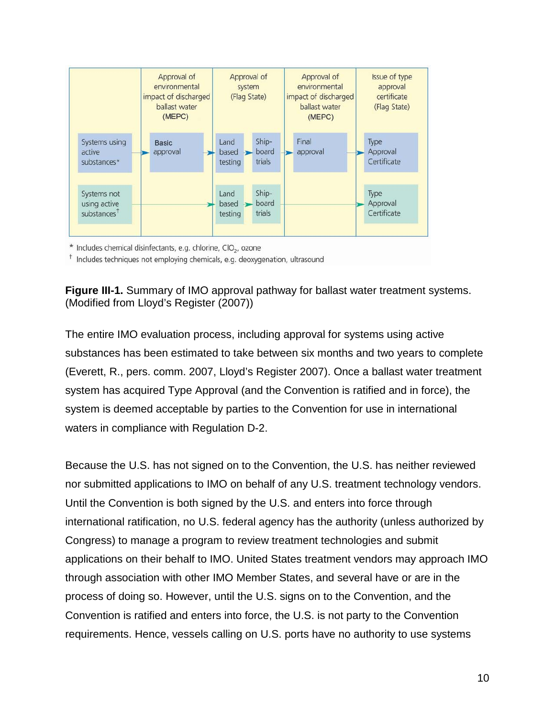

\* Includes chemical disinfectants, e.g. chlorine, CIO<sub>2</sub>, ozone

<sup>†</sup> Includes techniques not employing chemicals, e.g. deoxygenation, ultrasound



The entire IMO evaluation process, including approval for systems using active substances has been estimated to take between six months and two years to complete (Everett, R., pers. comm. 2007, Lloyd's Register 2007). Once a ballast water treatment system has acquired Type Approval (and the Convention is ratified and in force), the system is deemed acceptable by parties to the Convention for use in international waters in compliance with Regulation D-2.

Because the U.S. has not signed on to the Convention, the U.S. has neither reviewed nor submitted applications to IMO on behalf of any U.S. treatment technology vendors. Until the Convention is both signed by the U.S. and enters into force through international ratification, no U.S. federal agency has the authority (unless authorized by Congress) to manage a program to review treatment technologies and submit applications on their behalf to IMO. United States treatment vendors may approach IMO through association with other IMO Member States, and several have or are in the process of doing so. However, until the U.S. signs on to the Convention, and the Convention is ratified and enters into force, the U.S. is not party to the Convention requirements. Hence, vessels calling on U.S. ports have no authority to use systems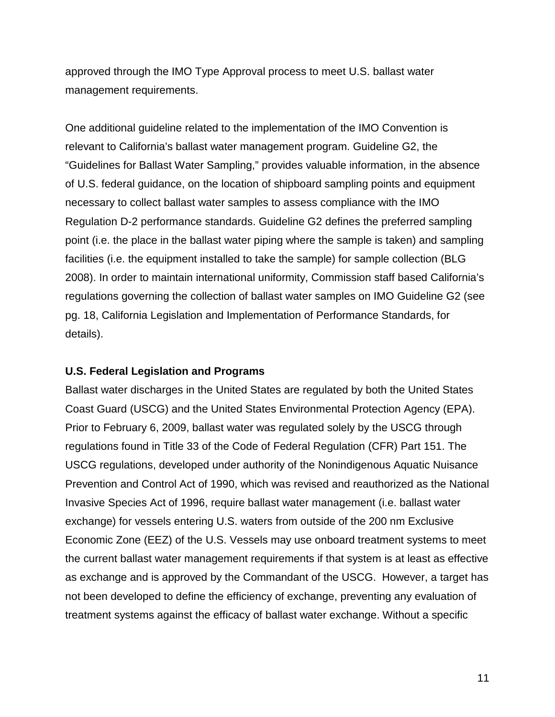approved through the IMO Type Approval process to meet U.S. ballast water management requirements.

One additional guideline related to the implementation of the IMO Convention is relevant to California's ballast water management program. Guideline G2, the "Guidelines for Ballast Water Sampling," provides valuable information, in the absence of U.S. federal guidance, on the location of shipboard sampling points and equipment necessary to collect ballast water samples to assess compliance with the IMO Regulation D-2 performance standards. Guideline G2 defines the preferred sampling point (i.e. the place in the ballast water piping where the sample is taken) and sampling facilities (i.e. the equipment installed to take the sample) for sample collection (BLG 2008). In order to maintain international uniformity, Commission staff based California's regulations governing the collection of ballast water samples on IMO Guideline G2 (see pg. 18, California Legislation and Implementation of Performance Standards, for details).

### **U.S. Federal Legislation and Programs**

Ballast water discharges in the United States are regulated by both the United States Coast Guard (USCG) and the United States Environmental Protection Agency (EPA). Prior to February 6, 2009, ballast water was regulated solely by the USCG through regulations found in Title 33 of the Code of Federal Regulation (CFR) Part 151. The USCG regulations, developed under authority of the Nonindigenous Aquatic Nuisance Prevention and Control Act of 1990, which was revised and reauthorized as the National Invasive Species Act of 1996, require ballast water management (i.e. ballast water exchange) for vessels entering U.S. waters from outside of the 200 nm Exclusive Economic Zone (EEZ) of the U.S. Vessels may use onboard treatment systems to meet the current ballast water management requirements if that system is at least as effective as exchange and is approved by the Commandant of the USCG. However, a target has not been developed to define the efficiency of exchange, preventing any evaluation of treatment systems against the efficacy of ballast water exchange. Without a specific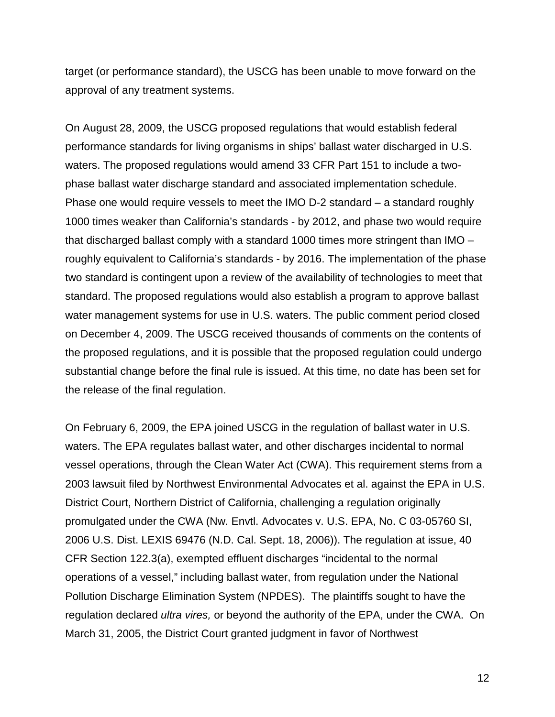target (or performance standard), the USCG has been unable to move forward on the approval of any treatment systems.

On August 28, 2009, the USCG proposed regulations that would establish federal performance standards for living organisms in ships' ballast water discharged in U.S. waters. The proposed regulations would amend 33 CFR Part 151 to include a twophase ballast water discharge standard and associated implementation schedule. Phase one would require vessels to meet the IMO D-2 standard – a standard roughly 1000 times weaker than California's standards - by 2012, and phase two would require that discharged ballast comply with a standard 1000 times more stringent than IMO – roughly equivalent to California's standards - by 2016. The implementation of the phase two standard is contingent upon a review of the availability of technologies to meet that standard. The proposed regulations would also establish a program to approve ballast water management systems for use in U.S. waters. The public comment period closed on December 4, 2009. The USCG received thousands of comments on the contents of the proposed regulations, and it is possible that the proposed regulation could undergo substantial change before the final rule is issued. At this time, no date has been set for the release of the final regulation.

On February 6, 2009, the EPA joined USCG in the regulation of ballast water in U.S. waters. The EPA regulates ballast water, and other discharges incidental to normal vessel operations, through the Clean Water Act (CWA). This requirement stems from a 2003 lawsuit filed by Northwest Environmental Advocates et al. against the EPA in U.S. District Court, Northern District of California, challenging a regulation originally promulgated under the CWA (Nw. Envtl. Advocates v. U.S. EPA, No. C 03-05760 SI, 2006 U.S. Dist. LEXIS 69476 (N.D. Cal. Sept. 18, 2006)). The regulation at issue, 40 CFR Section 122.3(a), exempted effluent discharges "incidental to the normal operations of a vessel," including ballast water, from regulation under the National Pollution Discharge Elimination System (NPDES). The plaintiffs sought to have the regulation declared *ultra vires,* or beyond the authority of the EPA, under the CWA. On March 31, 2005, the District Court granted judgment in favor of Northwest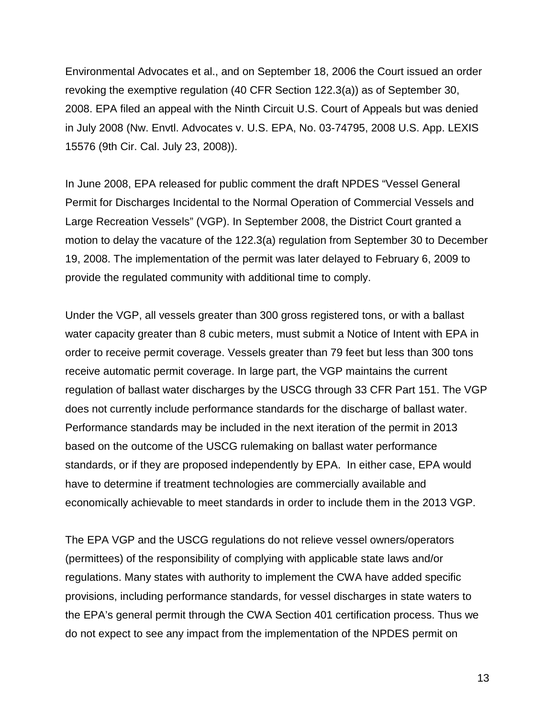Environmental Advocates et al., and on September 18, 2006 the Court issued an order revoking the exemptive regulation (40 CFR Section 122.3(a)) as of September 30, 2008. EPA filed an appeal with the Ninth Circuit U.S. Court of Appeals but was denied in July 2008 (Nw. Envtl. Advocates v. U.S. EPA, No. 03-74795, 2008 U.S. App. LEXIS 15576 (9th Cir. Cal. July 23, 2008)).

In June 2008, EPA released for public comment the draft NPDES "Vessel General Permit for Discharges Incidental to the Normal Operation of Commercial Vessels and Large Recreation Vessels" (VGP). In September 2008, the District Court granted a motion to delay the vacature of the 122.3(a) regulation from September 30 to December 19, 2008. The implementation of the permit was later delayed to February 6, 2009 to provide the regulated community with additional time to comply.

Under the VGP, all vessels greater than 300 gross registered tons, or with a ballast water capacity greater than 8 cubic meters, must submit a Notice of Intent with EPA in order to receive permit coverage. Vessels greater than 79 feet but less than 300 tons receive automatic permit coverage. In large part, the VGP maintains the current regulation of ballast water discharges by the USCG through 33 CFR Part 151. The VGP does not currently include performance standards for the discharge of ballast water. Performance standards may be included in the next iteration of the permit in 2013 based on the outcome of the USCG rulemaking on ballast water performance standards, or if they are proposed independently by EPA. In either case, EPA would have to determine if treatment technologies are commercially available and economically achievable to meet standards in order to include them in the 2013 VGP.

The EPA VGP and the USCG regulations do not relieve vessel owners/operators (permittees) of the responsibility of complying with applicable state laws and/or regulations. Many states with authority to implement the CWA have added specific provisions, including performance standards, for vessel discharges in state waters to the EPA's general permit through the CWA Section 401 certification process. Thus we do not expect to see any impact from the implementation of the NPDES permit on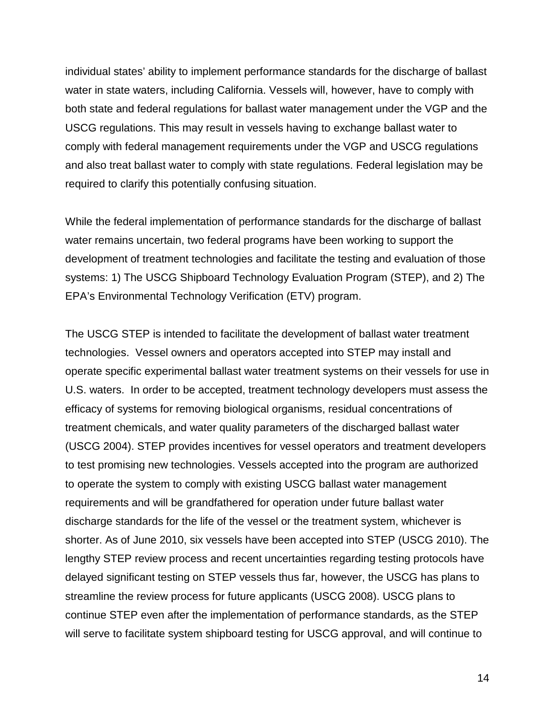individual states' ability to implement performance standards for the discharge of ballast water in state waters, including California. Vessels will, however, have to comply with both state and federal regulations for ballast water management under the VGP and the USCG regulations. This may result in vessels having to exchange ballast water to comply with federal management requirements under the VGP and USCG regulations and also treat ballast water to comply with state regulations. Federal legislation may be required to clarify this potentially confusing situation.

While the federal implementation of performance standards for the discharge of ballast water remains uncertain, two federal programs have been working to support the development of treatment technologies and facilitate the testing and evaluation of those systems: 1) The USCG Shipboard Technology Evaluation Program (STEP), and 2) The EPA's Environmental Technology Verification (ETV) program.

The USCG STEP is intended to facilitate the development of ballast water treatment technologies. Vessel owners and operators accepted into STEP may install and operate specific experimental ballast water treatment systems on their vessels for use in U.S. waters. In order to be accepted, treatment technology developers must assess the efficacy of systems for removing biological organisms, residual concentrations of treatment chemicals, and water quality parameters of the discharged ballast water (USCG 2004). STEP provides incentives for vessel operators and treatment developers to test promising new technologies. Vessels accepted into the program are authorized to operate the system to comply with existing USCG ballast water management requirements and will be grandfathered for operation under future ballast water discharge standards for the life of the vessel or the treatment system, whichever is shorter. As of June 2010, six vessels have been accepted into STEP (USCG 2010). The lengthy STEP review process and recent uncertainties regarding testing protocols have delayed significant testing on STEP vessels thus far, however, the USCG has plans to streamline the review process for future applicants (USCG 2008). USCG plans to continue STEP even after the implementation of performance standards, as the STEP will serve to facilitate system shipboard testing for USCG approval, and will continue to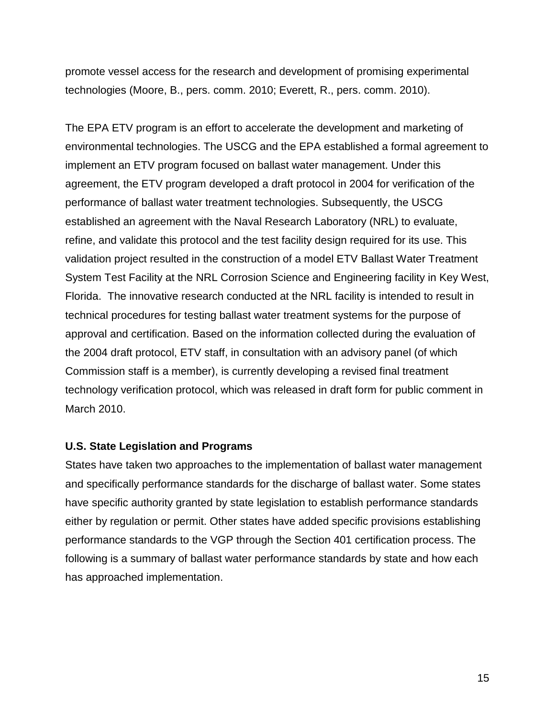promote vessel access for the research and development of promising experimental technologies (Moore, B., pers. comm. 2010; Everett, R., pers. comm. 2010).

The EPA ETV program is an effort to accelerate the development and marketing of environmental technologies. The USCG and the EPA established a formal agreement to implement an ETV program focused on ballast water management. Under this agreement, the ETV program developed a draft protocol in 2004 for verification of the performance of ballast water treatment technologies. Subsequently, the USCG established an agreement with the Naval Research Laboratory (NRL) to evaluate, refine, and validate this protocol and the test facility design required for its use. This validation project resulted in the construction of a model ETV Ballast Water Treatment System Test Facility at the NRL Corrosion Science and Engineering facility in Key West, Florida. The innovative research conducted at the NRL facility is intended to result in technical procedures for testing ballast water treatment systems for the purpose of approval and certification. Based on the information collected during the evaluation of the 2004 draft protocol, ETV staff, in consultation with an advisory panel (of which Commission staff is a member), is currently developing a revised final treatment technology verification protocol, which was released in draft form for public comment in March 2010.

## **U.S. State Legislation and Programs**

States have taken two approaches to the implementation of ballast water management and specifically performance standards for the discharge of ballast water. Some states have specific authority granted by state legislation to establish performance standards either by regulation or permit. Other states have added specific provisions establishing performance standards to the VGP through the Section 401 certification process. The following is a summary of ballast water performance standards by state and how each has approached implementation.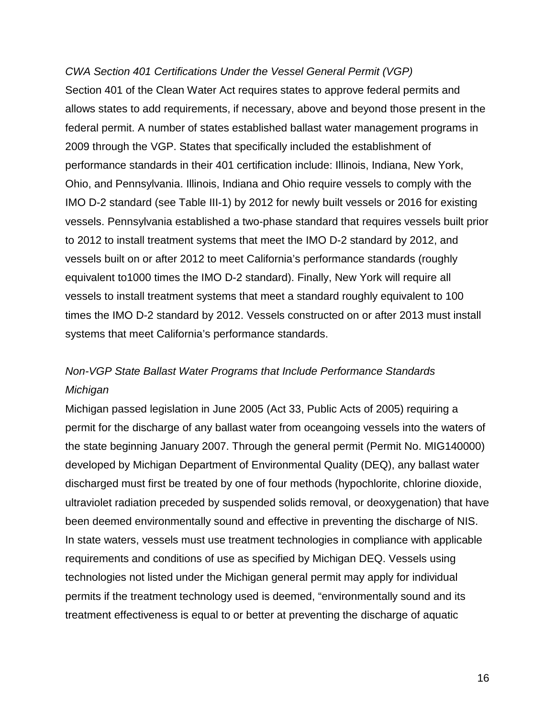### *CWA Section 401 Certifications Under the Vessel General Permit (VGP)*

Section 401 of the Clean Water Act requires states to approve federal permits and allows states to add requirements, if necessary, above and beyond those present in the federal permit. A number of states established ballast water management programs in 2009 through the VGP. States that specifically included the establishment of performance standards in their 401 certification include: Illinois, Indiana, New York, Ohio, and Pennsylvania. Illinois, Indiana and Ohio require vessels to comply with the IMO D-2 standard (see Table III-1) by 2012 for newly built vessels or 2016 for existing vessels. Pennsylvania established a two-phase standard that requires vessels built prior to 2012 to install treatment systems that meet the IMO D-2 standard by 2012, and vessels built on or after 2012 to meet California's performance standards (roughly equivalent to1000 times the IMO D-2 standard). Finally, New York will require all vessels to install treatment systems that meet a standard roughly equivalent to 100 times the IMO D-2 standard by 2012. Vessels constructed on or after 2013 must install systems that meet California's performance standards.

# *Non-VGP State Ballast Water Programs that Include Performance Standards Michigan*

Michigan passed legislation in June 2005 (Act 33, Public Acts of 2005) requiring a permit for the discharge of any ballast water from oceangoing vessels into the waters of the state beginning January 2007. Through the general permit (Permit No. MIG140000) developed by Michigan Department of Environmental Quality (DEQ), any ballast water discharged must first be treated by one of four methods (hypochlorite, chlorine dioxide, ultraviolet radiation preceded by suspended solids removal, or deoxygenation) that have been deemed environmentally sound and effective in preventing the discharge of NIS. In state waters, vessels must use treatment technologies in compliance with applicable requirements and conditions of use as specified by Michigan DEQ. Vessels using technologies not listed under the Michigan general permit may apply for individual permits if the treatment technology used is deemed, "environmentally sound and its treatment effectiveness is equal to or better at preventing the discharge of aquatic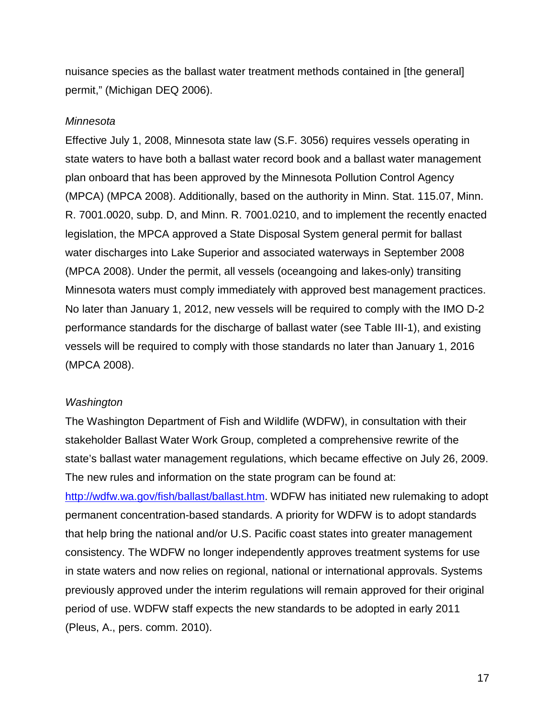nuisance species as the ballast water treatment methods contained in [the general] permit," (Michigan DEQ 2006).

#### *Minnesota*

Effective July 1, 2008, Minnesota state law (S.F. 3056) requires vessels operating in state waters to have both a ballast water record book and a ballast water management plan onboard that has been approved by the Minnesota Pollution Control Agency (MPCA) (MPCA 2008). Additionally, based on the authority in Minn. Stat. 115.07, Minn. R. 7001.0020, subp. D, and Minn. R. 7001.0210, and to implement the recently enacted legislation, the MPCA approved a State Disposal System general permit for ballast water discharges into Lake Superior and associated waterways in September 2008 (MPCA 2008). Under the permit, all vessels (oceangoing and lakes-only) transiting Minnesota waters must comply immediately with approved best management practices. No later than January 1, 2012, new vessels will be required to comply with the IMO D-2 performance standards for the discharge of ballast water (see Table III-1), and existing vessels will be required to comply with those standards no later than January 1, 2016 (MPCA 2008).

#### *Washington*

The Washington Department of Fish and Wildlife (WDFW), in consultation with their stakeholder Ballast Water Work Group, completed a comprehensive rewrite of the state's ballast water management regulations, which became effective on July 26, 2009. The new rules and information on the state program can be found at: [http://wdfw.wa.gov/fish/ballast/ballast.htm.](http://wdfw.wa.gov/fish/ballast/ballast.htm) WDFW has initiated new rulemaking to adopt permanent concentration-based standards. A priority for WDFW is to adopt standards that help bring the national and/or U.S. Pacific coast states into greater management consistency. The WDFW no longer independently approves treatment systems for use in state waters and now relies on regional, national or international approvals. Systems previously approved under the interim regulations will remain approved for their original period of use. WDFW staff expects the new standards to be adopted in early 2011 (Pleus, A., pers. comm. 2010).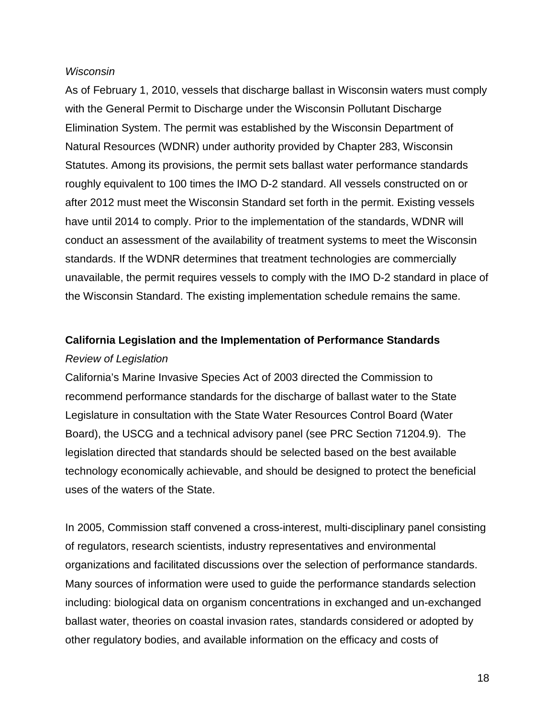### *Wisconsin*

As of February 1, 2010, vessels that discharge ballast in Wisconsin waters must comply with the General Permit to Discharge under the Wisconsin Pollutant Discharge Elimination System. The permit was established by the Wisconsin Department of Natural Resources (WDNR) under authority provided by Chapter 283, Wisconsin Statutes. Among its provisions, the permit sets ballast water performance standards roughly equivalent to 100 times the IMO D-2 standard. All vessels constructed on or after 2012 must meet the Wisconsin Standard set forth in the permit. Existing vessels have until 2014 to comply. Prior to the implementation of the standards, WDNR will conduct an assessment of the availability of treatment systems to meet the Wisconsin standards. If the WDNR determines that treatment technologies are commercially unavailable, the permit requires vessels to comply with the IMO D-2 standard in place of the Wisconsin Standard. The existing implementation schedule remains the same.

## **California Legislation and the Implementation of Performance Standards** *Review of Legislation*

California's Marine Invasive Species Act of 2003 directed the Commission to recommend performance standards for the discharge of ballast water to the State Legislature in consultation with the State Water Resources Control Board (Water Board), the USCG and a technical advisory panel (see PRC Section 71204.9). The legislation directed that standards should be selected based on the best available technology economically achievable, and should be designed to protect the beneficial uses of the waters of the State.

In 2005, Commission staff convened a cross-interest, multi-disciplinary panel consisting of regulators, research scientists, industry representatives and environmental organizations and facilitated discussions over the selection of performance standards. Many sources of information were used to guide the performance standards selection including: biological data on organism concentrations in exchanged and un-exchanged ballast water, theories on coastal invasion rates, standards considered or adopted by other regulatory bodies, and available information on the efficacy and costs of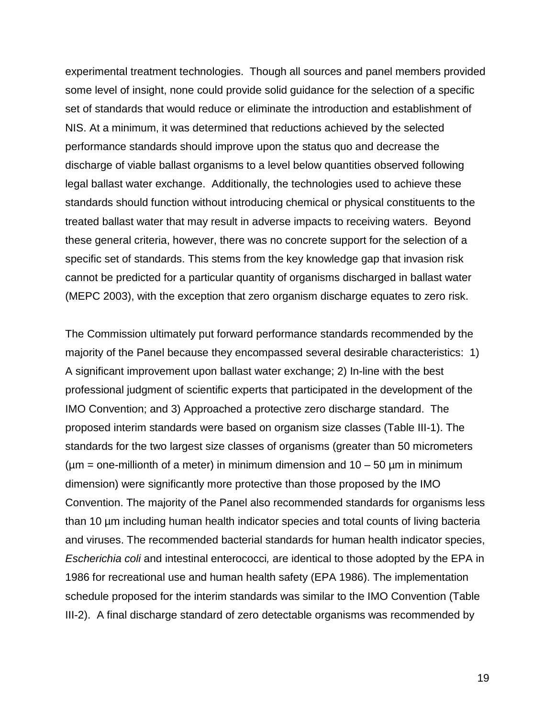experimental treatment technologies. Though all sources and panel members provided some level of insight, none could provide solid guidance for the selection of a specific set of standards that would reduce or eliminate the introduction and establishment of NIS. At a minimum, it was determined that reductions achieved by the selected performance standards should improve upon the status quo and decrease the discharge of viable ballast organisms to a level below quantities observed following legal ballast water exchange. Additionally, the technologies used to achieve these standards should function without introducing chemical or physical constituents to the treated ballast water that may result in adverse impacts to receiving waters. Beyond these general criteria, however, there was no concrete support for the selection of a specific set of standards. This stems from the key knowledge gap that invasion risk cannot be predicted for a particular quantity of organisms discharged in ballast water (MEPC 2003), with the exception that zero organism discharge equates to zero risk.

The Commission ultimately put forward performance standards recommended by the majority of the Panel because they encompassed several desirable characteristics: 1) A significant improvement upon ballast water exchange; 2) In-line with the best professional judgment of scientific experts that participated in the development of the IMO Convention; and 3) Approached a protective zero discharge standard. The proposed interim standards were based on organism size classes (Table III-1). The standards for the two largest size classes of organisms (greater than 50 micrometers ( $\mu$ m = one-millionth of a meter) in minimum dimension and  $10 - 50 \mu$ m in minimum dimension) were significantly more protective than those proposed by the IMO Convention. The majority of the Panel also recommended standards for organisms less than 10 µm including human health indicator species and total counts of living bacteria and viruses. The recommended bacterial standards for human health indicator species, *Escherichia coli* and intestinal enterococci*,* are identical to those adopted by the EPA in 1986 for recreational use and human health safety (EPA 1986). The implementation schedule proposed for the interim standards was similar to the IMO Convention (Table III-2). A final discharge standard of zero detectable organisms was recommended by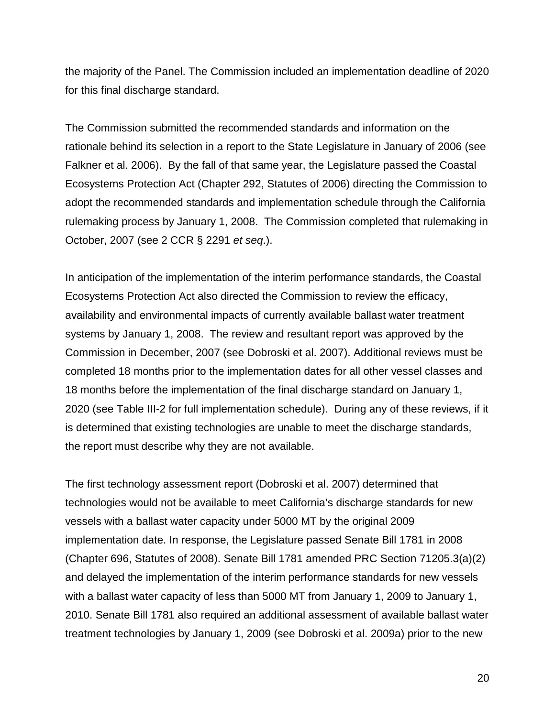the majority of the Panel. The Commission included an implementation deadline of 2020 for this final discharge standard.

The Commission submitted the recommended standards and information on the rationale behind its selection in a report to the State Legislature in January of 2006 (see Falkner et al. 2006). By the fall of that same year, the Legislature passed the Coastal Ecosystems Protection Act (Chapter 292, Statutes of 2006) directing the Commission to adopt the recommended standards and implementation schedule through the California rulemaking process by January 1, 2008. The Commission completed that rulemaking in October, 2007 (see 2 CCR § 2291 *et seq*.).

In anticipation of the implementation of the interim performance standards, the Coastal Ecosystems Protection Act also directed the Commission to review the efficacy, availability and environmental impacts of currently available ballast water treatment systems by January 1, 2008. The review and resultant report was approved by the Commission in December, 2007 (see Dobroski et al. 2007). Additional reviews must be completed 18 months prior to the implementation dates for all other vessel classes and 18 months before the implementation of the final discharge standard on January 1, 2020 (see Table III-2 for full implementation schedule). During any of these reviews, if it is determined that existing technologies are unable to meet the discharge standards, the report must describe why they are not available.

The first technology assessment report (Dobroski et al. 2007) determined that technologies would not be available to meet California's discharge standards for new vessels with a ballast water capacity under 5000 MT by the original 2009 implementation date. In response, the Legislature passed Senate Bill 1781 in 2008 (Chapter 696, Statutes of 2008). Senate Bill 1781 amended PRC Section 71205.3(a)(2) and delayed the implementation of the interim performance standards for new vessels with a ballast water capacity of less than 5000 MT from January 1, 2009 to January 1, 2010. Senate Bill 1781 also required an additional assessment of available ballast water treatment technologies by January 1, 2009 (see Dobroski et al. 2009a) prior to the new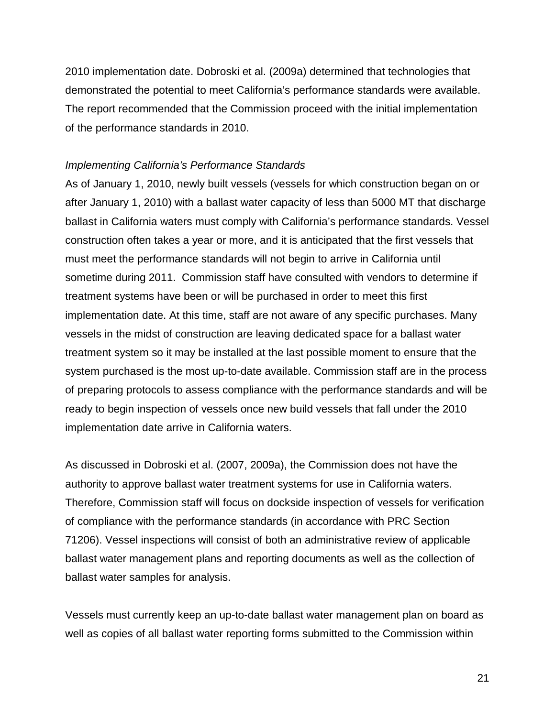2010 implementation date. Dobroski et al. (2009a) determined that technologies that demonstrated the potential to meet California's performance standards were available. The report recommended that the Commission proceed with the initial implementation of the performance standards in 2010.

#### *Implementing California's Performance Standards*

As of January 1, 2010, newly built vessels (vessels for which construction began on or after January 1, 2010) with a ballast water capacity of less than 5000 MT that discharge ballast in California waters must comply with California's performance standards. Vessel construction often takes a year or more, and it is anticipated that the first vessels that must meet the performance standards will not begin to arrive in California until sometime during 2011. Commission staff have consulted with vendors to determine if treatment systems have been or will be purchased in order to meet this first implementation date. At this time, staff are not aware of any specific purchases. Many vessels in the midst of construction are leaving dedicated space for a ballast water treatment system so it may be installed at the last possible moment to ensure that the system purchased is the most up-to-date available. Commission staff are in the process of preparing protocols to assess compliance with the performance standards and will be ready to begin inspection of vessels once new build vessels that fall under the 2010 implementation date arrive in California waters.

As discussed in Dobroski et al. (2007, 2009a), the Commission does not have the authority to approve ballast water treatment systems for use in California waters. Therefore, Commission staff will focus on dockside inspection of vessels for verification of compliance with the performance standards (in accordance with PRC Section 71206). Vessel inspections will consist of both an administrative review of applicable ballast water management plans and reporting documents as well as the collection of ballast water samples for analysis.

Vessels must currently keep an up-to-date ballast water management plan on board as well as copies of all ballast water reporting forms submitted to the Commission within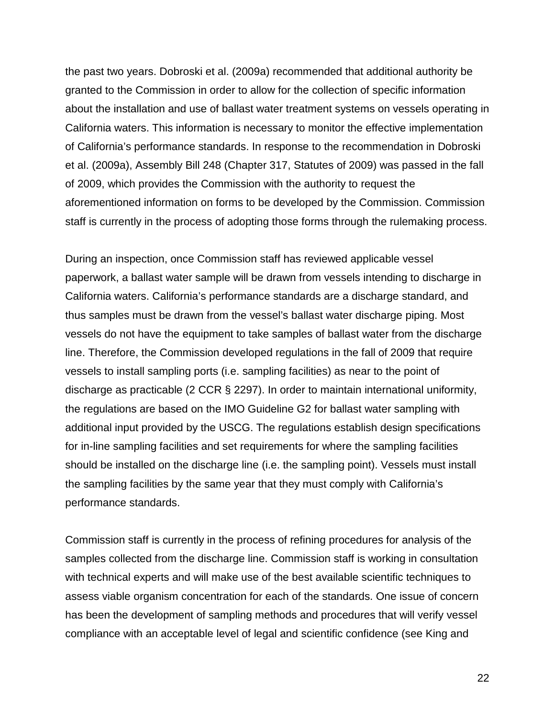the past two years. Dobroski et al. (2009a) recommended that additional authority be granted to the Commission in order to allow for the collection of specific information about the installation and use of ballast water treatment systems on vessels operating in California waters. This information is necessary to monitor the effective implementation of California's performance standards. In response to the recommendation in Dobroski et al. (2009a), Assembly Bill 248 (Chapter 317, Statutes of 2009) was passed in the fall of 2009, which provides the Commission with the authority to request the aforementioned information on forms to be developed by the Commission. Commission staff is currently in the process of adopting those forms through the rulemaking process.

During an inspection, once Commission staff has reviewed applicable vessel paperwork, a ballast water sample will be drawn from vessels intending to discharge in California waters. California's performance standards are a discharge standard, and thus samples must be drawn from the vessel's ballast water discharge piping. Most vessels do not have the equipment to take samples of ballast water from the discharge line. Therefore, the Commission developed regulations in the fall of 2009 that require vessels to install sampling ports (i.e. sampling facilities) as near to the point of discharge as practicable (2 CCR § 2297). In order to maintain international uniformity, the regulations are based on the IMO Guideline G2 for ballast water sampling with additional input provided by the USCG. The regulations establish design specifications for in-line sampling facilities and set requirements for where the sampling facilities should be installed on the discharge line (i.e. the sampling point). Vessels must install the sampling facilities by the same year that they must comply with California's performance standards.

Commission staff is currently in the process of refining procedures for analysis of the samples collected from the discharge line. Commission staff is working in consultation with technical experts and will make use of the best available scientific techniques to assess viable organism concentration for each of the standards. One issue of concern has been the development of sampling methods and procedures that will verify vessel compliance with an acceptable level of legal and scientific confidence (see King and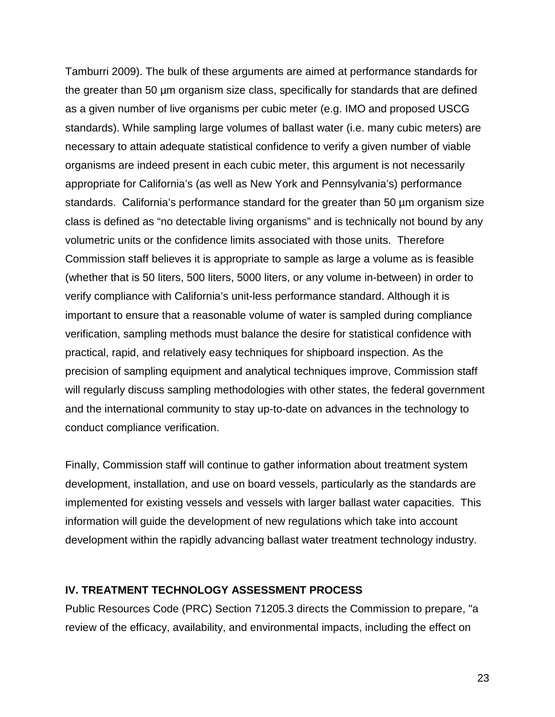Tamburri 2009). The bulk of these arguments are aimed at performance standards for the greater than 50 µm organism size class, specifically for standards that are defined as a given number of live organisms per cubic meter (e.g. IMO and proposed USCG standards). While sampling large volumes of ballast water (i.e. many cubic meters) are necessary to attain adequate statistical confidence to verify a given number of viable organisms are indeed present in each cubic meter, this argument is not necessarily appropriate for California's (as well as New York and Pennsylvania's) performance standards. California's performance standard for the greater than 50 µm organism size class is defined as "no detectable living organisms" and is technically not bound by any volumetric units or the confidence limits associated with those units. Therefore Commission staff believes it is appropriate to sample as large a volume as is feasible (whether that is 50 liters, 500 liters, 5000 liters, or any volume in-between) in order to verify compliance with California's unit-less performance standard. Although it is important to ensure that a reasonable volume of water is sampled during compliance verification, sampling methods must balance the desire for statistical confidence with practical, rapid, and relatively easy techniques for shipboard inspection. As the precision of sampling equipment and analytical techniques improve, Commission staff will regularly discuss sampling methodologies with other states, the federal government and the international community to stay up-to-date on advances in the technology to conduct compliance verification.

Finally, Commission staff will continue to gather information about treatment system development, installation, and use on board vessels, particularly as the standards are implemented for existing vessels and vessels with larger ballast water capacities. This information will guide the development of new regulations which take into account development within the rapidly advancing ballast water treatment technology industry.

## <span id="page-29-0"></span>**IV. TREATMENT TECHNOLOGY ASSESSMENT PROCESS**

Public Resources Code (PRC) Section 71205.3 directs the Commission to prepare, "a review of the efficacy, availability, and environmental impacts, including the effect on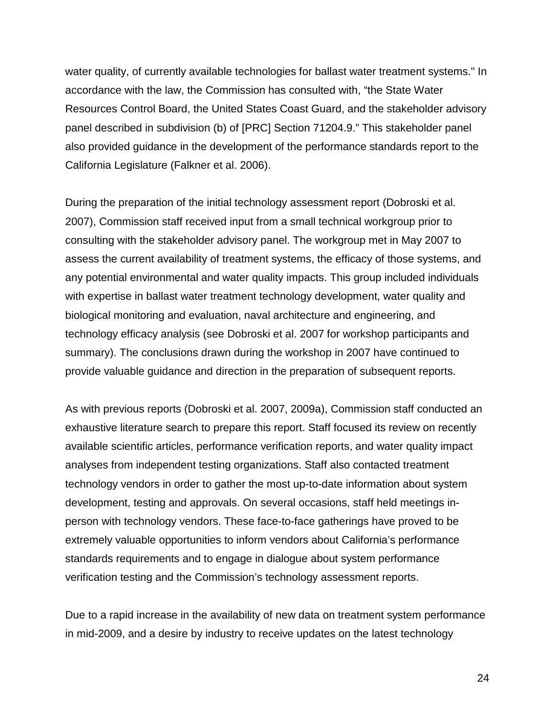water quality, of currently available technologies for ballast water treatment systems." In accordance with the law, the Commission has consulted with, "the State Water Resources Control Board, the United States Coast Guard, and the stakeholder advisory panel described in subdivision (b) of [PRC] Section 71204.9." This stakeholder panel also provided guidance in the development of the performance standards report to the California Legislature (Falkner et al. 2006).

During the preparation of the initial technology assessment report (Dobroski et al. 2007), Commission staff received input from a small technical workgroup prior to consulting with the stakeholder advisory panel. The workgroup met in May 2007 to assess the current availability of treatment systems, the efficacy of those systems, and any potential environmental and water quality impacts. This group included individuals with expertise in ballast water treatment technology development, water quality and biological monitoring and evaluation, naval architecture and engineering, and technology efficacy analysis (see Dobroski et al. 2007 for workshop participants and summary). The conclusions drawn during the workshop in 2007 have continued to provide valuable guidance and direction in the preparation of subsequent reports.

As with previous reports (Dobroski et al. 2007, 2009a), Commission staff conducted an exhaustive literature search to prepare this report. Staff focused its review on recently available scientific articles, performance verification reports, and water quality impact analyses from independent testing organizations. Staff also contacted treatment technology vendors in order to gather the most up-to-date information about system development, testing and approvals. On several occasions, staff held meetings inperson with technology vendors. These face-to-face gatherings have proved to be extremely valuable opportunities to inform vendors about California's performance standards requirements and to engage in dialogue about system performance verification testing and the Commission's technology assessment reports.

Due to a rapid increase in the availability of new data on treatment system performance in mid-2009, and a desire by industry to receive updates on the latest technology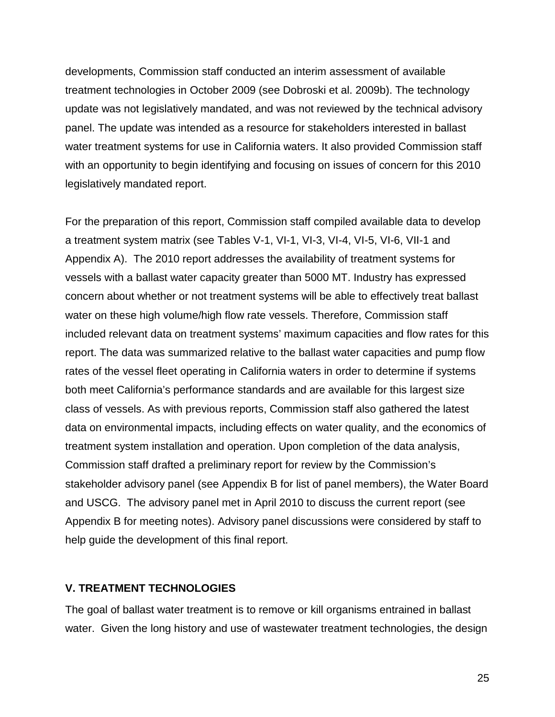developments, Commission staff conducted an interim assessment of available treatment technologies in October 2009 (see Dobroski et al. 2009b). The technology update was not legislatively mandated, and was not reviewed by the technical advisory panel. The update was intended as a resource for stakeholders interested in ballast water treatment systems for use in California waters. It also provided Commission staff with an opportunity to begin identifying and focusing on issues of concern for this 2010 legislatively mandated report.

For the preparation of this report, Commission staff compiled available data to develop a treatment system matrix (see Tables V-1, VI-1, VI-3, VI-4, VI-5, VI-6, VII-1 and Appendix A). The 2010 report addresses the availability of treatment systems for vessels with a ballast water capacity greater than 5000 MT. Industry has expressed concern about whether or not treatment systems will be able to effectively treat ballast water on these high volume/high flow rate vessels. Therefore, Commission staff included relevant data on treatment systems' maximum capacities and flow rates for this report. The data was summarized relative to the ballast water capacities and pump flow rates of the vessel fleet operating in California waters in order to determine if systems both meet California's performance standards and are available for this largest size class of vessels. As with previous reports, Commission staff also gathered the latest data on environmental impacts, including effects on water quality, and the economics of treatment system installation and operation. Upon completion of the data analysis, Commission staff drafted a preliminary report for review by the Commission's stakeholder advisory panel (see Appendix B for list of panel members), the Water Board and USCG. The advisory panel met in April 2010 to discuss the current report (see Appendix B for meeting notes). Advisory panel discussions were considered by staff to help guide the development of this final report.

## <span id="page-31-0"></span>**V. TREATMENT TECHNOLOGIES**

The goal of ballast water treatment is to remove or kill organisms entrained in ballast water. Given the long history and use of wastewater treatment technologies, the design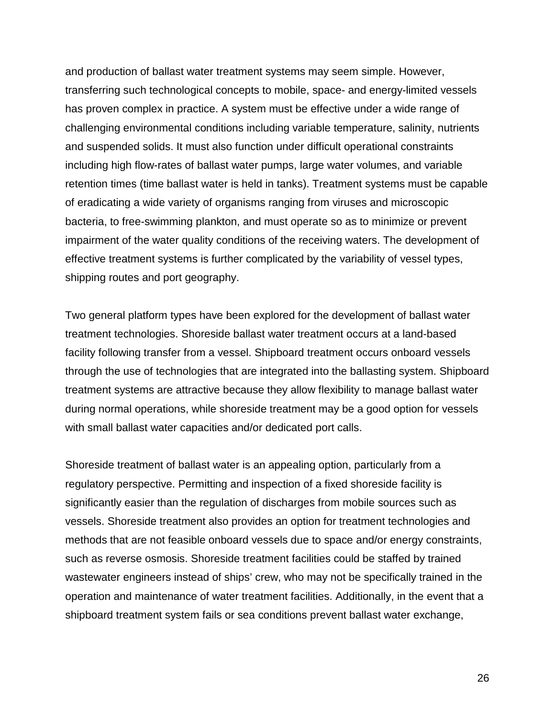and production of ballast water treatment systems may seem simple. However, transferring such technological concepts to mobile, space- and energy-limited vessels has proven complex in practice. A system must be effective under a wide range of challenging environmental conditions including variable temperature, salinity, nutrients and suspended solids. It must also function under difficult operational constraints including high flow-rates of ballast water pumps, large water volumes, and variable retention times (time ballast water is held in tanks). Treatment systems must be capable of eradicating a wide variety of organisms ranging from viruses and microscopic bacteria, to free-swimming plankton, and must operate so as to minimize or prevent impairment of the water quality conditions of the receiving waters. The development of effective treatment systems is further complicated by the variability of vessel types, shipping routes and port geography.

Two general platform types have been explored for the development of ballast water treatment technologies. Shoreside ballast water treatment occurs at a land-based facility following transfer from a vessel. Shipboard treatment occurs onboard vessels through the use of technologies that are integrated into the ballasting system. Shipboard treatment systems are attractive because they allow flexibility to manage ballast water during normal operations, while shoreside treatment may be a good option for vessels with small ballast water capacities and/or dedicated port calls.

Shoreside treatment of ballast water is an appealing option, particularly from a regulatory perspective. Permitting and inspection of a fixed shoreside facility is significantly easier than the regulation of discharges from mobile sources such as vessels. Shoreside treatment also provides an option for treatment technologies and methods that are not feasible onboard vessels due to space and/or energy constraints, such as reverse osmosis. Shoreside treatment facilities could be staffed by trained wastewater engineers instead of ships' crew, who may not be specifically trained in the operation and maintenance of water treatment facilities. Additionally, in the event that a shipboard treatment system fails or sea conditions prevent ballast water exchange,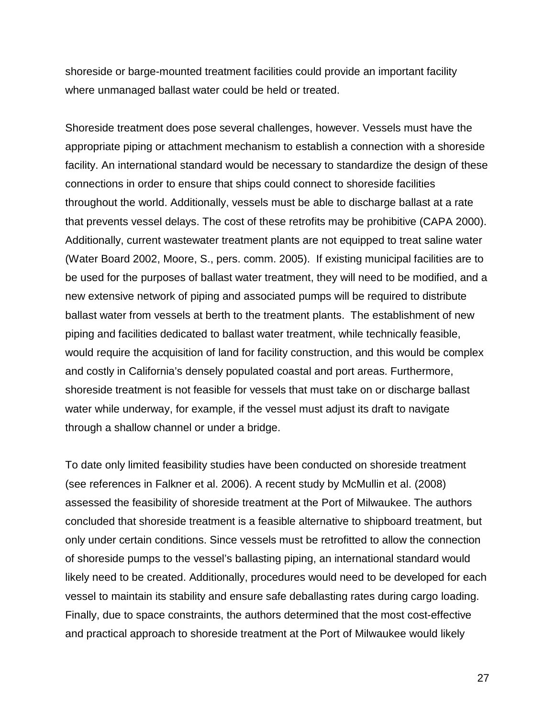shoreside or barge-mounted treatment facilities could provide an important facility where unmanaged ballast water could be held or treated.

Shoreside treatment does pose several challenges, however. Vessels must have the appropriate piping or attachment mechanism to establish a connection with a shoreside facility. An international standard would be necessary to standardize the design of these connections in order to ensure that ships could connect to shoreside facilities throughout the world. Additionally, vessels must be able to discharge ballast at a rate that prevents vessel delays. The cost of these retrofits may be prohibitive (CAPA 2000). Additionally, current wastewater treatment plants are not equipped to treat saline water (Water Board 2002, Moore, S., pers. comm. 2005). If existing municipal facilities are to be used for the purposes of ballast water treatment, they will need to be modified, and a new extensive network of piping and associated pumps will be required to distribute ballast water from vessels at berth to the treatment plants. The establishment of new piping and facilities dedicated to ballast water treatment, while technically feasible, would require the acquisition of land for facility construction, and this would be complex and costly in California's densely populated coastal and port areas. Furthermore, shoreside treatment is not feasible for vessels that must take on or discharge ballast water while underway, for example, if the vessel must adjust its draft to navigate through a shallow channel or under a bridge.

To date only limited feasibility studies have been conducted on shoreside treatment (see references in Falkner et al. 2006). A recent study by McMullin et al. (2008) assessed the feasibility of shoreside treatment at the Port of Milwaukee. The authors concluded that shoreside treatment is a feasible alternative to shipboard treatment, but only under certain conditions. Since vessels must be retrofitted to allow the connection of shoreside pumps to the vessel's ballasting piping, an international standard would likely need to be created. Additionally, procedures would need to be developed for each vessel to maintain its stability and ensure safe deballasting rates during cargo loading. Finally, due to space constraints, the authors determined that the most cost-effective and practical approach to shoreside treatment at the Port of Milwaukee would likely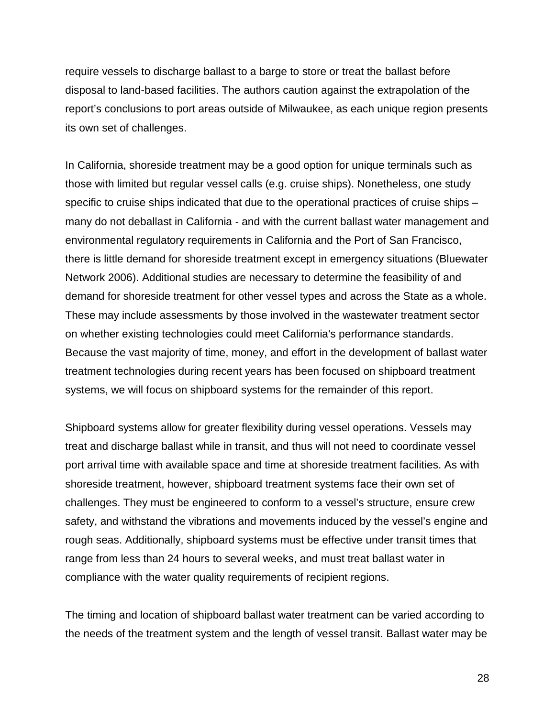require vessels to discharge ballast to a barge to store or treat the ballast before disposal to land-based facilities. The authors caution against the extrapolation of the report's conclusions to port areas outside of Milwaukee, as each unique region presents its own set of challenges.

In California, shoreside treatment may be a good option for unique terminals such as those with limited but regular vessel calls (e.g. cruise ships). Nonetheless, one study specific to cruise ships indicated that due to the operational practices of cruise ships – many do not deballast in California - and with the current ballast water management and environmental regulatory requirements in California and the Port of San Francisco, there is little demand for shoreside treatment except in emergency situations (Bluewater Network 2006). Additional studies are necessary to determine the feasibility of and demand for shoreside treatment for other vessel types and across the State as a whole. These may include assessments by those involved in the wastewater treatment sector on whether existing technologies could meet California's performance standards. Because the vast majority of time, money, and effort in the development of ballast water treatment technologies during recent years has been focused on shipboard treatment systems, we will focus on shipboard systems for the remainder of this report.

Shipboard systems allow for greater flexibility during vessel operations. Vessels may treat and discharge ballast while in transit, and thus will not need to coordinate vessel port arrival time with available space and time at shoreside treatment facilities. As with shoreside treatment, however, shipboard treatment systems face their own set of challenges. They must be engineered to conform to a vessel's structure, ensure crew safety, and withstand the vibrations and movements induced by the vessel's engine and rough seas. Additionally, shipboard systems must be effective under transit times that range from less than 24 hours to several weeks, and must treat ballast water in compliance with the water quality requirements of recipient regions.

The timing and location of shipboard ballast water treatment can be varied according to the needs of the treatment system and the length of vessel transit. Ballast water may be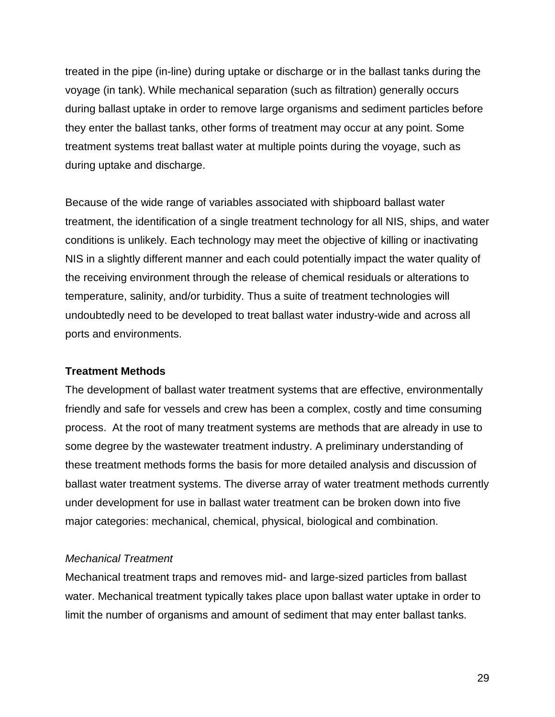treated in the pipe (in-line) during uptake or discharge or in the ballast tanks during the voyage (in tank). While mechanical separation (such as filtration) generally occurs during ballast uptake in order to remove large organisms and sediment particles before they enter the ballast tanks, other forms of treatment may occur at any point. Some treatment systems treat ballast water at multiple points during the voyage, such as during uptake and discharge.

Because of the wide range of variables associated with shipboard ballast water treatment, the identification of a single treatment technology for all NIS, ships, and water conditions is unlikely. Each technology may meet the objective of killing or inactivating NIS in a slightly different manner and each could potentially impact the water quality of the receiving environment through the release of chemical residuals or alterations to temperature, salinity, and/or turbidity. Thus a suite of treatment technologies will undoubtedly need to be developed to treat ballast water industry-wide and across all ports and environments.

## **Treatment Methods**

The development of ballast water treatment systems that are effective, environmentally friendly and safe for vessels and crew has been a complex, costly and time consuming process. At the root of many treatment systems are methods that are already in use to some degree by the wastewater treatment industry. A preliminary understanding of these treatment methods forms the basis for more detailed analysis and discussion of ballast water treatment systems. The diverse array of water treatment methods currently under development for use in ballast water treatment can be broken down into five major categories: mechanical, chemical, physical, biological and combination.

## *Mechanical Treatment*

Mechanical treatment traps and removes mid- and large-sized particles from ballast water. Mechanical treatment typically takes place upon ballast water uptake in order to limit the number of organisms and amount of sediment that may enter ballast tanks.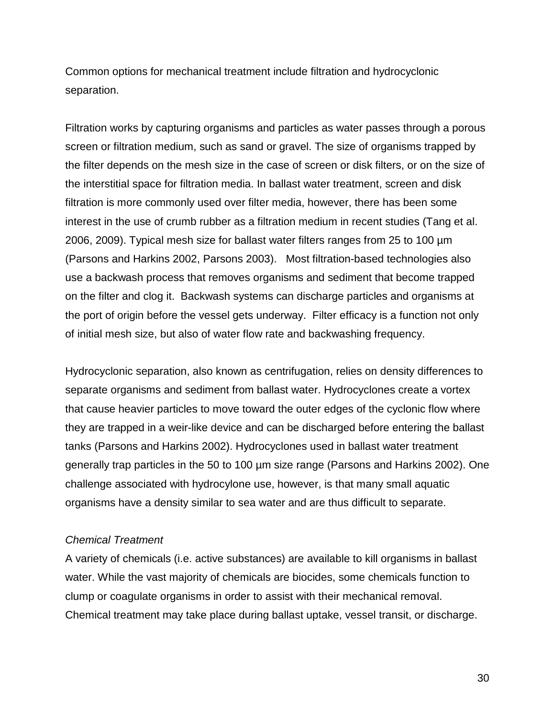Common options for mechanical treatment include filtration and hydrocyclonic separation.

Filtration works by capturing organisms and particles as water passes through a porous screen or filtration medium, such as sand or gravel. The size of organisms trapped by the filter depends on the mesh size in the case of screen or disk filters, or on the size of the interstitial space for filtration media. In ballast water treatment, screen and disk filtration is more commonly used over filter media, however, there has been some interest in the use of crumb rubber as a filtration medium in recent studies (Tang et al. 2006, 2009). Typical mesh size for ballast water filters ranges from 25 to 100 µm (Parsons and Harkins 2002, Parsons 2003). Most filtration-based technologies also use a backwash process that removes organisms and sediment that become trapped on the filter and clog it. Backwash systems can discharge particles and organisms at the port of origin before the vessel gets underway. Filter efficacy is a function not only of initial mesh size, but also of water flow rate and backwashing frequency.

Hydrocyclonic separation, also known as centrifugation, relies on density differences to separate organisms and sediment from ballast water. Hydrocyclones create a vortex that cause heavier particles to move toward the outer edges of the cyclonic flow where they are trapped in a weir-like device and can be discharged before entering the ballast tanks (Parsons and Harkins 2002). Hydrocyclones used in ballast water treatment generally trap particles in the 50 to 100 µm size range (Parsons and Harkins 2002). One challenge associated with hydrocylone use, however, is that many small aquatic organisms have a density similar to sea water and are thus difficult to separate.

#### *Chemical Treatment*

A variety of chemicals (i.e. active substances) are available to kill organisms in ballast water. While the vast majority of chemicals are biocides, some chemicals function to clump or coagulate organisms in order to assist with their mechanical removal. Chemical treatment may take place during ballast uptake, vessel transit, or discharge.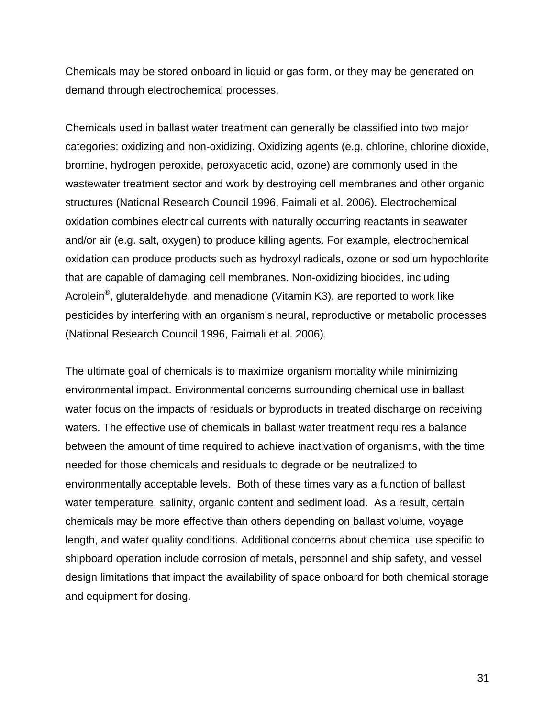Chemicals may be stored onboard in liquid or gas form, or they may be generated on demand through electrochemical processes.

Chemicals used in ballast water treatment can generally be classified into two major categories: oxidizing and non-oxidizing. Oxidizing agents (e.g. chlorine, chlorine dioxide, bromine, hydrogen peroxide, peroxyacetic acid, ozone) are commonly used in the wastewater treatment sector and work by destroying cell membranes and other organic structures (National Research Council 1996, Faimali et al. 2006). Electrochemical oxidation combines electrical currents with naturally occurring reactants in seawater and/or air (e.g. salt, oxygen) to produce killing agents. For example, electrochemical oxidation can produce products such as hydroxyl radicals, ozone or sodium hypochlorite that are capable of damaging cell membranes. Non-oxidizing biocides, including Acrolein<sup>®</sup>, gluteraldehyde, and menadione (Vitamin K3), are reported to work like pesticides by interfering with an organism's neural, reproductive or metabolic processes (National Research Council 1996, Faimali et al. 2006).

The ultimate goal of chemicals is to maximize organism mortality while minimizing environmental impact. Environmental concerns surrounding chemical use in ballast water focus on the impacts of residuals or byproducts in treated discharge on receiving waters. The effective use of chemicals in ballast water treatment requires a balance between the amount of time required to achieve inactivation of organisms, with the time needed for those chemicals and residuals to degrade or be neutralized to environmentally acceptable levels. Both of these times vary as a function of ballast water temperature, salinity, organic content and sediment load. As a result, certain chemicals may be more effective than others depending on ballast volume, voyage length, and water quality conditions. Additional concerns about chemical use specific to shipboard operation include corrosion of metals, personnel and ship safety, and vessel design limitations that impact the availability of space onboard for both chemical storage and equipment for dosing.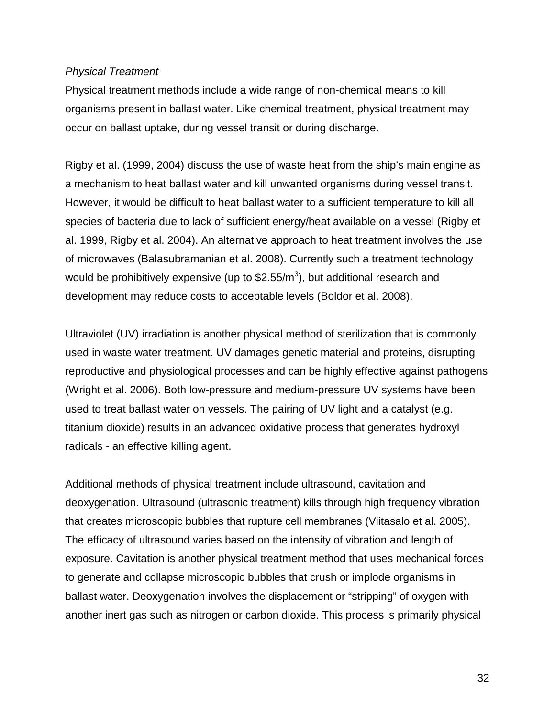#### *Physical Treatment*

Physical treatment methods include a wide range of non-chemical means to kill organisms present in ballast water. Like chemical treatment, physical treatment may occur on ballast uptake, during vessel transit or during discharge.

Rigby et al. (1999, 2004) discuss the use of waste heat from the ship's main engine as a mechanism to heat ballast water and kill unwanted organisms during vessel transit. However, it would be difficult to heat ballast water to a sufficient temperature to kill all species of bacteria due to lack of sufficient energy/heat available on a vessel (Rigby et al. 1999, Rigby et al. 2004). An alternative approach to heat treatment involves the use of microwaves (Balasubramanian et al. 2008). Currently such a treatment technology would be prohibitively expensive (up to  $$2.55/m^3$ ), but additional research and development may reduce costs to acceptable levels (Boldor et al. 2008).

Ultraviolet (UV) irradiation is another physical method of sterilization that is commonly used in waste water treatment. UV damages genetic material and proteins, disrupting reproductive and physiological processes and can be highly effective against pathogens (Wright et al. 2006). Both low-pressure and medium-pressure UV systems have been used to treat ballast water on vessels. The pairing of UV light and a catalyst (e.g. titanium dioxide) results in an advanced oxidative process that generates hydroxyl radicals - an effective killing agent.

Additional methods of physical treatment include ultrasound, cavitation and deoxygenation. Ultrasound (ultrasonic treatment) kills through high frequency vibration that creates microscopic bubbles that rupture cell membranes (Viitasalo et al. 2005). The efficacy of ultrasound varies based on the intensity of vibration and length of exposure. Cavitation is another physical treatment method that uses mechanical forces to generate and collapse microscopic bubbles that crush or implode organisms in ballast water. Deoxygenation involves the displacement or "stripping" of oxygen with another inert gas such as nitrogen or carbon dioxide. This process is primarily physical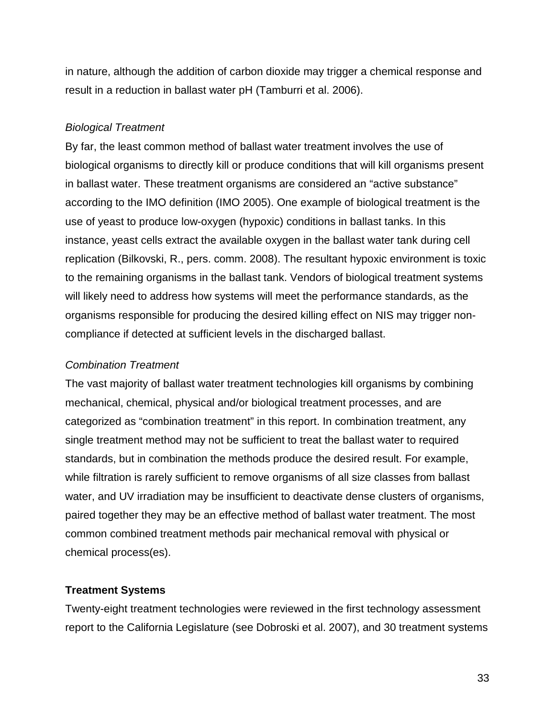in nature, although the addition of carbon dioxide may trigger a chemical response and result in a reduction in ballast water pH (Tamburri et al. 2006).

### *Biological Treatment*

By far, the least common method of ballast water treatment involves the use of biological organisms to directly kill or produce conditions that will kill organisms present in ballast water. These treatment organisms are considered an "active substance" according to the IMO definition (IMO 2005). One example of biological treatment is the use of yeast to produce low-oxygen (hypoxic) conditions in ballast tanks. In this instance, yeast cells extract the available oxygen in the ballast water tank during cell replication (Bilkovski, R., pers. comm. 2008). The resultant hypoxic environment is toxic to the remaining organisms in the ballast tank. Vendors of biological treatment systems will likely need to address how systems will meet the performance standards, as the organisms responsible for producing the desired killing effect on NIS may trigger noncompliance if detected at sufficient levels in the discharged ballast.

## *Combination Treatment*

The vast majority of ballast water treatment technologies kill organisms by combining mechanical, chemical, physical and/or biological treatment processes, and are categorized as "combination treatment" in this report. In combination treatment, any single treatment method may not be sufficient to treat the ballast water to required standards, but in combination the methods produce the desired result. For example, while filtration is rarely sufficient to remove organisms of all size classes from ballast water, and UV irradiation may be insufficient to deactivate dense clusters of organisms, paired together they may be an effective method of ballast water treatment. The most common combined treatment methods pair mechanical removal with physical or chemical process(es).

# **Treatment Systems**

Twenty-eight treatment technologies were reviewed in the first technology assessment report to the California Legislature (see Dobroski et al. 2007), and 30 treatment systems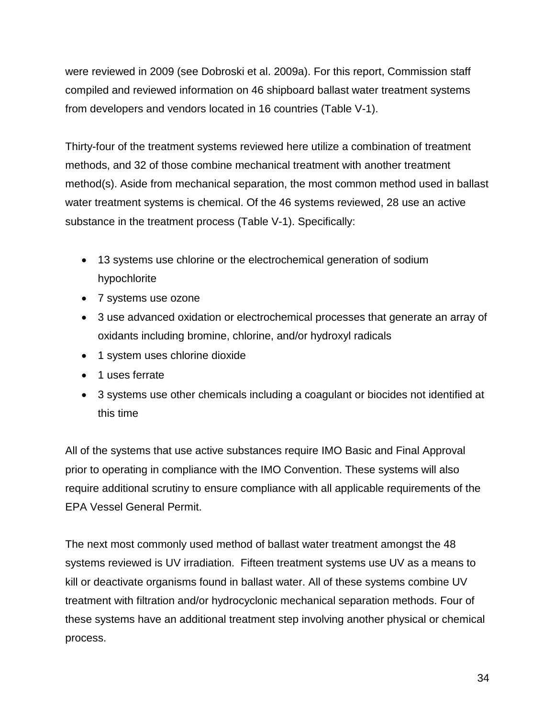were reviewed in 2009 (see Dobroski et al. 2009a). For this report, Commission staff compiled and reviewed information on 46 shipboard ballast water treatment systems from developers and vendors located in 16 countries (Table V-1).

Thirty-four of the treatment systems reviewed here utilize a combination of treatment methods, and 32 of those combine mechanical treatment with another treatment method(s). Aside from mechanical separation, the most common method used in ballast water treatment systems is chemical. Of the 46 systems reviewed, 28 use an active substance in the treatment process (Table V-1). Specifically:

- 13 systems use chlorine or the electrochemical generation of sodium hypochlorite
- 7 systems use ozone
- 3 use advanced oxidation or electrochemical processes that generate an array of oxidants including bromine, chlorine, and/or hydroxyl radicals
- 1 system uses chlorine dioxide
- 1 uses ferrate
- 3 systems use other chemicals including a coagulant or biocides not identified at this time

All of the systems that use active substances require IMO Basic and Final Approval prior to operating in compliance with the IMO Convention. These systems will also require additional scrutiny to ensure compliance with all applicable requirements of the EPA Vessel General Permit.

The next most commonly used method of ballast water treatment amongst the 48 systems reviewed is UV irradiation. Fifteen treatment systems use UV as a means to kill or deactivate organisms found in ballast water. All of these systems combine UV treatment with filtration and/or hydrocyclonic mechanical separation methods. Four of these systems have an additional treatment step involving another physical or chemical process.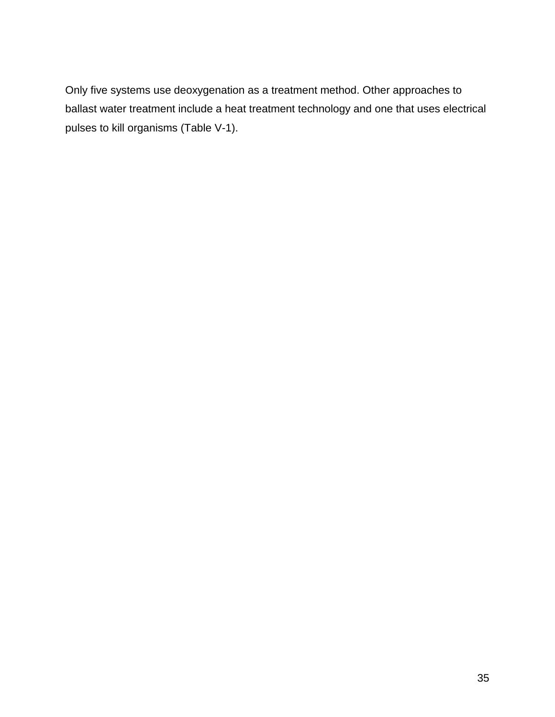Only five systems use deoxygenation as a treatment method. Other approaches to ballast water treatment include a heat treatment technology and one that uses electrical pulses to kill organisms (Table V-1).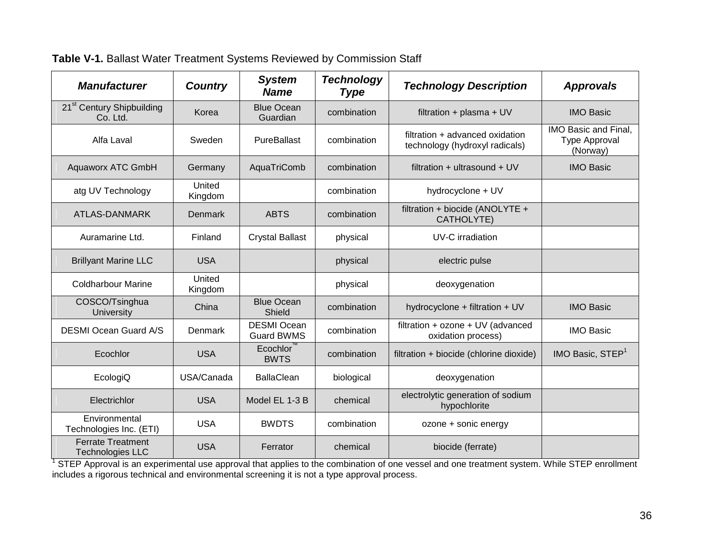| <b>Manufacturer</b>                                 | <b>Country</b>    | <b>System</b><br><b>Name</b>            | <b>Technology</b><br><b>Type</b> | <b>Technology Description</b>                                     | <b>Approvals</b>                                  |
|-----------------------------------------------------|-------------------|-----------------------------------------|----------------------------------|-------------------------------------------------------------------|---------------------------------------------------|
| 21 <sup>st</sup> Century Shipbuilding<br>Co. Ltd.   | Korea             | <b>Blue Ocean</b><br>Guardian           | combination                      | filtration + plasma + UV                                          | <b>IMO Basic</b>                                  |
| Alfa Laval                                          | Sweden            | PureBallast                             | combination                      | filtration + advanced oxidation<br>technology (hydroxyl radicals) | IMO Basic and Final,<br>Type Approval<br>(Norway) |
| <b>Aquaworx ATC GmbH</b>                            | Germany           | AquaTriComb                             | combination                      | filtration + ultrasound + $UV$                                    | <b>IMO Basic</b>                                  |
| atg UV Technology                                   | United<br>Kingdom |                                         | combination                      | hydrocyclone + UV                                                 |                                                   |
| <b>ATLAS-DANMARK</b>                                | <b>Denmark</b>    | <b>ABTS</b>                             | combination                      | filtration + biocide (ANOLYTE +<br>CATHOLYTE)                     |                                                   |
| Auramarine Ltd.                                     | Finland           | <b>Crystal Ballast</b>                  | physical                         | UV-C irradiation                                                  |                                                   |
| <b>Brillyant Marine LLC</b>                         | <b>USA</b>        |                                         | physical                         | electric pulse                                                    |                                                   |
| <b>Coldharbour Marine</b>                           | United<br>Kingdom |                                         | physical                         | deoxygenation                                                     |                                                   |
| COSCO/Tsinghua<br>University                        | China             | <b>Blue Ocean</b><br>Shield             | combination                      | hydrocyclone + filtration + UV                                    | <b>IMO Basic</b>                                  |
| <b>DESMI Ocean Guard A/S</b>                        | Denmark           | <b>DESMI Ocean</b><br><b>Guard BWMS</b> | combination                      | filtration + ozone + UV (advanced<br>oxidation process)           | <b>IMO Basic</b>                                  |
| Ecochlor                                            | <b>USA</b>        | Ecochlor<br><b>BWTS</b>                 | combination                      | filtration + biocide (chlorine dioxide)                           | IMO Basic, STEP <sup>1</sup>                      |
| EcologiQ                                            | USA/Canada        | <b>BallaClean</b>                       | biological                       | deoxygenation                                                     |                                                   |
| Electrichlor                                        | <b>USA</b>        | Model EL 1-3 B                          | chemical                         | electrolytic generation of sodium<br>hypochlorite                 |                                                   |
| Environmental<br>Technologies Inc. (ETI)            | <b>USA</b>        | <b>BWDTS</b>                            | combination                      | ozone + sonic energy                                              |                                                   |
| <b>Ferrate Treatment</b><br><b>Technologies LLC</b> | <b>USA</b>        | Ferrator                                | chemical                         | biocide (ferrate)                                                 |                                                   |

**Table V-1.** Ballast Water Treatment Systems Reviewed by Commission Staff

<sup>1</sup> STEP Approval is an experimental use approval that applies to the combination of one vessel and one treatment system. While STEP enrollment includes a rigorous technical and environmental screening it is not a type approval process.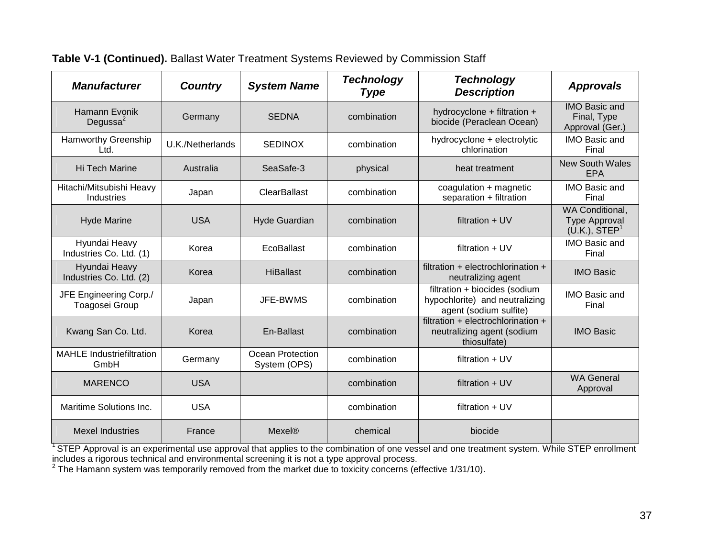| <b>Manufacturer</b>                      | <b>Country</b>   | <b>System Name</b>               | <b>Technology</b><br><b>Type</b> | <b>Technology</b><br><b>Description</b>                                                   | <b>Approvals</b>                                                     |
|------------------------------------------|------------------|----------------------------------|----------------------------------|-------------------------------------------------------------------------------------------|----------------------------------------------------------------------|
| Hamann Evonik<br>Degussa <sup>2</sup>    | Germany          | <b>SEDNA</b>                     | combination                      | hydrocyclone + filtration +<br>biocide (Peraclean Ocean)                                  | <b>IMO Basic and</b><br>Final, Type<br>Approval (Ger.)               |
| <b>Hamworthy Greenship</b><br>Ltd.       | U.K./Netherlands | <b>SEDINOX</b>                   | combination                      | hydrocyclone + electrolytic<br>chlorination                                               | IMO Basic and<br>Final                                               |
| Hi Tech Marine                           | Australia        | SeaSafe-3                        | physical                         | heat treatment                                                                            | <b>New South Wales</b><br>EPA                                        |
| Hitachi/Mitsubishi Heavy<br>Industries   | Japan            | ClearBallast                     | combination                      | coagulation + magnetic<br>separation + filtration                                         | IMO Basic and<br>Final                                               |
| <b>Hyde Marine</b>                       | <b>USA</b>       | <b>Hyde Guardian</b>             | combination                      | filtration $+$ UV                                                                         | WA Conditional,<br><b>Type Approval</b><br>(U.K.), STEP <sup>1</sup> |
| Hyundai Heavy<br>Industries Co. Ltd. (1) | Korea            | EcoBallast                       | combination                      | filtration + UV                                                                           | IMO Basic and<br>Final                                               |
| Hyundai Heavy<br>Industries Co. Ltd. (2) | Korea            | <b>HiBallast</b>                 | combination                      | filtration + electrochlorination +<br>neutralizing agent                                  | <b>IMO Basic</b>                                                     |
| JFE Engineering Corp./<br>Toagosei Group | Japan            | JFE-BWMS                         | combination                      | filtration + biocides (sodium<br>hypochlorite) and neutralizing<br>agent (sodium sulfite) | <b>IMO Basic and</b><br>Final                                        |
| Kwang San Co. Ltd.                       | Korea            | En-Ballast                       | combination                      | filtration + electrochlorination +<br>neutralizing agent (sodium<br>thiosulfate)          | <b>IMO Basic</b>                                                     |
| <b>MAHLE Industriefiltration</b><br>GmbH | Germany          | Ocean Protection<br>System (OPS) | combination                      | filtration $+$ UV                                                                         |                                                                      |
| <b>MARENCO</b>                           | <b>USA</b>       |                                  | combination                      | filtration $+$ UV                                                                         | <b>WA General</b><br>Approval                                        |
| Maritime Solutions Inc.                  | <b>USA</b>       |                                  | combination                      | filtration $+$ UV                                                                         |                                                                      |
| <b>Mexel Industries</b>                  | France           | Mexel®                           | chemical                         | biocide                                                                                   |                                                                      |

### **Table V-1 (Continued).** Ballast Water Treatment Systems Reviewed by Commission Staff

<sup>1</sup> STEP Approval is an experimental use approval that applies to the combination of one vessel and one treatment system. While STEP enrollment includes a rigorous technical and environmental screening it is not a type approval process.

 $2$  The Hamann system was temporarily removed from the market due to toxicity concerns (effective 1/31/10).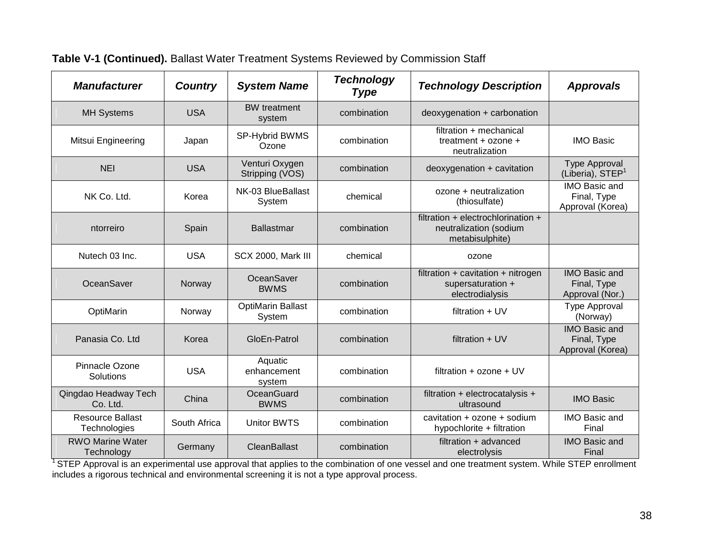| <b>Manufacturer</b>                     | <b>Country</b> | <b>System Name</b>                 | <b>Technology</b><br><b>Type</b> | <b>Technology Description</b>                                                   | <b>Approvals</b>                                        |
|-----------------------------------------|----------------|------------------------------------|----------------------------------|---------------------------------------------------------------------------------|---------------------------------------------------------|
| <b>MH Systems</b>                       | <b>USA</b>     | <b>BW</b> treatment<br>system      | combination                      | deoxygenation + carbonation                                                     |                                                         |
| Mitsui Engineering                      | Japan          | SP-Hybrid BWMS<br>Ozone            | combination                      | filtration + mechanical<br>treatment $+$ ozone $+$<br>neutralization            | <b>IMO Basic</b>                                        |
| <b>NEI</b>                              | <b>USA</b>     | Venturi Oxygen<br>Stripping (VOS)  | combination                      | deoxygenation + cavitation                                                      | <b>Type Approval</b><br>(Liberia), STEP <sup>1</sup>    |
| NK Co. Ltd.                             | Korea          | NK-03 BlueBallast<br>System        | chemical                         | ozone + neutralization<br>(thiosulfate)                                         | <b>IMO Basic and</b><br>Final, Type<br>Approval (Korea) |
| ntorreiro                               | Spain          | <b>Ballastmar</b>                  | combination                      | filtration + electrochlorination +<br>neutralization (sodium<br>metabisulphite) |                                                         |
| Nutech 03 Inc.                          | <b>USA</b>     | SCX 2000, Mark III                 | chemical                         | ozone                                                                           |                                                         |
| OceanSaver                              | Norway         | OceanSaver<br><b>BWMS</b>          | combination                      | filtration $+$ cavitation $+$ nitrogen<br>supersaturation +<br>electrodialysis  | <b>IMO Basic and</b><br>Final, Type<br>Approval (Nor.)  |
| OptiMarin                               | Norway         | <b>OptiMarin Ballast</b><br>System | combination                      | filtration $+$ UV                                                               | <b>Type Approval</b><br>(Norway)                        |
| Panasia Co. Ltd                         | Korea          | GloEn-Patrol                       | combination                      | filtration $+$ UV                                                               | <b>IMO Basic and</b><br>Final, Type<br>Approval (Korea) |
| Pinnacle Ozone<br>Solutions             | <b>USA</b>     | Aquatic<br>enhancement<br>system   | combination                      | filtration $+$ ozone $+$ UV                                                     |                                                         |
| Qingdao Headway Tech<br>Co. Ltd.        | China          | OceanGuard<br><b>BWMS</b>          | combination                      | filtration + electrocatalysis +<br>ultrasound                                   | <b>IMO Basic</b>                                        |
| <b>Resource Ballast</b><br>Technologies | South Africa   | <b>Unitor BWTS</b>                 | combination                      | cavitation + ozone + sodium<br>hypochlorite + filtration                        | IMO Basic and<br>Final                                  |
| <b>RWO Marine Water</b><br>Technology   | Germany        | CleanBallast                       | combination                      | filtration + advanced<br>electrolysis                                           | <b>IMO Basic and</b><br>Final                           |

### **Table V-1 (Continued).** Ballast Water Treatment Systems Reviewed by Commission Staff

<sup>1</sup> STEP Approval is an experimental use approval that applies to the combination of one vessel and one treatment system. While STEP enrollment includes a rigorous technical and environmental screening it is not a type approval process.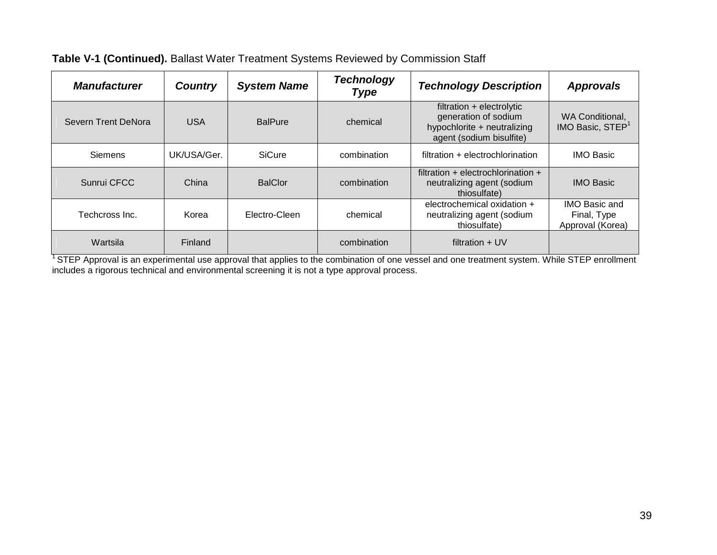| <b>Manufacturer</b> | <b>Country</b> | <b>System Name</b> | <b>Technology</b><br><b>Type</b> | <b>Technology Description</b>                                                                                | <b>Approvals</b>                                        |
|---------------------|----------------|--------------------|----------------------------------|--------------------------------------------------------------------------------------------------------------|---------------------------------------------------------|
| Severn Trent DeNora | <b>USA</b>     | <b>BalPure</b>     | chemical                         | filtration + electrolytic<br>generation of sodium<br>hypochlorite + neutralizing<br>agent (sodium bisulfite) | WA Conditional,<br>IMO Basic, STEP <sup>1</sup>         |
| <b>Siemens</b>      | UK/USA/Ger.    | <b>SiCure</b>      | combination                      | filtration + electrochlorination                                                                             | <b>IMO Basic</b>                                        |
| Sunrui CFCC         | China          | <b>BalClor</b>     | combination                      | filtration + electrochlorination +<br>neutralizing agent (sodium<br>thiosulfate)                             | <b>IMO Basic</b>                                        |
| Techcross Inc.      | Korea          | Electro-Cleen      | chemical                         | electrochemical oxidation +<br>neutralizing agent (sodium<br>thiosulfate)                                    | <b>IMO Basic and</b><br>Final, Type<br>Approval (Korea) |
| Wartsila            | Finland        |                    | combination                      | filtration $+$ UV                                                                                            |                                                         |

### **Table V-1 (Continued).** Ballast Water Treatment Systems Reviewed by Commission Staff

<sup>1</sup> STEP Approval is an experimental use approval that applies to the combination of one vessel and one treatment system. While STEP enrollment includes a rigorous technical and environmental screening it is not a type approval process.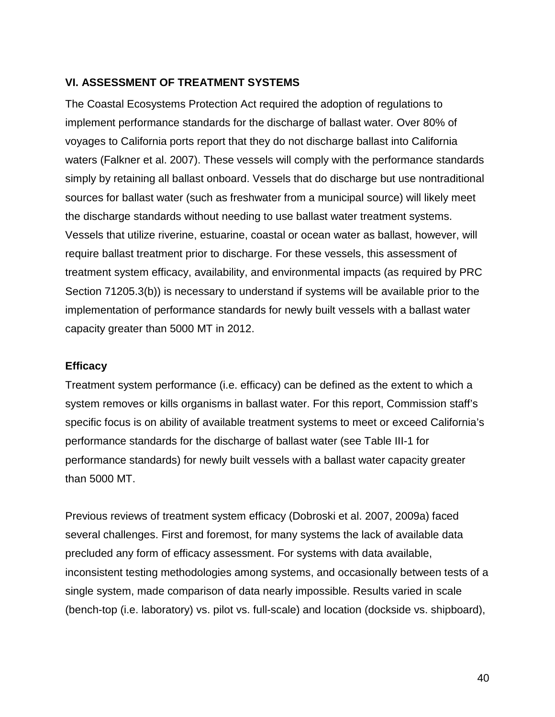### **VI. ASSESSMENT OF TREATMENT SYSTEMS**

The Coastal Ecosystems Protection Act required the adoption of regulations to implement performance standards for the discharge of ballast water. Over 80% of voyages to California ports report that they do not discharge ballast into California waters (Falkner et al. 2007). These vessels will comply with the performance standards simply by retaining all ballast onboard. Vessels that do discharge but use nontraditional sources for ballast water (such as freshwater from a municipal source) will likely meet the discharge standards without needing to use ballast water treatment systems. Vessels that utilize riverine, estuarine, coastal or ocean water as ballast, however, will require ballast treatment prior to discharge. For these vessels, this assessment of treatment system efficacy, availability, and environmental impacts (as required by PRC Section 71205.3(b)) is necessary to understand if systems will be available prior to the implementation of performance standards for newly built vessels with a ballast water capacity greater than 5000 MT in 2012.

### **Efficacy**

Treatment system performance (i.e. efficacy) can be defined as the extent to which a system removes or kills organisms in ballast water. For this report, Commission staff's specific focus is on ability of available treatment systems to meet or exceed California's performance standards for the discharge of ballast water (see Table III-1 for performance standards) for newly built vessels with a ballast water capacity greater than 5000 MT.

Previous reviews of treatment system efficacy (Dobroski et al. 2007, 2009a) faced several challenges. First and foremost, for many systems the lack of available data precluded any form of efficacy assessment. For systems with data available, inconsistent testing methodologies among systems, and occasionally between tests of a single system, made comparison of data nearly impossible. Results varied in scale (bench-top (i.e. laboratory) vs. pilot vs. full-scale) and location (dockside vs. shipboard),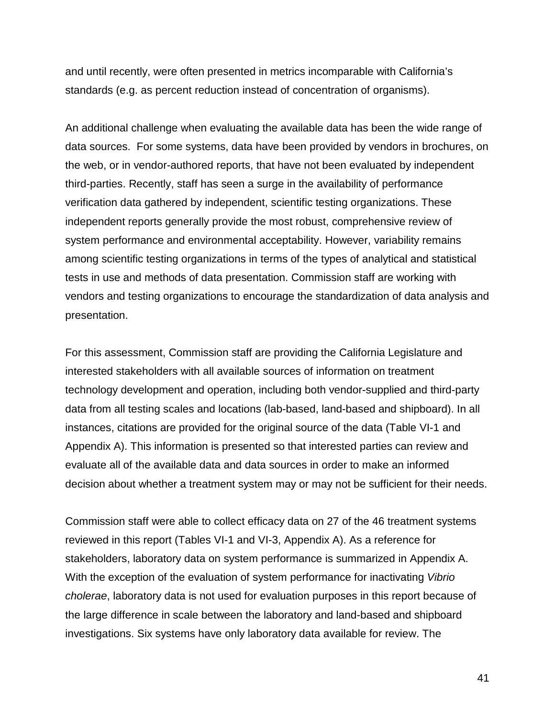and until recently, were often presented in metrics incomparable with California's standards (e.g. as percent reduction instead of concentration of organisms).

An additional challenge when evaluating the available data has been the wide range of data sources. For some systems, data have been provided by vendors in brochures, on the web, or in vendor-authored reports, that have not been evaluated by independent third-parties. Recently, staff has seen a surge in the availability of performance verification data gathered by independent, scientific testing organizations. These independent reports generally provide the most robust, comprehensive review of system performance and environmental acceptability. However, variability remains among scientific testing organizations in terms of the types of analytical and statistical tests in use and methods of data presentation. Commission staff are working with vendors and testing organizations to encourage the standardization of data analysis and presentation.

For this assessment, Commission staff are providing the California Legislature and interested stakeholders with all available sources of information on treatment technology development and operation, including both vendor-supplied and third-party data from all testing scales and locations (lab-based, land-based and shipboard). In all instances, citations are provided for the original source of the data (Table VI-1 and Appendix A). This information is presented so that interested parties can review and evaluate all of the available data and data sources in order to make an informed decision about whether a treatment system may or may not be sufficient for their needs.

Commission staff were able to collect efficacy data on 27 of the 46 treatment systems reviewed in this report (Tables VI-1 and VI-3, Appendix A). As a reference for stakeholders, laboratory data on system performance is summarized in Appendix A. With the exception of the evaluation of system performance for inactivating *Vibrio cholerae*, laboratory data is not used for evaluation purposes in this report because of the large difference in scale between the laboratory and land-based and shipboard investigations. Six systems have only laboratory data available for review. The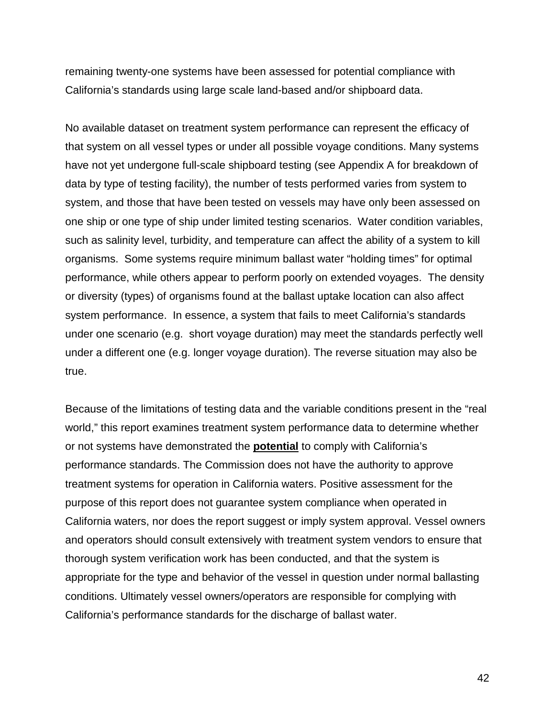remaining twenty-one systems have been assessed for potential compliance with California's standards using large scale land-based and/or shipboard data.

No available dataset on treatment system performance can represent the efficacy of that system on all vessel types or under all possible voyage conditions. Many systems have not yet undergone full-scale shipboard testing (see Appendix A for breakdown of data by type of testing facility), the number of tests performed varies from system to system, and those that have been tested on vessels may have only been assessed on one ship or one type of ship under limited testing scenarios. Water condition variables, such as salinity level, turbidity, and temperature can affect the ability of a system to kill organisms. Some systems require minimum ballast water "holding times" for optimal performance, while others appear to perform poorly on extended voyages. The density or diversity (types) of organisms found at the ballast uptake location can also affect system performance. In essence, a system that fails to meet California's standards under one scenario (e.g. short voyage duration) may meet the standards perfectly well under a different one (e.g. longer voyage duration). The reverse situation may also be true.

Because of the limitations of testing data and the variable conditions present in the "real world," this report examines treatment system performance data to determine whether or not systems have demonstrated the **potential** to comply with California's performance standards. The Commission does not have the authority to approve treatment systems for operation in California waters. Positive assessment for the purpose of this report does not guarantee system compliance when operated in California waters, nor does the report suggest or imply system approval. Vessel owners and operators should consult extensively with treatment system vendors to ensure that thorough system verification work has been conducted, and that the system is appropriate for the type and behavior of the vessel in question under normal ballasting conditions. Ultimately vessel owners/operators are responsible for complying with California's performance standards for the discharge of ballast water.

42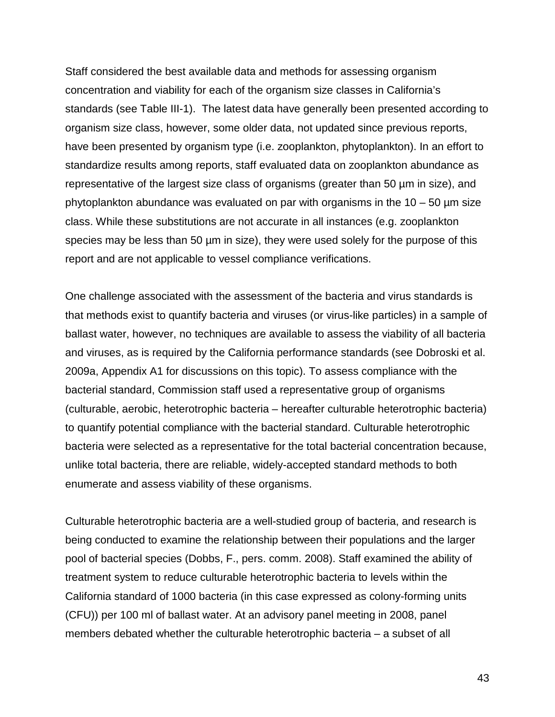Staff considered the best available data and methods for assessing organism concentration and viability for each of the organism size classes in California's standards (see Table III-1). The latest data have generally been presented according to organism size class, however, some older data, not updated since previous reports, have been presented by organism type (i.e. zooplankton, phytoplankton). In an effort to standardize results among reports, staff evaluated data on zooplankton abundance as representative of the largest size class of organisms (greater than 50 µm in size), and phytoplankton abundance was evaluated on par with organisms in the  $10 - 50$  µm size class. While these substitutions are not accurate in all instances (e.g. zooplankton species may be less than 50  $\mu$ m in size), they were used solely for the purpose of this report and are not applicable to vessel compliance verifications.

One challenge associated with the assessment of the bacteria and virus standards is that methods exist to quantify bacteria and viruses (or virus-like particles) in a sample of ballast water, however, no techniques are available to assess the viability of all bacteria and viruses, as is required by the California performance standards (see Dobroski et al. 2009a, Appendix A1 for discussions on this topic). To assess compliance with the bacterial standard, Commission staff used a representative group of organisms (culturable, aerobic, heterotrophic bacteria – hereafter culturable heterotrophic bacteria) to quantify potential compliance with the bacterial standard. Culturable heterotrophic bacteria were selected as a representative for the total bacterial concentration because, unlike total bacteria, there are reliable, widely-accepted standard methods to both enumerate and assess viability of these organisms.

Culturable heterotrophic bacteria are a well-studied group of bacteria, and research is being conducted to examine the relationship between their populations and the larger pool of bacterial species (Dobbs, F., pers. comm. 2008). Staff examined the ability of treatment system to reduce culturable heterotrophic bacteria to levels within the California standard of 1000 bacteria (in this case expressed as colony-forming units (CFU)) per 100 ml of ballast water. At an advisory panel meeting in 2008, panel members debated whether the culturable heterotrophic bacteria – a subset of all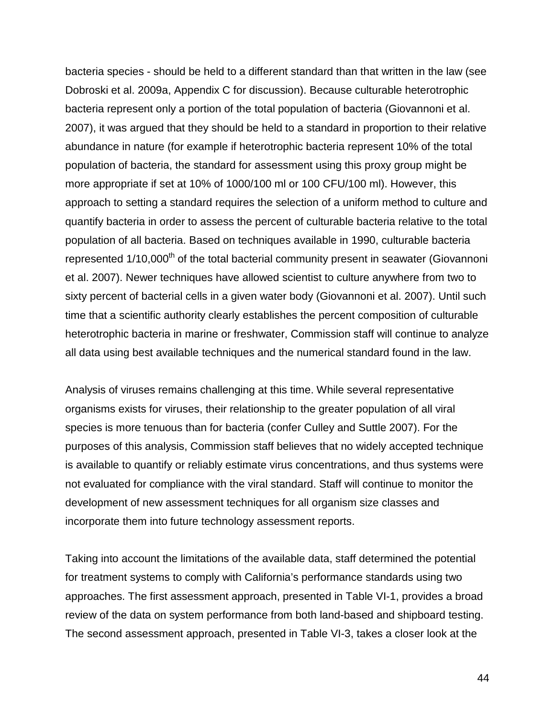bacteria species - should be held to a different standard than that written in the law (see Dobroski et al. 2009a, Appendix C for discussion). Because culturable heterotrophic bacteria represent only a portion of the total population of bacteria (Giovannoni et al. 2007), it was argued that they should be held to a standard in proportion to their relative abundance in nature (for example if heterotrophic bacteria represent 10% of the total population of bacteria, the standard for assessment using this proxy group might be more appropriate if set at 10% of 1000/100 ml or 100 CFU/100 ml). However, this approach to setting a standard requires the selection of a uniform method to culture and quantify bacteria in order to assess the percent of culturable bacteria relative to the total population of all bacteria. Based on techniques available in 1990, culturable bacteria represented 1/10,000<sup>th</sup> of the total bacterial community present in seawater (Giovannoni et al. 2007). Newer techniques have allowed scientist to culture anywhere from two to sixty percent of bacterial cells in a given water body (Giovannoni et al. 2007). Until such time that a scientific authority clearly establishes the percent composition of culturable heterotrophic bacteria in marine or freshwater, Commission staff will continue to analyze all data using best available techniques and the numerical standard found in the law.

Analysis of viruses remains challenging at this time. While several representative organisms exists for viruses, their relationship to the greater population of all viral species is more tenuous than for bacteria (confer Culley and Suttle 2007). For the purposes of this analysis, Commission staff believes that no widely accepted technique is available to quantify or reliably estimate virus concentrations, and thus systems were not evaluated for compliance with the viral standard. Staff will continue to monitor the development of new assessment techniques for all organism size classes and incorporate them into future technology assessment reports.

Taking into account the limitations of the available data, staff determined the potential for treatment systems to comply with California's performance standards using two approaches. The first assessment approach, presented in Table VI-1, provides a broad review of the data on system performance from both land-based and shipboard testing. The second assessment approach, presented in Table VI-3, takes a closer look at the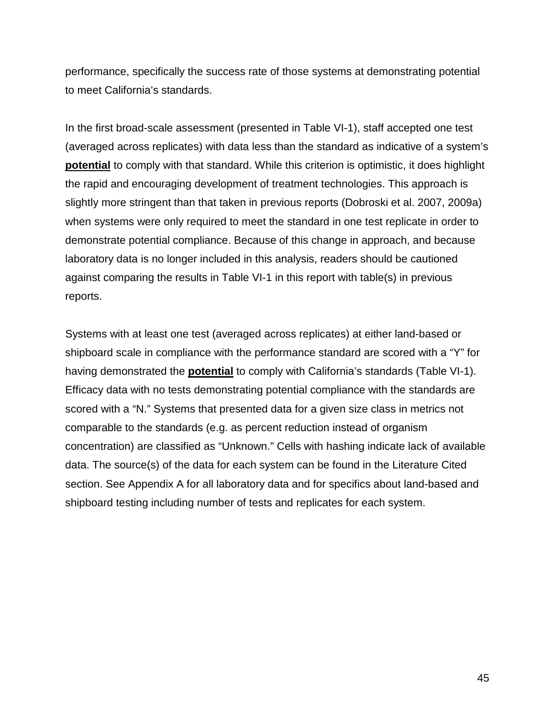performance, specifically the success rate of those systems at demonstrating potential to meet California's standards.

In the first broad-scale assessment (presented in Table VI-1), staff accepted one test (averaged across replicates) with data less than the standard as indicative of a system's **potential** to comply with that standard. While this criterion is optimistic, it does highlight the rapid and encouraging development of treatment technologies. This approach is slightly more stringent than that taken in previous reports (Dobroski et al. 2007, 2009a) when systems were only required to meet the standard in one test replicate in order to demonstrate potential compliance. Because of this change in approach, and because laboratory data is no longer included in this analysis, readers should be cautioned against comparing the results in Table VI-1 in this report with table(s) in previous reports.

Systems with at least one test (averaged across replicates) at either land-based or shipboard scale in compliance with the performance standard are scored with a "Y" for having demonstrated the **potential** to comply with California's standards (Table VI-1). Efficacy data with no tests demonstrating potential compliance with the standards are scored with a "N." Systems that presented data for a given size class in metrics not comparable to the standards (e.g. as percent reduction instead of organism concentration) are classified as "Unknown." Cells with hashing indicate lack of available data. The source(s) of the data for each system can be found in the Literature Cited section. See Appendix A for all laboratory data and for specifics about land-based and shipboard testing including number of tests and replicates for each system.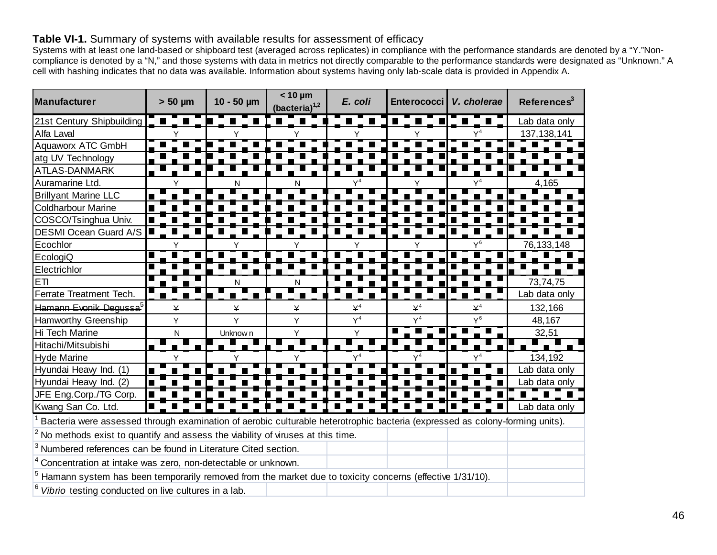### **Table VI-1.** Summary of systems with available results for assessment of efficacy

Systems with at least one land-based or shipboard test (averaged across replicates) in compliance with the performance standards are denoted by a "Y."Noncompliance is denoted by a "N," and those systems with data in metrics not directly comparable to the performance standards were designated as "Unknown." A cell with hashing indicates that no data was available. Information about systems having only lab-scale data is provided in Appendix A.

| Manufacturer                                                                                                                 | $> 50 \mu m$ | $10 - 50 \mu m$ | $< 10 \mu m$<br>(bacteria) <sup>1,2</sup> | E. coli        | Enterococci    | V. cholerae    | References <sup>3</sup> |
|------------------------------------------------------------------------------------------------------------------------------|--------------|-----------------|-------------------------------------------|----------------|----------------|----------------|-------------------------|
| 21st Century Shipbuilding                                                                                                    |              |                 | $\blacksquare$<br>$\blacksquare$          |                |                |                | Lab data only           |
| Alfa Laval                                                                                                                   |              |                 |                                           |                |                |                | 137, 138, 141           |
| Aquaworx ATC GmbH                                                                                                            |              |                 |                                           |                |                |                |                         |
| atg UV Technology                                                                                                            |              |                 |                                           |                |                |                |                         |
| <b>ATLAS-DANMARK</b>                                                                                                         |              |                 |                                           |                |                |                |                         |
| Auramarine Ltd.                                                                                                              |              | N               |                                           | $Y^4$          |                | $Y^4$          | 4,165                   |
| <b>Brillyant Marine LLC</b>                                                                                                  |              |                 |                                           |                |                |                |                         |
| <b>Coldharbour Marine</b>                                                                                                    |              |                 |                                           |                |                |                |                         |
| COSCO/Tsinghua Univ.                                                                                                         |              |                 |                                           |                |                |                |                         |
| DESMI Ocean Guard A/S                                                                                                        |              |                 |                                           |                |                |                |                         |
| Ecochlor                                                                                                                     | Y            |                 |                                           |                |                | $\mathsf{Y}^6$ | 76, 133, 148            |
| EcologiQ                                                                                                                     |              |                 |                                           |                |                |                |                         |
| Electrichlor                                                                                                                 |              |                 |                                           |                |                |                |                         |
| <b>ETI</b>                                                                                                                   |              |                 | N                                         |                |                |                | 73,74,75                |
| Ferrate Treatment Tech.                                                                                                      |              | П               |                                           |                |                |                | Lab data only           |
| <del>Hamann Evonik Degussa<sup>5</sup></del>                                                                                 | ¥            | ¥               | ¥                                         | $\mathsf{Y}^4$ | $\mathsf{Y}^4$ | $\mathsf{Y}^4$ | 132,166                 |
| Hamworthy Greenship                                                                                                          | Υ            | Y               | Y                                         | $Y^4$          | $Y^4$          | $Y^6$          | 48,167                  |
| Hi Tech Marine                                                                                                               | N            | Unknow n        | Y                                         | Y              |                |                | 32,51                   |
| Hitachi/Mitsubishi                                                                                                           |              |                 |                                           |                |                |                |                         |
| <b>Hyde Marine</b>                                                                                                           |              |                 |                                           |                |                |                | 134,192                 |
| Hyundai Heavy Ind. (1)                                                                                                       |              |                 |                                           |                |                |                | Lab data only           |
| Hyundai Heavy Ind. (2)                                                                                                       |              |                 |                                           |                |                |                | Lab data only           |
| JFE Eng.Corp./TG Corp.                                                                                                       |              |                 |                                           |                |                |                |                         |
| Kwang San Co. Ltd.                                                                                                           |              |                 |                                           |                |                |                | Lab data only           |
| Bacteria were assessed through examination of aerobic culturable heterotrophic bacteria (expressed as colony-forming units). |              |                 |                                           |                |                |                |                         |
| $2$ No methods exist to quantify and assess the viability of viruses at this time.                                           |              |                 |                                           |                |                |                |                         |
| <sup>3</sup> Numbered references can be found in Literature Cited section.                                                   |              |                 |                                           |                |                |                |                         |
| Concentration at intake was zero, non-detectable or unknown.                                                                 |              |                 |                                           |                |                |                |                         |
| $5$ Hamann system has been temporarily removed from the market due to toxicity concerns (effective $1/31/10$ ).              |              |                 |                                           |                |                |                |                         |
| Vibrio testing conducted on live cultures in a lab.                                                                          |              |                 |                                           |                |                |                |                         |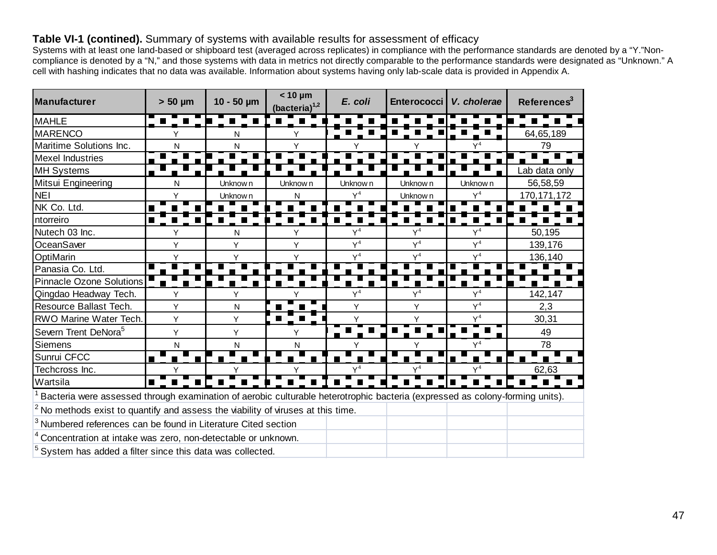### **Table VI-1 (contined).** Summary of systems with available results for assessment of efficacy

Systems with at least one land-based or shipboard test (averaged across replicates) in compliance with the performance standards are denoted by a "Y."Noncompliance is denoted by a "N," and those systems with data in metrics not directly comparable to the performance standards were designated as "Unknown." A cell with hashing indicates that no data was available. Information about systems having only lab-scale data is provided in Appendix A.

| Manufacturer                                                                                                                 | $> 50 \mu m$   | $10 - 50 \mu m$ | $< 10 \mu m$<br>$(bacteria)^{1,2}$ | E. coli        | Enterococci   V. cholerae |                | Reference <sup>3</sup> |
|------------------------------------------------------------------------------------------------------------------------------|----------------|-----------------|------------------------------------|----------------|---------------------------|----------------|------------------------|
| <b>MAHLE</b>                                                                                                                 | HI T           | a ka            | n T H                              |                |                           |                |                        |
| <b>MARENCO</b>                                                                                                               |                | Ν               |                                    |                |                           |                | 64,65,189              |
| Maritime Solutions Inc.                                                                                                      | N              | Ν               |                                    |                |                           |                | 79                     |
| <b>Mexel Industries</b>                                                                                                      |                |                 |                                    |                |                           |                |                        |
| <b>MH Systems</b>                                                                                                            |                |                 |                                    |                |                           |                | Lab data only          |
| Mitsui Engineering                                                                                                           | N              | Unknow n        | Unknow n                           | Unknow n       | Unknow n                  | Unknow n       | 56,58,59               |
| <b>NEI</b>                                                                                                                   | ٧              | Unknow n        | N                                  | $Y^4$          | Unknow n                  | $Y^4$          | 170, 171, 172          |
| NK Co. Ltd.                                                                                                                  |                |                 |                                    |                |                           |                |                        |
| ntorreiro                                                                                                                    | $\blacksquare$ |                 |                                    |                |                           |                |                        |
| Nutech 03 Inc.                                                                                                               | Υ              | N               | Y                                  | Y <sup>4</sup> | $Y^4$                     | Y <sup>4</sup> | 50,195                 |
| OceanSaver                                                                                                                   | Y              | Y               | Y                                  | $Y^4$          | $Y^4$                     | $Y^4$          | 139,176                |
| OptiMarin                                                                                                                    | Y              | Υ               |                                    | $Y^4$          | $Y^4$                     | $Y^4$          | 136,140                |
| Panasia Co. Ltd.                                                                                                             |                |                 |                                    |                |                           |                |                        |
| <b>Pinnacle Ozone Solutions</b>                                                                                              |                |                 |                                    |                |                           |                |                        |
| Qingdao Headway Tech.                                                                                                        | Y              | Y               |                                    | $Y^4$          | $Y^4$                     | $Y^4$          | 142,147                |
| Resource Ballast Tech.                                                                                                       | Y              | ${\sf N}$       |                                    | Y              | Y                         | $Y^4$          | 2,3                    |
| <b>RWO Marine Water Tech.</b>                                                                                                | Y              | Y               |                                    | Y              | Y                         | $Y^4$          | 30,31                  |
| Severn Trent DeNora <sup>5</sup>                                                                                             | Y              | Y               | Y                                  |                |                           |                | 49                     |
| Siemens                                                                                                                      | N              | N               | N                                  |                |                           | $Y^4$          | 78                     |
| Sunrui CFCC                                                                                                                  |                |                 |                                    |                |                           |                |                        |
| Techcross Inc.                                                                                                               | Υ              |                 |                                    | $Y^4$          | $Y^4$                     | $Y^4$          | 62,63                  |
| Wartsila                                                                                                                     | $\blacksquare$ |                 |                                    |                |                           |                |                        |
| Bacteria were assessed through examination of aerobic culturable heterotrophic bacteria (expressed as colony-forming units). |                |                 |                                    |                |                           |                |                        |
| $2$ No methods exist to quantify and assess the viability of viruses at this time.                                           |                |                 |                                    |                |                           |                |                        |
| <sup>3</sup> Numbered references can be found in Literature Cited section                                                    |                |                 |                                    |                |                           |                |                        |
| Concentration at intake was zero, non-detectable or unknown.                                                                 |                |                 |                                    |                |                           |                |                        |
| System has added a filter since this data was collected.                                                                     |                |                 |                                    |                |                           |                |                        |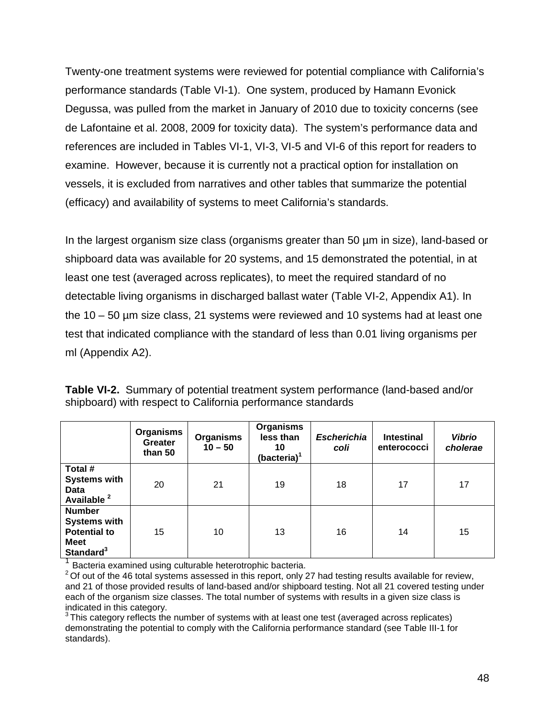Twenty-one treatment systems were reviewed for potential compliance with California's performance standards (Table VI-1). One system, produced by Hamann Evonick Degussa, was pulled from the market in January of 2010 due to toxicity concerns (see de Lafontaine et al. 2008, 2009 for toxicity data). The system's performance data and references are included in Tables VI-1, VI-3, VI-5 and VI-6 of this report for readers to examine. However, because it is currently not a practical option for installation on vessels, it is excluded from narratives and other tables that summarize the potential (efficacy) and availability of systems to meet California's standards.

In the largest organism size class (organisms greater than 50 µm in size), land-based or shipboard data was available for 20 systems, and 15 demonstrated the potential, in at least one test (averaged across replicates), to meet the required standard of no detectable living organisms in discharged ballast water (Table VI-2, Appendix A1). In the 10 – 50 µm size class, 21 systems were reviewed and 10 systems had at least one test that indicated compliance with the standard of less than 0.01 living organisms per ml (Appendix A2).

|                                                                                                     | <b>Organisms</b><br><b>Greater</b><br>than 50 | <b>Organisms</b><br>$10 - 50$ | <b>Organisms</b><br>less than<br>10<br>(bacteria) $1$ | <b>Escherichia</b><br>coli | <b>Intestinal</b><br>enterococci | <b>Vibrio</b><br>cholerae |
|-----------------------------------------------------------------------------------------------------|-----------------------------------------------|-------------------------------|-------------------------------------------------------|----------------------------|----------------------------------|---------------------------|
| Total #<br><b>Systems with</b><br>Data<br>Available <sup>2</sup>                                    | 20                                            | 21                            | 19                                                    | 18                         | 17                               | 17                        |
| <b>Number</b><br><b>Systems with</b><br><b>Potential to</b><br><b>Meet</b><br>Standard <sup>3</sup> | 15                                            | 10                            | 13                                                    | 16                         | 14                               | 15                        |

**Table VI-2.** Summary of potential treatment system performance (land-based and/or shipboard) with respect to California performance standards

<sup>1</sup> Bacteria examined using culturable heterotrophic bacteria.<br><sup>2</sup> Of out of the 46 total systems assessed in this report, only 27 had testing results available for review, and 21 of those provided results of land-based and/or shipboard testing. Not all 21 covered testing under each of the organism size classes. The total number of systems with results in a given size class is indicated in this category.

 $3$  This category reflects the number of systems with at least one test (averaged across replicates) demonstrating the potential to comply with the California performance standard (see Table III-1 for standards).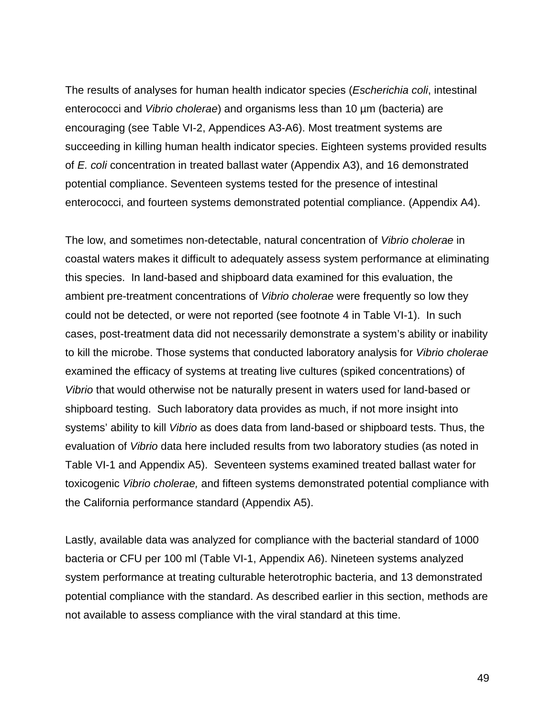The results of analyses for human health indicator species (*Escherichia coli*, intestinal enterococci and *Vibrio cholerae*) and organisms less than 10 µm (bacteria) are encouraging (see Table VI-2, Appendices A3-A6). Most treatment systems are succeeding in killing human health indicator species. Eighteen systems provided results of *E. coli* concentration in treated ballast water (Appendix A3), and 16 demonstrated potential compliance. Seventeen systems tested for the presence of intestinal enterococci, and fourteen systems demonstrated potential compliance. (Appendix A4).

The low, and sometimes non-detectable, natural concentration of *Vibrio cholerae* in coastal waters makes it difficult to adequately assess system performance at eliminating this species. In land-based and shipboard data examined for this evaluation, the ambient pre-treatment concentrations of *Vibrio cholerae* were frequently so low they could not be detected, or were not reported (see footnote 4 in Table VI-1). In such cases, post-treatment data did not necessarily demonstrate a system's ability or inability to kill the microbe. Those systems that conducted laboratory analysis for *Vibrio cholerae* examined the efficacy of systems at treating live cultures (spiked concentrations) of *Vibrio* that would otherwise not be naturally present in waters used for land-based or shipboard testing. Such laboratory data provides as much, if not more insight into systems' ability to kill *Vibrio* as does data from land-based or shipboard tests. Thus, the evaluation of *Vibrio* data here included results from two laboratory studies (as noted in Table VI-1 and Appendix A5). Seventeen systems examined treated ballast water for toxicogenic *Vibrio cholerae,* and fifteen systems demonstrated potential compliance with the California performance standard (Appendix A5).

Lastly, available data was analyzed for compliance with the bacterial standard of 1000 bacteria or CFU per 100 ml (Table VI-1, Appendix A6). Nineteen systems analyzed system performance at treating culturable heterotrophic bacteria, and 13 demonstrated potential compliance with the standard. As described earlier in this section, methods are not available to assess compliance with the viral standard at this time.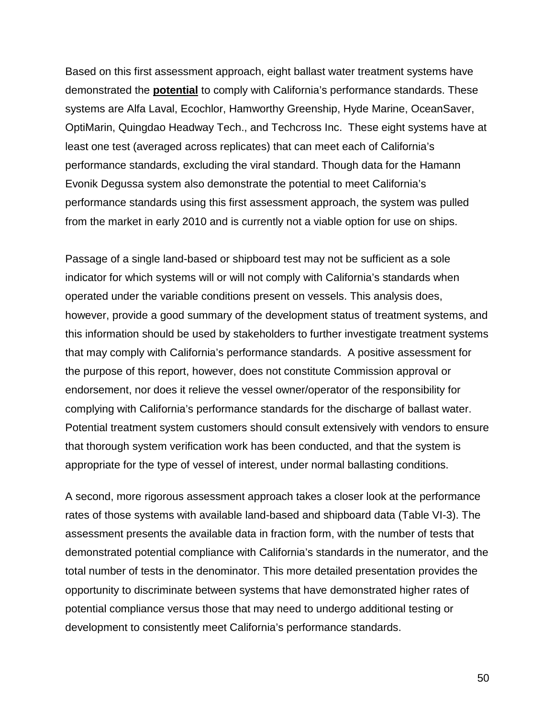Based on this first assessment approach, eight ballast water treatment systems have demonstrated the **potential** to comply with California's performance standards. These systems are Alfa Laval, Ecochlor, Hamworthy Greenship, Hyde Marine, OceanSaver, OptiMarin, Quingdao Headway Tech., and Techcross Inc. These eight systems have at least one test (averaged across replicates) that can meet each of California's performance standards, excluding the viral standard. Though data for the Hamann Evonik Degussa system also demonstrate the potential to meet California's performance standards using this first assessment approach, the system was pulled from the market in early 2010 and is currently not a viable option for use on ships.

Passage of a single land-based or shipboard test may not be sufficient as a sole indicator for which systems will or will not comply with California's standards when operated under the variable conditions present on vessels. This analysis does, however, provide a good summary of the development status of treatment systems, and this information should be used by stakeholders to further investigate treatment systems that may comply with California's performance standards. A positive assessment for the purpose of this report, however, does not constitute Commission approval or endorsement, nor does it relieve the vessel owner/operator of the responsibility for complying with California's performance standards for the discharge of ballast water. Potential treatment system customers should consult extensively with vendors to ensure that thorough system verification work has been conducted, and that the system is appropriate for the type of vessel of interest, under normal ballasting conditions.

A second, more rigorous assessment approach takes a closer look at the performance rates of those systems with available land-based and shipboard data (Table VI-3). The assessment presents the available data in fraction form, with the number of tests that demonstrated potential compliance with California's standards in the numerator, and the total number of tests in the denominator. This more detailed presentation provides the opportunity to discriminate between systems that have demonstrated higher rates of potential compliance versus those that may need to undergo additional testing or development to consistently meet California's performance standards.

50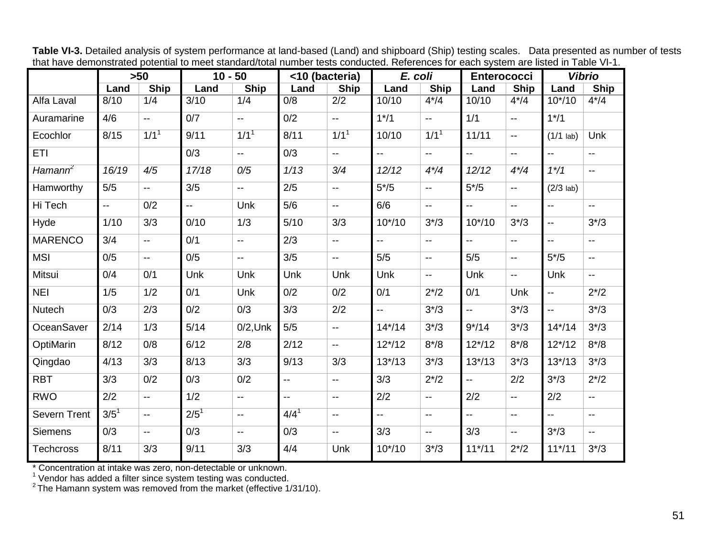| that have definitionaled potential to meet standard/total number tests conducted. Neierences for each system are ilsted in Table VP T. |                  | >50                       | $10 - 50$                |                                               | <10 (bacteria)           |                          | E. coli                   |                                               | <b>Enterococci</b>        |                                               |                           | <b>Vibrio</b>                                 |
|----------------------------------------------------------------------------------------------------------------------------------------|------------------|---------------------------|--------------------------|-----------------------------------------------|--------------------------|--------------------------|---------------------------|-----------------------------------------------|---------------------------|-----------------------------------------------|---------------------------|-----------------------------------------------|
|                                                                                                                                        | Land             | <b>Ship</b>               | Land                     | <b>Ship</b>                                   | Land                     | Ship                     | Land                      | <b>Ship</b>                                   | Land                      | <b>Ship</b>                                   | Land                      | <b>Ship</b>                                   |
| Alfa Laval                                                                                                                             | 8/10             | 1/4                       | $\overline{3}/10$        | 1/4                                           | 0/8                      | 2/2                      | 10/10                     | $4*/4$                                        | 10/10                     | $4*/4$                                        | $10^{*/}10$               | $4*/4$                                        |
| Auramarine                                                                                                                             | 4/6              | $\mathbb{L}^{\mathbb{L}}$ | 0/7                      | $\mathbb{L}^{\mathbb{L}}$                     | 0/2                      | $\mathbf{u}$             | $1*/1$                    | $\mathbf{L}$                                  | 1/1                       | $\overline{\phantom{a}}$                      | $1*/1$                    |                                               |
| Ecochlor                                                                                                                               | 8/15             | 1/1 <sup>1</sup>          | 9/11                     | 1/1 <sup>1</sup>                              | 8/11                     | 1/1 <sup>1</sup>         | 10/10                     | 1/1 <sup>1</sup>                              | 11/11                     | $\overline{\phantom{a}}$                      | $(1/1$ lab)               | Unk                                           |
| <b>ETI</b>                                                                                                                             |                  |                           | 0/3                      | $\mathord{\hspace{1pt}\text{--}\hspace{1pt}}$ | 0/3                      | $\overline{\phantom{a}}$ | $\mathbf{L}$              | $\overline{\phantom{a}}$                      | u.                        | $\overline{\phantom{a}}$                      | $\mathbf{L}$              | $-$                                           |
| Hamann <sup>2</sup>                                                                                                                    | 16/19            | 4/5                       | 17/18                    | 0/5                                           | 1/13                     | 3/4                      | 12/12                     | $4*/4$                                        | 12/12                     | $4*/4$                                        | $1*/1$                    | $\overline{\phantom{a}}$                      |
| Hamworthy                                                                                                                              | 5/5              | $\overline{\phantom{a}}$  | 3/5                      | $\mathord{\hspace{1pt}\text{--}\hspace{1pt}}$ | 2/5                      | $\overline{\phantom{a}}$ | $5*/5$                    | $\overline{\phantom{a}}$                      | $5*/5$                    | $\overline{\phantom{a}}$                      | $(2/3$ lab)               |                                               |
| Hi Tech                                                                                                                                | $\mathbf{u}$     | 0/2                       | $\overline{\phantom{a}}$ | Unk                                           | 5/6                      | $\overline{\phantom{a}}$ | 6/6                       | $\overline{\phantom{a}}$                      | $\mathbb{L}^{\mathbb{L}}$ | $\mathord{\hspace{1pt}\text{--}\hspace{1pt}}$ | $\mathbf{u}$              | $\mathord{\hspace{1pt}\text{--}\hspace{1pt}}$ |
| Hyde                                                                                                                                   | 1/10             | 3/3                       | 0/10                     | 1/3                                           | 5/10                     | 3/3                      | $10*/10$                  | $3^{*/3}$                                     | $10*/10$                  | $3^{*/3}$                                     | $\overline{\phantom{a}}$  | $3^{*/3}$                                     |
| <b>MARENCO</b>                                                                                                                         | 3/4              | $-$                       | 0/1                      | $\overline{\phantom{a}}$                      | 2/3                      | $\overline{a}$           | $\mathbf{L}$              | $\overline{\phantom{a}}$                      | $-$                       | $\overline{\phantom{a}}$                      | $\mathbf{u}$              | $-$                                           |
| <b>MSI</b>                                                                                                                             | 0/5              | $\overline{\phantom{a}}$  | 0/5                      | $\mathord{\hspace{1pt}\text{--}\hspace{1pt}}$ | 3/5                      | $\overline{a}$           | 5/5                       | $\overline{\phantom{a}}$                      | 5/5                       | $\overline{\phantom{a}}$                      | $5*/5$                    | $\mathbf{L}$                                  |
| Mitsui                                                                                                                                 | 0/4              | 0/1                       | Unk                      | Unk                                           | Unk                      | <b>Unk</b>               | Unk                       | $\mathord{\hspace{1pt}\text{--}\hspace{1pt}}$ | Unk                       | $\overline{\phantom{a}}$                      | Unk                       | $\mathbf{u}$                                  |
| <b>NEI</b>                                                                                                                             | 1/5              | 1/2                       | 0/1                      | Unk                                           | 0/2                      | 0/2                      | 0/1                       | $2^{*/2}$                                     | 0/1                       | Unk                                           | $\overline{\phantom{a}}$  | $2^{*/2}$                                     |
| <b>Nutech</b>                                                                                                                          | 0/3              | 2/3                       | 0/2                      | 0/3                                           | 3/3                      | 2/2                      | $\mathbf{L}$              | $3*/3$                                        | ш.,                       | $3^{*/3}$                                     | $\overline{\phantom{a}}$  | $3^{*/}3$                                     |
| OceanSaver                                                                                                                             | 2/14             | 1/3                       | $5/14$                   | $0/2$ , Unk                                   | 5/5                      | $\mathbf{u}$             | $14*/14$                  | $3^{*/3}$                                     | $9*/14$                   | $3^{*/3}$                                     | $14*/14$                  | $3^{*/3}$                                     |
| OptiMarin                                                                                                                              | 8/12             | 0/8                       | 6/12                     | 2/8                                           | 2/12                     | $\overline{\phantom{a}}$ | $12*/12$                  | $8*/8$                                        | $12*/12$                  | $8*/8$                                        | $12*/12$                  | $8*/8$                                        |
| Qingdao                                                                                                                                | 4/13             | 3/3                       | 8/13                     | 3/3                                           | 9/13                     | 3/3                      | $13*/13$                  | $3^{*/3}$                                     | $13*/13$                  | $3*/3$                                        | $13*/13$                  | $3^{*/3}$                                     |
| <b>RBT</b>                                                                                                                             | 3/3              | 0/2                       | 0/3                      | 0/2                                           | --                       | $\overline{\phantom{a}}$ | 3/3                       | $2^{*/2}$                                     | $\overline{\phantom{a}}$  | 2/2                                           | $3^{*/3}$                 | $2^{*/2}$                                     |
| <b>RWO</b>                                                                                                                             | 2/2              | $\mathbb{H}^{\mathbb{H}}$ | 1/2                      | $\overline{\phantom{a}}$                      | $\overline{\phantom{a}}$ | $\overline{\phantom{a}}$ | 2/2                       | $\overline{\phantom{a}}$                      | 2/2                       | $\mathord{\hspace{1pt}\text{--}\hspace{1pt}}$ | 2/2                       | $\overline{\phantom{a}}$                      |
| Severn Trent                                                                                                                           | 3/5 <sup>1</sup> | $\overline{\phantom{a}}$  | $2/5^{1}$                | $\overline{\phantom{a}}$                      | $4/4^{1}$                | $\overline{\phantom{a}}$ | $\mathbb{Z}^{\mathbb{Z}}$ | $\overline{\phantom{a}}$                      | u.                        | $\overline{\phantom{a}}$                      | $\mathbb{L}^{\mathbb{L}}$ | $\mathbf{u}$                                  |
| <b>Siemens</b>                                                                                                                         | 0/3              | $\overline{\phantom{a}}$  | 0/3                      | $\overline{\phantom{a}}$                      | 0/3                      | $\overline{\phantom{a}}$ | 3/3                       | $\overline{\phantom{a}}$                      | 3/3                       | $\mathord{\hspace{1pt}\text{--}\hspace{1pt}}$ | $3^{*/3}$                 | $\mathbf{u}$                                  |
| <b>Techcross</b>                                                                                                                       | 8/11             | 3/3                       | 9/11                     | 3/3                                           | 4/4                      | Unk                      | $10*/10$                  | $3^{*/3}$                                     | $11*/11$                  | $2^{*/2}$                                     | $11*/11$                  | $3^{*/3}$                                     |

**Table VI-3.** Detailed analysis of system performance at land-based (Land) and shipboard (Ship) testing scales.Data presented as number of tests that have demonstrated potential to meet standard/total number tests conducted. References for each system are listed in Table VI-1.

\* Concentration at intake was zero, non-detectable or unknown.

 $^{\rm 1}$  Vendor has added a filter since system testing was conducted.<br> $^{\rm 2}$ The Hamann system was removed from the market (effective 1/31/10).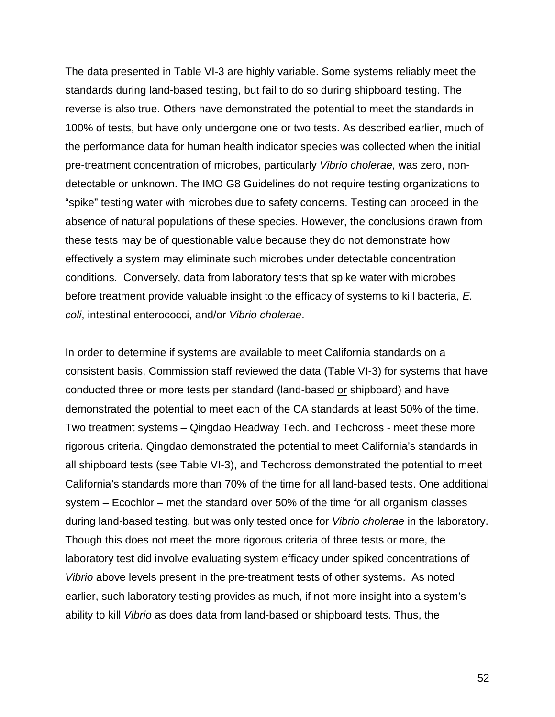The data presented in Table VI-3 are highly variable. Some systems reliably meet the standards during land-based testing, but fail to do so during shipboard testing. The reverse is also true. Others have demonstrated the potential to meet the standards in 100% of tests, but have only undergone one or two tests. As described earlier, much of the performance data for human health indicator species was collected when the initial pre-treatment concentration of microbes, particularly *Vibrio cholerae,* was zero, nondetectable or unknown. The IMO G8 Guidelines do not require testing organizations to "spike" testing water with microbes due to safety concerns. Testing can proceed in the absence of natural populations of these species. However, the conclusions drawn from these tests may be of questionable value because they do not demonstrate how effectively a system may eliminate such microbes under detectable concentration conditions. Conversely, data from laboratory tests that spike water with microbes before treatment provide valuable insight to the efficacy of systems to kill bacteria, *E. coli*, intestinal enterococci, and/or *Vibrio cholerae*.

In order to determine if systems are available to meet California standards on a consistent basis, Commission staff reviewed the data (Table VI-3) for systems that have conducted three or more tests per standard (land-based or shipboard) and have demonstrated the potential to meet each of the CA standards at least 50% of the time. Two treatment systems – Qingdao Headway Tech. and Techcross - meet these more rigorous criteria. Qingdao demonstrated the potential to meet California's standards in all shipboard tests (see Table VI-3), and Techcross demonstrated the potential to meet California's standards more than 70% of the time for all land-based tests. One additional system – Ecochlor – met the standard over 50% of the time for all organism classes during land-based testing, but was only tested once for *Vibrio cholerae* in the laboratory. Though this does not meet the more rigorous criteria of three tests or more, the laboratory test did involve evaluating system efficacy under spiked concentrations of *Vibrio* above levels present in the pre-treatment tests of other systems. As noted earlier, such laboratory testing provides as much, if not more insight into a system's ability to kill *Vibrio* as does data from land-based or shipboard tests. Thus, the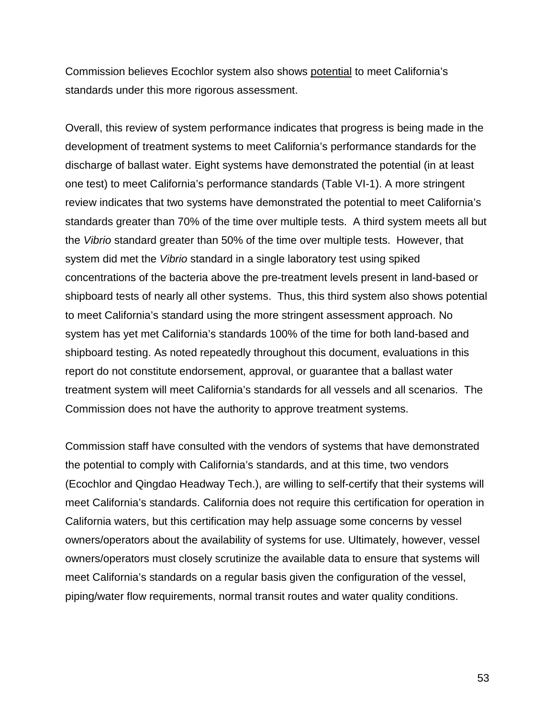Commission believes Ecochlor system also shows potential to meet California's standards under this more rigorous assessment.

Overall, this review of system performance indicates that progress is being made in the development of treatment systems to meet California's performance standards for the discharge of ballast water. Eight systems have demonstrated the potential (in at least one test) to meet California's performance standards (Table VI-1). A more stringent review indicates that two systems have demonstrated the potential to meet California's standards greater than 70% of the time over multiple tests. A third system meets all but the *Vibrio* standard greater than 50% of the time over multiple tests. However, that system did met the *Vibrio* standard in a single laboratory test using spiked concentrations of the bacteria above the pre-treatment levels present in land-based or shipboard tests of nearly all other systems. Thus, this third system also shows potential to meet California's standard using the more stringent assessment approach. No system has yet met California's standards 100% of the time for both land-based and shipboard testing. As noted repeatedly throughout this document, evaluations in this report do not constitute endorsement, approval, or guarantee that a ballast water treatment system will meet California's standards for all vessels and all scenarios. The Commission does not have the authority to approve treatment systems.

Commission staff have consulted with the vendors of systems that have demonstrated the potential to comply with California's standards, and at this time, two vendors (Ecochlor and Qingdao Headway Tech.), are willing to self-certify that their systems will meet California's standards. California does not require this certification for operation in California waters, but this certification may help assuage some concerns by vessel owners/operators about the availability of systems for use. Ultimately, however, vessel owners/operators must closely scrutinize the available data to ensure that systems will meet California's standards on a regular basis given the configuration of the vessel, piping/water flow requirements, normal transit routes and water quality conditions.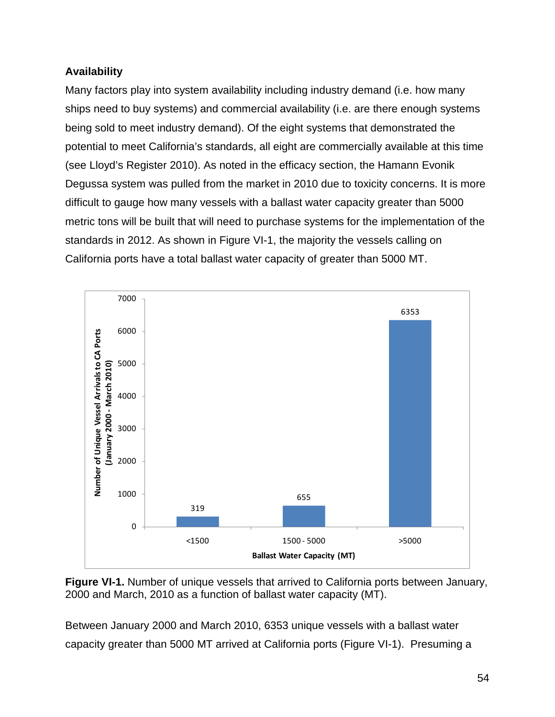# **Availability**

Many factors play into system availability including industry demand (i.e. how many ships need to buy systems) and commercial availability (i.e. are there enough systems being sold to meet industry demand). Of the eight systems that demonstrated the potential to meet California's standards, all eight are commercially available at this time (see Lloyd's Register 2010). As noted in the efficacy section, the Hamann Evonik Degussa system was pulled from the market in 2010 due to toxicity concerns. It is more difficult to gauge how many vessels with a ballast water capacity greater than 5000 metric tons will be built that will need to purchase systems for the implementation of the standards in 2012. As shown in Figure VI-1, the majority the vessels calling on California ports have a total ballast water capacity of greater than 5000 MT.



**Figure VI-1.** Number of unique vessels that arrived to California ports between January, 2000 and March, 2010 as a function of ballast water capacity (MT).

Between January 2000 and March 2010, 6353 unique vessels with a ballast water capacity greater than 5000 MT arrived at California ports (Figure VI-1). Presuming a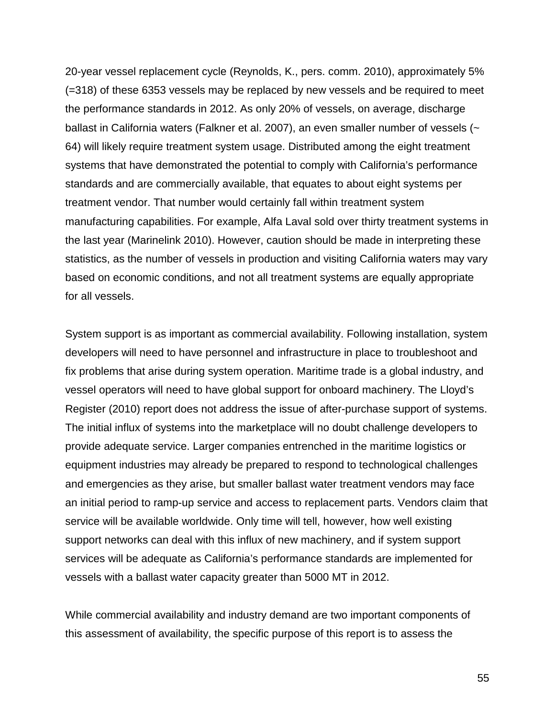20-year vessel replacement cycle (Reynolds, K., pers. comm. 2010), approximately 5% (=318) of these 6353 vessels may be replaced by new vessels and be required to meet the performance standards in 2012. As only 20% of vessels, on average, discharge ballast in California waters (Falkner et al. 2007), an even smaller number of vessels (~ 64) will likely require treatment system usage. Distributed among the eight treatment systems that have demonstrated the potential to comply with California's performance standards and are commercially available, that equates to about eight systems per treatment vendor. That number would certainly fall within treatment system manufacturing capabilities. For example, Alfa Laval sold over thirty treatment systems in the last year (Marinelink 2010). However, caution should be made in interpreting these statistics, as the number of vessels in production and visiting California waters may vary based on economic conditions, and not all treatment systems are equally appropriate for all vessels.

System support is as important as commercial availability. Following installation, system developers will need to have personnel and infrastructure in place to troubleshoot and fix problems that arise during system operation. Maritime trade is a global industry, and vessel operators will need to have global support for onboard machinery. The Lloyd's Register (2010) report does not address the issue of after-purchase support of systems. The initial influx of systems into the marketplace will no doubt challenge developers to provide adequate service. Larger companies entrenched in the maritime logistics or equipment industries may already be prepared to respond to technological challenges and emergencies as they arise, but smaller ballast water treatment vendors may face an initial period to ramp-up service and access to replacement parts. Vendors claim that service will be available worldwide. Only time will tell, however, how well existing support networks can deal with this influx of new machinery, and if system support services will be adequate as California's performance standards are implemented for vessels with a ballast water capacity greater than 5000 MT in 2012.

While commercial availability and industry demand are two important components of this assessment of availability, the specific purpose of this report is to assess the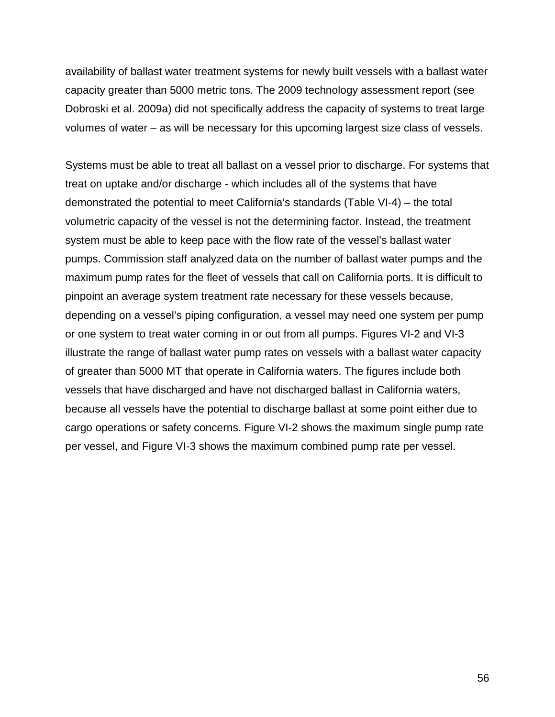availability of ballast water treatment systems for newly built vessels with a ballast water capacity greater than 5000 metric tons. The 2009 technology assessment report (see Dobroski et al. 2009a) did not specifically address the capacity of systems to treat large volumes of water – as will be necessary for this upcoming largest size class of vessels.

Systems must be able to treat all ballast on a vessel prior to discharge. For systems that treat on uptake and/or discharge - which includes all of the systems that have demonstrated the potential to meet California's standards (Table VI-4) – the total volumetric capacity of the vessel is not the determining factor. Instead, the treatment system must be able to keep pace with the flow rate of the vessel's ballast water pumps. Commission staff analyzed data on the number of ballast water pumps and the maximum pump rates for the fleet of vessels that call on California ports. It is difficult to pinpoint an average system treatment rate necessary for these vessels because, depending on a vessel's piping configuration, a vessel may need one system per pump or one system to treat water coming in or out from all pumps. Figures VI-2 and VI-3 illustrate the range of ballast water pump rates on vessels with a ballast water capacity of greater than 5000 MT that operate in California waters. The figures include both vessels that have discharged and have not discharged ballast in California waters, because all vessels have the potential to discharge ballast at some point either due to cargo operations or safety concerns. Figure VI-2 shows the maximum single pump rate per vessel, and Figure VI-3 shows the maximum combined pump rate per vessel.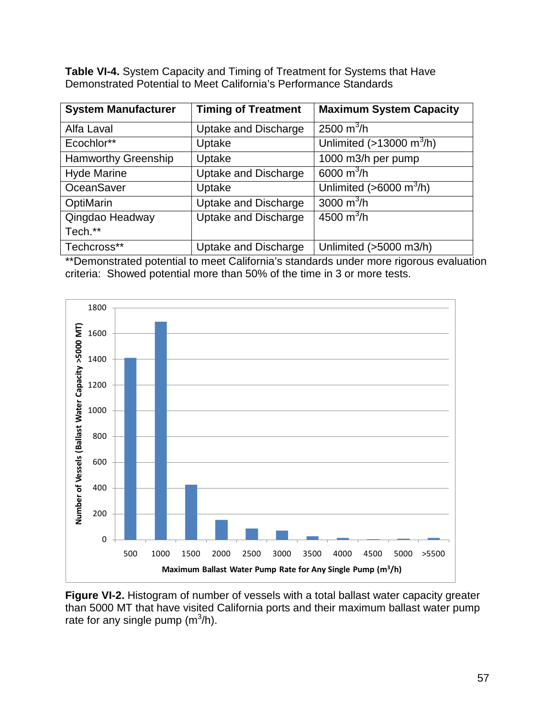**Table VI-4.** System Capacity and Timing of Treatment for Systems that Have Demonstrated Potential to Meet California's Performance Standards

| <b>System Manufacturer</b> | <b>Timing of Treatment</b>  | <b>Maximum System Capacity</b>          |
|----------------------------|-----------------------------|-----------------------------------------|
| Alfa Laval                 | Uptake and Discharge        | 2500 $m^3/h$                            |
| Ecochlor**                 | Uptake                      | Unlimited $($ >13000 m <sup>3</sup> /h) |
| <b>Hamworthy Greenship</b> | Uptake                      | 1000 m3/h per pump                      |
| <b>Hyde Marine</b>         | <b>Uptake and Discharge</b> | 6000 $m^3/h$                            |
| <b>OceanSaver</b>          | Uptake                      | Unlimited ( $>6000$ m <sup>3</sup> /h)  |
| OptiMarin                  | Uptake and Discharge        | 3000 $m^3/h$                            |
| Qingdao Headway            | <b>Uptake and Discharge</b> | 4500 $m^3/h$                            |
| Tech.**                    |                             |                                         |
| Techcross**                | Uptake and Discharge        | Unlimited (>5000 m3/h)                  |

\*\*Demonstrated potential to meet California's standards under more rigorous evaluation criteria: Showed potential more than 50% of the time in 3 or more tests.



**Figure VI-2.** Histogram of number of vessels with a total ballast water capacity greater than 5000 MT that have visited California ports and their maximum ballast water pump rate for any single pump (m $3/h$ ).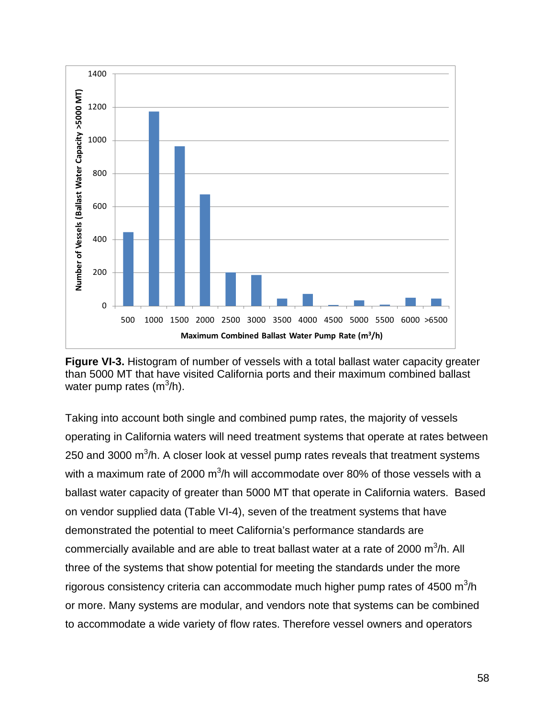

**Figure VI-3.** Histogram of number of vessels with a total ballast water capacity greater than 5000 MT that have visited California ports and their maximum combined ballast water pump rates (m<sup>3</sup>/h).

Taking into account both single and combined pump rates, the majority of vessels operating in California waters will need treatment systems that operate at rates between 250 and 3000 m<sup>3</sup>/h. A closer look at vessel pump rates reveals that treatment systems with a maximum rate of 2000 m<sup>3</sup>/h will accommodate over 80% of those vessels with a ballast water capacity of greater than 5000 MT that operate in California waters. Based on vendor supplied data (Table VI-4), seven of the treatment systems that have demonstrated the potential to meet California's performance standards are commercially available and are able to treat ballast water at a rate of 2000  $\text{m}^3\text{/h}$ . All three of the systems that show potential for meeting the standards under the more rigorous consistency criteria can accommodate much higher pump rates of 4500 m ${}^{3}/$ h or more. Many systems are modular, and vendors note that systems can be combined to accommodate a wide variety of flow rates. Therefore vessel owners and operators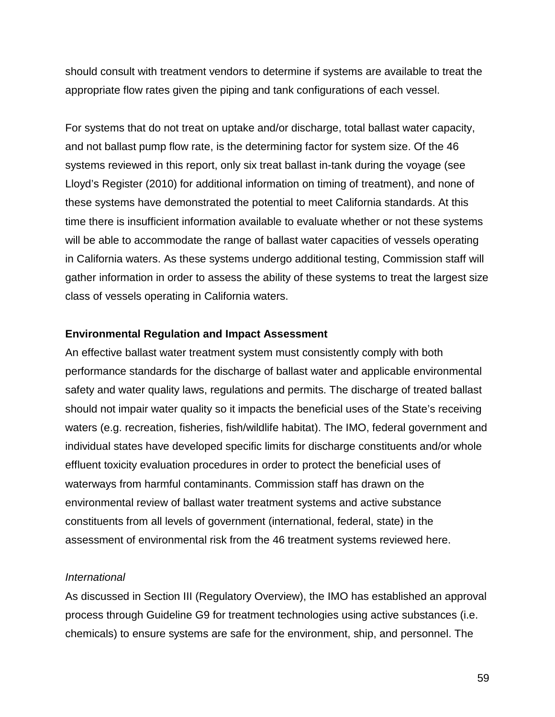should consult with treatment vendors to determine if systems are available to treat the appropriate flow rates given the piping and tank configurations of each vessel.

For systems that do not treat on uptake and/or discharge, total ballast water capacity, and not ballast pump flow rate, is the determining factor for system size. Of the 46 systems reviewed in this report, only six treat ballast in-tank during the voyage (see Lloyd's Register (2010) for additional information on timing of treatment), and none of these systems have demonstrated the potential to meet California standards. At this time there is insufficient information available to evaluate whether or not these systems will be able to accommodate the range of ballast water capacities of vessels operating in California waters. As these systems undergo additional testing, Commission staff will gather information in order to assess the ability of these systems to treat the largest size class of vessels operating in California waters.

#### **Environmental Regulation and Impact Assessment**

An effective ballast water treatment system must consistently comply with both performance standards for the discharge of ballast water and applicable environmental safety and water quality laws, regulations and permits. The discharge of treated ballast should not impair water quality so it impacts the beneficial uses of the State's receiving waters (e.g. recreation, fisheries, fish/wildlife habitat). The IMO, federal government and individual states have developed specific limits for discharge constituents and/or whole effluent toxicity evaluation procedures in order to protect the beneficial uses of waterways from harmful contaminants. Commission staff has drawn on the environmental review of ballast water treatment systems and active substance constituents from all levels of government (international, federal, state) in the assessment of environmental risk from the 46 treatment systems reviewed here.

#### *International*

As discussed in Section III (Regulatory Overview), the IMO has established an approval process through Guideline G9 for treatment technologies using active substances (i.e. chemicals) to ensure systems are safe for the environment, ship, and personnel. The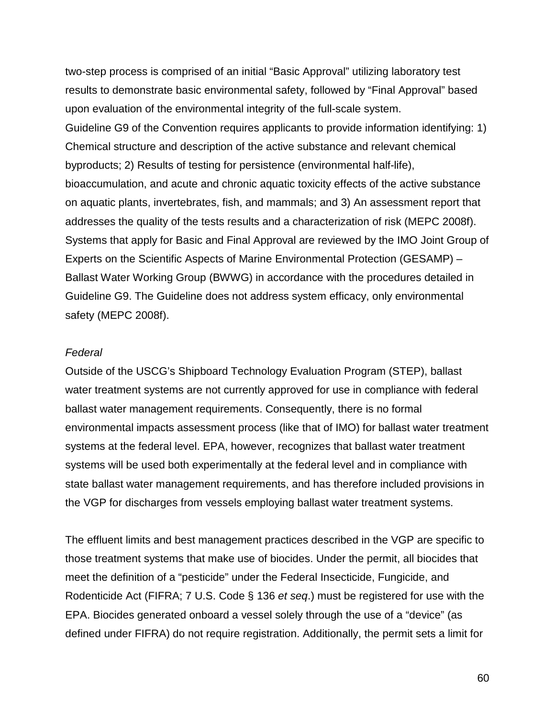two-step process is comprised of an initial "Basic Approval" utilizing laboratory test results to demonstrate basic environmental safety, followed by "Final Approval" based upon evaluation of the environmental integrity of the full-scale system. Guideline G9 of the Convention requires applicants to provide information identifying: 1) Chemical structure and description of the active substance and relevant chemical byproducts; 2) Results of testing for persistence (environmental half-life), bioaccumulation, and acute and chronic aquatic toxicity effects of the active substance on aquatic plants, invertebrates, fish, and mammals; and 3) An assessment report that addresses the quality of the tests results and a characterization of risk (MEPC 2008f). Systems that apply for Basic and Final Approval are reviewed by the IMO Joint Group of Experts on the Scientific Aspects of Marine Environmental Protection (GESAMP) – Ballast Water Working Group (BWWG) in accordance with the procedures detailed in Guideline G9. The Guideline does not address system efficacy, only environmental safety (MEPC 2008f).

#### *Federal*

Outside of the USCG's Shipboard Technology Evaluation Program (STEP), ballast water treatment systems are not currently approved for use in compliance with federal ballast water management requirements. Consequently, there is no formal environmental impacts assessment process (like that of IMO) for ballast water treatment systems at the federal level. EPA, however, recognizes that ballast water treatment systems will be used both experimentally at the federal level and in compliance with state ballast water management requirements, and has therefore included provisions in the VGP for discharges from vessels employing ballast water treatment systems.

The effluent limits and best management practices described in the VGP are specific to those treatment systems that make use of biocides. Under the permit, all biocides that meet the definition of a "pesticide" under the Federal Insecticide, Fungicide, and Rodenticide Act (FIFRA; 7 U.S. Code § 136 *et seq*.) must be registered for use with the EPA. Biocides generated onboard a vessel solely through the use of a "device" (as defined under FIFRA) do not require registration. Additionally, the permit sets a limit for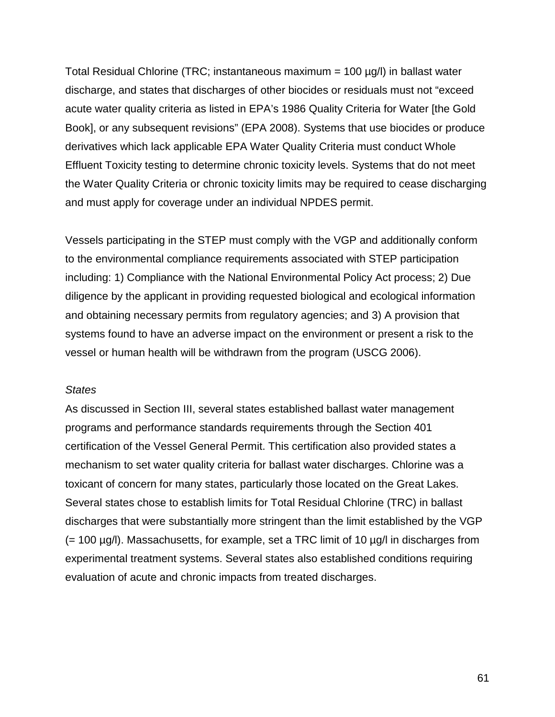Total Residual Chlorine (TRC; instantaneous maximum = 100 µg/l) in ballast water discharge, and states that discharges of other biocides or residuals must not "exceed acute water quality criteria as listed in EPA's 1986 Quality Criteria for Water [the Gold Book], or any subsequent revisions" (EPA 2008). Systems that use biocides or produce derivatives which lack applicable EPA Water Quality Criteria must conduct Whole Effluent Toxicity testing to determine chronic toxicity levels. Systems that do not meet the Water Quality Criteria or chronic toxicity limits may be required to cease discharging and must apply for coverage under an individual NPDES permit.

Vessels participating in the STEP must comply with the VGP and additionally conform to the environmental compliance requirements associated with STEP participation including: 1) Compliance with the National Environmental Policy Act process; 2) Due diligence by the applicant in providing requested biological and ecological information and obtaining necessary permits from regulatory agencies; and 3) A provision that systems found to have an adverse impact on the environment or present a risk to the vessel or human health will be withdrawn from the program (USCG 2006).

#### *States*

As discussed in Section III, several states established ballast water management programs and performance standards requirements through the Section 401 certification of the Vessel General Permit. This certification also provided states a mechanism to set water quality criteria for ballast water discharges. Chlorine was a toxicant of concern for many states, particularly those located on the Great Lakes. Several states chose to establish limits for Total Residual Chlorine (TRC) in ballast discharges that were substantially more stringent than the limit established by the VGP  $(= 100 \mu q/l)$ . Massachusetts, for example, set a TRC limit of 10  $\mu q/l$  in discharges from experimental treatment systems. Several states also established conditions requiring evaluation of acute and chronic impacts from treated discharges.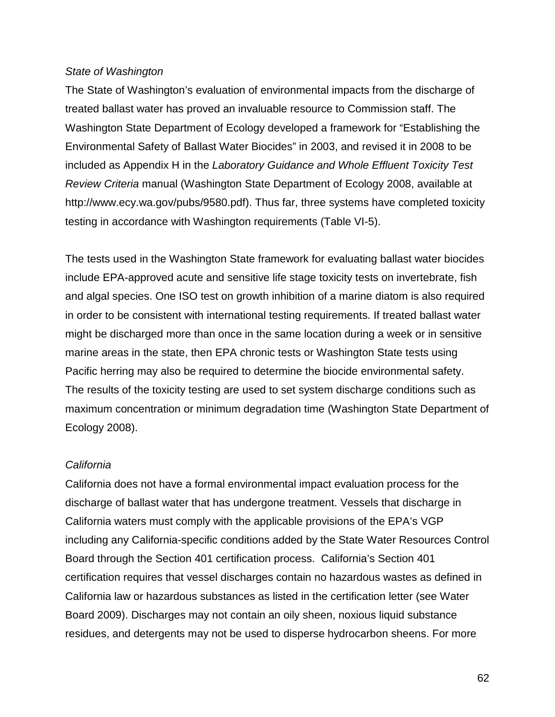#### *State of Washington*

The State of Washington's evaluation of environmental impacts from the discharge of treated ballast water has proved an invaluable resource to Commission staff. The Washington State Department of Ecology developed a framework for "Establishing the Environmental Safety of Ballast Water Biocides" in 2003, and revised it in 2008 to be included as Appendix H in the *Laboratory Guidance and Whole Effluent Toxicity Test Review Criteria* manual (Washington State Department of Ecology 2008, available at http://www.ecy.wa.gov/pubs/9580.pdf). Thus far, three systems have completed toxicity testing in accordance with Washington requirements (Table VI-5).

The tests used in the Washington State framework for evaluating ballast water biocides include EPA-approved acute and sensitive life stage toxicity tests on invertebrate, fish and algal species. One ISO test on growth inhibition of a marine diatom is also required in order to be consistent with international testing requirements. If treated ballast water might be discharged more than once in the same location during a week or in sensitive marine areas in the state, then EPA chronic tests or Washington State tests using Pacific herring may also be required to determine the biocide environmental safety. The results of the toxicity testing are used to set system discharge conditions such as maximum concentration or minimum degradation time (Washington State Department of Ecology 2008).

#### *California*

California does not have a formal environmental impact evaluation process for the discharge of ballast water that has undergone treatment. Vessels that discharge in California waters must comply with the applicable provisions of the EPA's VGP including any California-specific conditions added by the State Water Resources Control Board through the Section 401 certification process. California's Section 401 certification requires that vessel discharges contain no hazardous wastes as defined in California law or hazardous substances as listed in the certification letter (see Water Board 2009). Discharges may not contain an oily sheen, noxious liquid substance residues, and detergents may not be used to disperse hydrocarbon sheens. For more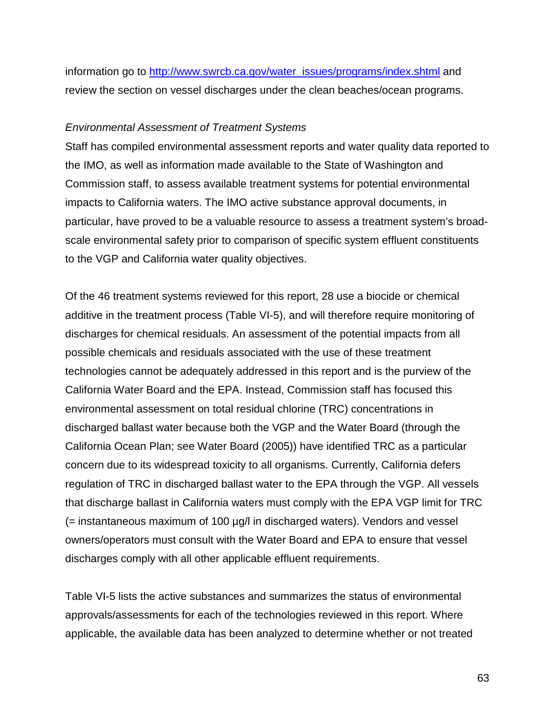information go to [http://www.swrcb.ca.gov/water\\_issues/programs/index.shtml](http://www.swrcb.ca.gov/water_issues/programs/index.shtml) and review the section on vessel discharges under the clean beaches/ocean programs.

#### *Environmental Assessment of Treatment Systems*

Staff has compiled environmental assessment reports and water quality data reported to the IMO, as well as information made available to the State of Washington and Commission staff, to assess available treatment systems for potential environmental impacts to California waters. The IMO active substance approval documents, in particular, have proved to be a valuable resource to assess a treatment system's broadscale environmental safety prior to comparison of specific system effluent constituents to the VGP and California water quality objectives.

Of the 46 treatment systems reviewed for this report, 28 use a biocide or chemical additive in the treatment process (Table VI-5), and will therefore require monitoring of discharges for chemical residuals. An assessment of the potential impacts from all possible chemicals and residuals associated with the use of these treatment technologies cannot be adequately addressed in this report and is the purview of the California Water Board and the EPA. Instead, Commission staff has focused this environmental assessment on total residual chlorine (TRC) concentrations in discharged ballast water because both the VGP and the Water Board (through the California Ocean Plan; see Water Board (2005)) have identified TRC as a particular concern due to its widespread toxicity to all organisms. Currently, California defers regulation of TRC in discharged ballast water to the EPA through the VGP. All vessels that discharge ballast in California waters must comply with the EPA VGP limit for TRC (= instantaneous maximum of 100 µg/l in discharged waters). Vendors and vessel owners/operators must consult with the Water Board and EPA to ensure that vessel discharges comply with all other applicable effluent requirements.

Table VI-5 lists the active substances and summarizes the status of environmental approvals/assessments for each of the technologies reviewed in this report. Where applicable, the available data has been analyzed to determine whether or not treated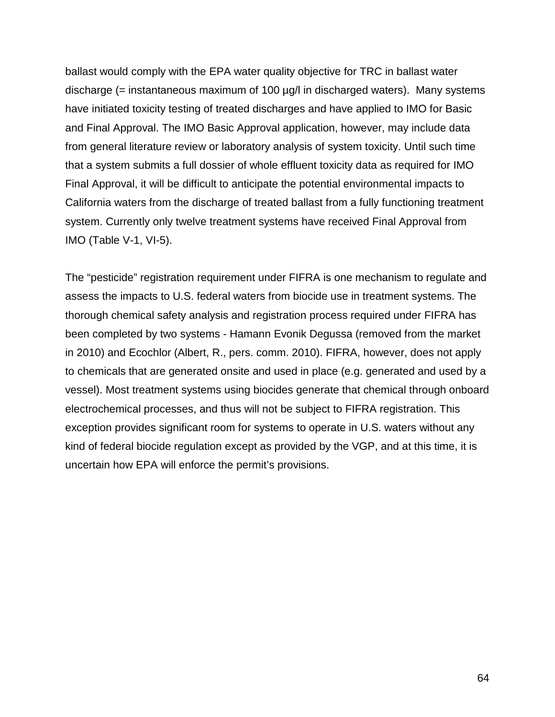ballast would comply with the EPA water quality objective for TRC in ballast water discharge (= instantaneous maximum of 100  $\mu$ g/l in discharged waters). Many systems have initiated toxicity testing of treated discharges and have applied to IMO for Basic and Final Approval. The IMO Basic Approval application, however, may include data from general literature review or laboratory analysis of system toxicity. Until such time that a system submits a full dossier of whole effluent toxicity data as required for IMO Final Approval, it will be difficult to anticipate the potential environmental impacts to California waters from the discharge of treated ballast from a fully functioning treatment system. Currently only twelve treatment systems have received Final Approval from IMO (Table V-1, VI-5).

The "pesticide" registration requirement under FIFRA is one mechanism to regulate and assess the impacts to U.S. federal waters from biocide use in treatment systems. The thorough chemical safety analysis and registration process required under FIFRA has been completed by two systems - Hamann Evonik Degussa (removed from the market in 2010) and Ecochlor (Albert, R., pers. comm. 2010). FIFRA, however, does not apply to chemicals that are generated onsite and used in place (e.g. generated and used by a vessel). Most treatment systems using biocides generate that chemical through onboard electrochemical processes, and thus will not be subject to FIFRA registration. This exception provides significant room for systems to operate in U.S. waters without any kind of federal biocide regulation except as provided by the VGP, and at this time, it is uncertain how EPA will enforce the permit's provisions.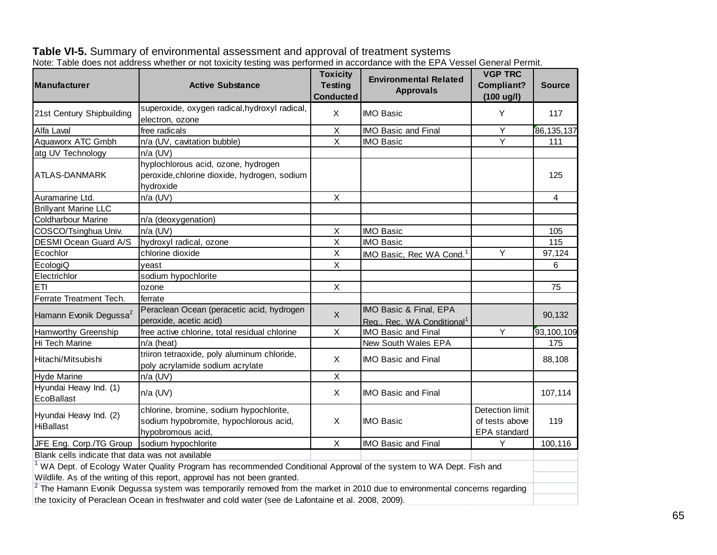| <b>Manufacturer</b>                              | <b>Active Substance</b>                                                                                                      | <b>Toxicity</b><br><b>Testing</b><br><b>Conducted</b> | <b>Environmental Related</b><br><b>Approvals</b>                 | <b>VGP TRC</b><br>Compliant?                             | <b>Source</b> |
|--------------------------------------------------|------------------------------------------------------------------------------------------------------------------------------|-------------------------------------------------------|------------------------------------------------------------------|----------------------------------------------------------|---------------|
| 21st Century Shipbuilding                        | superoxide, oxygen radical, hydroxyl radical,                                                                                | $\mathsf{X}$                                          | <b>IMO Basic</b>                                                 | (100 ug/l)<br>Y                                          | 117           |
|                                                  | electron, ozone                                                                                                              |                                                       |                                                                  |                                                          |               |
| Alfa Laval                                       | free radicals                                                                                                                | $\sf X$<br>$\overline{\mathsf{x}}$                    | <b>IMO Basic and Final</b>                                       | Y<br>$\overline{Y}$                                      | 86, 135, 137  |
| Aquaworx ATC Gmbh                                | n/a (UV, cavitation bubble)                                                                                                  |                                                       | <b>IMO Basic</b>                                                 |                                                          | 111           |
| atg UV Technology                                | $n/a$ (UV)                                                                                                                   |                                                       |                                                                  |                                                          |               |
| ATLAS-DANMARK                                    | hyplochlorous acid, ozone, hydrogen<br>peroxide, chlorine dioxide, hydrogen, sodium<br>hydroxide                             |                                                       |                                                                  |                                                          | 125           |
| Auramarine Ltd.                                  | $n/a$ (UV)                                                                                                                   | $\mathsf X$                                           |                                                                  |                                                          | 4             |
| <b>Brillyant Marine LLC</b>                      |                                                                                                                              |                                                       |                                                                  |                                                          |               |
| <b>Coldharbour Marine</b>                        | n/a (deoxygenation)                                                                                                          |                                                       |                                                                  |                                                          |               |
| COSCO/Tsinghua Univ.                             | $n/a$ (UV)                                                                                                                   | X                                                     | <b>IMO Basic</b>                                                 |                                                          | 105           |
| DESMI Ocean Guard A/S                            | hydroxyl radical, ozone                                                                                                      | X                                                     | <b>IMO Basic</b>                                                 |                                                          | 115           |
| Ecochlor                                         | chlorine dioxide                                                                                                             | X                                                     | IMO Basic, Rec WA Cond. <sup>1</sup>                             | Υ                                                        | 97,124        |
| EcologiQ                                         | yeast                                                                                                                        | $\sf X$                                               |                                                                  |                                                          | 6             |
| Electrichlor                                     | sodium hypochlorite                                                                                                          |                                                       |                                                                  |                                                          |               |
| <b>ETI</b>                                       | ozone                                                                                                                        | $\mathsf X$                                           |                                                                  |                                                          | 75            |
| Ferrate Treatment Tech.                          | ferrate                                                                                                                      |                                                       |                                                                  |                                                          |               |
| Hamann Evonik Degussa <sup>2</sup>               | Peraclean Ocean (peracetic acid, hydrogen<br>peroxide, acetic acid)                                                          | $\mathsf{X}$                                          | IMO Basic & Final, EPA<br>Reg., Rec. WA Conditional <sup>1</sup> |                                                          | 90,132        |
| <b>Hamworthy Greenship</b>                       | free active chlorine, total residual chlorine                                                                                | X                                                     | <b>IMO Basic and Final</b>                                       | Y                                                        | 93,100,109    |
| Hi Tech Marine                                   | $n/a$ (heat)                                                                                                                 |                                                       | New South Wales EPA                                              |                                                          | 175           |
| Hitachi/Mitsubishi                               | triiron tetraoxide, poly aluminum chloride,<br>poly acrylamide sodium acrylate                                               | X                                                     | <b>IMO Basic and Final</b>                                       |                                                          | 88,108        |
| <b>Hyde Marine</b>                               | $n/a$ (UV)                                                                                                                   | $\mathsf X$                                           |                                                                  |                                                          |               |
| Hyundai Heavy Ind. (1)<br>EcoBallast             | $n/a$ (UV)                                                                                                                   | $\sf X$                                               | <b>IMO Basic and Final</b>                                       |                                                          | 107,114       |
| Hyundai Heavy Ind. (2)<br><b>HiBallast</b>       | chlorine, bromine, sodium hypochlorite,<br>sodium hypobromite, hypochlorous acid,<br>hypobromous acid,                       |                                                       | <b>IMO Basic</b>                                                 | <b>Detection limit</b><br>of tests above<br>EPA standard | 119           |
| JFE Eng. Corp./TG Group                          | sodium hypochlorite                                                                                                          | $\pmb{\times}$                                        | <b>IMO Basic and Final</b>                                       | Y                                                        | 100,116       |
| Blank cells indicate that data was not available |                                                                                                                              |                                                       |                                                                  |                                                          |               |
|                                                  | WA Dept. of Ecology Water Quality Program has recommended Conditional Approval of the system to WA Dept. Fish and            |                                                       |                                                                  |                                                          |               |
|                                                  | Wildlife. As of the writing of this report, approval has not been granted.                                                   |                                                       |                                                                  |                                                          |               |
|                                                  | $2$ The Hamann Evonik Degussa system was temporarily removed from the market in 2010 due to environmental concerns regarding |                                                       |                                                                  |                                                          |               |
|                                                  | the toxicity of Peraclean Ocean in freshwater and cold water (see de Lafontaine et al. 2008, 2009).                          |                                                       |                                                                  |                                                          |               |

| Table VI-5. Summary of environmental assessment and approval of treatment systems                                            |  |
|------------------------------------------------------------------------------------------------------------------------------|--|
| Note: Table does not address whether or not toxicity testing was performed in accordance with the EPA Vessel General Permit. |  |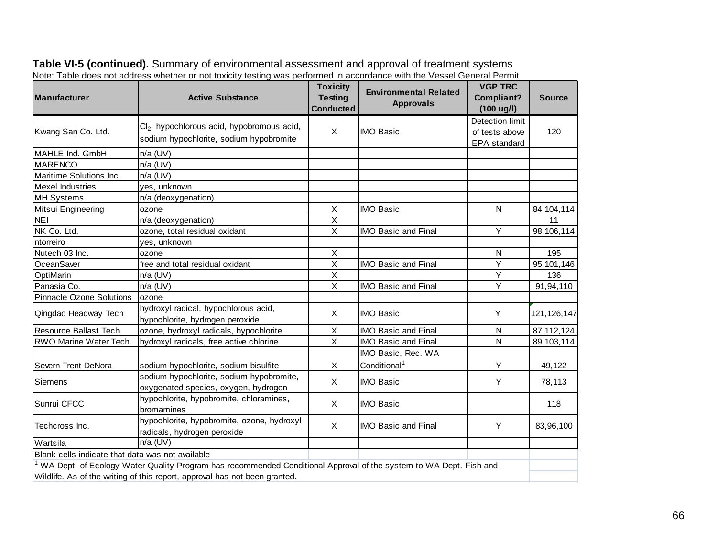| <b>Manufacturer</b>                              | <b>Active Substance</b>                                                                                           | <b>Toxicity</b><br><b>Testing</b> | <b>Environmental Related</b> | <b>VGP TRC</b><br>Compliant? | <b>Source</b> |
|--------------------------------------------------|-------------------------------------------------------------------------------------------------------------------|-----------------------------------|------------------------------|------------------------------|---------------|
|                                                  |                                                                                                                   | <b>Conducted</b>                  | <b>Approvals</b>             | $(100 \text{ ug/l})$         |               |
|                                                  | Cl <sub>2</sub> , hypochlorous acid, hypobromous acid,                                                            |                                   |                              | Detection limit              |               |
| Kwang San Co. Ltd.                               |                                                                                                                   | X                                 | <b>IMO Basic</b>             | of tests above               | 120           |
|                                                  | sodium hypochlorite, sodium hypobromite                                                                           |                                   |                              | <b>EPA</b> standard          |               |
| MAHLE Ind. GmbH                                  | $n/a$ (UV)                                                                                                        |                                   |                              |                              |               |
| <b>MARENCO</b>                                   | $n/a$ (UV)                                                                                                        |                                   |                              |                              |               |
| Maritime Solutions Inc.                          | $n/a$ (UV)                                                                                                        |                                   |                              |                              |               |
| <b>Mexel Industries</b>                          | yes, unknown                                                                                                      |                                   |                              |                              |               |
| <b>MH Systems</b>                                | n/a (deoxygenation)                                                                                               |                                   |                              |                              |               |
| Mitsui Engineering                               | ozone                                                                                                             | X                                 | <b>IMO Basic</b>             | N                            | 84, 104, 114  |
| <b>NEI</b>                                       | n/a (deoxygenation)                                                                                               | $\sf X$                           |                              |                              | 11            |
| NK Co. Ltd.                                      | ozone, total residual oxidant                                                                                     | X                                 | <b>IMO Basic and Final</b>   | Y                            | 98,106,114    |
| ntorreiro                                        | yes, unknown                                                                                                      |                                   |                              |                              |               |
| Nutech 03 Inc.                                   | ozone                                                                                                             | X                                 |                              | N                            | 195           |
| OceanSaver                                       | free and total residual oxidant                                                                                   | $\overline{\mathsf{x}}$           | <b>IMO Basic and Final</b>   | Y                            | 95, 101, 146  |
| OptiMarin                                        | $n/a$ (UV)                                                                                                        | X                                 |                              | Y                            | 136           |
| Panasia Co.                                      | $n/a$ (UV)                                                                                                        | $\overline{\mathsf{x}}$           | <b>IMO Basic and Final</b>   | Y                            | 91,94,110     |
| <b>Pinnacle Ozone Solutions</b>                  | ozone                                                                                                             |                                   |                              |                              |               |
| Qingdao Headway Tech                             | hydroxyl radical, hypochlorous acid,                                                                              | X                                 | <b>IMO Basic</b>             | Y                            | 121, 126, 147 |
|                                                  | hypochlorite, hydrogen peroxide                                                                                   |                                   |                              |                              |               |
| Resource Ballast Tech.                           | ozone, hydroxyl radicals, hypochlorite                                                                            | X                                 | <b>IMO Basic and Final</b>   | N                            | 87, 112, 124  |
| RWO Marine Water Tech.                           | hydroxyl radicals, free active chlorine                                                                           | $\mathsf{X}$                      | <b>IMO Basic and Final</b>   | $\mathsf{N}$                 | 89, 103, 114  |
|                                                  |                                                                                                                   |                                   | IMO Basic, Rec. WA           |                              |               |
| Severn Trent DeNora                              | sodium hypochlorite, sodium bisulfite                                                                             | $\pmb{\times}$                    | Conditional <sup>1</sup>     | Y                            | 49,122        |
| <b>Siemens</b>                                   | sodium hypochlorite, sodium hypobromite,                                                                          |                                   |                              |                              |               |
|                                                  | oxygenated species, oxygen, hydrogen                                                                              | X                                 | <b>IMO Basic</b>             | Y                            | 78,113        |
| Sunrui CFCC                                      | hypochlorite, hypobromite, chloramines,                                                                           |                                   |                              |                              |               |
|                                                  | bromamines                                                                                                        | X                                 | <b>IMO Basic</b>             |                              | 118           |
| Techcross Inc.                                   | hypochlorite, hypobromite, ozone, hydroxyl                                                                        |                                   |                              |                              |               |
|                                                  | radicals, hydrogen peroxide                                                                                       | X                                 | <b>IMO Basic and Final</b>   | Y                            | 83,96,100     |
| Wartsila                                         | $n/a$ (UV)                                                                                                        |                                   |                              |                              |               |
| Blank cells indicate that data was not available |                                                                                                                   |                                   |                              |                              |               |
|                                                  | WA Dept. of Ecology Water Quality Program has recommended Conditional Approval of the system to WA Dept. Fish and |                                   |                              |                              |               |
|                                                  | Wildlife. As of the writing of this report, approval has not been granted.                                        |                                   |                              |                              |               |

#### **Table VI-5 (continued).** Summary of environmental assessment and approval of treatment systems Note: Table does not address whether or not toxicity testing was performed in accordance with the Vessel General Permit

66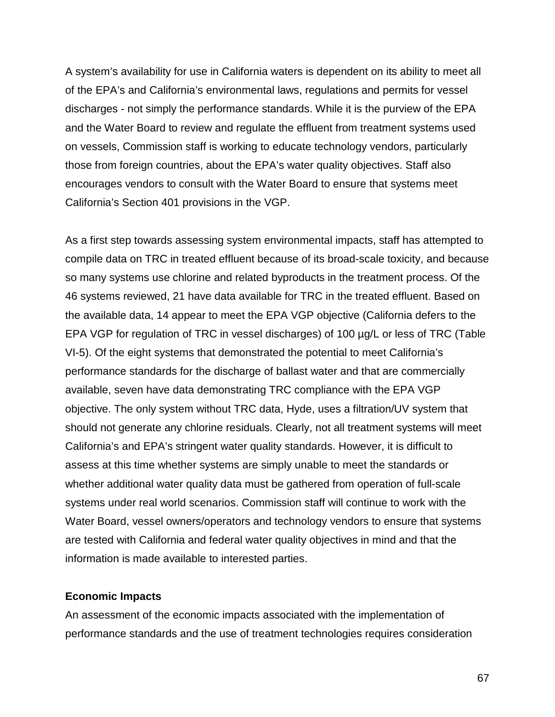A system's availability for use in California waters is dependent on its ability to meet all of the EPA's and California's environmental laws, regulations and permits for vessel discharges - not simply the performance standards. While it is the purview of the EPA and the Water Board to review and regulate the effluent from treatment systems used on vessels, Commission staff is working to educate technology vendors, particularly those from foreign countries, about the EPA's water quality objectives. Staff also encourages vendors to consult with the Water Board to ensure that systems meet California's Section 401 provisions in the VGP.

As a first step towards assessing system environmental impacts, staff has attempted to compile data on TRC in treated effluent because of its broad-scale toxicity, and because so many systems use chlorine and related byproducts in the treatment process. Of the 46 systems reviewed, 21 have data available for TRC in the treated effluent. Based on the available data, 14 appear to meet the EPA VGP objective (California defers to the EPA VGP for regulation of TRC in vessel discharges) of 100 µg/L or less of TRC (Table VI-5). Of the eight systems that demonstrated the potential to meet California's performance standards for the discharge of ballast water and that are commercially available, seven have data demonstrating TRC compliance with the EPA VGP objective. The only system without TRC data, Hyde, uses a filtration/UV system that should not generate any chlorine residuals. Clearly, not all treatment systems will meet California's and EPA's stringent water quality standards. However, it is difficult to assess at this time whether systems are simply unable to meet the standards or whether additional water quality data must be gathered from operation of full-scale systems under real world scenarios. Commission staff will continue to work with the Water Board, vessel owners/operators and technology vendors to ensure that systems are tested with California and federal water quality objectives in mind and that the information is made available to interested parties.

#### **Economic Impacts**

An assessment of the economic impacts associated with the implementation of performance standards and the use of treatment technologies requires consideration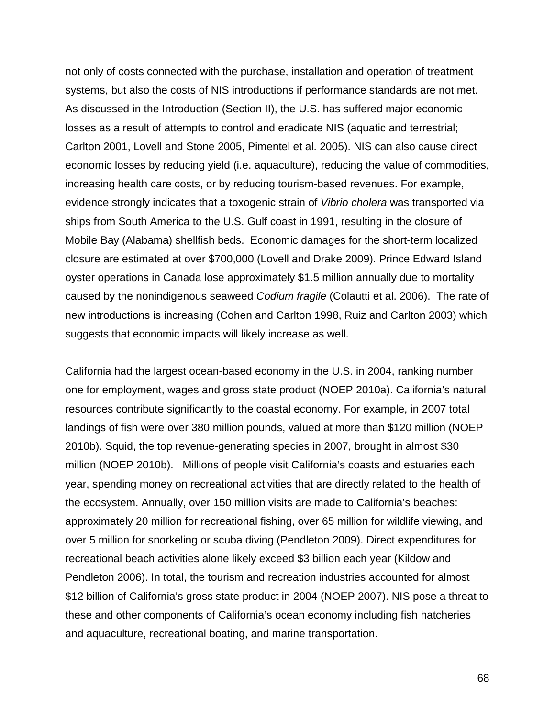not only of costs connected with the purchase, installation and operation of treatment systems, but also the costs of NIS introductions if performance standards are not met. As discussed in the Introduction (Section II), the U.S. has suffered major economic losses as a result of attempts to control and eradicate NIS (aquatic and terrestrial; Carlton 2001, Lovell and Stone 2005, Pimentel et al. 2005). NIS can also cause direct economic losses by reducing yield (i.e. aquaculture), reducing the value of commodities, increasing health care costs, or by reducing tourism-based revenues. For example, evidence strongly indicates that a toxogenic strain of *Vibrio cholera* was transported via ships from South America to the U.S. Gulf coast in 1991, resulting in the closure of Mobile Bay (Alabama) shellfish beds. Economic damages for the short-term localized closure are estimated at over \$700,000 (Lovell and Drake 2009). Prince Edward Island oyster operations in Canada lose approximately \$1.5 million annually due to mortality caused by the nonindigenous seaweed *Codium fragile* (Colautti et al. 2006). The rate of new introductions is increasing (Cohen and Carlton 1998, Ruiz and Carlton 2003) which suggests that economic impacts will likely increase as well.

California had the largest ocean-based economy in the U.S. in 2004, ranking number one for employment, wages and gross state product (NOEP 2010a). California's natural resources contribute significantly to the coastal economy. For example, in 2007 total landings of fish were over 380 million pounds, valued at more than \$120 million (NOEP 2010b). Squid, the top revenue-generating species in 2007, brought in almost \$30 million (NOEP 2010b). Millions of people visit California's coasts and estuaries each year, spending money on recreational activities that are directly related to the health of the ecosystem. Annually, over 150 million visits are made to California's beaches: approximately 20 million for recreational fishing, over 65 million for wildlife viewing, and over 5 million for snorkeling or scuba diving (Pendleton 2009). Direct expenditures for recreational beach activities alone likely exceed \$3 billion each year (Kildow and Pendleton 2006). In total, the tourism and recreation industries accounted for almost \$12 billion of California's gross state product in 2004 (NOEP 2007). NIS pose a threat to these and other components of California's ocean economy including fish hatcheries and aquaculture, recreational boating, and marine transportation.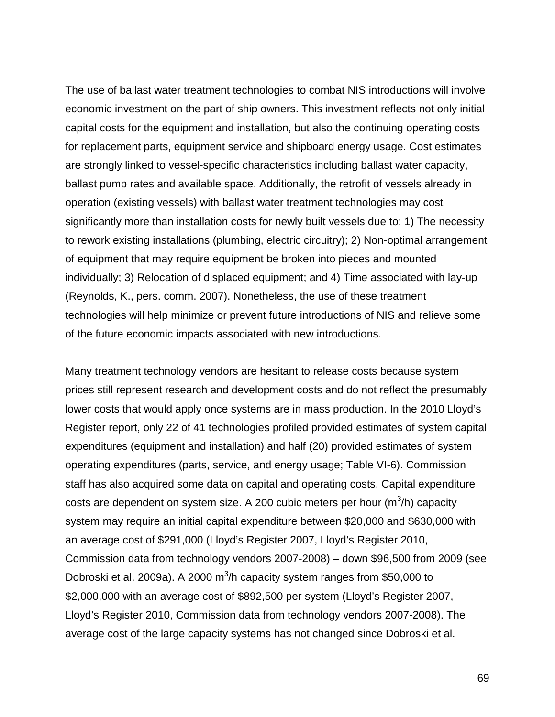The use of ballast water treatment technologies to combat NIS introductions will involve economic investment on the part of ship owners. This investment reflects not only initial capital costs for the equipment and installation, but also the continuing operating costs for replacement parts, equipment service and shipboard energy usage. Cost estimates are strongly linked to vessel-specific characteristics including ballast water capacity, ballast pump rates and available space. Additionally, the retrofit of vessels already in operation (existing vessels) with ballast water treatment technologies may cost significantly more than installation costs for newly built vessels due to: 1) The necessity to rework existing installations (plumbing, electric circuitry); 2) Non-optimal arrangement of equipment that may require equipment be broken into pieces and mounted individually; 3) Relocation of displaced equipment; and 4) Time associated with lay-up (Reynolds, K., pers. comm. 2007). Nonetheless, the use of these treatment technologies will help minimize or prevent future introductions of NIS and relieve some of the future economic impacts associated with new introductions.

Many treatment technology vendors are hesitant to release costs because system prices still represent research and development costs and do not reflect the presumably lower costs that would apply once systems are in mass production. In the 2010 Lloyd's Register report, only 22 of 41 technologies profiled provided estimates of system capital expenditures (equipment and installation) and half (20) provided estimates of system operating expenditures (parts, service, and energy usage; Table VI-6). Commission staff has also acquired some data on capital and operating costs. Capital expenditure costs are dependent on system size. A 200 cubic meters per hour (m $3/h$ ) capacity system may require an initial capital expenditure between \$20,000 and \$630,000 with an average cost of \$291,000 (Lloyd's Register 2007, Lloyd's Register 2010, Commission data from technology vendors 2007-2008) – down \$96,500 from 2009 (see Dobroski et al. 2009a). A 2000  $m^3$ /h capacity system ranges from \$50,000 to \$2,000,000 with an average cost of \$892,500 per system (Lloyd's Register 2007, Lloyd's Register 2010, Commission data from technology vendors 2007-2008). The average cost of the large capacity systems has not changed since Dobroski et al.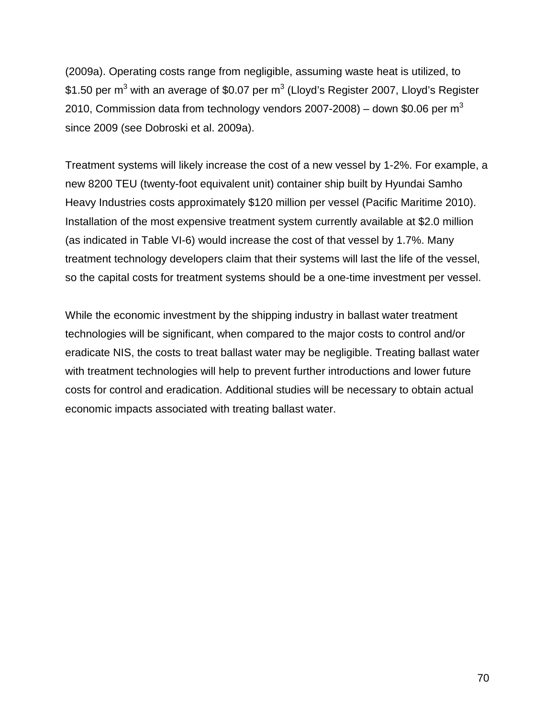(2009a). Operating costs range from negligible, assuming waste heat is utilized, to \$1.50 per  $m^3$  with an average of \$0.07 per  $m^3$  (Lloyd's Register 2007, Lloyd's Register 2010, Commission data from technology vendors 2007-2008) – down \$0.06 per  $m<sup>3</sup>$ since 2009 (see Dobroski et al. 2009a).

Treatment systems will likely increase the cost of a new vessel by 1-2%. For example, a new 8200 TEU (twenty-foot equivalent unit) container ship built by Hyundai Samho Heavy Industries costs approximately \$120 million per vessel (Pacific Maritime 2010). Installation of the most expensive treatment system currently available at \$2.0 million (as indicated in Table VI-6) would increase the cost of that vessel by 1.7%. Many treatment technology developers claim that their systems will last the life of the vessel, so the capital costs for treatment systems should be a one-time investment per vessel.

While the economic investment by the shipping industry in ballast water treatment technologies will be significant, when compared to the major costs to control and/or eradicate NIS, the costs to treat ballast water may be negligible. Treating ballast water with treatment technologies will help to prevent further introductions and lower future costs for control and eradication. Additional studies will be necessary to obtain actual economic impacts associated with treating ballast water.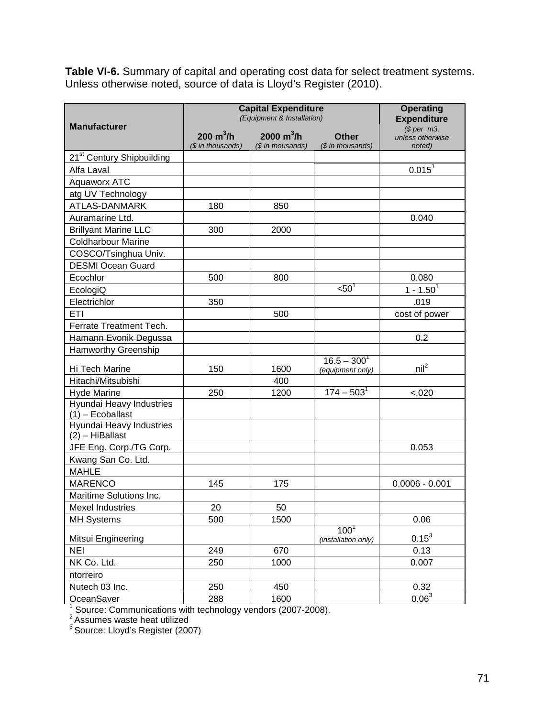**Table VI-6.** Summary of capital and operating cost data for select treatment systems. Unless otherwise noted, source of data is Lloyd's Register (2010).

| <b>Manufacturer</b>                            | <b>Capital Expenditure</b><br>(Equipment & Installation) | <b>Operating</b><br><b>Expenditure</b> |                                         |                                         |
|------------------------------------------------|----------------------------------------------------------|----------------------------------------|-----------------------------------------|-----------------------------------------|
|                                                | $200 \text{ m}^3/\text{h}$<br>(\$ in thousands)          | 2000 $m^3/h$<br>(\$ in thousands)      | <b>Other</b><br>(\$ in thousands)       | \$per~m3,<br>unless otherwise<br>noted) |
| 21 <sup>st</sup> Century Shipbuilding          |                                                          |                                        |                                         |                                         |
| Alfa Laval                                     |                                                          |                                        |                                         | $0.015^{1}$                             |
| <b>Aquaworx ATC</b>                            |                                                          |                                        |                                         |                                         |
| atg UV Technology                              |                                                          |                                        |                                         |                                         |
| <b>ATLAS-DANMARK</b>                           | 180                                                      | 850                                    |                                         |                                         |
| Auramarine Ltd.                                |                                                          |                                        |                                         | 0.040                                   |
| <b>Brillyant Marine LLC</b>                    | 300                                                      | 2000                                   |                                         |                                         |
| <b>Coldharbour Marine</b>                      |                                                          |                                        |                                         |                                         |
| COSCO/Tsinghua Univ.                           |                                                          |                                        |                                         |                                         |
| <b>DESMI Ocean Guard</b>                       |                                                          |                                        |                                         |                                         |
| Ecochlor                                       | 500                                                      | 800                                    |                                         | 0.080                                   |
| EcologiQ                                       |                                                          |                                        | < 50                                    | $1 - 1.501$                             |
| Electrichlor                                   | 350                                                      |                                        |                                         | .019                                    |
| ETI                                            |                                                          | 500                                    |                                         | cost of power                           |
| Ferrate Treatment Tech.                        |                                                          |                                        |                                         |                                         |
| Hamann Evonik Degussa                          |                                                          |                                        |                                         | 0.2                                     |
| <b>Hamworthy Greenship</b>                     |                                                          |                                        |                                         |                                         |
| Hi Tech Marine                                 | 150                                                      | 1600                                   | $16.5 - 300^1$<br>(equipment only)      | $\mathsf{nil}^2$                        |
| Hitachi/Mitsubishi                             |                                                          | 400                                    |                                         |                                         |
| <b>Hyde Marine</b>                             | 250                                                      | 1200                                   | $174 - 503$ <sup>1</sup>                | < .020                                  |
| Hyundai Heavy Industries<br>$(1)$ – Ecoballast |                                                          |                                        |                                         |                                         |
| Hyundai Heavy Industries<br>$(2)$ - HiBallast  |                                                          |                                        |                                         |                                         |
| JFE Eng. Corp./TG Corp.                        |                                                          |                                        |                                         | 0.053                                   |
| Kwang San Co. Ltd.                             |                                                          |                                        |                                         |                                         |
| <b>MAHLE</b>                                   |                                                          |                                        |                                         |                                         |
| <b>MARENCO</b>                                 | 145                                                      | 175                                    |                                         | $0.0006 - 0.001$                        |
| Maritime Solutions Inc.                        |                                                          |                                        |                                         |                                         |
| <b>Mexel Industries</b>                        | 20                                                       | 50                                     |                                         |                                         |
| <b>MH Systems</b>                              | 500                                                      | 1500                                   |                                         | 0.06                                    |
| Mitsui Engineering                             |                                                          |                                        | 100 <sup>1</sup><br>(installation only) | $0.15^3$                                |
| <b>NEI</b>                                     | 249                                                      | 670                                    |                                         | 0.13                                    |
| NK Co. Ltd.                                    | 250                                                      | 1000                                   |                                         | 0.007                                   |
| ntorreiro                                      |                                                          |                                        |                                         |                                         |
| Nutech 03 Inc.                                 | 250                                                      | 450                                    |                                         | 0.32                                    |
| OceanSaver                                     | 288                                                      | 1600                                   |                                         | 0.06 <sup>3</sup>                       |

<sup>1</sup> Source: Communications with technology vendors (2007-2008).<br><sup>2</sup> Assumes waste heat utilized

<sup>3</sup> Source: Lloyd's Register (2007)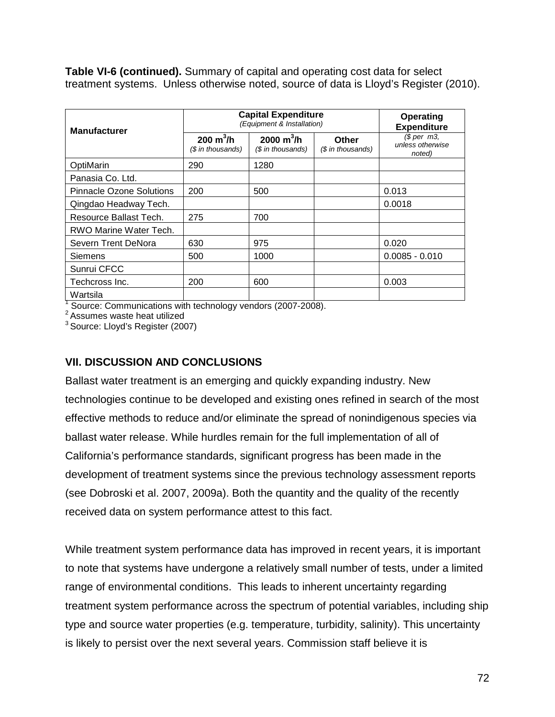**Table VI-6 (continued).** Summary of capital and operating cost data for select treatment systems. Unless otherwise noted, source of data is Lloyd's Register (2010).

| <b>Manufacturer</b>             | <b>Capital Expenditure</b><br>(Equipment & Installation) |                                   |                                   | Operating<br><b>Expenditure</b>           |  |
|---------------------------------|----------------------------------------------------------|-----------------------------------|-----------------------------------|-------------------------------------------|--|
|                                 | $200 \; \text{m}^3/\text{h}$<br>(\$ in thousands)        | 2000 $m^3/h$<br>$$$ in thousands) | <b>Other</b><br>(\$ in thousands) | $$$ per m3,<br>unless otherwise<br>noted) |  |
| OptiMarin                       | 290                                                      | 1280                              |                                   |                                           |  |
| Panasia Co. Ltd.                |                                                          |                                   |                                   |                                           |  |
| <b>Pinnacle Ozone Solutions</b> | 200                                                      | 500                               |                                   | 0.013                                     |  |
| Qingdao Headway Tech.           |                                                          |                                   |                                   | 0.0018                                    |  |
| Resource Ballast Tech.          | 275                                                      | 700                               |                                   |                                           |  |
| RWO Marine Water Tech.          |                                                          |                                   |                                   |                                           |  |
| Severn Trent DeNora             | 630                                                      | 975                               |                                   | 0.020                                     |  |
| <b>Siemens</b>                  | 500                                                      | 1000                              |                                   | $0.0085 - 0.010$                          |  |
| Sunrui CFCC                     |                                                          |                                   |                                   |                                           |  |
| Techcross Inc.                  | 200                                                      | 600                               |                                   | 0.003                                     |  |
| Wartsila                        |                                                          |                                   |                                   |                                           |  |

 $1$  Source: Communications with technology vendors (2007-2008).<br>
<sup>2</sup> Assumes waste heat utilized

3 Source: Lloyd's Register (2007)

#### **VII. DISCUSSION AND CONCLUSIONS**

Ballast water treatment is an emerging and quickly expanding industry. New technologies continue to be developed and existing ones refined in search of the most effective methods to reduce and/or eliminate the spread of nonindigenous species via ballast water release. While hurdles remain for the full implementation of all of California's performance standards, significant progress has been made in the development of treatment systems since the previous technology assessment reports (see Dobroski et al. 2007, 2009a). Both the quantity and the quality of the recently received data on system performance attest to this fact.

While treatment system performance data has improved in recent years, it is important to note that systems have undergone a relatively small number of tests, under a limited range of environmental conditions. This leads to inherent uncertainty regarding treatment system performance across the spectrum of potential variables, including ship type and source water properties (e.g. temperature, turbidity, salinity). This uncertainty is likely to persist over the next several years. Commission staff believe it is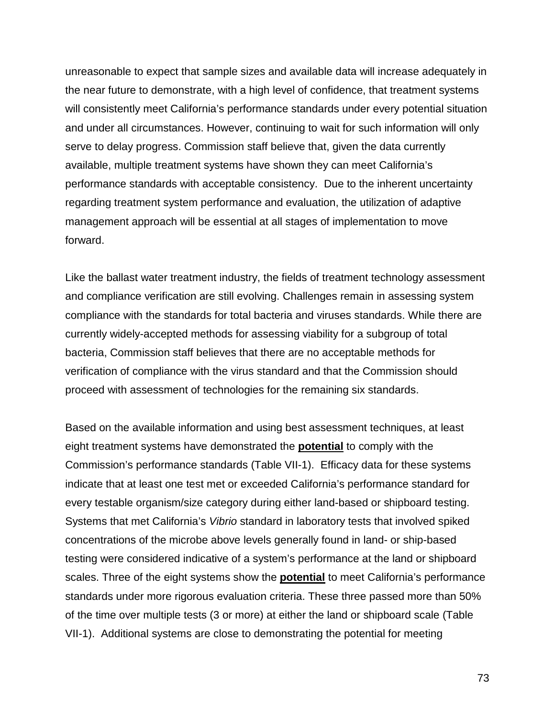unreasonable to expect that sample sizes and available data will increase adequately in the near future to demonstrate, with a high level of confidence, that treatment systems will consistently meet California's performance standards under every potential situation and under all circumstances. However, continuing to wait for such information will only serve to delay progress. Commission staff believe that, given the data currently available, multiple treatment systems have shown they can meet California's performance standards with acceptable consistency. Due to the inherent uncertainty regarding treatment system performance and evaluation, the utilization of adaptive management approach will be essential at all stages of implementation to move forward.

Like the ballast water treatment industry, the fields of treatment technology assessment and compliance verification are still evolving. Challenges remain in assessing system compliance with the standards for total bacteria and viruses standards. While there are currently widely-accepted methods for assessing viability for a subgroup of total bacteria, Commission staff believes that there are no acceptable methods for verification of compliance with the virus standard and that the Commission should proceed with assessment of technologies for the remaining six standards.

Based on the available information and using best assessment techniques, at least eight treatment systems have demonstrated the **potential** to comply with the Commission's performance standards (Table VII-1). Efficacy data for these systems indicate that at least one test met or exceeded California's performance standard for every testable organism/size category during either land-based or shipboard testing. Systems that met California's *Vibrio* standard in laboratory tests that involved spiked concentrations of the microbe above levels generally found in land- or ship-based testing were considered indicative of a system's performance at the land or shipboard scales. Three of the eight systems show the **potential** to meet California's performance standards under more rigorous evaluation criteria. These three passed more than 50% of the time over multiple tests (3 or more) at either the land or shipboard scale (Table VII-1). Additional systems are close to demonstrating the potential for meeting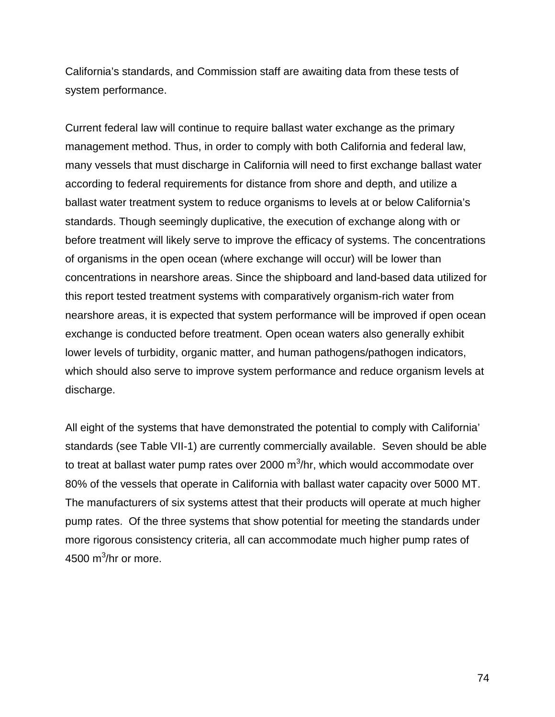California's standards, and Commission staff are awaiting data from these tests of system performance.

Current federal law will continue to require ballast water exchange as the primary management method. Thus, in order to comply with both California and federal law, many vessels that must discharge in California will need to first exchange ballast water according to federal requirements for distance from shore and depth, and utilize a ballast water treatment system to reduce organisms to levels at or below California's standards. Though seemingly duplicative, the execution of exchange along with or before treatment will likely serve to improve the efficacy of systems. The concentrations of organisms in the open ocean (where exchange will occur) will be lower than concentrations in nearshore areas. Since the shipboard and land-based data utilized for this report tested treatment systems with comparatively organism-rich water from nearshore areas, it is expected that system performance will be improved if open ocean exchange is conducted before treatment. Open ocean waters also generally exhibit lower levels of turbidity, organic matter, and human pathogens/pathogen indicators, which should also serve to improve system performance and reduce organism levels at discharge.

All eight of the systems that have demonstrated the potential to comply with California' standards (see Table VII-1) are currently commercially available. Seven should be able to treat at ballast water pump rates over 2000  $\text{m}^3\text{/hr}$ , which would accommodate over 80% of the vessels that operate in California with ballast water capacity over 5000 MT. The manufacturers of six systems attest that their products will operate at much higher pump rates. Of the three systems that show potential for meeting the standards under more rigorous consistency criteria, all can accommodate much higher pump rates of 4500 m $3/$ hr or more.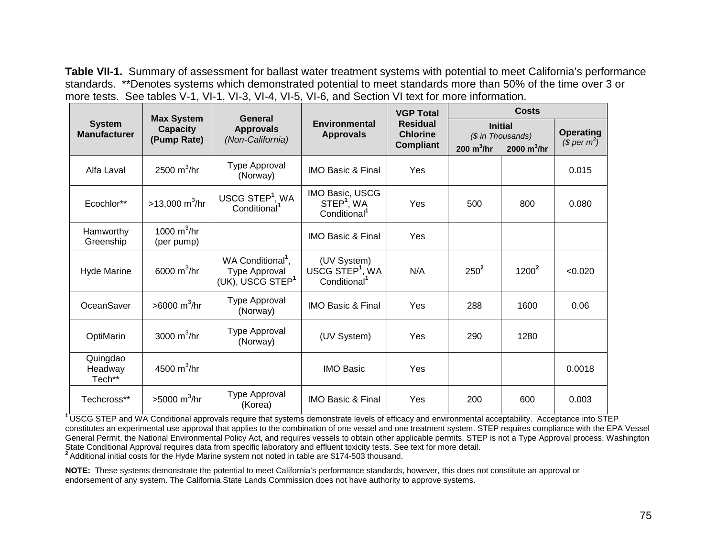**Table VII-1.** Summary of assessment for ballast water treatment systems with potential to meet California's performance standards. \*\*Denotes systems which demonstrated potential to meet standards more than 50% of the time over 3 or more tests. See tables V-1, VI-1, VI-3, VI-4, VI-5, VI-6, and Section VI text for more information.

| <b>System</b><br><b>Manufacturer</b> | <b>Max System</b><br><b>Capacity</b><br>(Pump Rate) | General<br><b>Approvals</b><br>(Non-California)                                | <b>Environmental</b><br><b>Approvals</b>                               | <b>VGP Total</b><br><b>Residual</b><br><b>Chlorine</b><br><b>Compliant</b> | Costs         |                                                      |                                              |
|--------------------------------------|-----------------------------------------------------|--------------------------------------------------------------------------------|------------------------------------------------------------------------|----------------------------------------------------------------------------|---------------|------------------------------------------------------|----------------------------------------------|
|                                      |                                                     |                                                                                |                                                                        |                                                                            | 200 $m^3$ /hr | <b>Initial</b><br>(\$ in Thousands)<br>2000 $m^3/hr$ | <b>Operating</b><br>$$$ per m <sup>3</sup> ) |
| Alfa Laval                           | 2500 $m^3$ /hr                                      | Type Approval<br>(Norway)                                                      | <b>IMO Basic &amp; Final</b>                                           | Yes                                                                        |               |                                                      | 0.015                                        |
| Ecochlor**                           | $>13,000 \text{ m}^3/\text{hr}$                     | USCG STEP <sup>1</sup> , WA<br>Conditional <sup>1</sup>                        | IMO Basic, USCG<br>STEP <sup>1</sup> , WA<br>Conditional <sup>1</sup>  | Yes                                                                        | 500           | 800                                                  | 0.080                                        |
| Hamworthy<br>Greenship               | 1000 $m^3$ /hr<br>(per pump)                        |                                                                                | <b>IMO Basic &amp; Final</b>                                           | Yes                                                                        |               |                                                      |                                              |
| <b>Hyde Marine</b>                   | 6000 $m^3/hr$                                       | WA Conditional <sup>1</sup> ,<br>Type Approval<br>(UK), USCG STEP <sup>1</sup> | (UV System)<br>USCG STEP <sup>1</sup> , WA<br>Conditional <sup>1</sup> | N/A                                                                        | $250^2$       | $1200^2$                                             | < 0.020                                      |
| OceanSaver                           | >6000 m <sup>3</sup> /hr                            | Type Approval<br>(Norway)                                                      | <b>IMO Basic &amp; Final</b>                                           | Yes                                                                        | 288           | 1600                                                 | 0.06                                         |
| OptiMarin                            | 3000 $m^3$ /hr                                      | Type Approval<br>(Norway)                                                      | (UV System)                                                            | Yes                                                                        | 290           | 1280                                                 |                                              |
| Quingdao<br>Headway<br>Tech**        | 4500 $m^3$ /hr                                      |                                                                                | <b>IMO Basic</b>                                                       | Yes                                                                        |               |                                                      | 0.0018                                       |
| Techcross**                          | $>5000 \text{ m}^3/\text{hr}$                       | Type Approval<br>(Korea)                                                       | <b>IMO Basic &amp; Final</b>                                           | Yes                                                                        | 200           | 600                                                  | 0.003                                        |

**<sup>1</sup>**USCG STEP and WA Conditional approvals require that systems demonstrate levels of efficacy and environmental acceptability. Acceptance into STEP constitutes an experimental use approval that applies to the combination of one vessel and one treatment system. STEP requires compliance with the EPA Vessel General Permit, the National Environmental Policy Act, and requires vessels to obtain other applicable permits. STEP is not a Type Approval process. Washington State Conditional Approval requires data from specific laborat <sup>2</sup> Additional initial costs for the Hyde Marine system not noted in table are \$174-503 thousand.

**NOTE:** These systems demonstrate the potential to meet California's performance standards, however, this does not constitute an approval or endorsement of any system. The California State Lands Commission does not have authority to approve systems.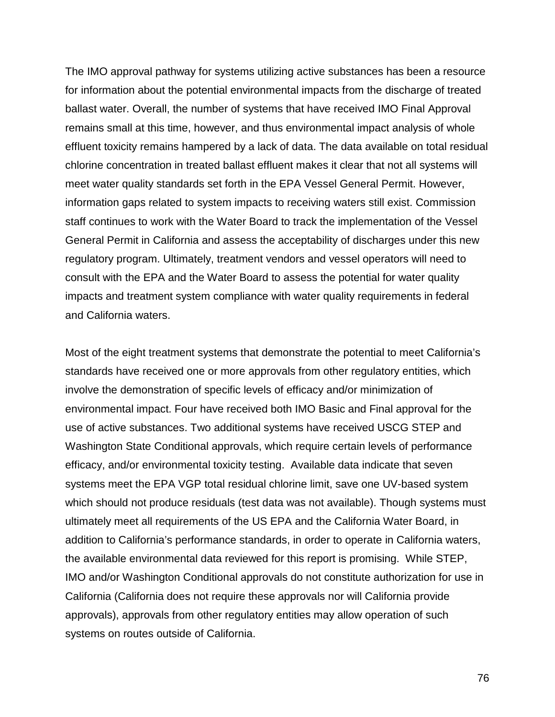The IMO approval pathway for systems utilizing active substances has been a resource for information about the potential environmental impacts from the discharge of treated ballast water. Overall, the number of systems that have received IMO Final Approval remains small at this time, however, and thus environmental impact analysis of whole effluent toxicity remains hampered by a lack of data. The data available on total residual chlorine concentration in treated ballast effluent makes it clear that not all systems will meet water quality standards set forth in the EPA Vessel General Permit. However, information gaps related to system impacts to receiving waters still exist. Commission staff continues to work with the Water Board to track the implementation of the Vessel General Permit in California and assess the acceptability of discharges under this new regulatory program. Ultimately, treatment vendors and vessel operators will need to consult with the EPA and the Water Board to assess the potential for water quality impacts and treatment system compliance with water quality requirements in federal and California waters.

Most of the eight treatment systems that demonstrate the potential to meet California's standards have received one or more approvals from other regulatory entities, which involve the demonstration of specific levels of efficacy and/or minimization of environmental impact. Four have received both IMO Basic and Final approval for the use of active substances. Two additional systems have received USCG STEP and Washington State Conditional approvals, which require certain levels of performance efficacy, and/or environmental toxicity testing. Available data indicate that seven systems meet the EPA VGP total residual chlorine limit, save one UV-based system which should not produce residuals (test data was not available). Though systems must ultimately meet all requirements of the US EPA and the California Water Board, in addition to California's performance standards, in order to operate in California waters, the available environmental data reviewed for this report is promising. While STEP, IMO and/or Washington Conditional approvals do not constitute authorization for use in California (California does not require these approvals nor will California provide approvals), approvals from other regulatory entities may allow operation of such systems on routes outside of California.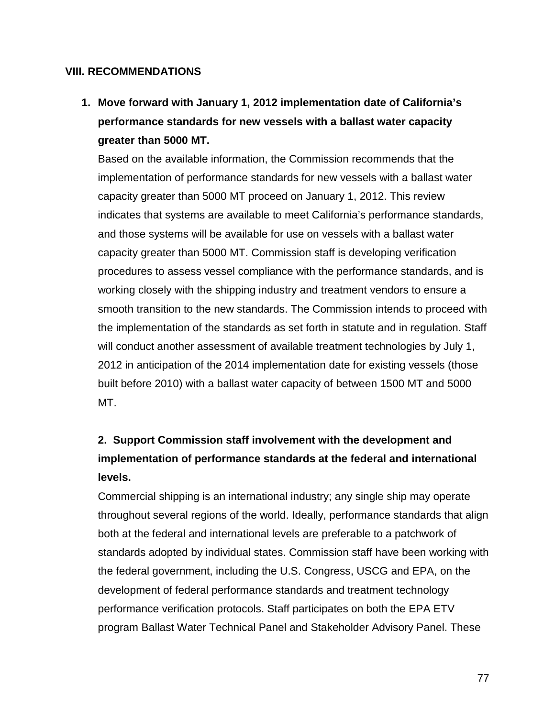#### **VIII. RECOMMENDATIONS**

**1. Move forward with January 1, 2012 implementation date of California's performance standards for new vessels with a ballast water capacity greater than 5000 MT.** 

Based on the available information, the Commission recommends that the implementation of performance standards for new vessels with a ballast water capacity greater than 5000 MT proceed on January 1, 2012. This review indicates that systems are available to meet California's performance standards, and those systems will be available for use on vessels with a ballast water capacity greater than 5000 MT. Commission staff is developing verification procedures to assess vessel compliance with the performance standards, and is working closely with the shipping industry and treatment vendors to ensure a smooth transition to the new standards. The Commission intends to proceed with the implementation of the standards as set forth in statute and in regulation. Staff will conduct another assessment of available treatment technologies by July 1, 2012 in anticipation of the 2014 implementation date for existing vessels (those built before 2010) with a ballast water capacity of between 1500 MT and 5000 MT.

## **2. Support Commission staff involvement with the development and implementation of performance standards at the federal and international levels.**

Commercial shipping is an international industry; any single ship may operate throughout several regions of the world. Ideally, performance standards that align both at the federal and international levels are preferable to a patchwork of standards adopted by individual states. Commission staff have been working with the federal government, including the U.S. Congress, USCG and EPA, on the development of federal performance standards and treatment technology performance verification protocols. Staff participates on both the EPA ETV program Ballast Water Technical Panel and Stakeholder Advisory Panel. These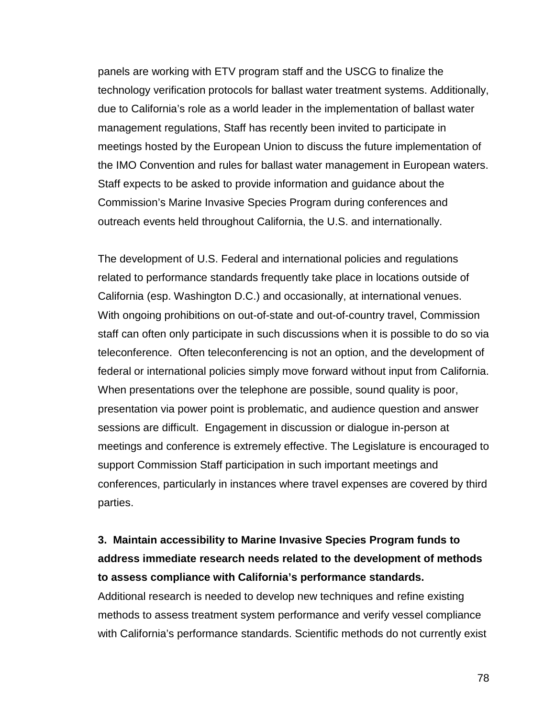panels are working with ETV program staff and the USCG to finalize the technology verification protocols for ballast water treatment systems. Additionally, due to California's role as a world leader in the implementation of ballast water management regulations, Staff has recently been invited to participate in meetings hosted by the European Union to discuss the future implementation of the IMO Convention and rules for ballast water management in European waters. Staff expects to be asked to provide information and guidance about the Commission's Marine Invasive Species Program during conferences and outreach events held throughout California, the U.S. and internationally.

The development of U.S. Federal and international policies and regulations related to performance standards frequently take place in locations outside of California (esp. Washington D.C.) and occasionally, at international venues. With ongoing prohibitions on out-of-state and out-of-country travel, Commission staff can often only participate in such discussions when it is possible to do so via teleconference. Often teleconferencing is not an option, and the development of federal or international policies simply move forward without input from California. When presentations over the telephone are possible, sound quality is poor, presentation via power point is problematic, and audience question and answer sessions are difficult. Engagement in discussion or dialogue in-person at meetings and conference is extremely effective. The Legislature is encouraged to support Commission Staff participation in such important meetings and conferences, particularly in instances where travel expenses are covered by third parties.

## **3. Maintain accessibility to Marine Invasive Species Program funds to address immediate research needs related to the development of methods to assess compliance with California's performance standards.**

Additional research is needed to develop new techniques and refine existing methods to assess treatment system performance and verify vessel compliance with California's performance standards. Scientific methods do not currently exist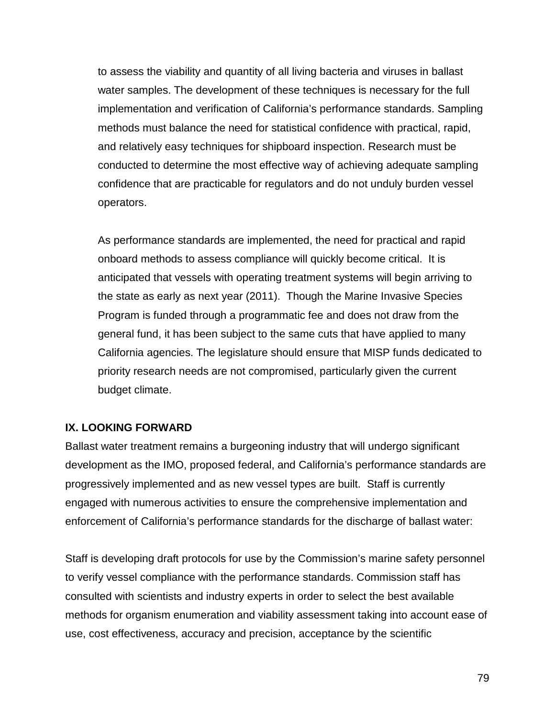to assess the viability and quantity of all living bacteria and viruses in ballast water samples. The development of these techniques is necessary for the full implementation and verification of California's performance standards. Sampling methods must balance the need for statistical confidence with practical, rapid, and relatively easy techniques for shipboard inspection. Research must be conducted to determine the most effective way of achieving adequate sampling confidence that are practicable for regulators and do not unduly burden vessel operators.

As performance standards are implemented, the need for practical and rapid onboard methods to assess compliance will quickly become critical. It is anticipated that vessels with operating treatment systems will begin arriving to the state as early as next year (2011). Though the Marine Invasive Species Program is funded through a programmatic fee and does not draw from the general fund, it has been subject to the same cuts that have applied to many California agencies. The legislature should ensure that MISP funds dedicated to priority research needs are not compromised, particularly given the current budget climate.

#### **IX. LOOKING FORWARD**

Ballast water treatment remains a burgeoning industry that will undergo significant development as the IMO, proposed federal, and California's performance standards are progressively implemented and as new vessel types are built. Staff is currently engaged with numerous activities to ensure the comprehensive implementation and enforcement of California's performance standards for the discharge of ballast water:

Staff is developing draft protocols for use by the Commission's marine safety personnel to verify vessel compliance with the performance standards. Commission staff has consulted with scientists and industry experts in order to select the best available methods for organism enumeration and viability assessment taking into account ease of use, cost effectiveness, accuracy and precision, acceptance by the scientific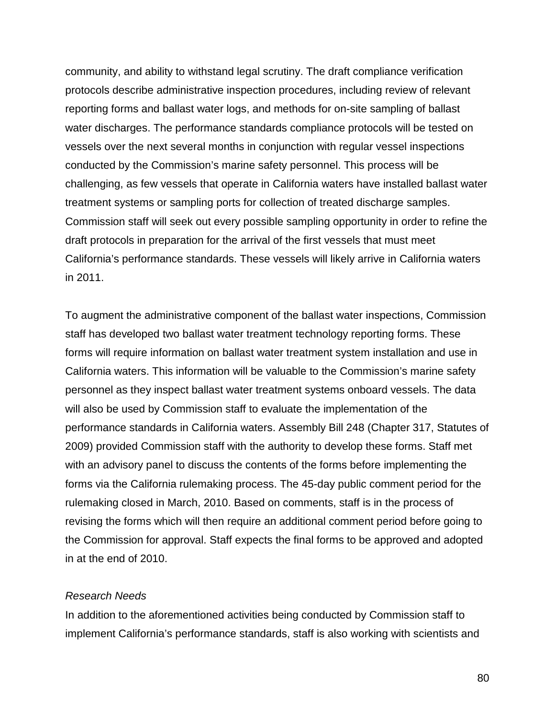community, and ability to withstand legal scrutiny. The draft compliance verification protocols describe administrative inspection procedures, including review of relevant reporting forms and ballast water logs, and methods for on-site sampling of ballast water discharges. The performance standards compliance protocols will be tested on vessels over the next several months in conjunction with regular vessel inspections conducted by the Commission's marine safety personnel. This process will be challenging, as few vessels that operate in California waters have installed ballast water treatment systems or sampling ports for collection of treated discharge samples. Commission staff will seek out every possible sampling opportunity in order to refine the draft protocols in preparation for the arrival of the first vessels that must meet California's performance standards. These vessels will likely arrive in California waters in 2011.

To augment the administrative component of the ballast water inspections, Commission staff has developed two ballast water treatment technology reporting forms. These forms will require information on ballast water treatment system installation and use in California waters. This information will be valuable to the Commission's marine safety personnel as they inspect ballast water treatment systems onboard vessels. The data will also be used by Commission staff to evaluate the implementation of the performance standards in California waters. Assembly Bill 248 (Chapter 317, Statutes of 2009) provided Commission staff with the authority to develop these forms. Staff met with an advisory panel to discuss the contents of the forms before implementing the forms via the California rulemaking process. The 45-day public comment period for the rulemaking closed in March, 2010. Based on comments, staff is in the process of revising the forms which will then require an additional comment period before going to the Commission for approval. Staff expects the final forms to be approved and adopted in at the end of 2010.

#### *Research Needs*

In addition to the aforementioned activities being conducted by Commission staff to implement California's performance standards, staff is also working with scientists and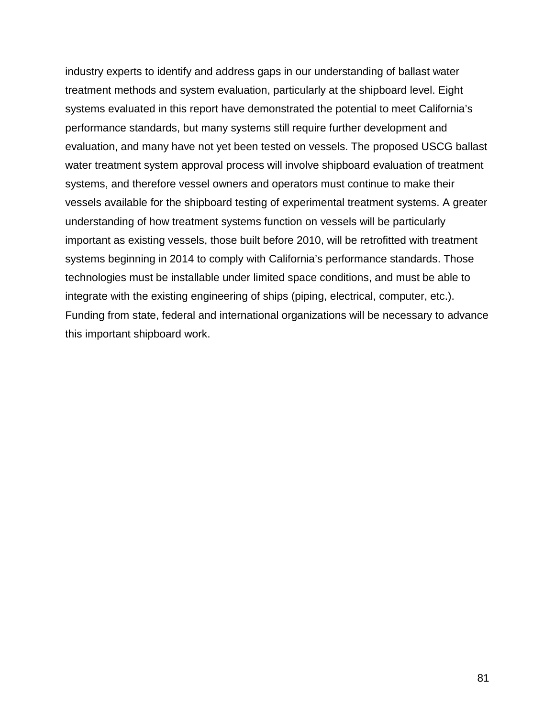industry experts to identify and address gaps in our understanding of ballast water treatment methods and system evaluation, particularly at the shipboard level. Eight systems evaluated in this report have demonstrated the potential to meet California's performance standards, but many systems still require further development and evaluation, and many have not yet been tested on vessels. The proposed USCG ballast water treatment system approval process will involve shipboard evaluation of treatment systems, and therefore vessel owners and operators must continue to make their vessels available for the shipboard testing of experimental treatment systems. A greater understanding of how treatment systems function on vessels will be particularly important as existing vessels, those built before 2010, will be retrofitted with treatment systems beginning in 2014 to comply with California's performance standards. Those technologies must be installable under limited space conditions, and must be able to integrate with the existing engineering of ships (piping, electrical, computer, etc.). Funding from state, federal and international organizations will be necessary to advance this important shipboard work.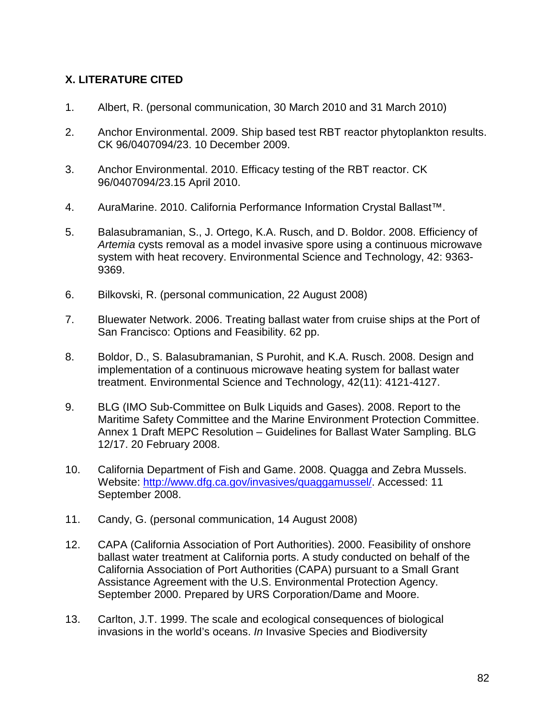### **X. LITERATURE CITED**

- 1. Albert, R. (personal communication, 30 March 2010 and 31 March 2010)
- 2. Anchor Environmental. 2009. Ship based test RBT reactor phytoplankton results. CK 96/0407094/23. 10 December 2009.
- 3. Anchor Environmental. 2010. Efficacy testing of the RBT reactor. CK 96/0407094/23.15 April 2010.
- 4. AuraMarine. 2010. California Performance Information Crystal Ballast™.
- 5. Balasubramanian, S., J. Ortego, K.A. Rusch, and D. Boldor. 2008. Efficiency of *Artemia* cysts removal as a model invasive spore using a continuous microwave system with heat recovery. Environmental Science and Technology, 42: 9363- 9369.
- 6. Bilkovski, R. (personal communication, 22 August 2008)
- 7. Bluewater Network. 2006. Treating ballast water from cruise ships at the Port of San Francisco: Options and Feasibility. 62 pp.
- 8. Boldor, D., S. Balasubramanian, S Purohit, and K.A. Rusch. 2008. Design and implementation of a continuous microwave heating system for ballast water treatment. Environmental Science and Technology, 42(11): 4121-4127.
- 9. BLG (IMO Sub-Committee on Bulk Liquids and Gases). 2008. Report to the Maritime Safety Committee and the Marine Environment Protection Committee. Annex 1 Draft MEPC Resolution – Guidelines for Ballast Water Sampling. BLG 12/17. 20 February 2008.
- 10. California Department of Fish and Game. 2008. Quagga and Zebra Mussels. Website: [http://www.dfg.ca.gov/invasives/quaggamussel/.](http://http/www.dfg.ca.gov/invasives/quaggamussel/) Accessed: 11 September 2008.
- 11. Candy, G. (personal communication, 14 August 2008)
- 12. CAPA (California Association of Port Authorities). 2000. Feasibility of onshore ballast water treatment at California ports. A study conducted on behalf of the California Association of Port Authorities (CAPA) pursuant to a Small Grant Assistance Agreement with the U.S. Environmental Protection Agency. September 2000. Prepared by URS Corporation/Dame and Moore.
- 13. Carlton, J.T. 1999. The scale and ecological consequences of biological invasions in the world's oceans. *In* Invasive Species and Biodiversity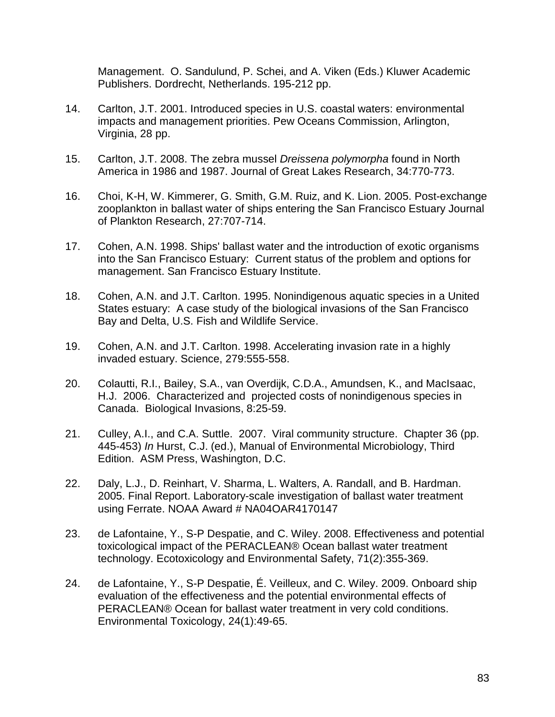Management. O. Sandulund, P. Schei, and A. Viken (Eds.) Kluwer Academic Publishers. Dordrecht, Netherlands. 195-212 pp.

- 14. Carlton, J.T. 2001. Introduced species in U.S. coastal waters: environmental impacts and management priorities. Pew Oceans Commission, Arlington, Virginia, 28 pp.
- 15. Carlton, J.T. 2008. The zebra mussel *Dreissena polymorpha* found in North America in 1986 and 1987. Journal of Great Lakes Research, 34:770-773.
- 16. Choi, K-H, W. Kimmerer, G. Smith, G.M. Ruiz, and K. Lion. 2005. Post-exchange zooplankton in ballast water of ships entering the San Francisco Estuary Journal of Plankton Research, 27:707-714.
- 17. Cohen, A.N. 1998. Ships' ballast water and the introduction of exotic organisms into the San Francisco Estuary: Current status of the problem and options for management. San Francisco Estuary Institute.
- 18. Cohen, A.N. and J.T. Carlton. 1995. Nonindigenous aquatic species in a United States estuary: A case study of the biological invasions of the San Francisco Bay and Delta, U.S. Fish and Wildlife Service.
- 19. Cohen, A.N. and J.T. Carlton. 1998. Accelerating invasion rate in a highly invaded estuary. Science, 279:555-558.
- 20. Colautti, R.I., Bailey, S.A., van Overdijk, C.D.A., Amundsen, K., and MacIsaac, H.J. 2006. Characterized and projected costs of nonindigenous species in Canada. Biological Invasions, 8:25-59.
- 21. Culley, A.I., and C.A. Suttle. 2007. Viral community structure. Chapter 36 (pp. 445-453) *In* Hurst, C.J. (ed.), Manual of Environmental Microbiology, Third Edition. ASM Press, Washington, D.C.
- 22. Daly, L.J., D. Reinhart, V. Sharma, L. Walters, A. Randall, and B. Hardman. 2005. Final Report. Laboratory-scale investigation of ballast water treatment using Ferrate. NOAA Award # NA04OAR4170147
- 23. de Lafontaine, Y., S-P Despatie, and C. Wiley. 2008. Effectiveness and potential toxicological impact of the PERACLEAN® Ocean ballast water treatment technology. Ecotoxicology and Environmental Safety, 71(2):355-369.
- 24. de Lafontaine, Y., S-P Despatie, É. Veilleux, and C. Wiley. 2009. Onboard ship evaluation of the effectiveness and the potential environmental effects of PERACLEAN® Ocean for ballast water treatment in very cold conditions. Environmental Toxicology, 24(1):49-65.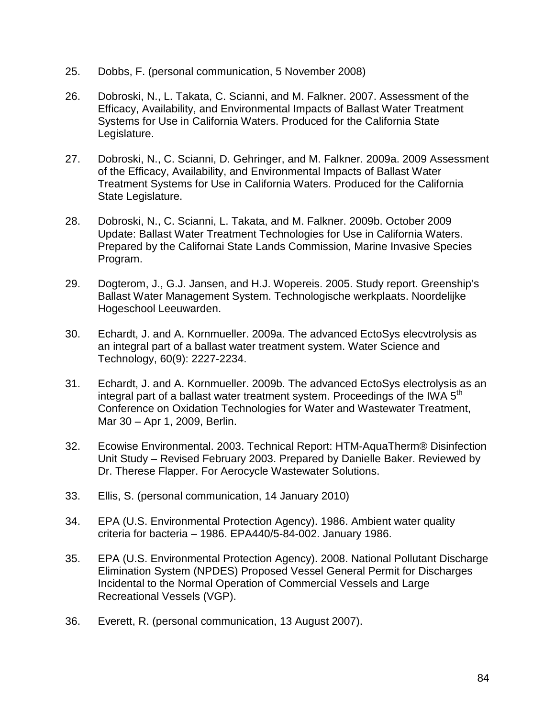- 25. Dobbs, F. (personal communication, 5 November 2008)
- 26. Dobroski, N., L. Takata, C. Scianni, and M. Falkner. 2007. Assessment of the Efficacy, Availability, and Environmental Impacts of Ballast Water Treatment Systems for Use in California Waters. Produced for the California State Legislature.
- 27. Dobroski, N., C. Scianni, D. Gehringer, and M. Falkner. 2009a. 2009 Assessment of the Efficacy, Availability, and Environmental Impacts of Ballast Water Treatment Systems for Use in California Waters. Produced for the California State Legislature.
- 28. Dobroski, N., C. Scianni, L. Takata, and M. Falkner. 2009b. October 2009 Update: Ballast Water Treatment Technologies for Use in California Waters. Prepared by the Californai State Lands Commission, Marine Invasive Species Program.
- 29. Dogterom, J., G.J. Jansen, and H.J. Wopereis. 2005. Study report. Greenship's Ballast Water Management System. Technologische werkplaats. Noordelijke Hogeschool Leeuwarden.
- 30. Echardt, J. and A. Kornmueller. 2009a. The advanced EctoSys elecvtrolysis as an integral part of a ballast water treatment system. Water Science and Technology, 60(9): 2227-2234.
- 31. Echardt, J. and A. Kornmueller. 2009b. The advanced EctoSys electrolysis as an integral part of a ballast water treatment system. Proceedings of the IWA  $5<sup>th</sup>$ Conference on Oxidation Technologies for Water and Wastewater Treatment, Mar 30 – Apr 1, 2009, Berlin.
- 32. Ecowise Environmental. 2003. Technical Report: HTM-AquaTherm® Disinfection Unit Study – Revised February 2003. Prepared by Danielle Baker. Reviewed by Dr. Therese Flapper. For Aerocycle Wastewater Solutions.
- 33. Ellis, S. (personal communication, 14 January 2010)
- 34. EPA (U.S. Environmental Protection Agency). 1986. Ambient water quality criteria for bacteria – 1986. EPA440/5-84-002. January 1986.
- 35. EPA (U.S. Environmental Protection Agency). 2008. National Pollutant Discharge Elimination System (NPDES) Proposed Vessel General Permit for Discharges Incidental to the Normal Operation of Commercial Vessels and Large Recreational Vessels (VGP).
- 36. Everett, R. (personal communication, 13 August 2007).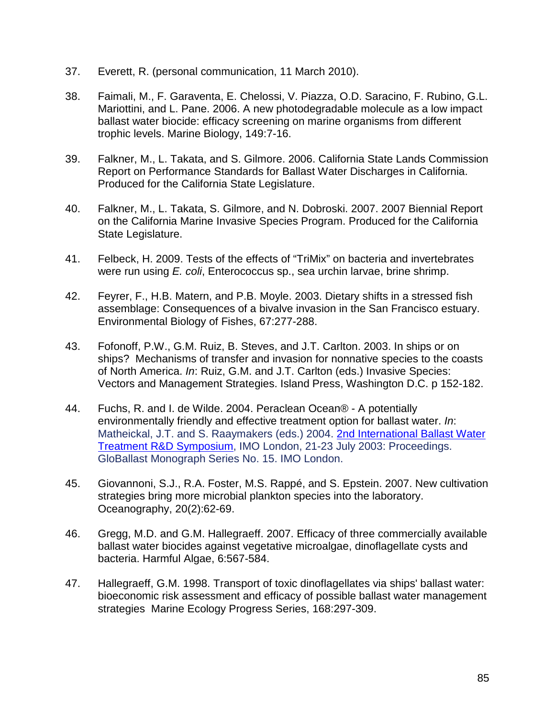- 37. Everett, R. (personal communication, 11 March 2010).
- 38. Faimali, M., F. Garaventa, E. Chelossi, V. Piazza, O.D. Saracino, F. Rubino, G.L. Mariottini, and L. Pane. 2006. A new photodegradable molecule as a low impact ballast water biocide: efficacy screening on marine organisms from different trophic levels. Marine Biology, 149:7-16.
- 39. Falkner, M., L. Takata, and S. Gilmore. 2006. California State Lands Commission Report on Performance Standards for Ballast Water Discharges in California. Produced for the California State Legislature.
- 40. Falkner, M., L. Takata, S. Gilmore, and N. Dobroski. 2007. 2007 Biennial Report on the California Marine Invasive Species Program. Produced for the California State Legislature.
- 41. Felbeck, H. 2009. Tests of the effects of "TriMix" on bacteria and invertebrates were run using *E. coli*, Enterococcus sp., sea urchin larvae, brine shrimp.
- 42. Feyrer, F., H.B. Matern, and P.B. Moyle. 2003. Dietary shifts in a stressed fish assemblage: Consequences of a bivalve invasion in the San Francisco estuary. Environmental Biology of Fishes, 67:277-288.
- 43. Fofonoff, P.W., G.M. Ruiz, B. Steves, and J.T. Carlton. 2003. In ships or on ships? Mechanisms of transfer and invasion for nonnative species to the coasts of North America. *In*: Ruiz, G.M. and J.T. Carlton (eds.) Invasive Species: Vectors and Management Strategies. Island Press, Washington D.C. p 152-182.
- 44. Fuchs, R. and I. de Wilde. 2004. Peraclean Ocean® A potentially environmentally friendly and effective treatment option for ballast water. *In*: Matheickal, J.T. and S. Raaymakers (eds.) 2004. [2nd International Ballast Water](http://globallast.imo.org/monograph%2015%20RandD%20Symposium.pdf)  [Treatment R&D Symposium,](http://globallast.imo.org/monograph%2015%20RandD%20Symposium.pdf) IMO London, 21-23 July 2003: Proceedings. GloBallast Monograph Series No. 15. IMO London.
- 45. Giovannoni, S.J., R.A. Foster, M.S. Rappé, and S. Epstein. 2007. New cultivation strategies bring more microbial plankton species into the laboratory. Oceanography, 20(2):62-69.
- 46. Gregg, M.D. and G.M. Hallegraeff. 2007. Efficacy of three commercially available ballast water biocides against vegetative microalgae, dinoflagellate cysts and bacteria. Harmful Algae, 6:567-584.
- 47. Hallegraeff, G.M. 1998. Transport of toxic dinoflagellates via ships' ballast water: bioeconomic risk assessment and efficacy of possible ballast water management strategies Marine Ecology Progress Series, 168:297-309.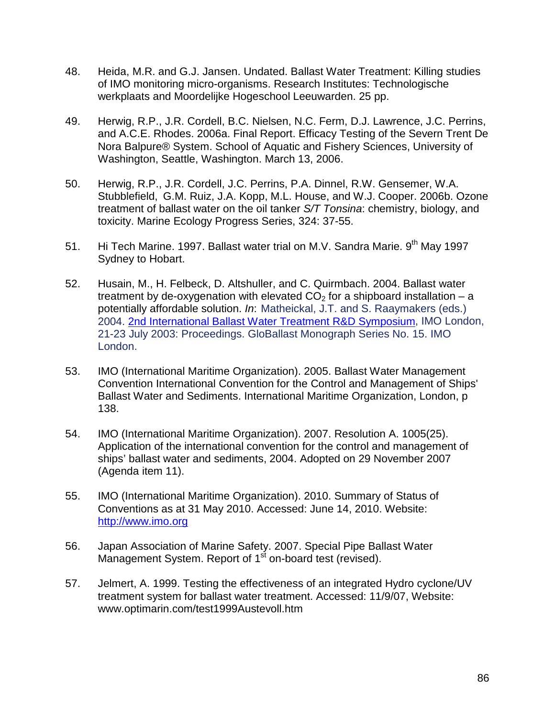- 48. Heida, M.R. and G.J. Jansen. Undated. Ballast Water Treatment: Killing studies of IMO monitoring micro-organisms. Research Institutes: Technologische werkplaats and Moordelijke Hogeschool Leeuwarden. 25 pp.
- 49. Herwig, R.P., J.R. Cordell, B.C. Nielsen, N.C. Ferm, D.J. Lawrence, J.C. Perrins, and A.C.E. Rhodes. 2006a. Final Report. Efficacy Testing of the Severn Trent De Nora Balpure® System. School of Aquatic and Fishery Sciences, University of Washington, Seattle, Washington. March 13, 2006.
- 50. Herwig, R.P., J.R. Cordell, J.C. Perrins, P.A. Dinnel, R.W. Gensemer, W.A. Stubblefield, G.M. Ruiz, J.A. Kopp, M.L. House, and W.J. Cooper. 2006b. Ozone treatment of ballast water on the oil tanker *S/T Tonsina*: chemistry, biology, and toxicity. Marine Ecology Progress Series, 324: 37-55.
- 51. Hi Tech Marine. 1997. Ballast water trial on M.V. Sandra Marie. 9<sup>th</sup> Mav 1997 Sydney to Hobart.
- 52. Husain, M., H. Felbeck, D. Altshuller, and C. Quirmbach. 2004. Ballast water treatment by de-oxygenation with elevated  $CO<sub>2</sub>$  for a shipboard installation – a potentially affordable solution. *In*: Matheickal, J.T. and S. Raaymakers (eds.) 2004. [2nd International Ballast Water Treatment R&D Symposium,](http://globallast.imo.org/monograph%2015%20RandD%20Symposium.pdf) IMO London, 21-23 July 2003: Proceedings. GloBallast Monograph Series No. 15. IMO London.
- 53. IMO (International Maritime Organization). 2005. Ballast Water Management Convention International Convention for the Control and Management of Ships' Ballast Water and Sediments. International Maritime Organization, London, p 138.
- 54. IMO (International Maritime Organization). 2007. Resolution A. 1005(25). Application of the international convention for the control and management of ships' ballast water and sediments, 2004. Adopted on 29 November 2007 (Agenda item 11).
- 55. IMO (International Maritime Organization). 2010. Summary of Status of Conventions as at 31 May 2010. Accessed: June 14, 2010. Website: [http://www.imo.org](http://www.imo.org/)
- 56. Japan Association of Marine Safety. 2007. Special Pipe Ballast Water Management System. Report of 1<sup>st</sup> on-board test (revised).
- 57. Jelmert, A. 1999. Testing the effectiveness of an integrated Hydro cyclone/UV treatment system for ballast water treatment. Accessed: 11/9/07, Website: www.optimarin.com/test1999Austevoll.htm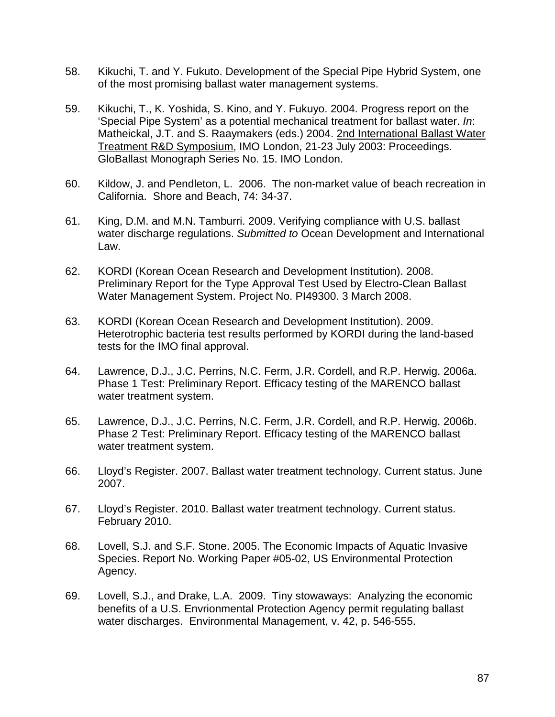- 58. Kikuchi, T. and Y. Fukuto. Development of the Special Pipe Hybrid System, one of the most promising ballast water management systems.
- 59. Kikuchi, T., K. Yoshida, S. Kino, and Y. Fukuyo. 2004. Progress report on the 'Special Pipe System' as a potential mechanical treatment for ballast water. *In*: Matheickal, J.T. and S. Raaymakers (eds.) 2004. [2nd International Ballast Water](http://globallast.imo.org/monograph%2015%20RandD%20Symposium.pdf)  [Treatment R&D Symposium,](http://globallast.imo.org/monograph%2015%20RandD%20Symposium.pdf) IMO London, 21-23 July 2003: Proceedings. GloBallast Monograph Series No. 15. IMO London.
- 60. Kildow, J. and Pendleton, L. 2006. The non-market value of beach recreation in California. Shore and Beach, 74: 34-37.
- 61. King, D.M. and M.N. Tamburri. 2009. Verifying compliance with U.S. ballast water discharge regulations. *Submitted to* Ocean Development and International Law.
- 62. KORDI (Korean Ocean Research and Development Institution). 2008. Preliminary Report for the Type Approval Test Used by Electro-Clean Ballast Water Management System. Project No. PI49300. 3 March 2008.
- 63. KORDI (Korean Ocean Research and Development Institution). 2009. Heterotrophic bacteria test results performed by KORDI during the land-based tests for the IMO final approval.
- 64. Lawrence, D.J., J.C. Perrins, N.C. Ferm, J.R. Cordell, and R.P. Herwig. 2006a. Phase 1 Test: Preliminary Report. Efficacy testing of the MARENCO ballast water treatment system.
- 65. Lawrence, D.J., J.C. Perrins, N.C. Ferm, J.R. Cordell, and R.P. Herwig. 2006b. Phase 2 Test: Preliminary Report. Efficacy testing of the MARENCO ballast water treatment system.
- 66. Lloyd's Register. 2007. Ballast water treatment technology. Current status. June 2007.
- 67. Lloyd's Register. 2010. Ballast water treatment technology. Current status. February 2010.
- 68. Lovell, S.J. and S.F. Stone. 2005. The Economic Impacts of Aquatic Invasive Species. Report No. Working Paper #05-02, US Environmental Protection Agency.
- 69. Lovell, S.J., and Drake, L.A. 2009. Tiny stowaways: Analyzing the economic benefits of a U.S. Envrionmental Protection Agency permit regulating ballast water discharges. Environmental Management, v. 42, p. 546-555.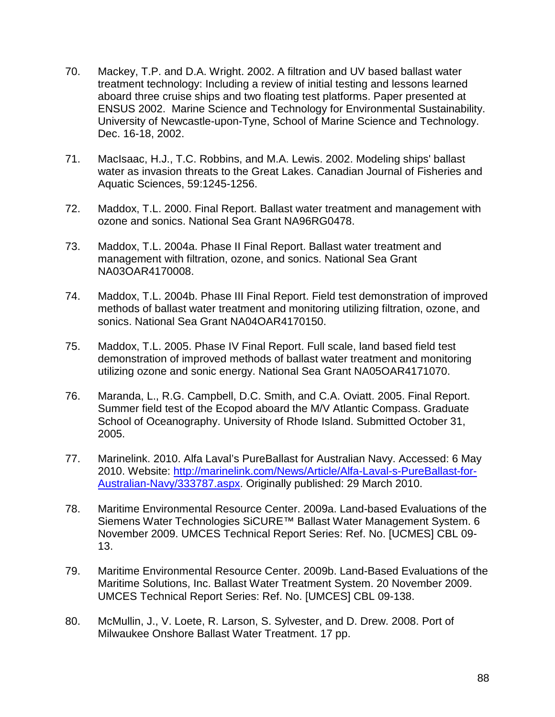- 70. Mackey, T.P. and D.A. Wright. 2002. A filtration and UV based ballast water treatment technology: Including a review of initial testing and lessons learned aboard three cruise ships and two floating test platforms. Paper presented at ENSUS 2002. Marine Science and Technology for Environmental Sustainability. University of Newcastle-upon-Tyne, School of Marine Science and Technology. Dec. 16-18, 2002.
- 71. MacIsaac, H.J., T.C. Robbins, and M.A. Lewis. 2002. Modeling ships' ballast water as invasion threats to the Great Lakes. Canadian Journal of Fisheries and Aquatic Sciences, 59:1245-1256.
- 72. Maddox, T.L. 2000. Final Report. Ballast water treatment and management with ozone and sonics. National Sea Grant NA96RG0478.
- 73. Maddox, T.L. 2004a. Phase II Final Report. Ballast water treatment and management with filtration, ozone, and sonics. National Sea Grant NA03OAR4170008.
- 74. Maddox, T.L. 2004b. Phase III Final Report. Field test demonstration of improved methods of ballast water treatment and monitoring utilizing filtration, ozone, and sonics. National Sea Grant NA04OAR4170150.
- 75. Maddox, T.L. 2005. Phase IV Final Report. Full scale, land based field test demonstration of improved methods of ballast water treatment and monitoring utilizing ozone and sonic energy. National Sea Grant NA05OAR4171070.
- 76. Maranda, L., R.G. Campbell, D.C. Smith, and C.A. Oviatt. 2005. Final Report. Summer field test of the Ecopod aboard the M/V Atlantic Compass. Graduate School of Oceanography. University of Rhode Island. Submitted October 31, 2005.
- 77. Marinelink. 2010. Alfa Laval's PureBallast for Australian Navy. Accessed: 6 May 2010. Website: [http://marinelink.com/News/Article/Alfa-Laval-s-PureBallast-for-](http://marinelink.com/News/Article/Alfa-Laval-s-PureBallast-for-Australian-Navy/333787.aspx)[Australian-Navy/333787.aspx.](http://marinelink.com/News/Article/Alfa-Laval-s-PureBallast-for-Australian-Navy/333787.aspx) Originally published: 29 March 2010.
- 78. Maritime Environmental Resource Center. 2009a. Land-based Evaluations of the Siemens Water Technologies SiCURE™ Ballast Water Management System. 6 November 2009. UMCES Technical Report Series: Ref. No. [UCMES] CBL 09- 13.
- 79. Maritime Environmental Resource Center. 2009b. Land-Based Evaluations of the Maritime Solutions, Inc. Ballast Water Treatment System. 20 November 2009. UMCES Technical Report Series: Ref. No. [UMCES] CBL 09-138.
- 80. McMullin, J., V. Loete, R. Larson, S. Sylvester, and D. Drew. 2008. Port of Milwaukee Onshore Ballast Water Treatment. 17 pp.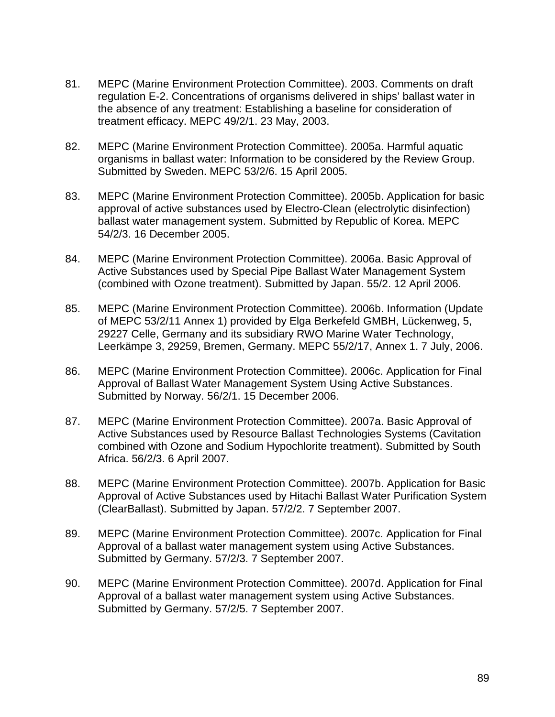- 81. MEPC (Marine Environment Protection Committee). 2003. Comments on draft regulation E-2. Concentrations of organisms delivered in ships' ballast water in the absence of any treatment: Establishing a baseline for consideration of treatment efficacy. MEPC 49/2/1. 23 May, 2003.
- 82. MEPC (Marine Environment Protection Committee). 2005a. Harmful aquatic organisms in ballast water: Information to be considered by the Review Group. Submitted by Sweden. MEPC 53/2/6. 15 April 2005.
- 83. MEPC (Marine Environment Protection Committee). 2005b. Application for basic approval of active substances used by Electro-Clean (electrolytic disinfection) ballast water management system. Submitted by Republic of Korea. MEPC 54/2/3. 16 December 2005.
- 84. MEPC (Marine Environment Protection Committee). 2006a. Basic Approval of Active Substances used by Special Pipe Ballast Water Management System (combined with Ozone treatment). Submitted by Japan. 55/2. 12 April 2006.
- 85. MEPC (Marine Environment Protection Committee). 2006b. Information (Update of MEPC 53/2/11 Annex 1) provided by Elga Berkefeld GMBH, Lückenweg, 5, 29227 Celle, Germany and its subsidiary RWO Marine Water Technology, Leerkämpe 3, 29259, Bremen, Germany. MEPC 55/2/17, Annex 1. 7 July, 2006.
- 86. MEPC (Marine Environment Protection Committee). 2006c. Application for Final Approval of Ballast Water Management System Using Active Substances. Submitted by Norway. 56/2/1. 15 December 2006.
- 87. MEPC (Marine Environment Protection Committee). 2007a. Basic Approval of Active Substances used by Resource Ballast Technologies Systems (Cavitation combined with Ozone and Sodium Hypochlorite treatment). Submitted by South Africa. 56/2/3. 6 April 2007.
- 88. MEPC (Marine Environment Protection Committee). 2007b. Application for Basic Approval of Active Substances used by Hitachi Ballast Water Purification System (ClearBallast). Submitted by Japan. 57/2/2. 7 September 2007.
- 89. MEPC (Marine Environment Protection Committee). 2007c. Application for Final Approval of a ballast water management system using Active Substances. Submitted by Germany. 57/2/3. 7 September 2007.
- 90. MEPC (Marine Environment Protection Committee). 2007d. Application for Final Approval of a ballast water management system using Active Substances. Submitted by Germany. 57/2/5. 7 September 2007.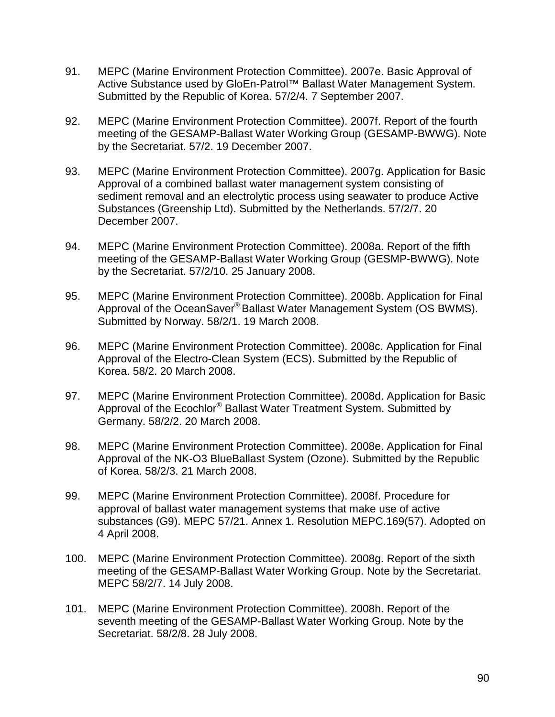- 91. MEPC (Marine Environment Protection Committee). 2007e. Basic Approval of Active Substance used by GloEn-Patrol™ Ballast Water Management System. Submitted by the Republic of Korea. 57/2/4. 7 September 2007.
- 92. MEPC (Marine Environment Protection Committee). 2007f. Report of the fourth meeting of the GESAMP-Ballast Water Working Group (GESAMP-BWWG). Note by the Secretariat. 57/2. 19 December 2007.
- 93. MEPC (Marine Environment Protection Committee). 2007g. Application for Basic Approval of a combined ballast water management system consisting of sediment removal and an electrolytic process using seawater to produce Active Substances (Greenship Ltd). Submitted by the Netherlands. 57/2/7. 20 December 2007.
- 94. MEPC (Marine Environment Protection Committee). 2008a. Report of the fifth meeting of the GESAMP-Ballast Water Working Group (GESMP-BWWG). Note by the Secretariat. 57/2/10. 25 January 2008.
- 95. MEPC (Marine Environment Protection Committee). 2008b. Application for Final Approval of the OceanSaver® Ballast Water Management System (OS BWMS). Submitted by Norway. 58/2/1. 19 March 2008.
- 96. MEPC (Marine Environment Protection Committee). 2008c. Application for Final Approval of the Electro-Clean System (ECS). Submitted by the Republic of Korea. 58/2. 20 March 2008.
- 97. MEPC (Marine Environment Protection Committee). 2008d. Application for Basic Approval of the Ecochlor® Ballast Water Treatment System. Submitted by Germany. 58/2/2. 20 March 2008.
- 98. MEPC (Marine Environment Protection Committee). 2008e. Application for Final Approval of the NK-O3 BlueBallast System (Ozone). Submitted by the Republic of Korea. 58/2/3. 21 March 2008.
- 99. MEPC (Marine Environment Protection Committee). 2008f. Procedure for approval of ballast water management systems that make use of active substances (G9). MEPC 57/21. Annex 1. Resolution MEPC.169(57). Adopted on 4 April 2008.
- 100. MEPC (Marine Environment Protection Committee). 2008g. Report of the sixth meeting of the GESAMP-Ballast Water Working Group. Note by the Secretariat. MEPC 58/2/7. 14 July 2008.
- 101. MEPC (Marine Environment Protection Committee). 2008h. Report of the seventh meeting of the GESAMP-Ballast Water Working Group. Note by the Secretariat. 58/2/8. 28 July 2008.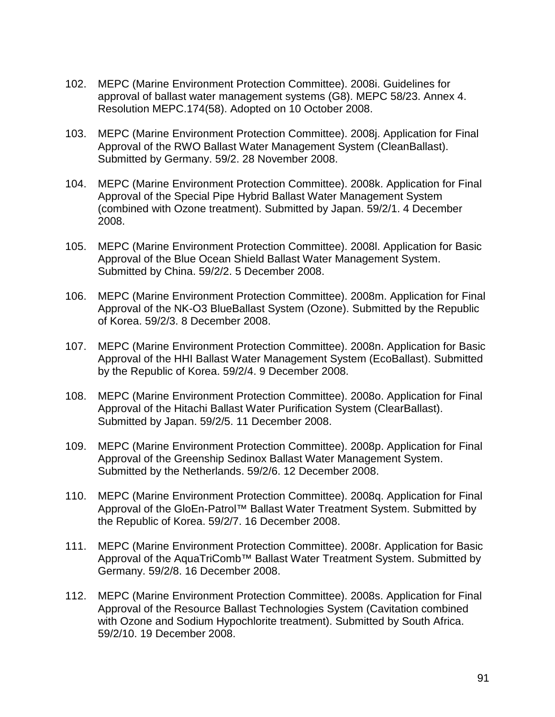- 102. MEPC (Marine Environment Protection Committee). 2008i. Guidelines for approval of ballast water management systems (G8). MEPC 58/23. Annex 4. Resolution MEPC.174(58). Adopted on 10 October 2008.
- 103. MEPC (Marine Environment Protection Committee). 2008j. Application for Final Approval of the RWO Ballast Water Management System (CleanBallast). Submitted by Germany. 59/2. 28 November 2008.
- 104. MEPC (Marine Environment Protection Committee). 2008k. Application for Final Approval of the Special Pipe Hybrid Ballast Water Management System (combined with Ozone treatment). Submitted by Japan. 59/2/1. 4 December 2008.
- 105. MEPC (Marine Environment Protection Committee). 2008l. Application for Basic Approval of the Blue Ocean Shield Ballast Water Management System. Submitted by China. 59/2/2. 5 December 2008.
- 106. MEPC (Marine Environment Protection Committee). 2008m. Application for Final Approval of the NK-O3 BlueBallast System (Ozone). Submitted by the Republic of Korea. 59/2/3. 8 December 2008.
- 107. MEPC (Marine Environment Protection Committee). 2008n. Application for Basic Approval of the HHI Ballast Water Management System (EcoBallast). Submitted by the Republic of Korea. 59/2/4. 9 December 2008.
- 108. MEPC (Marine Environment Protection Committee). 2008o. Application for Final Approval of the Hitachi Ballast Water Purification System (ClearBallast). Submitted by Japan. 59/2/5. 11 December 2008.
- 109. MEPC (Marine Environment Protection Committee). 2008p. Application for Final Approval of the Greenship Sedinox Ballast Water Management System. Submitted by the Netherlands. 59/2/6. 12 December 2008.
- 110. MEPC (Marine Environment Protection Committee). 2008q. Application for Final Approval of the GloEn-Patrol<sup>™</sup> Ballast Water Treatment System. Submitted by the Republic of Korea. 59/2/7. 16 December 2008.
- 111. MEPC (Marine Environment Protection Committee). 2008r. Application for Basic Approval of the AquaTriComb<sup>™</sup> Ballast Water Treatment System. Submitted by Germany. 59/2/8. 16 December 2008.
- 112. MEPC (Marine Environment Protection Committee). 2008s. Application for Final Approval of the Resource Ballast Technologies System (Cavitation combined with Ozone and Sodium Hypochlorite treatment). Submitted by South Africa. 59/2/10. 19 December 2008.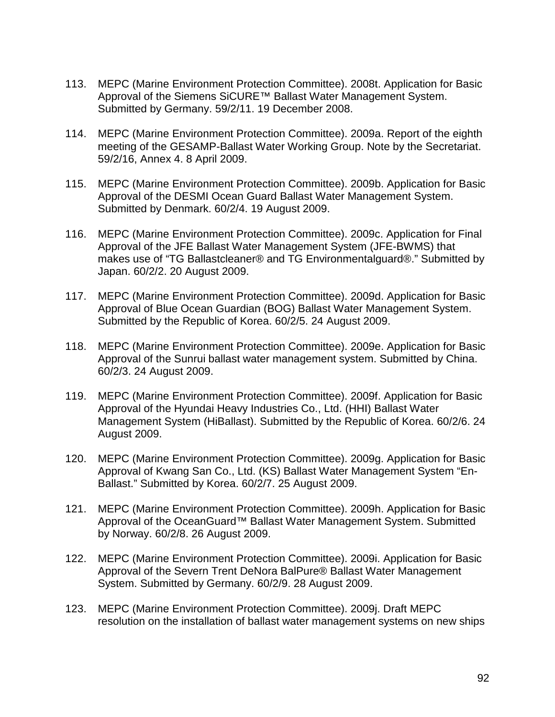- 113. MEPC (Marine Environment Protection Committee). 2008t. Application for Basic Approval of the Siemens SiCURE<sup>™</sup> Ballast Water Management System. Submitted by Germany. 59/2/11. 19 December 2008.
- 114. MEPC (Marine Environment Protection Committee). 2009a. Report of the eighth meeting of the GESAMP-Ballast Water Working Group. Note by the Secretariat. 59/2/16, Annex 4. 8 April 2009.
- 115. MEPC (Marine Environment Protection Committee). 2009b. Application for Basic Approval of the DESMI Ocean Guard Ballast Water Management System. Submitted by Denmark. 60/2/4. 19 August 2009.
- 116. MEPC (Marine Environment Protection Committee). 2009c. Application for Final Approval of the JFE Ballast Water Management System (JFE-BWMS) that makes use of "TG Ballastcleaner® and TG Environmentalguard®." Submitted by Japan. 60/2/2. 20 August 2009.
- 117. MEPC (Marine Environment Protection Committee). 2009d. Application for Basic Approval of Blue Ocean Guardian (BOG) Ballast Water Management System. Submitted by the Republic of Korea. 60/2/5. 24 August 2009.
- 118. MEPC (Marine Environment Protection Committee). 2009e. Application for Basic Approval of the Sunrui ballast water management system. Submitted by China. 60/2/3. 24 August 2009.
- 119. MEPC (Marine Environment Protection Committee). 2009f. Application for Basic Approval of the Hyundai Heavy Industries Co., Ltd. (HHI) Ballast Water Management System (HiBallast). Submitted by the Republic of Korea. 60/2/6. 24 August 2009.
- 120. MEPC (Marine Environment Protection Committee). 2009g. Application for Basic Approval of Kwang San Co., Ltd. (KS) Ballast Water Management System "En-Ballast." Submitted by Korea. 60/2/7. 25 August 2009.
- 121. MEPC (Marine Environment Protection Committee). 2009h. Application for Basic Approval of the OceanGuard™ Ballast Water Management System. Submitted by Norway. 60/2/8. 26 August 2009.
- 122. MEPC (Marine Environment Protection Committee). 2009i. Application for Basic Approval of the Severn Trent DeNora BalPure® Ballast Water Management System. Submitted by Germany. 60/2/9. 28 August 2009.
- 123. MEPC (Marine Environment Protection Committee). 2009j. Draft MEPC resolution on the installation of ballast water management systems on new ships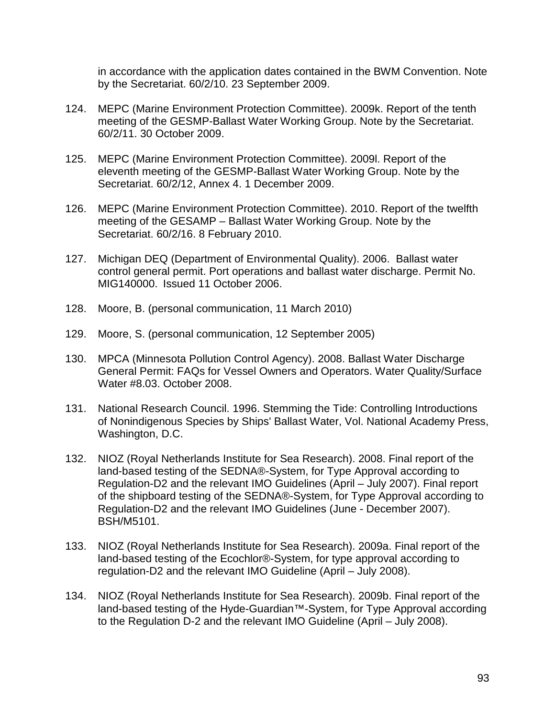in accordance with the application dates contained in the BWM Convention. Note by the Secretariat. 60/2/10. 23 September 2009.

- 124. MEPC (Marine Environment Protection Committee). 2009k. Report of the tenth meeting of the GESMP-Ballast Water Working Group. Note by the Secretariat. 60/2/11. 30 October 2009.
- 125. MEPC (Marine Environment Protection Committee). 2009l. Report of the eleventh meeting of the GESMP-Ballast Water Working Group. Note by the Secretariat. 60/2/12, Annex 4. 1 December 2009.
- 126. MEPC (Marine Environment Protection Committee). 2010. Report of the twelfth meeting of the GESAMP – Ballast Water Working Group. Note by the Secretariat. 60/2/16. 8 February 2010.
- 127. Michigan DEQ (Department of Environmental Quality). 2006. Ballast water control general permit. Port operations and ballast water discharge. Permit No. MIG140000. Issued 11 October 2006.
- 128. Moore, B. (personal communication, 11 March 2010)
- 129. Moore, S. (personal communication, 12 September 2005)
- 130. MPCA (Minnesota Pollution Control Agency). 2008. Ballast Water Discharge General Permit: FAQs for Vessel Owners and Operators. Water Quality/Surface Water #8.03. October 2008.
- 131. National Research Council. 1996. Stemming the Tide: Controlling Introductions of Nonindigenous Species by Ships' Ballast Water, Vol. National Academy Press, Washington, D.C.
- 132. NIOZ (Royal Netherlands Institute for Sea Research). 2008. Final report of the land-based testing of the SEDNA®-System, for Type Approval according to Regulation-D2 and the relevant IMO Guidelines (April – July 2007). Final report of the shipboard testing of the SEDNA®-System, for Type Approval according to Regulation-D2 and the relevant IMO Guidelines (June - December 2007). BSH/M5101.
- 133. NIOZ (Royal Netherlands Institute for Sea Research). 2009a. Final report of the land-based testing of the Ecochlor®-System, for type approval according to regulation-D2 and the relevant IMO Guideline (April – July 2008).
- 134. NIOZ (Royal Netherlands Institute for Sea Research). 2009b. Final report of the land-based testing of the Hyde-Guardian™-System, for Type Approval according to the Regulation D-2 and the relevant IMO Guideline (April – July 2008).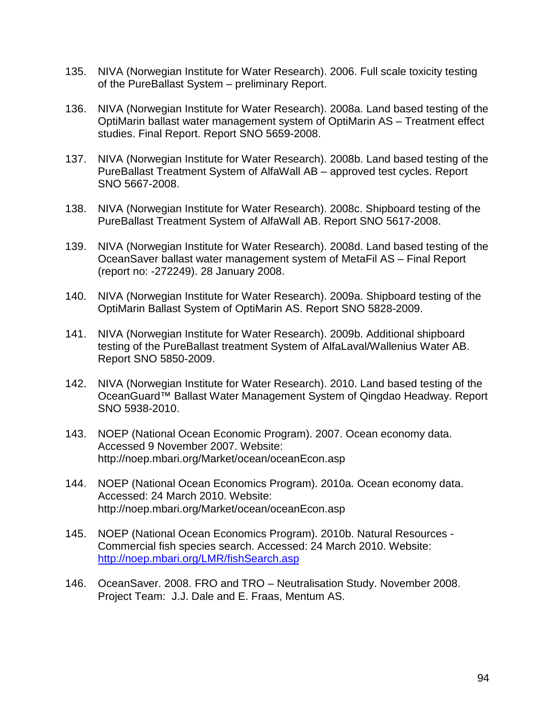- 135. NIVA (Norwegian Institute for Water Research). 2006. Full scale toxicity testing of the PureBallast System – preliminary Report.
- 136. NIVA (Norwegian Institute for Water Research). 2008a. Land based testing of the OptiMarin ballast water management system of OptiMarin AS – Treatment effect studies. Final Report. Report SNO 5659-2008.
- 137. NIVA (Norwegian Institute for Water Research). 2008b. Land based testing of the PureBallast Treatment System of AlfaWall AB – approved test cycles. Report SNO 5667-2008.
- 138. NIVA (Norwegian Institute for Water Research). 2008c. Shipboard testing of the PureBallast Treatment System of AlfaWall AB. Report SNO 5617-2008.
- 139. NIVA (Norwegian Institute for Water Research). 2008d. Land based testing of the OceanSaver ballast water management system of MetaFil AS – Final Report (report no: -272249). 28 January 2008.
- 140. NIVA (Norwegian Institute for Water Research). 2009a. Shipboard testing of the OptiMarin Ballast System of OptiMarin AS. Report SNO 5828-2009.
- 141. NIVA (Norwegian Institute for Water Research). 2009b. Additional shipboard testing of the PureBallast treatment System of AlfaLaval/Wallenius Water AB. Report SNO 5850-2009.
- 142. NIVA (Norwegian Institute for Water Research). 2010. Land based testing of the OceanGuard™ Ballast Water Management System of Qingdao Headway. Report SNO 5938-2010.
- 143. NOEP (National Ocean Economic Program). 2007. Ocean economy data. Accessed 9 November 2007. Website: http://noep.mbari.org/Market/ocean/oceanEcon.asp
- 144. NOEP (National Ocean Economics Program). 2010a. Ocean economy data. Accessed: 24 March 2010. Website: http://noep.mbari.org/Market/ocean/oceanEcon.asp
- 145. NOEP (National Ocean Economics Program). 2010b. Natural Resources Commercial fish species search. Accessed: 24 March 2010. Website: <http://noep.mbari.org/LMR/fishSearch.asp>
- 146. OceanSaver. 2008. FRO and TRO Neutralisation Study. November 2008. Project Team: J.J. Dale and E. Fraas, Mentum AS.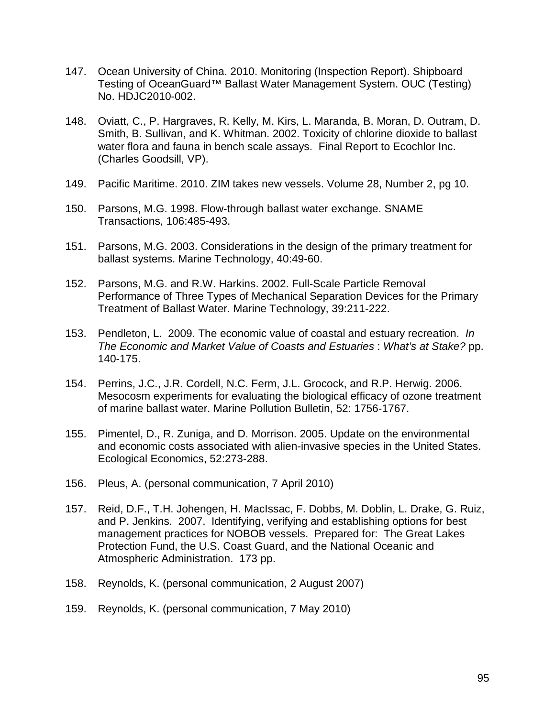- 147. Ocean University of China. 2010. Monitoring (Inspection Report). Shipboard Testing of OceanGuard™ Ballast Water Management System. OUC (Testing) No. HDJC2010-002.
- 148. Oviatt, C., P. Hargraves, R. Kelly, M. Kirs, L. Maranda, B. Moran, D. Outram, D. Smith, B. Sullivan, and K. Whitman. 2002. Toxicity of chlorine dioxide to ballast water flora and fauna in bench scale assays. Final Report to Ecochlor Inc. (Charles Goodsill, VP).
- 149. Pacific Maritime. 2010. ZIM takes new vessels. Volume 28, Number 2, pg 10.
- 150. Parsons, M.G. 1998. Flow-through ballast water exchange. SNAME Transactions, 106:485-493.
- 151. Parsons, M.G. 2003. Considerations in the design of the primary treatment for ballast systems. Marine Technology, 40:49-60.
- 152. Parsons, M.G. and R.W. Harkins. 2002. Full-Scale Particle Removal Performance of Three Types of Mechanical Separation Devices for the Primary Treatment of Ballast Water. Marine Technology, 39:211-222.
- 153. Pendleton, L. 2009. The economic value of coastal and estuary recreation. *In The Economic and Market Value of Coasts and Estuaries* : *What's at Stake?* pp. 140-175.
- 154. Perrins, J.C., J.R. Cordell, N.C. Ferm, J.L. Grocock, and R.P. Herwig. 2006. Mesocosm experiments for evaluating the biological efficacy of ozone treatment of marine ballast water. Marine Pollution Bulletin, 52: 1756-1767.
- 155. Pimentel, D., R. Zuniga, and D. Morrison. 2005. Update on the environmental and economic costs associated with alien-invasive species in the United States. Ecological Economics, 52:273-288.
- 156. Pleus, A. (personal communication, 7 April 2010)
- 157. Reid, D.F., T.H. Johengen, H. MacIssac, F. Dobbs, M. Doblin, L. Drake, G. Ruiz, and P. Jenkins. 2007. Identifying, verifying and establishing options for best management practices for NOBOB vessels. Prepared for: The Great Lakes Protection Fund, the U.S. Coast Guard, and the National Oceanic and Atmospheric Administration. 173 pp.
- 158. Reynolds, K. (personal communication, 2 August 2007)
- 159. Reynolds, K. (personal communication, 7 May 2010)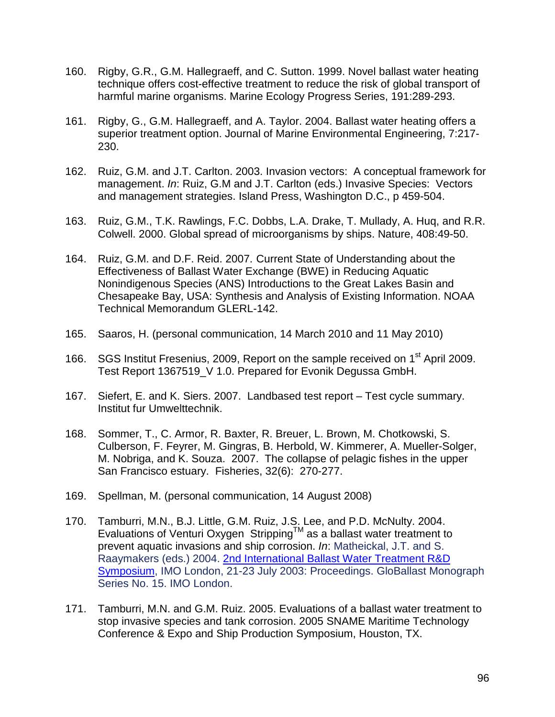- 160. Rigby, G.R., G.M. Hallegraeff, and C. Sutton. 1999. Novel ballast water heating technique offers cost-effective treatment to reduce the risk of global transport of harmful marine organisms. Marine Ecology Progress Series, 191:289-293.
- 161. Rigby, G., G.M. Hallegraeff, and A. Taylor. 2004. Ballast water heating offers a superior treatment option. Journal of Marine Environmental Engineering, 7:217- 230.
- 162. Ruiz, G.M. and J.T. Carlton. 2003. Invasion vectors: A conceptual framework for management. *In*: Ruiz, G.M and J.T. Carlton (eds.) Invasive Species: Vectors and management strategies. Island Press, Washington D.C., p 459-504.
- 163. Ruiz, G.M., T.K. Rawlings, F.C. Dobbs, L.A. Drake, T. Mullady, A. Huq, and R.R. Colwell. 2000. Global spread of microorganisms by ships. Nature, 408:49-50.
- 164. Ruiz, G.M. and D.F. Reid. 2007. Current State of Understanding about the Effectiveness of Ballast Water Exchange (BWE) in Reducing Aquatic Nonindigenous Species (ANS) Introductions to the Great Lakes Basin and Chesapeake Bay, USA: Synthesis and Analysis of Existing Information. NOAA Technical Memorandum GLERL-142.
- 165. Saaros, H. (personal communication, 14 March 2010 and 11 May 2010)
- 166. SGS Institut Fresenius, 2009, Report on the sample received on 1<sup>st</sup> April 2009. Test Report 1367519\_V 1.0. Prepared for Evonik Degussa GmbH.
- 167. Siefert, E. and K. Siers. 2007. Landbased test report Test cycle summary. Institut fur Umwelttechnik.
- 168. Sommer, T., C. Armor, R. Baxter, R. Breuer, L. Brown, M. Chotkowski, S. Culberson, F. Feyrer, M. Gingras, B. Herbold, W. Kimmerer, A. Mueller-Solger, M. Nobriga, and K. Souza. 2007. The collapse of pelagic fishes in the upper San Francisco estuary. Fisheries, 32(6): 270-277.
- 169. Spellman, M. (personal communication, 14 August 2008)
- 170. Tamburri, M.N., B.J. Little, G.M. Ruiz, J.S. Lee, and P.D. McNulty. 2004. Evaluations of Venturi Oxygen StrippingTM as a ballast water treatment to prevent aquatic invasions and ship corrosion. *In*: Matheickal, J.T. and S. Raaymakers (eds.) 2004. [2nd International Ballast Water Treatment R&D](http://globallast.imo.org/monograph%2015%20RandD%20Symposium.pdf)  [Symposium,](http://globallast.imo.org/monograph%2015%20RandD%20Symposium.pdf) IMO London, 21-23 July 2003: Proceedings. GloBallast Monograph Series No. 15. IMO London.
- 171. Tamburri, M.N. and G.M. Ruiz. 2005. Evaluations of a ballast water treatment to stop invasive species and tank corrosion. 2005 SNAME Maritime Technology Conference & Expo and Ship Production Symposium, Houston, TX.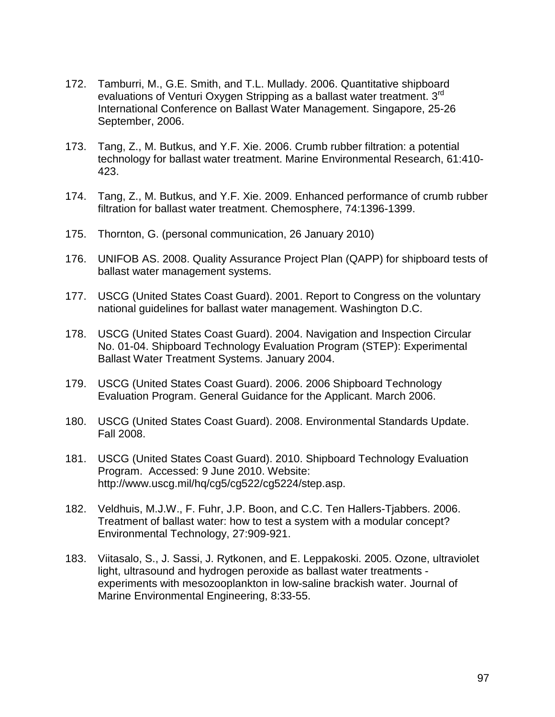- 172. Tamburri, M., G.E. Smith, and T.L. Mullady. 2006. Quantitative shipboard evaluations of Venturi Oxygen Stripping as a ballast water treatment. 3<sup>rd</sup> International Conference on Ballast Water Management. Singapore, 25-26 September, 2006.
- 173. Tang, Z., M. Butkus, and Y.F. Xie. 2006. Crumb rubber filtration: a potential technology for ballast water treatment. Marine Environmental Research, 61:410- 423.
- 174. Tang, Z., M. Butkus, and Y.F. Xie. 2009. Enhanced performance of crumb rubber filtration for ballast water treatment. Chemosphere, 74:1396-1399.
- 175. Thornton, G. (personal communication, 26 January 2010)
- 176. UNIFOB AS. 2008. Quality Assurance Project Plan (QAPP) for shipboard tests of ballast water management systems.
- 177. USCG (United States Coast Guard). 2001. Report to Congress on the voluntary national guidelines for ballast water management. Washington D.C.
- 178. USCG (United States Coast Guard). 2004. Navigation and Inspection Circular No. 01-04. Shipboard Technology Evaluation Program (STEP): Experimental Ballast Water Treatment Systems. January 2004.
- 179. USCG (United States Coast Guard). 2006. 2006 Shipboard Technology Evaluation Program. General Guidance for the Applicant. March 2006.
- 180. USCG (United States Coast Guard). 2008. Environmental Standards Update. Fall 2008.
- 181. USCG (United States Coast Guard). 2010. Shipboard Technology Evaluation Program. Accessed: 9 June 2010. Website: http://www.uscg.mil/hq/cg5/cg522/cg5224/step.asp.
- 182. Veldhuis, M.J.W., F. Fuhr, J.P. Boon, and C.C. Ten Hallers-Tjabbers. 2006. Treatment of ballast water: how to test a system with a modular concept? Environmental Technology, 27:909-921.
- 183. Viitasalo, S., J. Sassi, J. Rytkonen, and E. Leppakoski. 2005. Ozone, ultraviolet light, ultrasound and hydrogen peroxide as ballast water treatments experiments with mesozooplankton in low-saline brackish water. Journal of Marine Environmental Engineering, 8:33-55.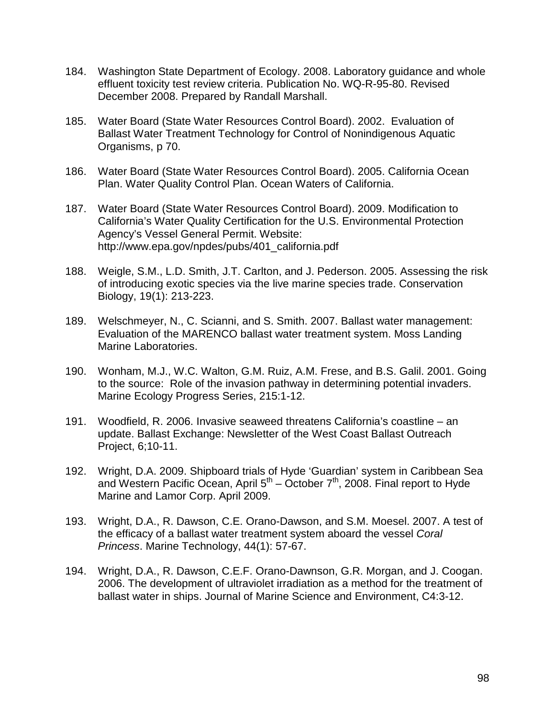- 184. Washington State Department of Ecology. 2008. Laboratory guidance and whole effluent toxicity test review criteria. Publication No. WQ-R-95-80. Revised December 2008. Prepared by Randall Marshall.
- 185. Water Board (State Water Resources Control Board). 2002. Evaluation of Ballast Water Treatment Technology for Control of Nonindigenous Aquatic Organisms, p 70.
- 186. Water Board (State Water Resources Control Board). 2005. California Ocean Plan. Water Quality Control Plan. Ocean Waters of California.
- 187. Water Board (State Water Resources Control Board). 2009. Modification to California's Water Quality Certification for the U.S. Environmental Protection Agency's Vessel General Permit. Website: http://www.epa.gov/npdes/pubs/401\_california.pdf
- 188. Weigle, S.M., L.D. Smith, J.T. Carlton, and J. Pederson. 2005. Assessing the risk of introducing exotic species via the live marine species trade. Conservation Biology, 19(1): 213-223.
- 189. Welschmeyer, N., C. Scianni, and S. Smith. 2007. Ballast water management: Evaluation of the MARENCO ballast water treatment system. Moss Landing Marine Laboratories.
- 190. Wonham, M.J., W.C. Walton, G.M. Ruiz, A.M. Frese, and B.S. Galil. 2001. Going to the source: Role of the invasion pathway in determining potential invaders. Marine Ecology Progress Series, 215:1-12.
- 191. Woodfield, R. 2006. Invasive seaweed threatens California's coastline an update. Ballast Exchange: Newsletter of the West Coast Ballast Outreach Project, 6;10-11.
- 192. Wright, D.A. 2009. Shipboard trials of Hyde 'Guardian' system in Caribbean Sea and Western Pacific Ocean, April  $5<sup>th</sup>$  – October  $7<sup>th</sup>$ , 2008. Final report to Hyde Marine and Lamor Corp. April 2009.
- 193. Wright, D.A., R. Dawson, C.E. Orano-Dawson, and S.M. Moesel. 2007. A test of the efficacy of a ballast water treatment system aboard the vessel *Coral Princess*. Marine Technology, 44(1): 57-67.
- 194. Wright, D.A., R. Dawson, C.E.F. Orano-Dawnson, G.R. Morgan, and J. Coogan. 2006. The development of ultraviolet irradiation as a method for the treatment of ballast water in ships. Journal of Marine Science and Environment, C4:3-12.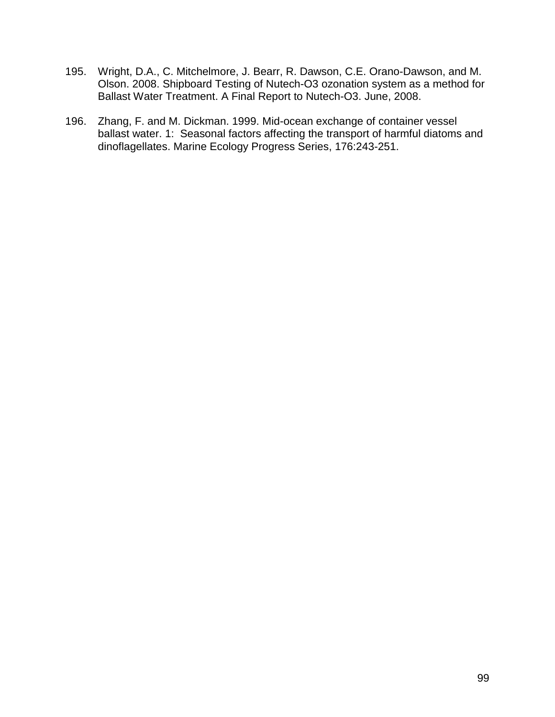- 195. Wright, D.A., C. Mitchelmore, J. Bearr, R. Dawson, C.E. Orano-Dawson, and M. Olson. 2008. Shipboard Testing of Nutech-O3 ozonation system as a method for Ballast Water Treatment. A Final Report to Nutech-O3. June, 2008.
- 196. Zhang, F. and M. Dickman. 1999. Mid-ocean exchange of container vessel ballast water. 1: Seasonal factors affecting the transport of harmful diatoms and dinoflagellates. Marine Ecology Progress Series, 176:243-251.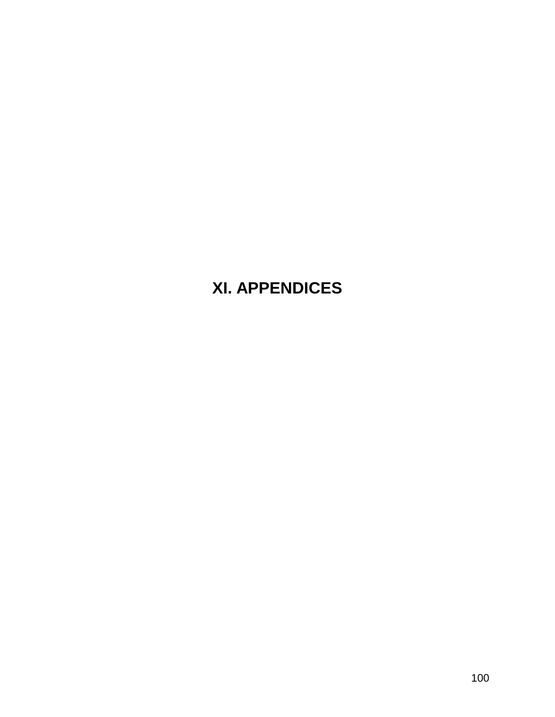# **XI. APPENDICES**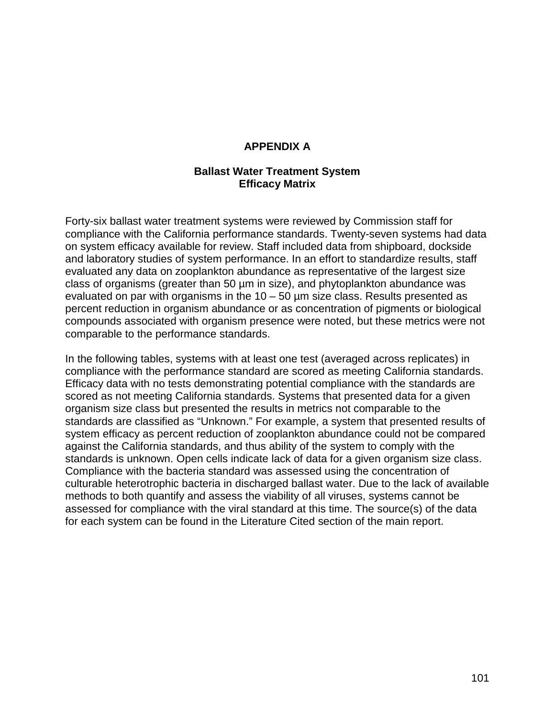#### **APPENDIX A**

#### **Ballast Water Treatment System Efficacy Matrix**

Forty-six ballast water treatment systems were reviewed by Commission staff for compliance with the California performance standards. Twenty-seven systems had data on system efficacy available for review. Staff included data from shipboard, dockside and laboratory studies of system performance. In an effort to standardize results, staff evaluated any data on zooplankton abundance as representative of the largest size class of organisms (greater than 50 µm in size), and phytoplankton abundance was evaluated on par with organisms in the  $10 - 50$  µm size class. Results presented as percent reduction in organism abundance or as concentration of pigments or biological compounds associated with organism presence were noted, but these metrics were not comparable to the performance standards.

In the following tables, systems with at least one test (averaged across replicates) in compliance with the performance standard are scored as meeting California standards. Efficacy data with no tests demonstrating potential compliance with the standards are scored as not meeting California standards. Systems that presented data for a given organism size class but presented the results in metrics not comparable to the standards are classified as "Unknown." For example, a system that presented results of system efficacy as percent reduction of zooplankton abundance could not be compared against the California standards, and thus ability of the system to comply with the standards is unknown. Open cells indicate lack of data for a given organism size class. Compliance with the bacteria standard was assessed using the concentration of culturable heterotrophic bacteria in discharged ballast water. Due to the lack of available methods to both quantify and assess the viability of all viruses, systems cannot be assessed for compliance with the viral standard at this time. The source(s) of the data for each system can be found in the Literature Cited section of the main report.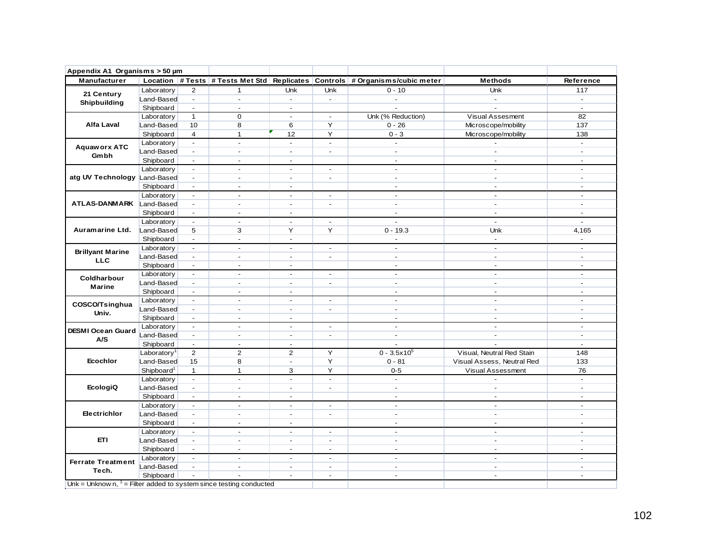| Appendix A1 Organisms > 50 µm                                        |                         |                                                                                                                                                                                                                                                                                                                                                                                                                                                                                                                                                                                                                                                                                                                                                                            |                |                                                                                                                                                                                                                                                                                                                                                                                                                                                                                                                                                                                                                                                                                                                                                                                                                                                                                                                                                                                                                                                                                                                                                                                                                                                                                                                                                                                                                                                                                                                                                                                                                                                                                                                                                                                                                                                                                                                                                                                                                                                                                                                                                                                                                                                                                                                                                                                                                                                                                                                                                                                                                                                                                                                                                                                                                                                                                                                                               |                |          |                |                          |
|----------------------------------------------------------------------|-------------------------|----------------------------------------------------------------------------------------------------------------------------------------------------------------------------------------------------------------------------------------------------------------------------------------------------------------------------------------------------------------------------------------------------------------------------------------------------------------------------------------------------------------------------------------------------------------------------------------------------------------------------------------------------------------------------------------------------------------------------------------------------------------------------|----------------|-----------------------------------------------------------------------------------------------------------------------------------------------------------------------------------------------------------------------------------------------------------------------------------------------------------------------------------------------------------------------------------------------------------------------------------------------------------------------------------------------------------------------------------------------------------------------------------------------------------------------------------------------------------------------------------------------------------------------------------------------------------------------------------------------------------------------------------------------------------------------------------------------------------------------------------------------------------------------------------------------------------------------------------------------------------------------------------------------------------------------------------------------------------------------------------------------------------------------------------------------------------------------------------------------------------------------------------------------------------------------------------------------------------------------------------------------------------------------------------------------------------------------------------------------------------------------------------------------------------------------------------------------------------------------------------------------------------------------------------------------------------------------------------------------------------------------------------------------------------------------------------------------------------------------------------------------------------------------------------------------------------------------------------------------------------------------------------------------------------------------------------------------------------------------------------------------------------------------------------------------------------------------------------------------------------------------------------------------------------------------------------------------------------------------------------------------------------------------------------------------------------------------------------------------------------------------------------------------------------------------------------------------------------------------------------------------------------------------------------------------------------------------------------------------------------------------------------------------------------------------------------------------------------------------------------------------|----------------|----------|----------------|--------------------------|
| Manufacturer                                                         |                         |                                                                                                                                                                                                                                                                                                                                                                                                                                                                                                                                                                                                                                                                                                                                                                            |                |                                                                                                                                                                                                                                                                                                                                                                                                                                                                                                                                                                                                                                                                                                                                                                                                                                                                                                                                                                                                                                                                                                                                                                                                                                                                                                                                                                                                                                                                                                                                                                                                                                                                                                                                                                                                                                                                                                                                                                                                                                                                                                                                                                                                                                                                                                                                                                                                                                                                                                                                                                                                                                                                                                                                                                                                                                                                                                                                               |                |          | <b>Methods</b> | Reference                |
| 21 Century                                                           | Laboratory              | $\overline{2}$                                                                                                                                                                                                                                                                                                                                                                                                                                                                                                                                                                                                                                                                                                                                                             | $\mathbf 1$    | Unk                                                                                                                                                                                                                                                                                                                                                                                                                                                                                                                                                                                                                                                                                                                                                                                                                                                                                                                                                                                                                                                                                                                                                                                                                                                                                                                                                                                                                                                                                                                                                                                                                                                                                                                                                                                                                                                                                                                                                                                                                                                                                                                                                                                                                                                                                                                                                                                                                                                                                                                                                                                                                                                                                                                                                                                                                                                                                                                                           | Unk            | $0 - 10$ | Unk            | 117                      |
| Shipbuilding                                                         | Land-Based              | $\blacksquare$                                                                                                                                                                                                                                                                                                                                                                                                                                                                                                                                                                                                                                                                                                                                                             | $\blacksquare$ | $\sim$                                                                                                                                                                                                                                                                                                                                                                                                                                                                                                                                                                                                                                                                                                                                                                                                                                                                                                                                                                                                                                                                                                                                                                                                                                                                                                                                                                                                                                                                                                                                                                                                                                                                                                                                                                                                                                                                                                                                                                                                                                                                                                                                                                                                                                                                                                                                                                                                                                                                                                                                                                                                                                                                                                                                                                                                                                                                                                                                        | $\blacksquare$ | $\sim$   | $\sim$         | $\overline{a}$           |
|                                                                      | Shipboard               | $\sim$                                                                                                                                                                                                                                                                                                                                                                                                                                                                                                                                                                                                                                                                                                                                                                     | $\blacksquare$ | $\blacksquare$<br>$\mathbf 0$<br>Unk (% Reduction)<br><b>Visual Assesment</b><br>$\overline{\phantom{a}}$<br>$\overline{\phantom{a}}$<br>8<br>6<br>Y<br>$0 - 26$<br>Microscope/mobility<br>Y<br>$\mathbf{1}$<br>$0 - 3$<br>12<br>Microscope/mobility<br>$\sim$<br>$\sim$<br>$\blacksquare$<br>$\blacksquare$<br>$\blacksquare$<br>$\blacksquare$<br>$\sim$<br>$\sim$<br>$\omega$<br>$\sim$<br>$\sim$<br>$\sim$<br>$\sim$<br>$\mathbf{r}$<br>$\blacksquare$<br>$\overline{\phantom{a}}$<br>$\blacksquare$<br>$\omega$<br>$\sim$<br>$\blacksquare$<br>$\blacksquare$<br>$\sim$<br>$\blacksquare$<br>$\sim$<br>$\sim$<br>$\sim$<br>$\sim$<br>$\sim$<br>$\sim$<br>$\sim$<br>$\blacksquare$<br>$\sim$<br>$\overline{a}$<br>$\overline{a}$<br>$\sim$<br>$\sim$<br>$\blacksquare$<br>$\overline{\phantom{a}}$<br>$\blacksquare$<br>$\sim$<br>$\overline{\phantom{a}}$<br>$\overline{a}$<br>÷.<br>$\overline{a}$<br>$\overline{a}$<br>3<br>Y<br>Y<br>$0 - 19.3$<br>Unk<br>$\sim$<br>$\sim$<br>$\omega$<br>$\blacksquare$<br>$\blacksquare$<br>$\blacksquare$<br>$\blacksquare$<br>$\blacksquare$<br>$\blacksquare$<br>$\sim$<br>$\mathcal{L}$<br>$\mathbf{r}$<br>÷.<br>$\sim$<br>$\sim$<br>$\sim$<br>$\sim$<br>$\overline{\phantom{a}}$<br>$\sim$<br>$\overline{\phantom{a}}$<br>$\mathbf{r}$<br>$\blacksquare$<br>$\overline{a}$<br>$\overline{a}$<br>$\sim$<br>$\blacksquare$<br>$\sim$<br>$\blacksquare$<br>$\sim$<br>$\sim$<br>$\sim$<br>$\blacksquare$<br>$\sim$<br>$\sim$<br>$\sim$<br>$\sim$<br>$\blacksquare$<br>$\sim$<br>$\blacksquare$<br>$\sim$<br>$\sim$<br>$\blacksquare$<br>$\blacksquare$<br>$\sim$<br>$\sim$<br>$\sim$<br>$\sim$<br>$\sim$<br>$\blacksquare$<br>$\blacksquare$<br>$\sim$<br>$\blacksquare$<br>$\blacksquare$<br>$\blacksquare$<br>$\blacksquare$<br>$\sim$<br>$\blacksquare$<br>$\blacksquare$<br>$\overline{a}$<br>$\sim$<br>$\overline{2}$<br>$\overline{2}$<br>Y<br>$0 - 3.5x10^5$<br>Visual, Neutral Red Stain<br>Y<br>8<br>Visual Assess, Neutral Red<br>$0 - 81$<br>$\overline{\phantom{a}}$<br>Y<br>$\mathbf{1}$<br>3<br>$0-5$<br>Visual Assessment<br>$\mathbb{L}^+$<br>$\sim$<br>$\blacksquare$<br>$\sim$<br>$\sim$<br>$\sim$<br>$\blacksquare$<br>÷.<br>$\sim$<br>$\overline{a}$<br>$\sim$<br>÷.<br>$\sim$<br>$\overline{a}$<br>$\sim$<br>÷.<br>$\sim$<br>$\sim$<br>$\sim$<br>$\sim$<br>$\sim$<br>$\blacksquare$<br>$\sim$<br>$\sim$<br>$\blacksquare$<br>$\blacksquare$<br>$\overline{\phantom{a}}$<br>$\overline{\phantom{a}}$<br>$\sim$<br>$\overline{\phantom{a}}$<br>÷,<br>$\mathbf{r}$<br>$\blacksquare$<br>$\sim$<br>$\blacksquare$<br>$\overline{a}$<br>$\blacksquare$<br>$\mathbf{r}$<br>$\blacksquare$<br>$\sim$<br>$\overline{a}$<br>$\blacksquare$<br>$\sim$<br>$\blacksquare$<br>$\blacksquare$<br>$\sim$<br>$\sim$<br>$\sim$<br>$\blacksquare$<br>$\sim$<br>$\sim$<br>$\overline{\phantom{a}}$<br>$\overline{\phantom{a}}$<br>$\blacksquare$<br>$\sim$<br>$\blacksquare$<br>$\sim$<br>$\sim$ | $\sim$         |          |                |                          |
|                                                                      | Laboratory              | Location # Tests # Tests Met Std Replicates Controls # Organisms/cubic meter<br>$\mathbf{1}$<br>10<br>$\overline{4}$<br>$\blacksquare$<br>$\blacksquare$<br>$\blacksquare$<br>$\omega$<br>$\blacksquare$<br>$\blacksquare$<br>$\sim$<br>$\blacksquare$<br>$\overline{\phantom{a}}$<br>$\sim$<br>5<br>$\mathbf{r}$<br>$\blacksquare$<br>$\sim$<br>$\blacksquare$<br>$\overline{\phantom{a}}$<br>$\blacksquare$<br>$\blacksquare$<br>$\sim$<br>$\overline{\phantom{a}}$<br>$\blacksquare$<br>$\overline{\phantom{a}}$<br>$\sim$<br>$\blacksquare$<br>2<br>15<br>$\mathbf{1}$<br>$\mathcal{L}$<br>$\sim$<br>$\mathcal{L}$<br>$\blacksquare$<br>$\blacksquare$<br>$\blacksquare$<br>$\overline{\phantom{a}}$<br>$\blacksquare$<br>$\overline{a}$<br>$\omega$<br>$\blacksquare$ | 82             |                                                                                                                                                                                                                                                                                                                                                                                                                                                                                                                                                                                                                                                                                                                                                                                                                                                                                                                                                                                                                                                                                                                                                                                                                                                                                                                                                                                                                                                                                                                                                                                                                                                                                                                                                                                                                                                                                                                                                                                                                                                                                                                                                                                                                                                                                                                                                                                                                                                                                                                                                                                                                                                                                                                                                                                                                                                                                                                                               |                |          |                |                          |
| Alfa Laval                                                           | Land-Based              |                                                                                                                                                                                                                                                                                                                                                                                                                                                                                                                                                                                                                                                                                                                                                                            |                |                                                                                                                                                                                                                                                                                                                                                                                                                                                                                                                                                                                                                                                                                                                                                                                                                                                                                                                                                                                                                                                                                                                                                                                                                                                                                                                                                                                                                                                                                                                                                                                                                                                                                                                                                                                                                                                                                                                                                                                                                                                                                                                                                                                                                                                                                                                                                                                                                                                                                                                                                                                                                                                                                                                                                                                                                                                                                                                                               |                |          |                | 137                      |
|                                                                      | Shipboard               |                                                                                                                                                                                                                                                                                                                                                                                                                                                                                                                                                                                                                                                                                                                                                                            |                |                                                                                                                                                                                                                                                                                                                                                                                                                                                                                                                                                                                                                                                                                                                                                                                                                                                                                                                                                                                                                                                                                                                                                                                                                                                                                                                                                                                                                                                                                                                                                                                                                                                                                                                                                                                                                                                                                                                                                                                                                                                                                                                                                                                                                                                                                                                                                                                                                                                                                                                                                                                                                                                                                                                                                                                                                                                                                                                                               |                |          |                | 138                      |
| <b>Aquaworx ATC</b>                                                  | Laboratory              |                                                                                                                                                                                                                                                                                                                                                                                                                                                                                                                                                                                                                                                                                                                                                                            |                |                                                                                                                                                                                                                                                                                                                                                                                                                                                                                                                                                                                                                                                                                                                                                                                                                                                                                                                                                                                                                                                                                                                                                                                                                                                                                                                                                                                                                                                                                                                                                                                                                                                                                                                                                                                                                                                                                                                                                                                                                                                                                                                                                                                                                                                                                                                                                                                                                                                                                                                                                                                                                                                                                                                                                                                                                                                                                                                                               |                |          |                | $\sim$                   |
|                                                                      | Land-Based              |                                                                                                                                                                                                                                                                                                                                                                                                                                                                                                                                                                                                                                                                                                                                                                            |                |                                                                                                                                                                                                                                                                                                                                                                                                                                                                                                                                                                                                                                                                                                                                                                                                                                                                                                                                                                                                                                                                                                                                                                                                                                                                                                                                                                                                                                                                                                                                                                                                                                                                                                                                                                                                                                                                                                                                                                                                                                                                                                                                                                                                                                                                                                                                                                                                                                                                                                                                                                                                                                                                                                                                                                                                                                                                                                                                               |                |          |                | $\mathbf{r}$             |
| Gmbh                                                                 | Shipboard               |                                                                                                                                                                                                                                                                                                                                                                                                                                                                                                                                                                                                                                                                                                                                                                            |                |                                                                                                                                                                                                                                                                                                                                                                                                                                                                                                                                                                                                                                                                                                                                                                                                                                                                                                                                                                                                                                                                                                                                                                                                                                                                                                                                                                                                                                                                                                                                                                                                                                                                                                                                                                                                                                                                                                                                                                                                                                                                                                                                                                                                                                                                                                                                                                                                                                                                                                                                                                                                                                                                                                                                                                                                                                                                                                                                               |                |          |                | $\sim$                   |
|                                                                      | Laboratory              |                                                                                                                                                                                                                                                                                                                                                                                                                                                                                                                                                                                                                                                                                                                                                                            |                |                                                                                                                                                                                                                                                                                                                                                                                                                                                                                                                                                                                                                                                                                                                                                                                                                                                                                                                                                                                                                                                                                                                                                                                                                                                                                                                                                                                                                                                                                                                                                                                                                                                                                                                                                                                                                                                                                                                                                                                                                                                                                                                                                                                                                                                                                                                                                                                                                                                                                                                                                                                                                                                                                                                                                                                                                                                                                                                                               |                |          |                | $\sim$                   |
| atg UV Technology Land-Based                                         |                         |                                                                                                                                                                                                                                                                                                                                                                                                                                                                                                                                                                                                                                                                                                                                                                            |                |                                                                                                                                                                                                                                                                                                                                                                                                                                                                                                                                                                                                                                                                                                                                                                                                                                                                                                                                                                                                                                                                                                                                                                                                                                                                                                                                                                                                                                                                                                                                                                                                                                                                                                                                                                                                                                                                                                                                                                                                                                                                                                                                                                                                                                                                                                                                                                                                                                                                                                                                                                                                                                                                                                                                                                                                                                                                                                                                               |                |          |                | ÷.                       |
|                                                                      | Shipboard               |                                                                                                                                                                                                                                                                                                                                                                                                                                                                                                                                                                                                                                                                                                                                                                            |                |                                                                                                                                                                                                                                                                                                                                                                                                                                                                                                                                                                                                                                                                                                                                                                                                                                                                                                                                                                                                                                                                                                                                                                                                                                                                                                                                                                                                                                                                                                                                                                                                                                                                                                                                                                                                                                                                                                                                                                                                                                                                                                                                                                                                                                                                                                                                                                                                                                                                                                                                                                                                                                                                                                                                                                                                                                                                                                                                               |                |          |                | $\overline{\phantom{a}}$ |
|                                                                      | Laboratory              |                                                                                                                                                                                                                                                                                                                                                                                                                                                                                                                                                                                                                                                                                                                                                                            |                |                                                                                                                                                                                                                                                                                                                                                                                                                                                                                                                                                                                                                                                                                                                                                                                                                                                                                                                                                                                                                                                                                                                                                                                                                                                                                                                                                                                                                                                                                                                                                                                                                                                                                                                                                                                                                                                                                                                                                                                                                                                                                                                                                                                                                                                                                                                                                                                                                                                                                                                                                                                                                                                                                                                                                                                                                                                                                                                                               |                |          |                | $\mathbf{r}$             |
| ATLAS-DANMARK Land-Based                                             |                         |                                                                                                                                                                                                                                                                                                                                                                                                                                                                                                                                                                                                                                                                                                                                                                            |                |                                                                                                                                                                                                                                                                                                                                                                                                                                                                                                                                                                                                                                                                                                                                                                                                                                                                                                                                                                                                                                                                                                                                                                                                                                                                                                                                                                                                                                                                                                                                                                                                                                                                                                                                                                                                                                                                                                                                                                                                                                                                                                                                                                                                                                                                                                                                                                                                                                                                                                                                                                                                                                                                                                                                                                                                                                                                                                                                               |                |          |                | $\sim$                   |
|                                                                      | Shipboard               |                                                                                                                                                                                                                                                                                                                                                                                                                                                                                                                                                                                                                                                                                                                                                                            |                |                                                                                                                                                                                                                                                                                                                                                                                                                                                                                                                                                                                                                                                                                                                                                                                                                                                                                                                                                                                                                                                                                                                                                                                                                                                                                                                                                                                                                                                                                                                                                                                                                                                                                                                                                                                                                                                                                                                                                                                                                                                                                                                                                                                                                                                                                                                                                                                                                                                                                                                                                                                                                                                                                                                                                                                                                                                                                                                                               |                |          |                | $\blacksquare$           |
|                                                                      | Laboratory              |                                                                                                                                                                                                                                                                                                                                                                                                                                                                                                                                                                                                                                                                                                                                                                            |                |                                                                                                                                                                                                                                                                                                                                                                                                                                                                                                                                                                                                                                                                                                                                                                                                                                                                                                                                                                                                                                                                                                                                                                                                                                                                                                                                                                                                                                                                                                                                                                                                                                                                                                                                                                                                                                                                                                                                                                                                                                                                                                                                                                                                                                                                                                                                                                                                                                                                                                                                                                                                                                                                                                                                                                                                                                                                                                                                               |                |          |                | ÷.                       |
| Auramarine Ltd.                                                      | Land-Based              |                                                                                                                                                                                                                                                                                                                                                                                                                                                                                                                                                                                                                                                                                                                                                                            |                |                                                                                                                                                                                                                                                                                                                                                                                                                                                                                                                                                                                                                                                                                                                                                                                                                                                                                                                                                                                                                                                                                                                                                                                                                                                                                                                                                                                                                                                                                                                                                                                                                                                                                                                                                                                                                                                                                                                                                                                                                                                                                                                                                                                                                                                                                                                                                                                                                                                                                                                                                                                                                                                                                                                                                                                                                                                                                                                                               |                |          |                | 4,165                    |
|                                                                      | Shipboard               |                                                                                                                                                                                                                                                                                                                                                                                                                                                                                                                                                                                                                                                                                                                                                                            |                |                                                                                                                                                                                                                                                                                                                                                                                                                                                                                                                                                                                                                                                                                                                                                                                                                                                                                                                                                                                                                                                                                                                                                                                                                                                                                                                                                                                                                                                                                                                                                                                                                                                                                                                                                                                                                                                                                                                                                                                                                                                                                                                                                                                                                                                                                                                                                                                                                                                                                                                                                                                                                                                                                                                                                                                                                                                                                                                                               |                |          |                | $\blacksquare$           |
|                                                                      | Laboratory              |                                                                                                                                                                                                                                                                                                                                                                                                                                                                                                                                                                                                                                                                                                                                                                            |                |                                                                                                                                                                                                                                                                                                                                                                                                                                                                                                                                                                                                                                                                                                                                                                                                                                                                                                                                                                                                                                                                                                                                                                                                                                                                                                                                                                                                                                                                                                                                                                                                                                                                                                                                                                                                                                                                                                                                                                                                                                                                                                                                                                                                                                                                                                                                                                                                                                                                                                                                                                                                                                                                                                                                                                                                                                                                                                                                               |                |          |                | $\blacksquare$           |
| <b>Brillyant Marine</b><br><b>LLC</b>                                | Land-Based              |                                                                                                                                                                                                                                                                                                                                                                                                                                                                                                                                                                                                                                                                                                                                                                            |                |                                                                                                                                                                                                                                                                                                                                                                                                                                                                                                                                                                                                                                                                                                                                                                                                                                                                                                                                                                                                                                                                                                                                                                                                                                                                                                                                                                                                                                                                                                                                                                                                                                                                                                                                                                                                                                                                                                                                                                                                                                                                                                                                                                                                                                                                                                                                                                                                                                                                                                                                                                                                                                                                                                                                                                                                                                                                                                                                               |                |          |                | $\overline{a}$           |
|                                                                      | Shipboard               |                                                                                                                                                                                                                                                                                                                                                                                                                                                                                                                                                                                                                                                                                                                                                                            |                |                                                                                                                                                                                                                                                                                                                                                                                                                                                                                                                                                                                                                                                                                                                                                                                                                                                                                                                                                                                                                                                                                                                                                                                                                                                                                                                                                                                                                                                                                                                                                                                                                                                                                                                                                                                                                                                                                                                                                                                                                                                                                                                                                                                                                                                                                                                                                                                                                                                                                                                                                                                                                                                                                                                                                                                                                                                                                                                                               |                |          |                | $\sim$                   |
| Coldharbour                                                          | Laboratory              |                                                                                                                                                                                                                                                                                                                                                                                                                                                                                                                                                                                                                                                                                                                                                                            |                |                                                                                                                                                                                                                                                                                                                                                                                                                                                                                                                                                                                                                                                                                                                                                                                                                                                                                                                                                                                                                                                                                                                                                                                                                                                                                                                                                                                                                                                                                                                                                                                                                                                                                                                                                                                                                                                                                                                                                                                                                                                                                                                                                                                                                                                                                                                                                                                                                                                                                                                                                                                                                                                                                                                                                                                                                                                                                                                                               |                |          |                | $\overline{a}$           |
| <b>Marine</b>                                                        | Land-Based              |                                                                                                                                                                                                                                                                                                                                                                                                                                                                                                                                                                                                                                                                                                                                                                            |                |                                                                                                                                                                                                                                                                                                                                                                                                                                                                                                                                                                                                                                                                                                                                                                                                                                                                                                                                                                                                                                                                                                                                                                                                                                                                                                                                                                                                                                                                                                                                                                                                                                                                                                                                                                                                                                                                                                                                                                                                                                                                                                                                                                                                                                                                                                                                                                                                                                                                                                                                                                                                                                                                                                                                                                                                                                                                                                                                               |                |          |                | ÷.                       |
|                                                                      | Shipboard               |                                                                                                                                                                                                                                                                                                                                                                                                                                                                                                                                                                                                                                                                                                                                                                            |                |                                                                                                                                                                                                                                                                                                                                                                                                                                                                                                                                                                                                                                                                                                                                                                                                                                                                                                                                                                                                                                                                                                                                                                                                                                                                                                                                                                                                                                                                                                                                                                                                                                                                                                                                                                                                                                                                                                                                                                                                                                                                                                                                                                                                                                                                                                                                                                                                                                                                                                                                                                                                                                                                                                                                                                                                                                                                                                                                               |                |          |                | $\blacksquare$           |
| COSCO/Tsinghua                                                       | Laboratory              |                                                                                                                                                                                                                                                                                                                                                                                                                                                                                                                                                                                                                                                                                                                                                                            |                |                                                                                                                                                                                                                                                                                                                                                                                                                                                                                                                                                                                                                                                                                                                                                                                                                                                                                                                                                                                                                                                                                                                                                                                                                                                                                                                                                                                                                                                                                                                                                                                                                                                                                                                                                                                                                                                                                                                                                                                                                                                                                                                                                                                                                                                                                                                                                                                                                                                                                                                                                                                                                                                                                                                                                                                                                                                                                                                                               |                |          |                | $\blacksquare$           |
|                                                                      | Land-Based              |                                                                                                                                                                                                                                                                                                                                                                                                                                                                                                                                                                                                                                                                                                                                                                            |                |                                                                                                                                                                                                                                                                                                                                                                                                                                                                                                                                                                                                                                                                                                                                                                                                                                                                                                                                                                                                                                                                                                                                                                                                                                                                                                                                                                                                                                                                                                                                                                                                                                                                                                                                                                                                                                                                                                                                                                                                                                                                                                                                                                                                                                                                                                                                                                                                                                                                                                                                                                                                                                                                                                                                                                                                                                                                                                                                               |                |          |                | $\blacksquare$           |
| Univ.                                                                | Shipboard               |                                                                                                                                                                                                                                                                                                                                                                                                                                                                                                                                                                                                                                                                                                                                                                            |                |                                                                                                                                                                                                                                                                                                                                                                                                                                                                                                                                                                                                                                                                                                                                                                                                                                                                                                                                                                                                                                                                                                                                                                                                                                                                                                                                                                                                                                                                                                                                                                                                                                                                                                                                                                                                                                                                                                                                                                                                                                                                                                                                                                                                                                                                                                                                                                                                                                                                                                                                                                                                                                                                                                                                                                                                                                                                                                                                               |                |          |                | $\blacksquare$           |
|                                                                      | Laboratory              |                                                                                                                                                                                                                                                                                                                                                                                                                                                                                                                                                                                                                                                                                                                                                                            |                |                                                                                                                                                                                                                                                                                                                                                                                                                                                                                                                                                                                                                                                                                                                                                                                                                                                                                                                                                                                                                                                                                                                                                                                                                                                                                                                                                                                                                                                                                                                                                                                                                                                                                                                                                                                                                                                                                                                                                                                                                                                                                                                                                                                                                                                                                                                                                                                                                                                                                                                                                                                                                                                                                                                                                                                                                                                                                                                                               |                |          |                | $\blacksquare$           |
| DESMI Ocean Guard<br>A/S                                             | Land-Based              |                                                                                                                                                                                                                                                                                                                                                                                                                                                                                                                                                                                                                                                                                                                                                                            |                |                                                                                                                                                                                                                                                                                                                                                                                                                                                                                                                                                                                                                                                                                                                                                                                                                                                                                                                                                                                                                                                                                                                                                                                                                                                                                                                                                                                                                                                                                                                                                                                                                                                                                                                                                                                                                                                                                                                                                                                                                                                                                                                                                                                                                                                                                                                                                                                                                                                                                                                                                                                                                                                                                                                                                                                                                                                                                                                                               |                |          |                | $\blacksquare$           |
|                                                                      | Shipboard               |                                                                                                                                                                                                                                                                                                                                                                                                                                                                                                                                                                                                                                                                                                                                                                            |                |                                                                                                                                                                                                                                                                                                                                                                                                                                                                                                                                                                                                                                                                                                                                                                                                                                                                                                                                                                                                                                                                                                                                                                                                                                                                                                                                                                                                                                                                                                                                                                                                                                                                                                                                                                                                                                                                                                                                                                                                                                                                                                                                                                                                                                                                                                                                                                                                                                                                                                                                                                                                                                                                                                                                                                                                                                                                                                                                               |                |          |                | $\blacksquare$           |
|                                                                      | Laboratory <sup>1</sup> |                                                                                                                                                                                                                                                                                                                                                                                                                                                                                                                                                                                                                                                                                                                                                                            |                |                                                                                                                                                                                                                                                                                                                                                                                                                                                                                                                                                                                                                                                                                                                                                                                                                                                                                                                                                                                                                                                                                                                                                                                                                                                                                                                                                                                                                                                                                                                                                                                                                                                                                                                                                                                                                                                                                                                                                                                                                                                                                                                                                                                                                                                                                                                                                                                                                                                                                                                                                                                                                                                                                                                                                                                                                                                                                                                                               |                |          |                | 148                      |
| <b>Ecochlor</b>                                                      | Land-Based              |                                                                                                                                                                                                                                                                                                                                                                                                                                                                                                                                                                                                                                                                                                                                                                            |                |                                                                                                                                                                                                                                                                                                                                                                                                                                                                                                                                                                                                                                                                                                                                                                                                                                                                                                                                                                                                                                                                                                                                                                                                                                                                                                                                                                                                                                                                                                                                                                                                                                                                                                                                                                                                                                                                                                                                                                                                                                                                                                                                                                                                                                                                                                                                                                                                                                                                                                                                                                                                                                                                                                                                                                                                                                                                                                                                               |                |          |                | 133                      |
|                                                                      | Shipboard <sup>1</sup>  |                                                                                                                                                                                                                                                                                                                                                                                                                                                                                                                                                                                                                                                                                                                                                                            |                |                                                                                                                                                                                                                                                                                                                                                                                                                                                                                                                                                                                                                                                                                                                                                                                                                                                                                                                                                                                                                                                                                                                                                                                                                                                                                                                                                                                                                                                                                                                                                                                                                                                                                                                                                                                                                                                                                                                                                                                                                                                                                                                                                                                                                                                                                                                                                                                                                                                                                                                                                                                                                                                                                                                                                                                                                                                                                                                                               |                |          |                | 76                       |
|                                                                      | Laboratory              |                                                                                                                                                                                                                                                                                                                                                                                                                                                                                                                                                                                                                                                                                                                                                                            |                |                                                                                                                                                                                                                                                                                                                                                                                                                                                                                                                                                                                                                                                                                                                                                                                                                                                                                                                                                                                                                                                                                                                                                                                                                                                                                                                                                                                                                                                                                                                                                                                                                                                                                                                                                                                                                                                                                                                                                                                                                                                                                                                                                                                                                                                                                                                                                                                                                                                                                                                                                                                                                                                                                                                                                                                                                                                                                                                                               |                |          |                | $\mathbf{r}$             |
| <b>EcologiQ</b>                                                      | Land-Based              |                                                                                                                                                                                                                                                                                                                                                                                                                                                                                                                                                                                                                                                                                                                                                                            |                |                                                                                                                                                                                                                                                                                                                                                                                                                                                                                                                                                                                                                                                                                                                                                                                                                                                                                                                                                                                                                                                                                                                                                                                                                                                                                                                                                                                                                                                                                                                                                                                                                                                                                                                                                                                                                                                                                                                                                                                                                                                                                                                                                                                                                                                                                                                                                                                                                                                                                                                                                                                                                                                                                                                                                                                                                                                                                                                                               |                |          |                | $\overline{a}$           |
|                                                                      | Shipboard               |                                                                                                                                                                                                                                                                                                                                                                                                                                                                                                                                                                                                                                                                                                                                                                            |                |                                                                                                                                                                                                                                                                                                                                                                                                                                                                                                                                                                                                                                                                                                                                                                                                                                                                                                                                                                                                                                                                                                                                                                                                                                                                                                                                                                                                                                                                                                                                                                                                                                                                                                                                                                                                                                                                                                                                                                                                                                                                                                                                                                                                                                                                                                                                                                                                                                                                                                                                                                                                                                                                                                                                                                                                                                                                                                                                               |                |          |                | $\overline{a}$           |
|                                                                      | Laboratory              |                                                                                                                                                                                                                                                                                                                                                                                                                                                                                                                                                                                                                                                                                                                                                                            |                |                                                                                                                                                                                                                                                                                                                                                                                                                                                                                                                                                                                                                                                                                                                                                                                                                                                                                                                                                                                                                                                                                                                                                                                                                                                                                                                                                                                                                                                                                                                                                                                                                                                                                                                                                                                                                                                                                                                                                                                                                                                                                                                                                                                                                                                                                                                                                                                                                                                                                                                                                                                                                                                                                                                                                                                                                                                                                                                                               |                |          |                | $\sim$                   |
| <b>Electrichlor</b>                                                  | Land-Based              |                                                                                                                                                                                                                                                                                                                                                                                                                                                                                                                                                                                                                                                                                                                                                                            |                |                                                                                                                                                                                                                                                                                                                                                                                                                                                                                                                                                                                                                                                                                                                                                                                                                                                                                                                                                                                                                                                                                                                                                                                                                                                                                                                                                                                                                                                                                                                                                                                                                                                                                                                                                                                                                                                                                                                                                                                                                                                                                                                                                                                                                                                                                                                                                                                                                                                                                                                                                                                                                                                                                                                                                                                                                                                                                                                                               |                |          |                | $\blacksquare$           |
|                                                                      | Shipboard               |                                                                                                                                                                                                                                                                                                                                                                                                                                                                                                                                                                                                                                                                                                                                                                            |                |                                                                                                                                                                                                                                                                                                                                                                                                                                                                                                                                                                                                                                                                                                                                                                                                                                                                                                                                                                                                                                                                                                                                                                                                                                                                                                                                                                                                                                                                                                                                                                                                                                                                                                                                                                                                                                                                                                                                                                                                                                                                                                                                                                                                                                                                                                                                                                                                                                                                                                                                                                                                                                                                                                                                                                                                                                                                                                                                               |                |          |                | $\blacksquare$           |
|                                                                      | Laboratory              |                                                                                                                                                                                                                                                                                                                                                                                                                                                                                                                                                                                                                                                                                                                                                                            |                |                                                                                                                                                                                                                                                                                                                                                                                                                                                                                                                                                                                                                                                                                                                                                                                                                                                                                                                                                                                                                                                                                                                                                                                                                                                                                                                                                                                                                                                                                                                                                                                                                                                                                                                                                                                                                                                                                                                                                                                                                                                                                                                                                                                                                                                                                                                                                                                                                                                                                                                                                                                                                                                                                                                                                                                                                                                                                                                                               |                |          |                | ÷.                       |
| <b>ETI</b>                                                           | Land-Based              |                                                                                                                                                                                                                                                                                                                                                                                                                                                                                                                                                                                                                                                                                                                                                                            |                |                                                                                                                                                                                                                                                                                                                                                                                                                                                                                                                                                                                                                                                                                                                                                                                                                                                                                                                                                                                                                                                                                                                                                                                                                                                                                                                                                                                                                                                                                                                                                                                                                                                                                                                                                                                                                                                                                                                                                                                                                                                                                                                                                                                                                                                                                                                                                                                                                                                                                                                                                                                                                                                                                                                                                                                                                                                                                                                                               |                |          |                | $\blacksquare$           |
|                                                                      | Shipboard               |                                                                                                                                                                                                                                                                                                                                                                                                                                                                                                                                                                                                                                                                                                                                                                            |                |                                                                                                                                                                                                                                                                                                                                                                                                                                                                                                                                                                                                                                                                                                                                                                                                                                                                                                                                                                                                                                                                                                                                                                                                                                                                                                                                                                                                                                                                                                                                                                                                                                                                                                                                                                                                                                                                                                                                                                                                                                                                                                                                                                                                                                                                                                                                                                                                                                                                                                                                                                                                                                                                                                                                                                                                                                                                                                                                               |                |          |                | ÷                        |
|                                                                      | Laboratory              |                                                                                                                                                                                                                                                                                                                                                                                                                                                                                                                                                                                                                                                                                                                                                                            |                |                                                                                                                                                                                                                                                                                                                                                                                                                                                                                                                                                                                                                                                                                                                                                                                                                                                                                                                                                                                                                                                                                                                                                                                                                                                                                                                                                                                                                                                                                                                                                                                                                                                                                                                                                                                                                                                                                                                                                                                                                                                                                                                                                                                                                                                                                                                                                                                                                                                                                                                                                                                                                                                                                                                                                                                                                                                                                                                                               |                |          |                | $\sim$                   |
| <b>Ferrate Treatment</b>                                             | Land-Based              |                                                                                                                                                                                                                                                                                                                                                                                                                                                                                                                                                                                                                                                                                                                                                                            |                |                                                                                                                                                                                                                                                                                                                                                                                                                                                                                                                                                                                                                                                                                                                                                                                                                                                                                                                                                                                                                                                                                                                                                                                                                                                                                                                                                                                                                                                                                                                                                                                                                                                                                                                                                                                                                                                                                                                                                                                                                                                                                                                                                                                                                                                                                                                                                                                                                                                                                                                                                                                                                                                                                                                                                                                                                                                                                                                                               |                |          |                | $\sim$                   |
| Tech.                                                                | Shipboard               | $\overline{\phantom{a}}$                                                                                                                                                                                                                                                                                                                                                                                                                                                                                                                                                                                                                                                                                                                                                   |                |                                                                                                                                                                                                                                                                                                                                                                                                                                                                                                                                                                                                                                                                                                                                                                                                                                                                                                                                                                                                                                                                                                                                                                                                                                                                                                                                                                                                                                                                                                                                                                                                                                                                                                                                                                                                                                                                                                                                                                                                                                                                                                                                                                                                                                                                                                                                                                                                                                                                                                                                                                                                                                                                                                                                                                                                                                                                                                                                               |                |          |                | $\blacksquare$           |
| Unk = Unknow n, $1 =$ Filter added to system since testing conducted |                         |                                                                                                                                                                                                                                                                                                                                                                                                                                                                                                                                                                                                                                                                                                                                                                            |                |                                                                                                                                                                                                                                                                                                                                                                                                                                                                                                                                                                                                                                                                                                                                                                                                                                                                                                                                                                                                                                                                                                                                                                                                                                                                                                                                                                                                                                                                                                                                                                                                                                                                                                                                                                                                                                                                                                                                                                                                                                                                                                                                                                                                                                                                                                                                                                                                                                                                                                                                                                                                                                                                                                                                                                                                                                                                                                                                               |                |          |                |                          |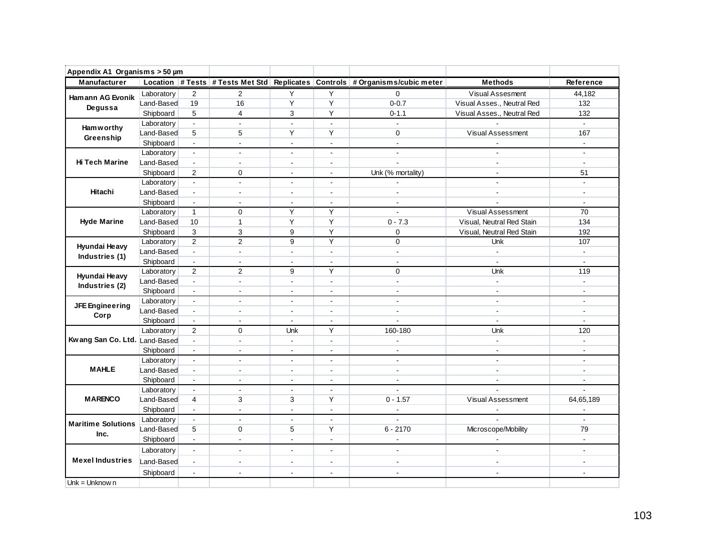| Appendix A1 Organisms > 50 µm |            |                |                          |                          |                |                                                                              |                            |                          |
|-------------------------------|------------|----------------|--------------------------|--------------------------|----------------|------------------------------------------------------------------------------|----------------------------|--------------------------|
| Manufacturer                  |            |                |                          |                          |                | Location # Tests # Tests Met Std Replicates Controls # Organisms/cubic meter | <b>Methods</b>             | Reference                |
| Hamann AG Evonik              | Laboratory | 2              | 2                        | Υ                        | Y              | 0                                                                            | Visual Assesment           | 44,182                   |
| Degussa                       | Land-Based | 19             | 16                       | Υ                        | Y              | $0 - 0.7$                                                                    | Visual Asses., Neutral Red | 132                      |
|                               | Shipboard  | 5              | $\overline{4}$           | 3                        | Υ              | $0 - 1.1$                                                                    | Visual Asses., Neutral Red | 132                      |
| <b>Ham w orthy</b>            | Laboratory | $\Box$         | $\sim$                   | $\sim$                   | $\mathbf{r}$   | $\Box$                                                                       |                            | $\blacksquare$           |
| Greenship                     | Land-Based | 5              | 5                        | Y                        | Y              | 0                                                                            | Visual Assessment          | 167                      |
|                               | Shipboard  | $\mathbf{r}$   | $\sim$                   | $\blacksquare$           | $\mathbf{r}$   | $\mathbf{r}$                                                                 | $\overline{a}$             | $\sim$                   |
|                               | Laboratory | ä,             | $\overline{a}$           | $\blacksquare$           | $\overline{a}$ | $\blacksquare$                                                               | $\blacksquare$             | $\overline{a}$           |
| <b>Hi Tech Marine</b>         | Land-Based | $\blacksquare$ | $\sim$                   | $\overline{\phantom{a}}$ | $\blacksquare$ | $\mathbf{r}$                                                                 | $\sim$                     | $\blacksquare$           |
|                               | Shipboard  | $\overline{2}$ | $\mathbf 0$              | $\sim$                   | $\blacksquare$ | Unk (% mortality)                                                            | $\blacksquare$             | 51                       |
|                               | Laboratory | $\blacksquare$ | $\overline{a}$           | $\sim$                   | $\blacksquare$ |                                                                              | $\overline{a}$             | $\overline{a}$           |
| Hitachi                       | Land-Based | $\blacksquare$ | ÷.                       | $\overline{a}$           | $\mathbf{r}$   | $\overline{a}$                                                               |                            | $\overline{a}$           |
|                               | Shipboard  | $\blacksquare$ | $\overline{a}$           | $\sim$                   | $\blacksquare$ | ÷,                                                                           | $\blacksquare$             | $\blacksquare$           |
|                               | Laboratory | $\overline{1}$ | $\mathbf 0$              | Y                        | Y              | $\mathbf{r}$                                                                 | Visual Assessment          | 70                       |
| <b>Hyde Marine</b>            | Land-Based | 10             | $\mathbf{1}$             | Y                        | Y              | $0 - 7.3$                                                                    | Visual, Neutral Red Stain  | 134                      |
|                               | Shipboard  | 3              | 3                        | 9                        | Y              | 0                                                                            | Visual, Neutral Red Stain  | 192                      |
| Hyundai Heavy                 | Laboratory | 2              | $\overline{2}$           | 9                        | Y              | 0                                                                            | <b>Unk</b>                 | 107                      |
| Industries (1)                | Land-Based | $\mathbf{r}$   | $\blacksquare$           | $\sim$                   | $\blacksquare$ | $\blacksquare$                                                               | $\blacksquare$             | $\blacksquare$           |
|                               | Shipboard  | $\blacksquare$ | $\tilde{\phantom{a}}$    | $\blacksquare$           | $\blacksquare$ | $\blacksquare$                                                               | $\overline{\phantom{a}}$   | $\blacksquare$           |
| Hyundai Heavy                 | Laboratory | $\overline{2}$ | 2                        | 9                        | Y              | $\Omega$                                                                     | Unk                        | 119                      |
| Industries (2)                | Land-Based | $\blacksquare$ | $\blacksquare$           | $\blacksquare$           | $\blacksquare$ | $\blacksquare$                                                               | $\blacksquare$             | $\blacksquare$           |
|                               | Shipboard  | $\blacksquare$ | $\sim$                   | $\sim$                   | $\mathbf{r}$   | $\sim$                                                                       | $\sim$                     | $\overline{a}$           |
| JFE Engineering               | Laboratory | $\blacksquare$ | $\blacksquare$           | $\sim$                   | $\blacksquare$ | $\blacksquare$                                                               | $\blacksquare$             | $\blacksquare$           |
| Corp                          | Land-Based | $\overline{a}$ | $\blacksquare$           | $\sim$                   | $\blacksquare$ | $\sim$                                                                       | $\sim$                     | $\blacksquare$           |
|                               | Shipboard  | $\blacksquare$ | $\sim$                   | $\blacksquare$           | $\blacksquare$ |                                                                              | $\sim$                     | $\blacksquare$           |
|                               | Laboratory | 2              | $\mathbf 0$              | Unk                      | Y              | 160-180                                                                      | Unk                        | 120                      |
| Kwang San Co. Ltd. Land-Based |            | ä,             | $\mathbf{r}$             | $\sim$                   | $\blacksquare$ | ÷,                                                                           | $\Box$                     | ä,                       |
|                               | Shipboard  | $\Box$         | $\blacksquare$           | $\blacksquare$           | $\blacksquare$ | $\blacksquare$                                                               | $\blacksquare$             | $\blacksquare$           |
|                               | Laboratory | $\blacksquare$ | $\overline{\phantom{a}}$ | $\overline{\phantom{a}}$ | $\blacksquare$ | $\sim$                                                                       | $\sim$                     | $\blacksquare$           |
| <b>MAHLE</b>                  | Land-Based | $\mathbf{r}$   | $\sim$                   | $\sim$                   | $\mathbf{r}$   | $\mathbf{r}$                                                                 | $\sim$                     | ÷                        |
|                               | Shipboard  | $\blacksquare$ | $\overline{\phantom{a}}$ | $\sim$                   | $\overline{a}$ | $\mathbf{r}$                                                                 | ÷.                         | ÷                        |
| <b>MARENCO</b>                | Laboratory | $\blacksquare$ | $\blacksquare$           | $\blacksquare$           | $\blacksquare$ | $\overline{\phantom{a}}$                                                     |                            | $\blacksquare$           |
|                               | Land-Based | 4              | 3                        | 3                        | Y              | $0 - 1.57$                                                                   | Visual Assessment          | 64,65,189                |
|                               | Shipboard  | $\mathbf{r}$   | $\mathbf{r}$             | $\Delta$                 | $\blacksquare$ | $\blacksquare$                                                               |                            | $\blacksquare$           |
| <b>Maritime Solutions</b>     | Laboratory | $\mathbf{L}$   | $\sim$                   | $\blacksquare$           | $\mathbf{r}$   | $\mathbf{r}$                                                                 |                            | $\overline{\phantom{a}}$ |
| Inc.                          | Land-Based | 5              | $\mathbf 0$              | 5<br>$\sim$              | Y              | $6 - 2170$                                                                   | Microscope/Mobility        | 79                       |
|                               | Shipboard  | $\blacksquare$ | $\overline{a}$           |                          | $\blacksquare$ | $\overline{a}$                                                               |                            | $\blacksquare$           |
|                               | Laboratory | $\blacksquare$ | $\overline{a}$           | $\overline{\phantom{a}}$ | $\blacksquare$ | $\sim$                                                                       | $\sim$                     | $\blacksquare$           |
| <b>Mexel Industries</b>       | Land-Based | $\blacksquare$ | $\sim$                   | $\sim$                   | $\blacksquare$ | $\sim$                                                                       | $\sim$                     | $\blacksquare$           |
|                               | Shipboard  | $\blacksquare$ | $\overline{a}$           | ÷,                       | $\overline{a}$ | $\sim$                                                                       | $\sim$                     | $\overline{a}$           |
| Unk = Unknow $n$              |            |                |                          |                          |                |                                                                              |                            |                          |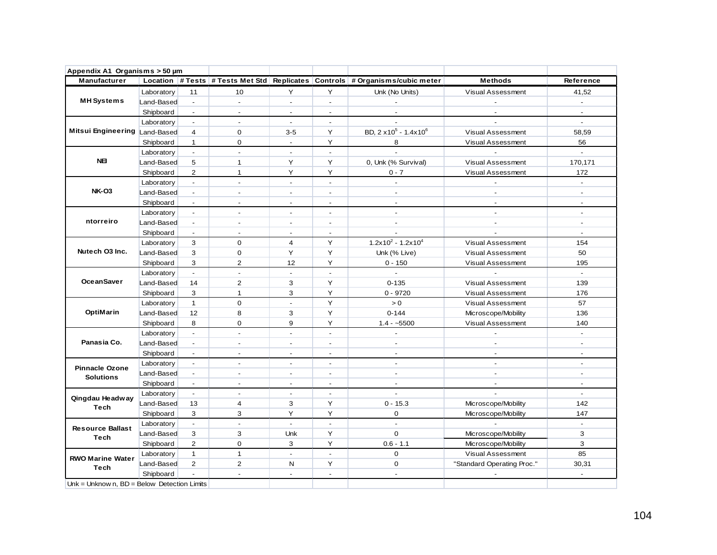| Appendix A1 Organisms > 50 µm                 |            |                          |                          |                          |                          |                                                                              |                            |                          |
|-----------------------------------------------|------------|--------------------------|--------------------------|--------------------------|--------------------------|------------------------------------------------------------------------------|----------------------------|--------------------------|
| Manufacturer                                  |            |                          |                          |                          |                          | Location # Tests # Tests Met Std Replicates Controls # Organisms/cubic meter | <b>Methods</b>             | Reference                |
|                                               | Laboratory | 11                       | 10                       | Y                        | Y                        | Unk (No Units)                                                               | <b>Visual Assessment</b>   | 41,52                    |
| <b>MH</b> Systems                             | Land-Based | $\sim$                   | $\mathbf{r}$             | $\sim$                   | $\mathbf{r}$             | $\sim$                                                                       | $\overline{a}$             | $\mathbf{r}$             |
|                                               | Shipboard  | $\overline{\phantom{a}}$ | $\blacksquare$           | $\overline{\phantom{a}}$ | $\blacksquare$           | $\blacksquare$                                                               | $\overline{a}$             | $\blacksquare$           |
|                                               | Laboratory | $\blacksquare$           | $\blacksquare$           | $\blacksquare$           | $\blacksquare$           | $\sim$                                                                       |                            | $\mathcal{L}$            |
| Mitsui Engineering Land-Based                 |            | $\overline{4}$           | $\mathbf 0$              | $3-5$                    | Y                        | BD, 2 x 10 <sup>5</sup> - 1.4x 10 <sup>6</sup>                               | Visual Assessment          | 58,59                    |
|                                               | Shipboard  | $\mathbf{1}$             | 0                        | $\overline{\phantom{a}}$ | Y                        | 8                                                                            | Visual Assessment          | 56                       |
|                                               | Laboratory | $\mathcal{L}$            | $\overline{\phantom{a}}$ | $\blacksquare$           | $\sim$                   | $\mathbf{r}$                                                                 |                            | $\blacksquare$           |
| <b>NEI</b>                                    | Land-Based | 5                        | $\mathbf{1}$             | Y                        | Y                        | 0, Unk (% Survival)                                                          | Visual Assessment          | 170,171                  |
|                                               | Shipboard  | 2                        | $\mathbf{1}$             | Y                        | Y                        | $0 - 7$                                                                      | Visual Assessment          | 172                      |
|                                               | Laboratory | $\sim$                   | $\overline{\phantom{a}}$ | $\blacksquare$           | $\blacksquare$           |                                                                              |                            |                          |
| <b>NK-03</b>                                  | Land-Based | $\mathbf{r}$             | $\sim$                   | $\overline{\phantom{a}}$ | $\overline{\phantom{a}}$ | $\sim$                                                                       | $\mathbf{r}$               | ÷                        |
|                                               | Shipboard  | $\blacksquare$           | $\sim$                   | $\blacksquare$           | $\blacksquare$           | $\sim$                                                                       | $\overline{a}$             | $\overline{a}$           |
|                                               | Laboratory | $\blacksquare$           | $\blacksquare$           | $\blacksquare$           | $\overline{\phantom{a}}$ | $\blacksquare$                                                               | $\mathbf{r}$               | $\overline{a}$           |
| ntorreiro                                     | Land-Based | $\blacksquare$           | $\blacksquare$           | $\blacksquare$           | $\blacksquare$           | $\blacksquare$                                                               | $\blacksquare$             | $\blacksquare$           |
|                                               | Shipboard  | $\blacksquare$           | $\sim$                   | $\overline{\phantom{a}}$ | $\overline{\phantom{a}}$ |                                                                              |                            | $\blacksquare$           |
|                                               | Laboratory | 3                        | $\Omega$                 | $\overline{4}$           | Y                        | $1.2x10^2 - 1.2x10^4$                                                        | Visual Assessment          | 154                      |
| Nutech O3 Inc.                                | Land-Based | 3                        | $\mathbf 0$              | Υ                        | Y                        | Unk (% Live)                                                                 | Visual Assessment          | 50                       |
|                                               | Shipboard  | 3                        | $\overline{2}$           | 12                       | Y                        | $0 - 150$                                                                    | Visual Assessment          | 195                      |
|                                               | Laboratory | $\Box$                   | $\sim$                   | $\blacksquare$           | $\mathbf{r}$             |                                                                              |                            | $\blacksquare$           |
| <b>OceanSaver</b>                             | Land-Based | 14                       | $\overline{2}$           | 3                        | Y                        | $0 - 135$                                                                    | Visual Assessment          | 139                      |
|                                               | Shipboard  | 3                        | $\mathbf{1}$             | 3                        | Y                        | $0 - 9720$                                                                   | Visual Assessment          | 176                      |
|                                               | Laboratory | $\mathbf{1}$             | $\mathbf 0$              | $\sim$                   | Y                        | $> 0$                                                                        | Visual Assessment          | 57                       |
| OptiMarin                                     | Land-Based | 12                       | 8                        | 3                        | Y                        | $0 - 144$                                                                    | Microscope/Mobility        | 136                      |
|                                               | Shipboard  | 8                        | $\mathbf 0$              | 9                        | Y                        | $1.4 - 5500$                                                                 | Visual Assessment          | 140                      |
|                                               | Laboratory | $\blacksquare$           | $\sim$                   | $\overline{\phantom{a}}$ | $\sim$                   | $\overline{\phantom{a}}$                                                     |                            | $\overline{a}$           |
| Panasia Co.                                   | Land-Based | $\blacksquare$           | $\overline{a}$           | $\overline{\phantom{a}}$ | $\overline{a}$           | $\overline{\phantom{a}}$                                                     | $\overline{a}$             | $\overline{a}$           |
|                                               | Shipboard  | $\sim$                   | $\sim$                   | $\overline{\phantom{a}}$ | $\overline{a}$           | $\overline{\phantom{a}}$                                                     | $\sim$                     | $\overline{a}$           |
| <b>Pinnacle Ozone</b>                         | Laboratory | $\overline{\phantom{a}}$ |                          |                          | $\overline{a}$           | $\overline{a}$                                                               |                            | $\overline{\phantom{a}}$ |
| <b>Solutions</b>                              | Land-Based | $\mathbf{r}$             | $\overline{a}$           | $\overline{\phantom{a}}$ | $\overline{\phantom{a}}$ | $\mathbf{r}$                                                                 | $\overline{a}$             | $\overline{a}$           |
|                                               | Shipboard  | $\overline{\phantom{a}}$ |                          | $\overline{\phantom{a}}$ | ٠                        | $\overline{\phantom{a}}$                                                     | $\blacksquare$             |                          |
| Qingdau Headway                               | Laboratory | $\sim$                   | $\overline{\phantom{a}}$ | $\sim$                   | $\blacksquare$           | $\blacksquare$                                                               |                            | $\blacksquare$           |
| <b>Tech</b>                                   | Land-Based | 13                       | $\overline{\mathbf{4}}$  | 3                        | Y                        | $0 - 15.3$                                                                   | Microscope/Mobility        | 142                      |
|                                               | Shipboard  | 3                        | 3                        | Υ                        | Υ                        | 0                                                                            | Microscope/Mobility        | 147                      |
| <b>Resource Ballast</b>                       | Laboratory | $\mathbf{r}$             | $\sim$                   | $\sim$                   | $\mathbf{r}$             | $\sim$                                                                       |                            | $\mathcal{L}$            |
| <b>Tech</b>                                   | Land-Based | 3                        | 3                        | Unk                      | Y                        | $\mathbf 0$                                                                  | Microscope/Mobility        | 3                        |
|                                               | Shipboard  | $\overline{2}$           | $\mathbf{O}$             | 3                        | Y                        | $0.6 - 1.1$                                                                  | Microscope/Mobility        | 3                        |
| <b>RWO Marine Water</b>                       | Laboratory | $\mathbf{1}$             | $\mathbf{1}$             | $\overline{a}$           | $\mathbf{r}$             | $\mathbf 0$                                                                  | Visual Assessment          | 85                       |
| <b>Tech</b>                                   | Land-Based | 2                        | $\overline{2}$           | N                        | Y                        | $\mathbf 0$                                                                  | "Standard Operating Proc." | 30,31                    |
|                                               | Shipboard  |                          | $\blacksquare$           | $\overline{a}$           | $\overline{\phantom{0}}$ | $\overline{\phantom{a}}$                                                     |                            | -                        |
| Unk = Unknow n. $BD = Below$ Detection Limits |            |                          |                          |                          |                          |                                                                              |                            |                          |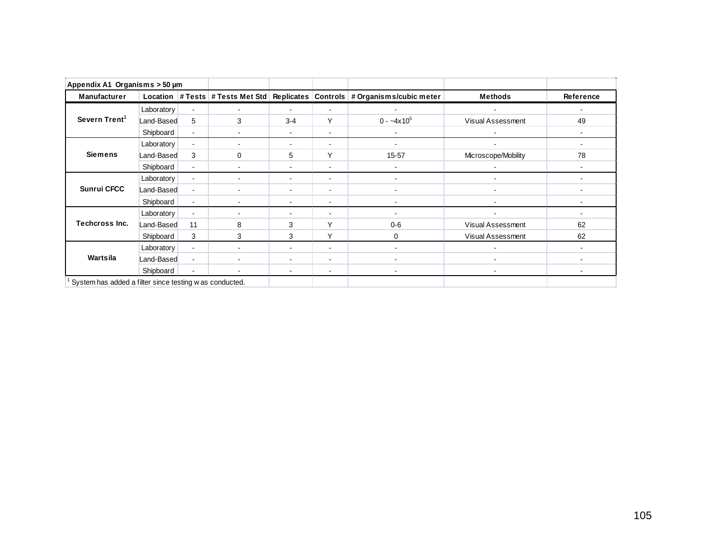| Appendix A1 Organisms > 50 µm                           |            |                |                                  |                          |                |                                             |                          |           |
|---------------------------------------------------------|------------|----------------|----------------------------------|--------------------------|----------------|---------------------------------------------|--------------------------|-----------|
| Manufacturer                                            |            |                | Location # Tests # Tests Met Std |                          |                | Replicates Controls # Organisms/cubic meter | <b>Methods</b>           | Reference |
|                                                         | Laboratory | $\blacksquare$ |                                  | $\blacksquare$           | ۰              |                                             |                          |           |
| Severn Trent <sup>1</sup>                               | Land-Based | 5              | 3                                | $3 - 4$                  | Y              | $0 - -4x10^5$                               | Visual Assessment        | 49        |
|                                                         | Shipboard  | $\blacksquare$ |                                  | $\blacksquare$           | $\sim$         | $\sim$                                      |                          |           |
|                                                         | Laboratory | $\blacksquare$ |                                  | $\blacksquare$           | $\sim$         | $\blacksquare$                              | $\blacksquare$           | -         |
| <b>Siemens</b>                                          | Land-Based | 3              | $\Omega$                         | 5                        | Y              | $15 - 57$                                   | Microscope/Mobility      | 78        |
|                                                         | Shipboard  | $\blacksquare$ | ÷                                | $\blacksquare$           | $\blacksquare$ |                                             |                          |           |
|                                                         | Laboratory | $\blacksquare$ |                                  | $\overline{\phantom{a}}$ | ۰              | ۰.                                          | $\blacksquare$           |           |
| <b>Sunrui CFCC</b>                                      | Land-Based | $\blacksquare$ |                                  | $\overline{\phantom{a}}$ | ۰              |                                             | $\overline{\phantom{a}}$ |           |
|                                                         | Shipboard  | $\blacksquare$ |                                  | $\overline{\phantom{a}}$ | ۰              |                                             |                          |           |
|                                                         | Laboratory | $\blacksquare$ |                                  | ۰                        | ۰              |                                             |                          |           |
| <b>Techcross Inc.</b>                                   | Land-Based | 11             | 8                                | 3                        | $\checkmark$   | $0 - 6$                                     | <b>Visual Assessment</b> | 62        |
|                                                         | Shipboard  | 3              | 3                                | 3                        | V              | $\Omega$                                    | Visual Assessment        | 62        |
|                                                         | Laboratory | $\blacksquare$ |                                  | $\blacksquare$           | ۰              |                                             |                          |           |
| Wartsila                                                | Land-Based | $\blacksquare$ |                                  | $\blacksquare$           | ۰              |                                             |                          |           |
|                                                         | Shipboard  | $\blacksquare$ |                                  | $\blacksquare$           | $\blacksquare$ |                                             |                          |           |
| System has added a filter since testing w as conducted. |            |                |                                  |                          |                |                                             |                          |           |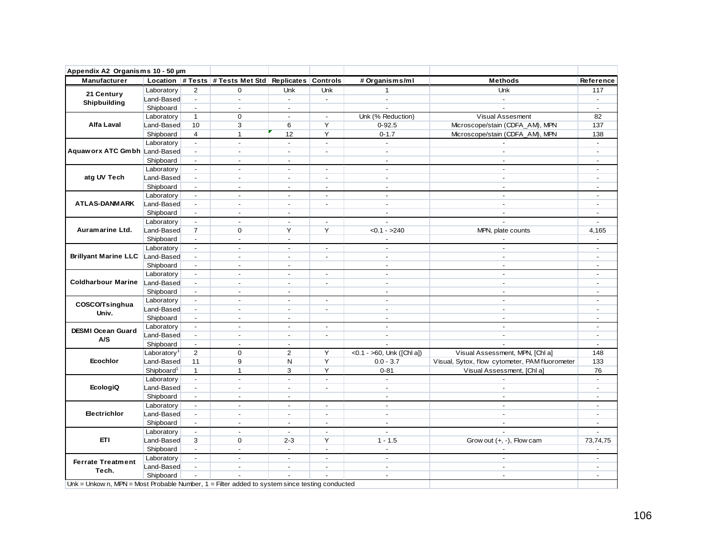| <b>Manufacturer</b>                                                                                                                                                                                                                                                                                                                     |                         |                           | Location # Tests # Tests Met Std Replicates Controls |                |                          | # Organisms/ml               | <b>Methods</b>                                 | Reference                |
|-----------------------------------------------------------------------------------------------------------------------------------------------------------------------------------------------------------------------------------------------------------------------------------------------------------------------------------------|-------------------------|---------------------------|------------------------------------------------------|----------------|--------------------------|------------------------------|------------------------------------------------|--------------------------|
|                                                                                                                                                                                                                                                                                                                                         | Laboratory              | $\overline{2}$            | 0                                                    | Unk            | Unk                      | $\mathbf{1}$                 | <b>Unk</b>                                     | 117                      |
|                                                                                                                                                                                                                                                                                                                                         | Land-Based              | $\mathbb{Z}^+$            | $\blacksquare$                                       | $\sim$         | $\sim$                   | $\blacksquare$               | $\sim$                                         | $\sim$                   |
|                                                                                                                                                                                                                                                                                                                                         | Shipboard               | $\sim$                    | $\sim$                                               | $\sim$         |                          | $\sim$                       | $\sim$                                         | $\sim$                   |
|                                                                                                                                                                                                                                                                                                                                         | Laboratory              | $\mathbf{1}$              | $\mathbf 0$                                          | $\sim$         | $\omega$                 | Unk (% Reduction)            | Visual Assesment                               | 82                       |
|                                                                                                                                                                                                                                                                                                                                         | Land-Based              | 10                        | 3                                                    | 6              | Y                        | $0 - 92.5$                   | Microscope/stain (CDFA_AM), MPN                | 137                      |
|                                                                                                                                                                                                                                                                                                                                         | Shipboard               | $\overline{4}$            | $\mathbf{1}$                                         | 12             | Y                        | $0 - 1.7$                    | Microscope/stain (CDFA_AM), MPN                | 138                      |
|                                                                                                                                                                                                                                                                                                                                         | Laboratory              | $\mathbb{Z}^{\mathbb{Z}}$ | $\sim$                                               | $\mathbf{r}$   | $\mathbf{r}$             | $\sim$                       |                                                | $\blacksquare$           |
|                                                                                                                                                                                                                                                                                                                                         |                         | $\sim$                    | $\sim$                                               | $\sim$         | $\sim$                   | $\sim$                       | $\sim$                                         | $\sim$                   |
| Appendix A2 Organisms 10 - 50 µm<br>21 Century<br>Shipbuilding<br><b>Alfa Laval</b><br>Aquaw orx ATC Gmbh Land-Based<br>atg UV Tech<br><b>ATLAS-DANMARK</b><br>Auramarine Ltd.<br>COSCO/Tsinghua<br>Univ.<br><b>DESMI Ocean Guard</b><br>A/S<br>Ecochlor<br><b>EcologiQ</b><br>Electrichlor<br>ETI<br><b>Ferrate Treatment</b><br>Tech. | Shipboard               | $\sim$                    | $\sim$                                               | $\sim$         |                          | $\sim$                       | $\blacksquare$                                 | $\sim$                   |
|                                                                                                                                                                                                                                                                                                                                         | Laboratory              | $\blacksquare$            | $\sim$                                               | $\sim$         | $\overline{\phantom{a}}$ | $\sim$                       | $\overline{\phantom{0}}$                       | $\overline{\phantom{a}}$ |
|                                                                                                                                                                                                                                                                                                                                         | Land-Based              | $\blacksquare$            | $\sim$                                               | $\sim$         | $\sim$                   | $\overline{a}$               | $\blacksquare$                                 | $\sim$                   |
|                                                                                                                                                                                                                                                                                                                                         |                         |                           |                                                      |                |                          |                              |                                                |                          |
|                                                                                                                                                                                                                                                                                                                                         | Shipboard               | $\sim$                    | $\sim$                                               | $\sim$         | $\sim$                   | $\blacksquare$               | $\overline{\phantom{0}}$                       | $\sim$                   |
|                                                                                                                                                                                                                                                                                                                                         | Laboratory              | $\omega$                  | $\sim$                                               | $\sim$         | $\overline{a}$           |                              | $\ddot{\phantom{a}}$                           | ÷,                       |
|                                                                                                                                                                                                                                                                                                                                         | Land-Based              | $\omega$                  | $\blacksquare$                                       | $\overline{a}$ | $\overline{a}$           | $\overline{a}$               | $\overline{a}$                                 | $\sim$                   |
|                                                                                                                                                                                                                                                                                                                                         | Shipboard               | $\blacksquare$            | $\sim$                                               | $\sim$         |                          | $\sim$                       | $\overline{\phantom{a}}$                       | $\overline{\phantom{a}}$ |
|                                                                                                                                                                                                                                                                                                                                         | Laboratory              | $\blacksquare$            | $\sim$                                               | $\sim$         | $\blacksquare$           | $\overline{a}$               |                                                | $\blacksquare$           |
|                                                                                                                                                                                                                                                                                                                                         | Land-Based              | $\overline{7}$            | $\mathbf 0$                                          | Y              | Y                        | $< 0.1 - 240$                | MPN, plate counts                              | 4,165                    |
|                                                                                                                                                                                                                                                                                                                                         | Shipboard               | $\sim$                    | $\sim$                                               | $\sim$         |                          | $\overline{a}$               |                                                | $\blacksquare$           |
|                                                                                                                                                                                                                                                                                                                                         | Laboratory              | $\blacksquare$            | $\sim$                                               | $\sim$         | $\sim$                   | $\sim$                       | $\overline{\phantom{a}}$                       | $\sim$                   |
| Brillyant Marine LLC Land-Based                                                                                                                                                                                                                                                                                                         |                         | $\sim$                    | $\sim$                                               | $\sim$         | $\sim$                   | $\sim$                       | $\blacksquare$                                 | $\mathbf{r}$             |
|                                                                                                                                                                                                                                                                                                                                         | Shipboard               | $\sim$                    | $\sim$                                               | $\sim$         |                          | $\sim$                       | $\blacksquare$                                 | $\sim$                   |
|                                                                                                                                                                                                                                                                                                                                         | Laboratory              | $\blacksquare$            | $\sim$                                               | $\sim$         | $\overline{a}$           | $\omega$                     | $\blacksquare$                                 | $\overline{\phantom{a}}$ |
| <b>Coldharbour Marine</b>                                                                                                                                                                                                                                                                                                               | Land-Based              | $\omega$                  |                                                      | $\sim$         | $\overline{a}$           | $\sim$                       | $\ddot{\phantom{a}}$                           | $\overline{\phantom{a}}$ |
|                                                                                                                                                                                                                                                                                                                                         | Shipboard               | $\sim$                    | $\sim$                                               | $\sim$         |                          | $\sim$                       | $\sim$                                         | $\sim$                   |
|                                                                                                                                                                                                                                                                                                                                         | Laboratory              | $\blacksquare$            | $\sim$                                               | $\sim$         | $\sim$                   | $\omega$                     | $\blacksquare$                                 | $\mathbf{r}$             |
|                                                                                                                                                                                                                                                                                                                                         | Land-Based              | $\omega$                  | $\sim$                                               | $\sim$         | $\sim$                   | $\overline{a}$               | $\overline{a}$                                 | $\sim$                   |
|                                                                                                                                                                                                                                                                                                                                         | Shipboard               | $\sim$                    | $\sim$                                               | $\sim$         |                          | $\sim$                       | $\sim$                                         | $\sim$                   |
|                                                                                                                                                                                                                                                                                                                                         | Laboratory              | $\omega$                  | $\sim$                                               | $\sim$         | $\sim$                   | $\sim$                       | $\sim$                                         | $\sim$                   |
|                                                                                                                                                                                                                                                                                                                                         | Land-Based              | $\blacksquare$            | $\sim$                                               | $\sim$         | $\overline{\phantom{a}}$ | $\sim$                       | $\overline{\phantom{a}}$                       | $\overline{\phantom{a}}$ |
|                                                                                                                                                                                                                                                                                                                                         | Shipboard               | $\sim$                    | $\blacksquare$                                       | $\blacksquare$ |                          | $\overline{\phantom{a}}$     | $\overline{\phantom{a}}$                       | $\blacksquare$           |
|                                                                                                                                                                                                                                                                                                                                         | Laboratory <sup>1</sup> | 2                         | $\mathbf 0$                                          | $\overline{2}$ | Y                        | < $0.1 - 50$ , Unk ([Chl a]) | Visual Assessment, MPN, [Chl a]                | 148                      |
|                                                                                                                                                                                                                                                                                                                                         | Land-Based              | 11                        | 9                                                    | N              | Y                        | $0.0 - 3.7$                  | Visual, Sytox, flow cytometer, PAM fluorometer | 133                      |
|                                                                                                                                                                                                                                                                                                                                         | Shipboard <sup>1</sup>  | $\mathbf{1}$              | $\mathbf{1}$                                         | 3              | Y                        | $0 - 81$                     | Visual Assessment, [Chl a]                     | 76                       |
|                                                                                                                                                                                                                                                                                                                                         | Laboratory              | $\blacksquare$            | $\sim$                                               | $\sim$         | $\sim$                   |                              |                                                | $\sim$                   |
|                                                                                                                                                                                                                                                                                                                                         | Land-Based              | $\omega$                  | $\sim$                                               | $\sim$         | $\overline{a}$           | $\overline{a}$               | $\blacksquare$                                 | $\sim$                   |
|                                                                                                                                                                                                                                                                                                                                         | Shipboard               | $\sim$                    | $\sim$                                               | $\sim$         |                          | $\sim$                       | $\sim$                                         | $\sim$                   |
|                                                                                                                                                                                                                                                                                                                                         |                         | $\sim$                    | $\sim$                                               | $\sim$         | $\sim$                   | $\sim$                       | $\sim$                                         | $\sim$                   |
|                                                                                                                                                                                                                                                                                                                                         | Laboratory              |                           | $\sim$                                               | $\sim$         | $\sim$                   | $\sim$                       | $\sim$                                         |                          |
|                                                                                                                                                                                                                                                                                                                                         | Land-Based              | $\sim$                    |                                                      |                |                          |                              |                                                | $\blacksquare$           |
|                                                                                                                                                                                                                                                                                                                                         | Shipboard               | $\sim$                    | $\sim$                                               | $\sim$         | $\blacksquare$           | $\blacksquare$               | $\sim$                                         | $\blacksquare$           |
|                                                                                                                                                                                                                                                                                                                                         | Laboratory              | $\sim$                    | $\sim$                                               | $\blacksquare$ | $\sim$                   | $\sim$                       | $\overline{a}$                                 | $\overline{\phantom{a}}$ |
|                                                                                                                                                                                                                                                                                                                                         | Land-Based              | 3                         | $\mathbf 0$                                          | $2 - 3$        | Y                        | $1 - 1.5$                    | Grow out (+, -), Flow cam                      | 73,74,75                 |
|                                                                                                                                                                                                                                                                                                                                         | Shipboard               | $\blacksquare$            | $\sim$                                               | $\sim$         | $\overline{a}$           | $\sim$                       |                                                |                          |
|                                                                                                                                                                                                                                                                                                                                         | Laboratory              | $\sim$                    | $\sim$                                               | $\sim$         | $\sim$                   | $\overline{a}$               | $\overline{a}$                                 | $\sim$                   |
|                                                                                                                                                                                                                                                                                                                                         | Land-Based              | $\omega$                  | $\sim$                                               | $\sim$         | $\sim$                   | $\sim$                       | $\mathbf{r}$                                   | $\overline{\phantom{a}}$ |
|                                                                                                                                                                                                                                                                                                                                         | Shipboard               |                           |                                                      |                |                          | $\overline{a}$               | $\sim$                                         | $\sim$                   |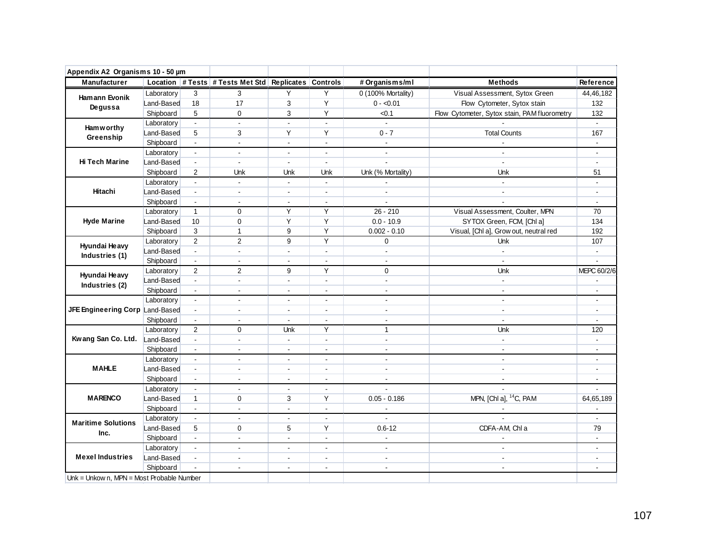| Appendix A2 Organisms 10 - 50 µm          |            |                             |                                                      |                |                          |                          |                                              |                |
|-------------------------------------------|------------|-----------------------------|------------------------------------------------------|----------------|--------------------------|--------------------------|----------------------------------------------|----------------|
| Manufacturer                              |            |                             | Location # Tests # Tests Met Std Replicates Controls |                |                          | # Organisms/ml           | <b>Methods</b>                               | Reference      |
| Hamann Evonik                             | Laboratory | 3                           | 3                                                    | Υ              | Υ                        | 0 (100% Mortality)       | Visual Assessment, Sytox Green               | 44,46,182      |
| Degussa                                   | Land-Based | 18                          | 17                                                   | 3              | Y                        | $0 - 0.01$               | Flow Cytometer, Sytox stain                  | 132            |
|                                           | Shipboard  | 5                           | $\Omega$                                             | 3              | Y                        | < 0.1                    | Flow Cytometer, Sytox stain, PAM fluorometry | 132            |
| <b>Ham w orthy</b>                        | Laboratory | $\mathbf{r}$                | $\omega$                                             | $\blacksquare$ | $\mathbf{r}$             | $\mathbb{Z}^2$           |                                              | $\blacksquare$ |
|                                           | Land-Based | 5                           | 3                                                    | Y              | Y                        | $0 - 7$                  | <b>Total Counts</b>                          | 167            |
| Greenship                                 | Shipboard  | $\blacksquare$              | $\blacksquare$                                       | $\mathbf{r}$   | $\mathbf{r}$             | $\blacksquare$           |                                              | $\sim$         |
|                                           | Laboratory | $\blacksquare$              | $\blacksquare$                                       | $\blacksquare$ | $\blacksquare$           | ä,                       | $\blacksquare$                               | ÷,             |
| Hi Tech Marine                            | Land-Based | $\blacksquare$              | $\Box$                                               | $\Box$         | ÷,                       | $\overline{a}$           | $\overline{a}$                               | $\blacksquare$ |
|                                           | Shipboard  | $\overline{2}$              | Unk                                                  | Unk            | Unk                      | Unk (% Mortality)        | Unk                                          | 51             |
|                                           | Laboratory | $\sim$                      | $\blacksquare$                                       | $\blacksquare$ | $\sim$                   |                          | $\mathbf{r}$                                 | $\blacksquare$ |
| Hitachi                                   | Land-Based | $\blacksquare$              | $\overline{a}$                                       | $\sim$         | $\blacksquare$           | $\blacksquare$           |                                              | $\blacksquare$ |
|                                           | Shipboard  | $\omega$                    | $\blacksquare$                                       | $\blacksquare$ | $\mathbf{r}$             | $\overline{a}$           |                                              | $\blacksquare$ |
|                                           | Laboratory | $\mathbf{1}$                | $\Omega$                                             | Y              | Υ                        | $26 - 210$               | Visual Assessment, Coulter, MPN              | 70             |
| <b>Hyde Marine</b>                        | Land-Based | $10$                        | $\mathbf 0$                                          | Y              | Y                        | $0.0 - 10.9$             | SYTOX Green, FCM, [Chl a]                    | 134            |
|                                           | Shipboard  | $\mathbf{3}$                | $\mathbf{1}$                                         | 9              | Υ                        | $0.002 - 0.10$           | Visual, [Chl a], Grow out, neutral red       | 192            |
|                                           | Laboratory | 2                           | $\overline{2}$                                       | 9              | Υ                        | 0                        | Unk                                          | 107            |
| Hyundai Heavy                             | Land-Based | $\blacksquare$              | $\blacksquare$                                       | $\blacksquare$ | $\blacksquare$           | $\blacksquare$           | $\blacksquare$                               | $\blacksquare$ |
| Industries (1)                            | Shipboard  | $\blacksquare$              | $\blacksquare$                                       | $\blacksquare$ | $\blacksquare$           | $\overline{\phantom{a}}$ | $\blacksquare$                               | $\blacksquare$ |
| Laboratory<br>Hyundai Heavy               | 2          | $\overline{2}$              | 9                                                    | Y              | $\overline{0}$           | Unk                      | MEPC 60/2/6                                  |                |
|                                           | Land-Based | $\omega$                    | $\blacksquare$                                       | $\mathbf{r}$   | $\blacksquare$           | $\overline{a}$           | $\blacksquare$                               |                |
| Industries (2)                            | Shipboard  | $\blacksquare$              | $\blacksquare$                                       | $\blacksquare$ | $\blacksquare$           | $\blacksquare$           | $\blacksquare$                               | $\blacksquare$ |
|                                           | Laboratory | $\blacksquare$              | $\blacksquare$                                       | $\blacksquare$ | $\blacksquare$           | $\blacksquare$           | $\mathbf{r}$                                 | $\blacksquare$ |
| JFE Engineering Corp Land-Based           |            | $\blacksquare$              | $\sim$                                               | $\blacksquare$ | $\blacksquare$           | $\overline{a}$           | $\blacksquare$                               | $\blacksquare$ |
|                                           | Shipboard  | $\mathbb{Z}^{\mathbb{Z}}$   | $\blacksquare$                                       | $\mathbf{r}$   | $\overline{a}$           | $\overline{a}$           | $\blacksquare$                               | L.             |
|                                           | Laboratory | $\overline{2}$              | 0                                                    | Unk            | Y                        | $\mathbf{1}$             | Unk                                          | 120            |
| Kwang San Co. Ltd.                        | Land-Based | $\mathbb{Z}^{\mathbb{Z}}$   | $\blacksquare$                                       | $\blacksquare$ | $\blacksquare$           | ä,                       | $\blacksquare$                               | ÷.             |
|                                           | Shipboard  | $\mathbf{r}$                | $\overline{a}$                                       | $\blacksquare$ | ÷.                       | $\overline{a}$           | $\blacksquare$                               | $\blacksquare$ |
|                                           | Laboratory | $\blacksquare$              | $\mathbf{r}$                                         | $\mathbf{r}$   | $\mathbf{r}$             | $\overline{a}$           | $\mathbf{r}$                                 | $\blacksquare$ |
| <b>MAHLE</b>                              | Land-Based | $\blacksquare$              | $\blacksquare$                                       | $\blacksquare$ | $\blacksquare$           | $\overline{a}$           | $\blacksquare$                               | $\blacksquare$ |
|                                           | Shipboard  | $\blacksquare$              | $\overline{a}$                                       | $\sim$         | ÷,                       | $\overline{a}$           | $\blacksquare$                               | $\blacksquare$ |
|                                           | Laboratory | $\mathbf{r}$                | $\overline{\phantom{a}}$                             | $\blacksquare$ | $\overline{\phantom{a}}$ |                          |                                              | ä,             |
| <b>MARENCO</b>                            | Land-Based | $\overline{1}$              | $\mathbf 0$                                          | 3              | Y                        | $0.05 - 0.186$           | MPN, [Chl a], <sup>14</sup> C, PAM           | 64,65,189      |
|                                           | Shipboard  | $\sim$                      | $\blacksquare$                                       | $\blacksquare$ | $\blacksquare$           | $\blacksquare$           | $\blacksquare$                               | $\blacksquare$ |
| <b>Maritime Solutions</b>                 | Laboratory | ä,                          | ÷,                                                   | $\mathbf{r}$   | ä,                       | ÷,                       |                                              | $\blacksquare$ |
| Inc.                                      | Land-Based | 5                           | 0                                                    | 5              | Y                        | $0.6 - 12$               | CDFA-AM, Chl a                               | 79             |
|                                           | Shipboard  | $\mathcal{L}^{\mathcal{A}}$ | $\overline{a}$                                       | $\mathbf{r}$   | $\overline{a}$           |                          |                                              | ä,             |
|                                           | Laboratory | $\blacksquare$              | $\blacksquare$                                       | $\blacksquare$ | $\blacksquare$           | $\blacksquare$           | $\blacksquare$                               | $\sim$         |
| <b>Mexel Industries</b>                   | Land-Based | $\blacksquare$              | $\overline{a}$                                       | $\sim$         | ä,                       | $\blacksquare$           | $\blacksquare$                               | $\blacksquare$ |
|                                           | Shipboard  |                             | $\sim$                                               | $\overline{a}$ | ÷                        | $\blacksquare$           | ÷                                            | $\sim$         |
| Unk = Unkow n, MPN = Most Probable Number |            |                             |                                                      |                |                          |                          |                                              |                |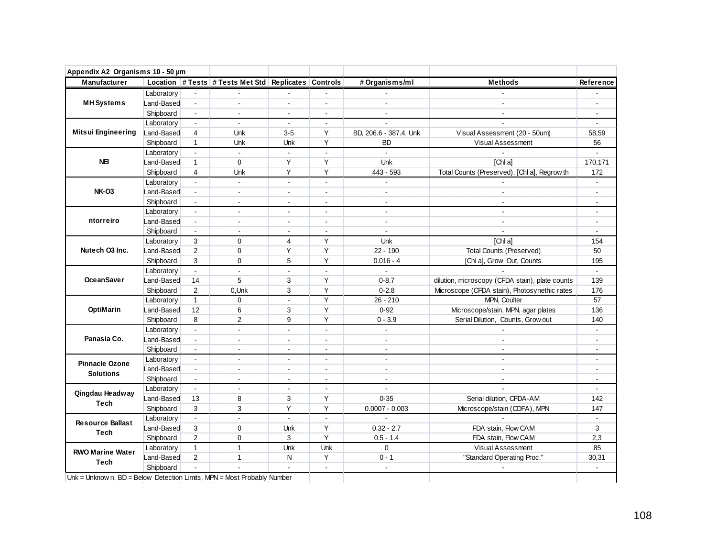| Appendix A2 Organisms 10 - 50 µm                                        |            |                             |                                                      |                |                |                        |                                                 |                |
|-------------------------------------------------------------------------|------------|-----------------------------|------------------------------------------------------|----------------|----------------|------------------------|-------------------------------------------------|----------------|
| Manufacturer                                                            |            |                             | Location # Tests # Tests Met Std Replicates Controls |                |                | # Organisms/ml         | <b>Methods</b>                                  | Reference      |
|                                                                         | Laboratory |                             |                                                      |                |                |                        |                                                 |                |
| <b>MH Systems</b>                                                       | Land-Based | $\mathbf{r}$                | $\sim$                                               | $\overline{a}$ | $\overline{a}$ | $\overline{a}$         | $\sim$                                          | $\sim$         |
|                                                                         | Shipboard  | $\mathbf{r}$                |                                                      | $\sim$         | ÷.             | $\mathbf{r}$           |                                                 |                |
|                                                                         | Laboratory | $\blacksquare$              | $\sim$                                               | $\blacksquare$ | $\blacksquare$ | $\sim$                 |                                                 | $\blacksquare$ |
| <b>Mitsui Engineering</b>                                               | Land-Based | 4                           | Unk                                                  | $3 - 5$        | Y              | BD, 206.6 - 387.4, Unk | Visual Assessment (20 - 50um)                   | 58,59          |
|                                                                         | Shipboard  | $\mathbf{1}$                | Unk                                                  | Unk            | Y              | <b>BD</b>              | Visual Assessment                               | 56             |
|                                                                         | Laboratory | $\sim$                      | $\mathbf{r}$                                         | $\blacksquare$ | $\mathbf{r}$   |                        |                                                 |                |
| <b>NE</b>                                                               | Land-Based | $\mathbf{1}$                | $\mathbf 0$                                          | Y              | Y              | Unk                    | [Chl a]                                         | 170,171        |
|                                                                         | Shipboard  | 4                           | Unk                                                  | Y              | Y              | 443 - 593              | Total Counts (Preserved), [Chl a], Regrow th    | 172            |
|                                                                         | Laboratory | $\sim$                      | $\mathbf{r}$                                         | $\blacksquare$ | $\blacksquare$ | $\blacksquare$         |                                                 | $\blacksquare$ |
| <b>NK-03</b>                                                            | Land-Based | $\blacksquare$              | $\blacksquare$                                       | $\blacksquare$ | $\blacksquare$ | $\blacksquare$         | $\blacksquare$                                  |                |
|                                                                         | Shipboard  | $\blacksquare$              | $\blacksquare$                                       | $\blacksquare$ | $\overline{a}$ | $\blacksquare$         | $\mathbf{r}$                                    | $\blacksquare$ |
|                                                                         | Laboratory | $\blacksquare$              | $\blacksquare$                                       | $\blacksquare$ | $\blacksquare$ | $\blacksquare$         | $\sim$                                          | $\mathbf{r}$   |
| ntorreiro                                                               | Land-Based | $\blacksquare$              | $\overline{\phantom{a}}$                             | $\sim$         | $\blacksquare$ | $\blacksquare$         | $\blacksquare$                                  | $\blacksquare$ |
|                                                                         | Shipboard  | $\blacksquare$              | $\sim$                                               | $\sim$         | $\blacksquare$ | $\blacksquare$         |                                                 | $\sim$         |
|                                                                         | Laboratory | 3                           | $\Omega$                                             | 4              | Y              | Unk                    | [ChIa]                                          | 154            |
| Nutech O3 Inc.                                                          | Land-Based | $\overline{2}$              | $\mathbf 0$                                          | Y              | Y              | $22 - 190$             | <b>Total Counts (Preserved)</b>                 | 50             |
|                                                                         | Shipboard  | 3                           | $\mathbf 0$                                          | 5              | Y              | $0.016 - 4$            | [Chl a], Grow Out, Counts                       | 195            |
|                                                                         | Laboratory | $\blacksquare$              | $\blacksquare$                                       | $\overline{a}$ | $\overline{a}$ |                        |                                                 | $\mathbf{r}$   |
| <b>OceanSaver</b>                                                       | Land-Based | 14                          | 5                                                    | 3              | Υ              | $0 - 8.7$              | dilution, microscopy (CFDA stain), plate counts | 139            |
|                                                                         | Shipboard  | $\overline{2}$              | 0, Unk                                               | 3              | Y              | $0 - 2.8$              | Microscope (CFDA stain), Photosynethic rates    | 176            |
|                                                                         | Laboratory | $\mathbf{1}$                | $\mathbf 0$                                          | $\blacksquare$ | Y              | $26 - 210$             | MPN, Coulter                                    | 57             |
| OptiMarin                                                               | Land-Based | 12                          | 6                                                    | 3              | Y              | $0 - 92$               | Microscope/stain, MPN, agar plates              | 136            |
|                                                                         | Shipboard  | 8                           | $\overline{2}$                                       | 9              | Υ              | $0 - 3.9$              | Serial Dilution, Counts, Grow out               | 140            |
|                                                                         | Laboratory | $\mathbb{Z}^+$              | $\mathbb{Z}^2$                                       | $\mathbf{r}$   | $\mathbf{r}$   | $\omega$               |                                                 | $\blacksquare$ |
| Panasia Co.                                                             | Land-Based | $\blacksquare$              | $\blacksquare$                                       | $\sim$         | $\blacksquare$ | $\blacksquare$         | $\sim$                                          | $\mathbf{r}$   |
|                                                                         | Shipboard  | $\mathcal{L}_{\mathcal{A}}$ | $\overline{\phantom{a}}$                             | $\sim$         | $\blacksquare$ | $\blacksquare$         | $\sim$                                          |                |
| <b>Pinnacle Ozone</b>                                                   | Laboratory | $\sim$                      | $\overline{\phantom{a}}$                             | $\blacksquare$ | $\blacksquare$ | $\sim$                 | $\overline{a}$                                  |                |
| <b>Solutions</b>                                                        | Land-Based | $\blacksquare$              | $\overline{a}$                                       | $\overline{a}$ | $\overline{a}$ | $\overline{a}$         | $\mathbf{r}$                                    |                |
|                                                                         | Shipboard  | $\blacksquare$              | $\blacksquare$                                       | $\blacksquare$ | $\blacksquare$ | $\blacksquare$         | $\sim$                                          | $\blacksquare$ |
| Qingdau Headway                                                         | Laboratory | $\sim$                      | $\blacksquare$                                       | $\overline{a}$ | $\overline{a}$ | $\mathbf{r}$           | $\sim$                                          | $\mathbf{r}$   |
| <b>Tech</b>                                                             | Land-Based | 13                          | 8                                                    | 3              | Y              | $0 - 35$               | Serial dilution, CFDA-AM                        | 142            |
|                                                                         | Shipboard  | 3                           | 3                                                    | Y              | Y              | $0.0007 - 0.003$       | Microscope/stain (CDFA), MPN                    | 147            |
| <b>Resource Ballast</b>                                                 | Laboratory | $\mathbf{r}$                | $\overline{\phantom{a}}$                             | $\blacksquare$ | $\mathbf{r}$   |                        |                                                 | $\blacksquare$ |
| <b>Tech</b>                                                             | Land-Based | 3                           | $\mathbf 0$                                          | Unk            | Y              | $0.32 - 2.7$           | FDA stain, Flow CAM                             | 3              |
|                                                                         | Shipboard  | $\overline{2}$              | 0                                                    | 3              | Y              | $0.5 - 1.4$            | FDA stain, Flow CAM                             | 2,3            |
| <b>RWO Marine Water</b>                                                 | Laboratory | $\mathbf{1}$                | $\mathbf{1}$                                         | Unk            | Unk            | $\Omega$               | Visual Assessment                               | 85             |
|                                                                         | Land-Based | $\overline{2}$              | $\mathbf{1}$                                         | N              | Y              | $0 - 1$                | "Standard Operating Proc."                      | 30,31          |
| <b>Tech</b>                                                             | Shipboard  |                             |                                                      |                | $\blacksquare$ | $\blacksquare$         |                                                 |                |
| Unk = Unknow n, BD = Below Detection Limits, MPN = Most Probably Number |            |                             |                                                      |                |                |                        |                                                 |                |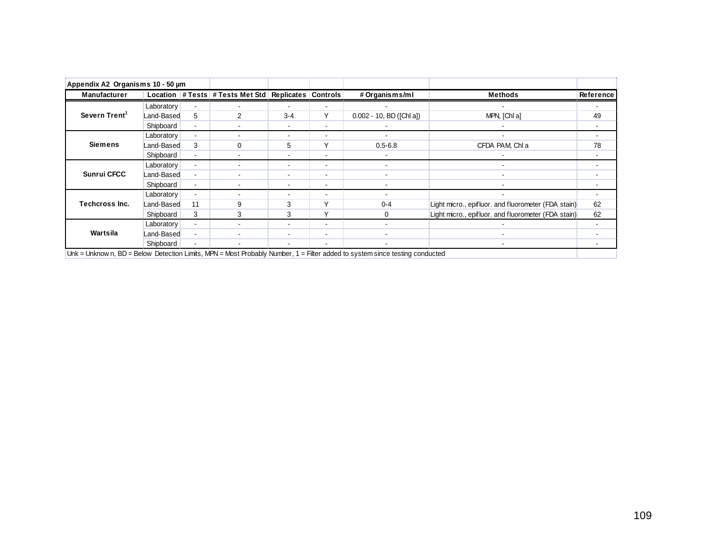| Appendix A2 Organisms 10 - 50 µm |            |    |                                                      |                          |                          |                                                                                                                            |                                                     |           |
|----------------------------------|------------|----|------------------------------------------------------|--------------------------|--------------------------|----------------------------------------------------------------------------------------------------------------------------|-----------------------------------------------------|-----------|
| Manufacturer                     |            |    | Location # Tests # Tests Met Std Replicates Controls |                          |                          | # Organisms/ml                                                                                                             | <b>Methods</b>                                      | Reference |
|                                  | Laboratory |    |                                                      |                          | ٠                        |                                                                                                                            |                                                     |           |
| Severn Trent <sup>1</sup>        | Land-Based | 5  | $\mathcal{P}$                                        | $3 - 4$                  | Υ                        | $0.002 - 10$ , BD ([Chl a])                                                                                                | MPN, [Chl a]                                        | 49        |
|                                  | Shipboard  |    |                                                      | $\blacksquare$           | ٠                        |                                                                                                                            |                                                     |           |
|                                  | Laboratory |    |                                                      | $\blacksquare$           | -                        |                                                                                                                            |                                                     |           |
| <b>Siemens</b>                   | Land-Based | 3  | $\Omega$                                             | 5                        | v                        | $0.5 - 6.8$                                                                                                                | CFDA PAM, Chl a                                     | 78        |
|                                  | Shipboard  |    |                                                      | $\blacksquare$           | ٠                        |                                                                                                                            |                                                     |           |
|                                  | Laboratory |    |                                                      | $\overline{\phantom{a}}$ | ۰                        |                                                                                                                            |                                                     |           |
| <b>Sunrui CFCC</b>               | Land-Based |    |                                                      | $\blacksquare$           | $\overline{\phantom{a}}$ | $\blacksquare$                                                                                                             | $\sim$                                              |           |
|                                  | Shipboard  |    |                                                      | $\blacksquare$           | $\blacksquare$           | $\overline{\phantom{a}}$                                                                                                   |                                                     |           |
|                                  | Laboratory |    |                                                      | $\blacksquare$           | ٠                        |                                                                                                                            |                                                     |           |
| <b>Techcross Inc.</b>            | Land-Based | 11 | 9                                                    | 3                        |                          | $0 - 4$                                                                                                                    | Light micro., epifluor. and fluorometer (FDA stain) | 62        |
|                                  | Shipboard  | 3  | 3                                                    | 3                        | $\checkmark$             | 0                                                                                                                          | Light micro., epifluor. and fluorometer (FDA stain) | 62        |
|                                  | Laboratory |    |                                                      | $\blacksquare$           | ٠                        |                                                                                                                            |                                                     |           |
| Wartsila                         | Land-Based |    |                                                      | $\blacksquare$           | ۰                        |                                                                                                                            |                                                     |           |
|                                  | Shipboard  |    |                                                      | $\blacksquare$           | ٠                        |                                                                                                                            |                                                     |           |
|                                  |            |    |                                                      |                          |                          | Unk = Unknown, BD = Below Detection Limits, MPN = Most Probably Number, 1 = Filter added to system since testing conducted |                                                     |           |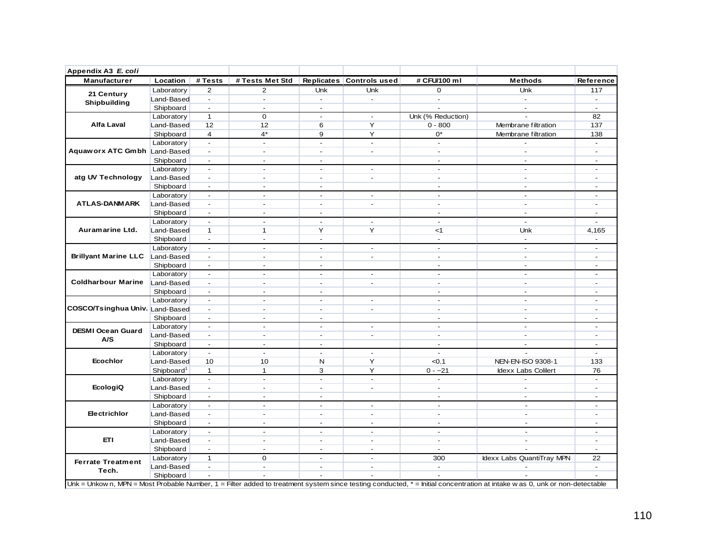| Appendix A3 E. coli                                                                                                                                                                                                  |                        |                          |                          |                          |                          |                          |                                                                                                                                                                           |                |
|----------------------------------------------------------------------------------------------------------------------------------------------------------------------------------------------------------------------|------------------------|--------------------------|--------------------------|--------------------------|--------------------------|--------------------------|---------------------------------------------------------------------------------------------------------------------------------------------------------------------------|----------------|
| Manufacturer                                                                                                                                                                                                         | Location               | # Tests                  | # Tests Met Std          |                          | Replicates Controls used | # CFU/100 ml             | <b>Methods</b>                                                                                                                                                            | Reference      |
|                                                                                                                                                                                                                      | Laboratory             | $\overline{2}$           | $\overline{2}$           | Unk                      | Unk                      | $\mathbf 0$              | Unk                                                                                                                                                                       | 117            |
|                                                                                                                                                                                                                      | Land-Based             | $\overline{a}$           | $\overline{\phantom{a}}$ | $\mathbf{r}$             | $\blacksquare$           | $\overline{\phantom{a}}$ | ÷.                                                                                                                                                                        |                |
|                                                                                                                                                                                                                      | Shipboard              | $\Delta$                 | $\blacksquare$           | $\sim$                   |                          |                          | $\sim$                                                                                                                                                                    | $\sim$         |
|                                                                                                                                                                                                                      | Laboratory             | $\mathbf{1}$             | $\mathbf 0$              | $\blacksquare$           | $\blacksquare$           | Unk (% Reduction)        |                                                                                                                                                                           | 82             |
| 21 Century<br>Shipbuilding<br><b>Alfa Laval</b><br>atg UV Technology<br><b>ATLAS-DANMARK</b><br>Auramarine Ltd.<br>COSCO/Tsinghua Univ. Land-Based<br>DESMI Ocean Guard<br>A/S<br><b>Ecochlor</b><br><b>EcologiQ</b> | Land-Based             | 12                       | 12                       | 6                        | Y                        | $0 - 800$                | Membrane filtration                                                                                                                                                       | 137            |
|                                                                                                                                                                                                                      | Shipboard              | $\overline{4}$           | $4^*$                    | 9                        | Y                        | $0^*$                    | Membrane filtration                                                                                                                                                       | 138            |
|                                                                                                                                                                                                                      | Laboratory             |                          | $\overline{a}$           | $\blacksquare$           | ÷,                       | $\sim$                   |                                                                                                                                                                           | $\sim$         |
| Aquaworx ATC Gmbh Land-Based                                                                                                                                                                                         |                        | $\blacksquare$           | $\blacksquare$           | $\sim$                   | $\overline{a}$           | $\blacksquare$           | $\sim$                                                                                                                                                                    | $\blacksquare$ |
|                                                                                                                                                                                                                      | Shipboard              | $\sim$                   | $\sim$                   | $\sim$                   |                          | $\sim$                   | $\sim$                                                                                                                                                                    | $\sim$         |
|                                                                                                                                                                                                                      | Laboratory             | $\blacksquare$           | $\blacksquare$           | $\sim$                   | $\blacksquare$           | $\blacksquare$           | $\sim$                                                                                                                                                                    | $\sim$         |
|                                                                                                                                                                                                                      | Land-Based             | $\blacksquare$           | $\sim$                   | $\overline{a}$           | $\blacksquare$           | $\sim$                   | $\sim$                                                                                                                                                                    | $\sim$         |
|                                                                                                                                                                                                                      | Shipboard              | $\blacksquare$           | $\blacksquare$           | $\sim$                   |                          | $\sim$                   | $\sim$                                                                                                                                                                    |                |
|                                                                                                                                                                                                                      | Laboratory             | $\overline{\phantom{a}}$ | $\overline{\phantom{a}}$ | $\sim$                   | $\blacksquare$           | $\overline{\phantom{a}}$ | $\sim$                                                                                                                                                                    | $\sim$         |
|                                                                                                                                                                                                                      | Land-Based             | $\blacksquare$           | ÷                        | $\overline{a}$           | ÷                        | $\sim$                   | $\sim$                                                                                                                                                                    | $\sim$         |
|                                                                                                                                                                                                                      | Shipboard              | $\blacksquare$           | $\blacksquare$           | $\sim$                   |                          | $\overline{\phantom{a}}$ | $\sim$                                                                                                                                                                    | $\sim$         |
|                                                                                                                                                                                                                      | Laboratory             |                          | ÷                        | $\sim$                   | ÷.                       | $\sim$                   | $\sim$                                                                                                                                                                    |                |
|                                                                                                                                                                                                                      | Land-Based             | $\mathbf{1}$             | $\mathbf{1}$             | Y                        | Y                        | $<$ 1                    | Unk                                                                                                                                                                       | 4,165          |
|                                                                                                                                                                                                                      | Shipboard              | $\mathbf{r}$             | $\overline{a}$           | $\sim$                   |                          | $\overline{a}$           | $\blacksquare$                                                                                                                                                            |                |
|                                                                                                                                                                                                                      | Laboratory             | $\blacksquare$           | $\blacksquare$           | $\omega$                 | $\blacksquare$           | $\blacksquare$           | $\blacksquare$                                                                                                                                                            | $\sim$         |
| <b>Brillyant Marine LLC</b>                                                                                                                                                                                          | Land-Based             | $\sim$                   | $\mathbf{r}$             | $\sim$                   | $\mathbf{r}$             | $\sim$                   | $\sim$                                                                                                                                                                    | $\sim$         |
|                                                                                                                                                                                                                      | Shipboard              | $\blacksquare$           | $\blacksquare$           | $\overline{\phantom{a}}$ |                          | $\sim$                   | $\sim$                                                                                                                                                                    | $\sim$         |
|                                                                                                                                                                                                                      | Laboratory             | $\blacksquare$           | $\overline{a}$           | $\overline{\phantom{a}}$ | $\blacksquare$           | $\blacksquare$           | $\overline{\phantom{m}}$                                                                                                                                                  |                |
| <b>Coldharbour Marine</b>                                                                                                                                                                                            | Land-Based             | $\overline{\phantom{a}}$ | $\blacksquare$           | $\blacksquare$           | $\blacksquare$           | $\blacksquare$           | $\blacksquare$                                                                                                                                                            |                |
|                                                                                                                                                                                                                      | Shipboard              | $\overline{\phantom{a}}$ | $\overline{\phantom{a}}$ | $\sim$                   |                          | $\sim$                   | $\sim$                                                                                                                                                                    | $\sim$         |
|                                                                                                                                                                                                                      | Laboratory             | $\overline{\phantom{a}}$ | $\overline{\phantom{a}}$ | $\sim$                   | $\blacksquare$           | $\sim$                   | $\overline{\phantom{a}}$                                                                                                                                                  | $\sim$         |
|                                                                                                                                                                                                                      |                        | $\mathbf{r}$             | $\blacksquare$           | $\sim$                   | $\overline{\phantom{a}}$ | $\sim$                   | $\sim$                                                                                                                                                                    | $\sim$         |
|                                                                                                                                                                                                                      | Shipboard              | $\mathbf{r}$             | $\blacksquare$           | $\sim$                   |                          | $\sim$                   | $\sim$                                                                                                                                                                    | $\sim$         |
|                                                                                                                                                                                                                      | Laboratory             | $\blacksquare$           | $\blacksquare$           | $\blacksquare$           | $\blacksquare$           | $\blacksquare$           | $\blacksquare$                                                                                                                                                            | $\blacksquare$ |
|                                                                                                                                                                                                                      | Land-Based             | $\mathbf{r}$             | $\overline{\phantom{a}}$ | $\sim$                   | $\blacksquare$           | $\overline{\phantom{a}}$ | $\sim$                                                                                                                                                                    | $\sim$         |
|                                                                                                                                                                                                                      | Shipboard              | $\mathbf{r}$             | $\overline{\phantom{a}}$ | $\sim$                   |                          | $\sim$                   | $\sim$                                                                                                                                                                    | $\sim$         |
|                                                                                                                                                                                                                      | Laboratory             | $\blacksquare$           | $\blacksquare$           | $\overline{\phantom{a}}$ | $\blacksquare$           | $\overline{\phantom{a}}$ | $\overline{\phantom{a}}$                                                                                                                                                  | $\sim$         |
|                                                                                                                                                                                                                      | Land-Based             | 10                       | 10                       | N                        | Y                        | < 0.1                    | NEN-EN-ISO 9308-1                                                                                                                                                         | 133            |
|                                                                                                                                                                                                                      | Shipboard <sup>1</sup> | $\mathbf{1}$             | $\mathbf{1}$             | 3                        | Y                        | $0 - -21$                | Idexx Labs Colilert                                                                                                                                                       | 76             |
|                                                                                                                                                                                                                      | Laboratory             | $\Box$                   | $\blacksquare$           | $\overline{a}$           | $\blacksquare$           | $\overline{\phantom{a}}$ | L.                                                                                                                                                                        | $\blacksquare$ |
|                                                                                                                                                                                                                      | Land-Based             | $\blacksquare$           | $\overline{\phantom{a}}$ | $\overline{a}$           | $\blacksquare$           | $\sim$                   | $\overline{a}$                                                                                                                                                            | $\sim$         |
|                                                                                                                                                                                                                      | Shipboard              | $\Delta$                 | $\blacksquare$           | $\sim$                   |                          | $\sim$                   | $\sim$                                                                                                                                                                    | $\sim$         |
|                                                                                                                                                                                                                      | Laboratory             | $\overline{\phantom{a}}$ | $\overline{a}$           | $\overline{a}$           | $\sim$                   | $\sim$                   | $\sim$                                                                                                                                                                    | $\sim$         |
| Electrichlor                                                                                                                                                                                                         | Land-Based             | $\blacksquare$           | $\blacksquare$           | $\sim$                   | $\blacksquare$           | $\sim$                   | $\sim$                                                                                                                                                                    | $\sim$         |
|                                                                                                                                                                                                                      | Shipboard              | $\blacksquare$           | $\blacksquare$           | $\sim$                   | $\blacksquare$           | $\sim$                   | $\sim$                                                                                                                                                                    | $\sim$         |
|                                                                                                                                                                                                                      | Laboratory             |                          | $\sim$                   | $\sim$                   | $\blacksquare$           | $\sim$                   | $\sim$                                                                                                                                                                    | $\blacksquare$ |
| <b>ETI</b>                                                                                                                                                                                                           | Land-Based             | $\blacksquare$           | $\blacksquare$           | $\sim$                   | $\blacksquare$           | $\overline{\phantom{a}}$ | $\blacksquare$                                                                                                                                                            | $\sim$         |
|                                                                                                                                                                                                                      | Shipboard              | $\Delta$                 | $\mathbf{r}$             | $\sim$                   | $\overline{a}$           | $\sim$                   | $\overline{a}$                                                                                                                                                            | $\sim$         |
|                                                                                                                                                                                                                      | Laboratory             | $\mathbf{1}$             | $\mathbf 0$              | $\sim$                   | $\mathcal{L}$            | 300                      | Idexx Labs QuantiTray MPN                                                                                                                                                 | 22             |
| <b>Ferrate Treatment</b>                                                                                                                                                                                             | Land-Based             | $\blacksquare$           | $\blacksquare$           | $\sim$                   | $\blacksquare$           | $\overline{\phantom{a}}$ |                                                                                                                                                                           | $\sim$         |
| Tech.                                                                                                                                                                                                                | Shipboard              | $\overline{\phantom{a}}$ | $\blacksquare$           | $\overline{\phantom{a}}$ | ÷,                       |                          |                                                                                                                                                                           |                |
|                                                                                                                                                                                                                      |                        |                          |                          |                          |                          |                          | Unk = Unkow n, MPN = Most Probable Number, 1 = Filter added to treatment system since testing conducted, * = Initial concentration at intake was 0, unk or non-detectable |                |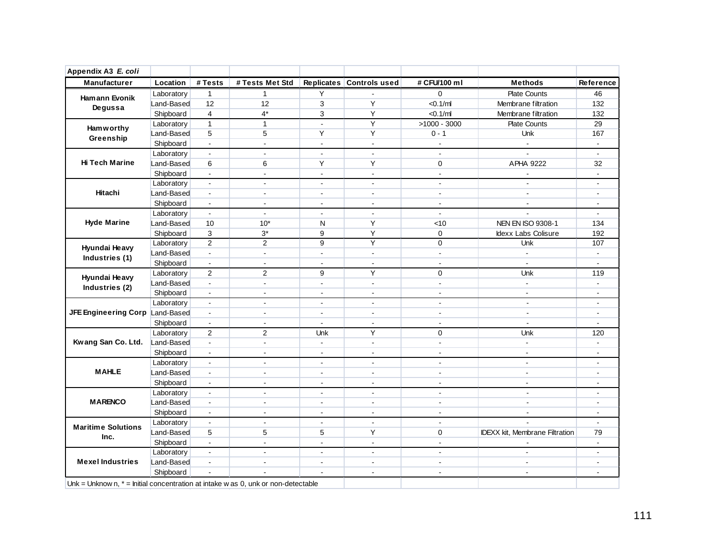| Appendix A3 E. coli                                                                 |            |                             |                 |                      |                          |                       |                                |                |
|-------------------------------------------------------------------------------------|------------|-----------------------------|-----------------|----------------------|--------------------------|-----------------------|--------------------------------|----------------|
| Manufacturer                                                                        | Location   | # Tests                     | # Tests Met Std |                      | Replicates Controls used | # CFU/100 ml          | <b>Methods</b>                 | Reference      |
| Hamann Evonik                                                                       | Laboratory | $\mathbf{1}$                | 1               | Υ                    |                          | 0                     | <b>Plate Counts</b>            | 46             |
| Degussa                                                                             | Land-Based | 12                          | 12              | $\mathbf{3}$         | Y                        | < 0.1/ml              | Membrane filtration            | 132            |
|                                                                                     | Shipboard  | $\overline{4}$              | $4*$            | 3                    | Y                        | $<$ 0.1/ml            | Membrane filtration            | 132            |
| <b>Hamworthy</b>                                                                    | Laboratory | $\mathbf{1}$                | $\mathbf{1}$    | $\blacksquare$       | Y                        | $>1000 - 3000$        | <b>Plate Counts</b>            | 29             |
| Greenship                                                                           | Land-Based | 5                           | 5               | Υ                    | Y                        | $0 - 1$               | Unk                            | 167            |
|                                                                                     | Shipboard  | $\sim$                      | $\blacksquare$  | $\sim$               | $\mathbf{r}$             | $\blacksquare$        | $\sim$                         | $\sim$         |
|                                                                                     | Laboratory | $\blacksquare$              | L.              | $\mathbf{r}$         | $\overline{a}$           | $\sim$                |                                | $\blacksquare$ |
| <b>Hi Tech Marine</b>                                                               | Land-Based | 6                           | 6               | Y                    | Y                        | 0                     | APHA 9222                      | 32             |
|                                                                                     | Shipboard  |                             | $\blacksquare$  | $\sim$               | $\sim$                   | $\overline{a}$        |                                |                |
|                                                                                     | Laboratory | $\sim$                      | ÷               | $\sim$               | $\sim$                   | $\sim$                | $\sim$                         | $\sim$         |
| Hitachi                                                                             | Land-Based | $\sim$                      | $\blacksquare$  | $\sim$               | $\sim$                   | $\sim$                | $\sim$                         | $\sim$         |
|                                                                                     | Shipboard  | $\mathbf{r}$                | $\blacksquare$  | $\sim$               | $\mathbf{r}$             | $\sim$                | $\mathbf{r}$                   | ÷.             |
|                                                                                     | Laboratory | $\sim$                      | $\blacksquare$  | $\sim$               | $\overline{a}$           | $\sim$                | ä,                             | $\sim$         |
| <b>Hyde Marine</b>                                                                  | Land-Based | 10                          | $10*$           | N                    | Y                        | < 10                  | NEN EN ISO 9308-1              | 134            |
|                                                                                     | Shipboard  | 3                           | $3^{\ast}$      | 9                    | Y                        | 0                     | Idexx Labs Colisure            | 192            |
|                                                                                     | Laboratory | $\overline{2}$              | 2               | 9                    | Y                        | $\mathbf 0$           | Unk                            | 107            |
| Hyundai Heavy                                                                       | Land-Based | $\Box$                      | $\blacksquare$  | $\blacksquare$       | $\blacksquare$           | $\blacksquare$        | $\blacksquare$                 | $\blacksquare$ |
| Industries (1)                                                                      | Shipboard  | $\sim$                      | $\mathbf{r}$    | $\sim$               | $\mathbf{r}$             | $\sim$                | $\mathbf{r}$                   | $\sim$         |
|                                                                                     | Laboratory | 2                           | $\overline{2}$  | 9                    | Y                        | $\Omega$              | <b>Unk</b>                     | 119            |
| Hyundai Heavy                                                                       | Land-Based | $\omega$                    | ä,              | $\blacksquare$       | $\Box$                   | $\blacksquare$        | $\mathbb{Z}^{\mathbb{Z}}$      | $\blacksquare$ |
| Industries (2)                                                                      | Shipboard  | $\blacksquare$              | ÷,              | $\blacksquare$       | $\blacksquare$           | $\tilde{\phantom{a}}$ | $\blacksquare$                 | $\blacksquare$ |
|                                                                                     | Laboratory | $\mathbf{r}$                | $\mathbf{r}$    | $\mathbf{r}$         | $\mathbf{r}$             | $\sim$                | $\mathbf{r}$                   | $\sim$         |
| JFE Engineering Corp Land-Based                                                     |            | $\blacksquare$              | ÷,              | $\blacksquare$       | $\blacksquare$           | $\sim$                | $\blacksquare$                 | $\sim$         |
|                                                                                     | Shipboard  | $\mathbf{r}$                | $\blacksquare$  | $\sim$               | $\mathbf{r}$             | $\sim$                | $\blacksquare$                 | $\sim$         |
|                                                                                     | Laboratory | $\overline{2}$              | $\overline{2}$  | Unk                  | Y                        | $\mathbf 0$           | <b>Unk</b>                     | 120            |
| Kwang San Co. Ltd.                                                                  | Land-Based | $\mathbf{r}$                | $\overline{a}$  | $\blacksquare$       | $\mathbf{r}$             | $\sim$                | $\mathbf{r}$                   | $\mathbf{r}$   |
|                                                                                     | Shipboard  | $\blacksquare$              | $\blacksquare$  | $\sim$               |                          | $\sim$                | $\blacksquare$                 | ÷.             |
|                                                                                     | Laboratory | $\mathcal{L}^{\mathcal{A}}$ | $\blacksquare$  | $\sim$               | $\blacksquare$           | $\mathbf{r}$          | $\mathbf{r}$                   | $\sim$         |
| <b>MAHLE</b>                                                                        | Land-Based | $\blacksquare$              | $\blacksquare$  | $\blacksquare$       | $\blacksquare$           | $\sim$                | $\blacksquare$                 | ÷.             |
|                                                                                     | Shipboard  | $\sim$                      | $\overline{a}$  | ÷.                   | $\mathbf{r}$             | $\sim$                | $\mathbf{r}$                   | $\overline{a}$ |
|                                                                                     | Laboratory | $\sim$                      | $\overline{a}$  | $\ddot{\phantom{a}}$ | $\mathbf{r}$             | $\sim$                | $\mathbf{r}$                   | $\sim$         |
| <b>MARENCO</b>                                                                      | Land-Based | $\mathbf{r}$                | $\blacksquare$  | $\blacksquare$       | $\blacksquare$           | $\sim$                | $\blacksquare$                 |                |
|                                                                                     | Shipboard  | $\blacksquare$              | $\blacksquare$  | $\blacksquare$       | $\blacksquare$           | $\sim$                | $\blacksquare$                 | $\sim$         |
|                                                                                     | Laboratory | $\blacksquare$              | $\overline{a}$  | $\blacksquare$       | $\mathbf{r}$             | $\sim$                |                                | $\mathbf{r}$   |
| <b>Maritime Solutions</b>                                                           | Land-Based | 5                           | 5               | 5                    | Y                        | 0                     | IDEXX kit, Membrane Filtration | 79             |
| Inc.                                                                                | Shipboard  | $\mathbf{r}$                | $\overline{a}$  | ÷.                   | $\overline{a}$           | $\sim$                |                                | $\blacksquare$ |
|                                                                                     | Laboratory | $\mathbf{r}$                | $\overline{a}$  | $\sim$               | $\sim$                   | $\overline{a}$        | $\blacksquare$                 | $\sim$         |
| <b>Mexel Industries</b>                                                             | Land-Based | $\blacksquare$              | $\blacksquare$  | $\overline{a}$       | $\sim$                   | $\overline{a}$        | $\blacksquare$                 | $\overline{a}$ |
|                                                                                     | Shipboard  |                             |                 |                      | $\blacksquare$           | $\blacksquare$        | $\blacksquare$                 | $\sim$         |
| Unk = Unknow n, $*$ = Initial concentration at intake w as 0, unk or non-detectable |            |                             |                 |                      |                          |                       |                                |                |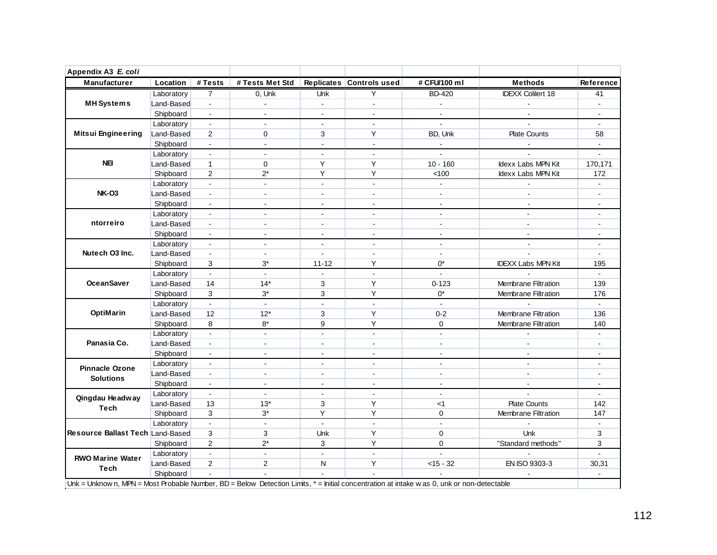|                                                                                                                                                                                                                                                                     | Location   | # Tests                     | # Tests Met Std           |                | Replicates Controls used    | # CFU/100 ml              | <b>Methods</b>              | Reference                   |
|---------------------------------------------------------------------------------------------------------------------------------------------------------------------------------------------------------------------------------------------------------------------|------------|-----------------------------|---------------------------|----------------|-----------------------------|---------------------------|-----------------------------|-----------------------------|
|                                                                                                                                                                                                                                                                     | Laboratory | $\overline{7}$              | 0, Unk                    | Unk            | Y                           | <b>BD-420</b>             | <b>IDEXX Colilert 18</b>    | 41                          |
| <b>MH</b> Systems                                                                                                                                                                                                                                                   | Land-Based | $\mathcal{L}^{\pm}$         | $\omega$                  | $\omega$       | $\mathbf{r}$                | $\sim$                    |                             | $\blacksquare$              |
|                                                                                                                                                                                                                                                                     | Shipboard  | $\mathcal{L}^{\pm}$         | $\omega$                  | $\sim$         | $\blacksquare$              | $\mathbf{u}^{\prime}$     | $\mathbf{r}$                | $\mathbf{r}$                |
|                                                                                                                                                                                                                                                                     | Laboratory | $\sim$                      | $\sim$                    | $\sim$         | $\mathbf{u}$                | $\sim$                    | $\overline{a}$              | $\sim$                      |
| <b>Mitsui Engineering</b>                                                                                                                                                                                                                                           | Land-Based | $\overline{2}$              | $\mathbf 0$               | 3              | Y                           | BD, Unk                   | <b>Plate Counts</b>         | 58                          |
| Appendix A3 E. coli<br>Manufacturer<br><b>NEI</b><br><b>NK-03</b><br>ntorreiro<br>Nutech O3 Inc.<br><b>OceanSaver</b><br>OptiMarin<br>Panasia Co.<br><b>Pinnacle Ozone</b><br><b>Solutions</b><br>Qingdau Headway<br><b>Tech</b><br><b>RWO Marine Water</b><br>Tech | Shipboard  | $\sim$                      | $\sim$                    | $\mathbf{r}$   | $\mathbf{u}$                | $\sim$                    | $\sim$                      | $\sim$                      |
|                                                                                                                                                                                                                                                                     | Laboratory | $\sim$                      | $\mathbf{r}$              | $\sim$         | $\mathbf{r}$                | $\mathcal{L}^{\pm}$       | $\sim$                      | $\sim$                      |
|                                                                                                                                                                                                                                                                     | Land-Based | $\mathbf{1}$                | $\Omega$                  | Y              | Υ                           | $10 - 160$                | Idexx Labs MPN Kit          | 170,171                     |
|                                                                                                                                                                                                                                                                     | Shipboard  | $\overline{2}$              | $2^*$                     | Y              | Υ                           | < 100                     | Idexx Labs MPN Kit          | 172                         |
|                                                                                                                                                                                                                                                                     | Laboratory | $\omega$                    | $\blacksquare$            | $\sim$         | $\blacksquare$              |                           |                             | $\sim$                      |
|                                                                                                                                                                                                                                                                     | Land-Based | $\mathbb{R}^{\mathbb{Z}}$   | $\omega$                  | $\mathbf{r}$   | $\blacksquare$              | $\mathbf{u}^{\prime}$     | $\mathbf{r}$                | $\blacksquare$              |
|                                                                                                                                                                                                                                                                     | Shipboard  | $\sim$                      | $\blacksquare$            | $\sim$         | $\mathbf{r}$                | $\mathbf{r}$              | $\mathbf{r}$                | $\sim$                      |
|                                                                                                                                                                                                                                                                     | Laboratory | $\sim$                      | $\sim$                    | $\sim$         | $\blacksquare$              | $\sim$                    | $\sim$                      | $\sim$                      |
|                                                                                                                                                                                                                                                                     | Land-Based | $\sim$                      | $\blacksquare$            | $\sim$         | $\blacksquare$              | $\blacksquare$            | $\sim$                      | $\sim$                      |
|                                                                                                                                                                                                                                                                     | Shipboard  | $\sim$                      | $\mathbf{r}$              | $\sim$         | $\mathbf{r}$                | $\sim$                    | $\mathbf{r}$                | $\mathbf{r}$                |
|                                                                                                                                                                                                                                                                     | Laboratory | $\sim$                      | $\blacksquare$            | $\omega$       | $\blacksquare$              | $\blacksquare$            | $\blacksquare$              | $\blacksquare$              |
|                                                                                                                                                                                                                                                                     | Land-Based | $\sim$                      | $\sim$                    | $\mathbf{r}$   | $\blacksquare$              | $\sim$                    | $\mathcal{L}^{\mathcal{L}}$ | $\sim$                      |
|                                                                                                                                                                                                                                                                     | Shipboard  | 3                           | $3^*$                     | $11 - 12$      | Y                           | $0^*$                     | <b>IDEXX Labs MPN Kit</b>   | 195                         |
|                                                                                                                                                                                                                                                                     | Laboratory | $\mathcal{L}^{\mathcal{L}}$ | $\mathbb{Z}^{\mathbb{Z}}$ | $\mathbf{r}$   | $\mathbf{r}$                | $\mathbb{Z}^{\mathbb{Z}}$ | $\mathbf{r}$                | $\mathcal{L}^{\mathcal{L}}$ |
|                                                                                                                                                                                                                                                                     | Land-Based | 14                          | $14*$                     | 3              | Y                           | $0 - 123$                 | Membrane Filtration         | 139                         |
|                                                                                                                                                                                                                                                                     | Shipboard  | 3                           | $3^{\ast}$                | 3              | Y                           | 0*                        | Membrane Filtration         | 176                         |
|                                                                                                                                                                                                                                                                     | Laboratory | $\omega_{\rm c}$            | $\mathbf{r}$              | $\mathbf{r}$   | $\mathbf{r}$                | $\mathbf{r}$              |                             | $\sim$                      |
|                                                                                                                                                                                                                                                                     | Land-Based | 12                          | $12*$                     | 3              | Y                           | $0 - 2$                   | Membrane Filtration         | 136                         |
|                                                                                                                                                                                                                                                                     | Shipboard  | 8                           | $8*$                      | 9              | Y                           | $\Omega$                  | <b>Membrane Filtration</b>  | 140                         |
|                                                                                                                                                                                                                                                                     | Laboratory | $\mathbf{r}$                | $\mathbf{r}$              | $\mathbf{r}$   | $\blacksquare$              | $\blacksquare$            |                             | $\mathbf{r}$                |
|                                                                                                                                                                                                                                                                     | Land-Based | $\sim$                      | $\sim$                    | $\sim$         | $\sim$                      | $\sim$                    |                             | $\sim$                      |
|                                                                                                                                                                                                                                                                     | Shipboard  | $\mathcal{L}^{\pm}$         | $\mathbf{r}$              | $\Delta$       | $\mathbf{r}$                | $\mathbf{r}$              | $\mathbf{r}$                | $\sim$                      |
|                                                                                                                                                                                                                                                                     | Laboratory | $\sim$                      | $\sim$                    | $\sim$         | $\blacksquare$              | $\sim$                    | $\sim$                      | $\sim$                      |
|                                                                                                                                                                                                                                                                     | Land-Based | $\sim$                      | $\sim$                    | $\sim$         | $\mathcal{L}^{\mathcal{A}}$ | $\sim$                    | $\mathbf{r}$                | $\sim$                      |
|                                                                                                                                                                                                                                                                     | Shipboard  | $\sim$                      | $\mathbf{r}$              | $\mathbf{r}$   | $\sim$                      | $\mathbf{r}$              | $\sim$                      | $\sim$                      |
|                                                                                                                                                                                                                                                                     | Laboratory | $\sim$                      | $\sim$                    | $\sim$         | $\sim$                      | $\sim$                    | $\mathbf{r}$                | $\sim$                      |
|                                                                                                                                                                                                                                                                     | Land-Based | 13                          | $13*$                     | 3              | Y                           | $<$ 1                     | <b>Plate Counts</b>         | 142                         |
|                                                                                                                                                                                                                                                                     | Shipboard  | 3                           | $3^*$                     | Y              | Y                           | $\Omega$                  | Membrane Filtration         | 147                         |
|                                                                                                                                                                                                                                                                     | Laboratory | $\mathbb{R}^{\mathbb{Z}}$   | $\blacksquare$            | $\blacksquare$ | $\blacksquare$              | $\mathbf{r}$              |                             | $\mathbf{r}$                |
| Resource Ballast Tech Land-Based                                                                                                                                                                                                                                    |            | 3                           | 3                         | <b>Unk</b>     | Y                           | $\Omega$                  | <b>Unk</b>                  | 3                           |
|                                                                                                                                                                                                                                                                     | Shipboard  | $\overline{2}$              | $2^*$                     | 3              | Y                           | $\Omega$                  | "Standard methods"          | 3                           |
|                                                                                                                                                                                                                                                                     | Laboratory | $\sim$                      | $\sim$                    | $\mathbf{r}$   | $\sim$                      | $\mathbf{r}$              | $\sim$                      | $\sim$                      |
|                                                                                                                                                                                                                                                                     | Land-Based | $\overline{2}$              | $\overline{2}$            | N              | Y                           | $< 15 - 32$               | EN ISO 9303-3               | 30,31                       |
|                                                                                                                                                                                                                                                                     | Shipboard  | $\mathbf{r}$                | $\mathbf{r}$              | $\mathbf{r}$   |                             |                           | $\sim$                      | $\mathbf{r}$                |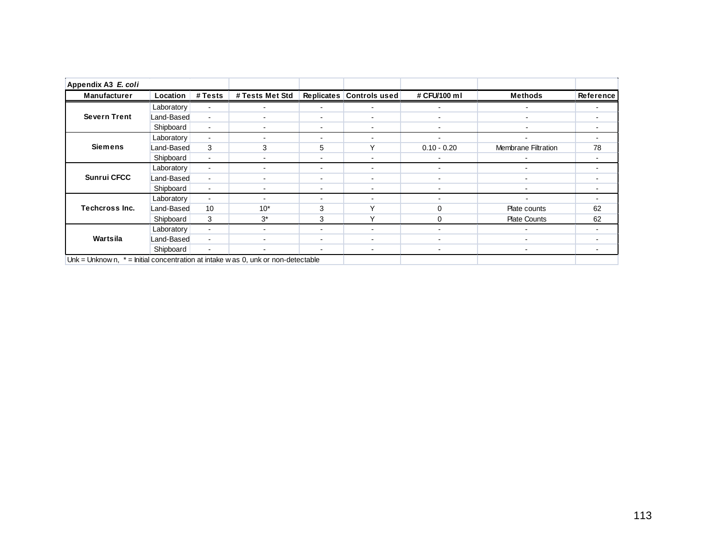| Appendix A3 E. coli                                                                |            |                |                          |                          |                          |                          |                          |           |
|------------------------------------------------------------------------------------|------------|----------------|--------------------------|--------------------------|--------------------------|--------------------------|--------------------------|-----------|
| <b>Manufacturer</b>                                                                | Location   | # Tests        | # Tests Met Std          |                          | Replicates Controls used | # CFU/100 ml             | <b>Methods</b>           | Reference |
|                                                                                    | Laboratory | $\blacksquare$ |                          | $\overline{\phantom{a}}$ |                          | $\blacksquare$           | $\blacksquare$           |           |
| <b>Severn Trent</b>                                                                | Land-Based | $\blacksquare$ | $\blacksquare$           | $\overline{\phantom{a}}$ | $\overline{\phantom{0}}$ | $\blacksquare$           | $\blacksquare$           |           |
|                                                                                    | Shipboard  | $\blacksquare$ | $\overline{\phantom{a}}$ | $\overline{\phantom{a}}$ | $\overline{\phantom{a}}$ | $\blacksquare$           | $\blacksquare$           |           |
|                                                                                    | Laboratory | $\blacksquare$ |                          | $\overline{\phantom{a}}$ |                          | $\blacksquare$           | ۰                        |           |
| <b>Siemens</b>                                                                     | Land-Based | 3              | 3                        | 5                        | $\checkmark$             | $0.10 - 0.20$            | Membrane Filtration      | 78        |
|                                                                                    | Shipboard  | $\blacksquare$ |                          | $\overline{\phantom{a}}$ |                          |                          |                          |           |
|                                                                                    | Laboratory | $\blacksquare$ | $\overline{\phantom{a}}$ | $\overline{a}$           | $\overline{\phantom{a}}$ | $\overline{\phantom{a}}$ | ۰.                       |           |
| <b>Sunrui CFCC</b>                                                                 | Land-Based | $\blacksquare$ | ۰                        | $\overline{\phantom{a}}$ | $\overline{\phantom{a}}$ | $\overline{\phantom{a}}$ | ۰                        |           |
|                                                                                    | Shipboard  | $\blacksquare$ | ۰                        | $\overline{\phantom{a}}$ | $\overline{\phantom{a}}$ | $\blacksquare$           | $\overline{\phantom{0}}$ |           |
|                                                                                    | Laboratory | $\blacksquare$ | -                        | $\overline{\phantom{a}}$ | $\overline{\phantom{a}}$ | $\blacksquare$           | $\overline{\phantom{a}}$ |           |
| <b>Techcross Inc.</b>                                                              | Land-Based | 10             | $10*$                    | 3                        | v                        | $\Omega$                 | Plate counts             | 62        |
|                                                                                    | Shipboard  | 3              | $3^*$                    | 3                        | $\checkmark$             | $\Omega$                 | <b>Plate Counts</b>      | 62        |
|                                                                                    | Laboratory | $\blacksquare$ | ۰.                       | $\overline{\phantom{a}}$ | $\blacksquare$           | $\overline{\phantom{a}}$ | $\overline{\phantom{0}}$ |           |
| Wartsila                                                                           | Land-Based | $\blacksquare$ | ۰                        | $\overline{\phantom{a}}$ | $\blacksquare$           | $\blacksquare$           | $\overline{\phantom{0}}$ |           |
|                                                                                    | Shipboard  | $\blacksquare$ |                          | $\overline{\phantom{a}}$ | $\blacksquare$           | $\blacksquare$           | $\overline{\phantom{0}}$ |           |
| Unk = Unknown, $*$ = Initial concentration at intake w as 0, unk or non-detectable |            |                |                          |                          |                          |                          |                          |           |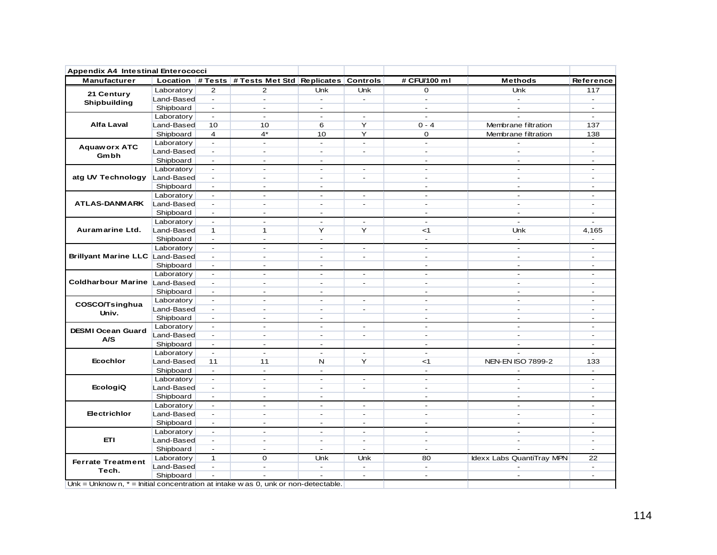| Manufacturer                                                                                                                   |            |                     | Location # Tests # Tests Met Std Replicates Controls |                          |                          | # CFU/100 ml | <b>Methods</b>                                                                                                                                                                                                                                                                                                                                                                                                                                                                                                                                                                                                                                                                                                                                                                                                                                                                                                                                                                                                       | Reference        |
|--------------------------------------------------------------------------------------------------------------------------------|------------|---------------------|------------------------------------------------------|--------------------------|--------------------------|--------------|----------------------------------------------------------------------------------------------------------------------------------------------------------------------------------------------------------------------------------------------------------------------------------------------------------------------------------------------------------------------------------------------------------------------------------------------------------------------------------------------------------------------------------------------------------------------------------------------------------------------------------------------------------------------------------------------------------------------------------------------------------------------------------------------------------------------------------------------------------------------------------------------------------------------------------------------------------------------------------------------------------------------|------------------|
| 21 Century                                                                                                                     | Laboratory | $\overline{2}$      | 2                                                    | <b>Unk</b>               | Unk                      | $\mathbf{O}$ | <b>Unk</b>                                                                                                                                                                                                                                                                                                                                                                                                                                                                                                                                                                                                                                                                                                                                                                                                                                                                                                                                                                                                           | 117              |
| Shipbuilding                                                                                                                   | Land-Based | $\sim$              | $\sim$                                               | $\sim$                   | $\sim$                   | $\sim$       | $\sim$                                                                                                                                                                                                                                                                                                                                                                                                                                                                                                                                                                                                                                                                                                                                                                                                                                                                                                                                                                                                               | $\sim$           |
|                                                                                                                                | Shipboard  | $\sim$              | $\sim$                                               | $\sim$                   |                          | $\sim$       | $\sim$                                                                                                                                                                                                                                                                                                                                                                                                                                                                                                                                                                                                                                                                                                                                                                                                                                                                                                                                                                                                               | $\sim$           |
|                                                                                                                                | Laboratory | $\sim$              | $\omega$                                             | $\sim$                   | $\blacksquare$           | $\sim$       | $0 - 4$<br>Membrane filtration<br>Membrane filtration<br>0<br>$\mathbf{r}$<br>$\sim$<br>$\sim$<br>$\blacksquare$<br>$\sim$<br>$\blacksquare$<br>$\sim$<br>$\blacksquare$<br>$\sim$<br>$\blacksquare$<br>$\sim$<br>$\sim$<br>$\sim$<br>$\sim$<br>$\sim$<br>$\sim$<br>$\sim$<br>$\sim$<br>$\sim$<br>$<$ 1<br>Unk<br>$\sim$<br>$\sim$<br>$\overline{a}$<br>$\sim$<br>$\blacksquare$<br>$\sim$<br>$\blacksquare$<br>$\sim$<br>$\sim$<br>$\sim$<br>$\sim$<br>$\sim$<br>$\sim$<br>$\sim$<br>$\sim$<br>$\sim$<br>$\sim$<br>$\sim$<br>$\blacksquare$<br>$\sim$<br>$\sim$<br>$\sim$<br>$\blacksquare$<br>$\sim$<br>$\sim$<br>$\sim$<br>$\blacksquare$<br><b>NEN-EN ISO 7899-2</b><br>$<$ 1<br>$\blacksquare$<br>$\sim$<br>$\sim$<br>$\overline{a}$<br>$\sim$<br>$\sim$<br>$\sim$<br>$\sim$<br>$\sim$<br>$\sim$<br>$\blacksquare$<br>$\sim$<br>$\blacksquare$<br>$\sim$<br>$\overline{\phantom{a}}$<br>$\overline{\phantom{a}}$<br>$\sim$<br>$\sim$<br>$\sim$<br>Idexx Labs QuantiTray MPN<br>80<br>$\sim$<br>$\sim$<br>$\sim$ | $\sim$           |
| <b>Alfa Laval</b>                                                                                                              | Land-Based | 10                  | 10                                                   | 6                        | Y                        |              |                                                                                                                                                                                                                                                                                                                                                                                                                                                                                                                                                                                                                                                                                                                                                                                                                                                                                                                                                                                                                      | 137              |
|                                                                                                                                | Shipboard  | $\overline{4}$      | $4^*$                                                | 10                       | Y                        |              |                                                                                                                                                                                                                                                                                                                                                                                                                                                                                                                                                                                                                                                                                                                                                                                                                                                                                                                                                                                                                      | 138              |
|                                                                                                                                | Laboratory | $\mathbf{r}$        | $\sim$                                               | $\sim$                   | $\sim$                   |              |                                                                                                                                                                                                                                                                                                                                                                                                                                                                                                                                                                                                                                                                                                                                                                                                                                                                                                                                                                                                                      | $\sim$           |
| <b>Aquaworx ATC</b>                                                                                                            | Land-Based | $\sim$              | $\overline{\phantom{a}}$                             | $\overline{\phantom{a}}$ | $\sim$                   |              |                                                                                                                                                                                                                                                                                                                                                                                                                                                                                                                                                                                                                                                                                                                                                                                                                                                                                                                                                                                                                      | $\sim$           |
| Gmbh                                                                                                                           | Shipboard  | $\sim$              | $\blacksquare$                                       | $\blacksquare$           |                          |              |                                                                                                                                                                                                                                                                                                                                                                                                                                                                                                                                                                                                                                                                                                                                                                                                                                                                                                                                                                                                                      | $\sim$           |
|                                                                                                                                | Laboratory | $\blacksquare$      | $\sim$                                               | $\blacksquare$           | $\sim$                   |              |                                                                                                                                                                                                                                                                                                                                                                                                                                                                                                                                                                                                                                                                                                                                                                                                                                                                                                                                                                                                                      | $\blacksquare$   |
| atg UV Technology Land-Based                                                                                                   |            | $\sim$              | $\sim$                                               | $\blacksquare$           | $\blacksquare$           |              |                                                                                                                                                                                                                                                                                                                                                                                                                                                                                                                                                                                                                                                                                                                                                                                                                                                                                                                                                                                                                      | $\sim$           |
|                                                                                                                                | Shipboard  | $\sim$              | $\blacksquare$                                       | $\blacksquare$           |                          |              |                                                                                                                                                                                                                                                                                                                                                                                                                                                                                                                                                                                                                                                                                                                                                                                                                                                                                                                                                                                                                      | $\sim$           |
|                                                                                                                                | Laboratory | $\blacksquare$      | $\sim$                                               | $\overline{\phantom{a}}$ | $\sim$                   |              |                                                                                                                                                                                                                                                                                                                                                                                                                                                                                                                                                                                                                                                                                                                                                                                                                                                                                                                                                                                                                      | $\sim$           |
| <b>ATLAS-DANMARK</b><br>Auramarine Ltd.                                                                                        | Land-Based | $\sim$              | $\sim$                                               | $\sim$                   | $\sim$                   |              |                                                                                                                                                                                                                                                                                                                                                                                                                                                                                                                                                                                                                                                                                                                                                                                                                                                                                                                                                                                                                      | $\sim$           |
|                                                                                                                                | Shipboard  | $\sim$              | $\sim$                                               | $\sim$                   |                          |              |                                                                                                                                                                                                                                                                                                                                                                                                                                                                                                                                                                                                                                                                                                                                                                                                                                                                                                                                                                                                                      | $\sim$           |
|                                                                                                                                | Laboratory | $\sim$              | $\omega$                                             | $\sim$                   | $\sim$                   |              |                                                                                                                                                                                                                                                                                                                                                                                                                                                                                                                                                                                                                                                                                                                                                                                                                                                                                                                                                                                                                      | $\sim$           |
|                                                                                                                                | Land-Based | $\mathbf{1}$        | $\mathbf{1}$                                         | Y                        | Y                        |              |                                                                                                                                                                                                                                                                                                                                                                                                                                                                                                                                                                                                                                                                                                                                                                                                                                                                                                                                                                                                                      | 4,165            |
|                                                                                                                                | Shipboard  | $\omega_{\rm{eff}}$ | $\omega$                                             | $\sim$                   |                          |              |                                                                                                                                                                                                                                                                                                                                                                                                                                                                                                                                                                                                                                                                                                                                                                                                                                                                                                                                                                                                                      | $\omega$         |
|                                                                                                                                | Laboratory | $\sim$              | $\sim$                                               | $\sim$                   | $\sim$                   |              |                                                                                                                                                                                                                                                                                                                                                                                                                                                                                                                                                                                                                                                                                                                                                                                                                                                                                                                                                                                                                      | $\sim$           |
|                                                                                                                                |            | $\sim$              | $\blacksquare$                                       | $\blacksquare$           | $\sim$                   |              |                                                                                                                                                                                                                                                                                                                                                                                                                                                                                                                                                                                                                                                                                                                                                                                                                                                                                                                                                                                                                      | $\sim$           |
|                                                                                                                                | Shipboard  | $\sim$              | $\sim$                                               | $\sim$                   |                          |              |                                                                                                                                                                                                                                                                                                                                                                                                                                                                                                                                                                                                                                                                                                                                                                                                                                                                                                                                                                                                                      | $\sim$           |
|                                                                                                                                | Laboratory | $\sim$              | $\sim$                                               | $\blacksquare$           | $\sim$                   |              |                                                                                                                                                                                                                                                                                                                                                                                                                                                                                                                                                                                                                                                                                                                                                                                                                                                                                                                                                                                                                      | $\sim$           |
|                                                                                                                                |            | $\sim$              | $\sim$                                               | $\overline{a}$           | $\overline{a}$           |              |                                                                                                                                                                                                                                                                                                                                                                                                                                                                                                                                                                                                                                                                                                                                                                                                                                                                                                                                                                                                                      | $\sim$           |
|                                                                                                                                | Shipboard  | $\sim$              | $\sim$                                               | $\sim$                   |                          |              |                                                                                                                                                                                                                                                                                                                                                                                                                                                                                                                                                                                                                                                                                                                                                                                                                                                                                                                                                                                                                      | $\sim$           |
|                                                                                                                                | Laboratory | $\sim$              | $\sim$                                               | $\sim$                   | $\sim$                   |              |                                                                                                                                                                                                                                                                                                                                                                                                                                                                                                                                                                                                                                                                                                                                                                                                                                                                                                                                                                                                                      | $\sim$           |
|                                                                                                                                | Land-Based | $\blacksquare$      | $\sim$                                               | $\sim$                   | $\sim$                   |              |                                                                                                                                                                                                                                                                                                                                                                                                                                                                                                                                                                                                                                                                                                                                                                                                                                                                                                                                                                                                                      | $\sim$           |
| Brillyant Marine LLC Land-Based<br>Coldharbour Marine Land-Based<br>COSCO/Tsinghua<br>Univ.<br><b>DESMI Ocean Guard</b><br>A/S | Shipboard  | $\sim$              | $\sim$                                               | $\sim$                   |                          |              |                                                                                                                                                                                                                                                                                                                                                                                                                                                                                                                                                                                                                                                                                                                                                                                                                                                                                                                                                                                                                      | $\sim$           |
|                                                                                                                                | Laboratory | $\blacksquare$      | $\overline{a}$                                       | $\sim$                   | $\sim$                   |              |                                                                                                                                                                                                                                                                                                                                                                                                                                                                                                                                                                                                                                                                                                                                                                                                                                                                                                                                                                                                                      | $\sim$           |
|                                                                                                                                | Land-Based | $\blacksquare$      | $\blacksquare$                                       | $\blacksquare$           | $\sim$                   |              |                                                                                                                                                                                                                                                                                                                                                                                                                                                                                                                                                                                                                                                                                                                                                                                                                                                                                                                                                                                                                      | $\sim$           |
|                                                                                                                                | Shipboard  | $\sim$              | $\sim$                                               | $\sim$                   |                          |              |                                                                                                                                                                                                                                                                                                                                                                                                                                                                                                                                                                                                                                                                                                                                                                                                                                                                                                                                                                                                                      | $\sim$           |
|                                                                                                                                | Laboratory | $\blacksquare$      | $\blacksquare$                                       | $\sim$                   | $\overline{\phantom{a}}$ |              |                                                                                                                                                                                                                                                                                                                                                                                                                                                                                                                                                                                                                                                                                                                                                                                                                                                                                                                                                                                                                      | $\sim$           |
|                                                                                                                                | Land-Based | 11                  | 11                                                   | N                        | Y                        |              |                                                                                                                                                                                                                                                                                                                                                                                                                                                                                                                                                                                                                                                                                                                                                                                                                                                                                                                                                                                                                      | 133              |
|                                                                                                                                | Shipboard  | $\sim$              | $\omega$                                             | $\sim$                   |                          |              |                                                                                                                                                                                                                                                                                                                                                                                                                                                                                                                                                                                                                                                                                                                                                                                                                                                                                                                                                                                                                      | $\sim$           |
|                                                                                                                                | Laboratory | $\sim$              | $\sim$                                               | $\sim$                   | $\sim$                   |              |                                                                                                                                                                                                                                                                                                                                                                                                                                                                                                                                                                                                                                                                                                                                                                                                                                                                                                                                                                                                                      | $\sim$           |
| <b>Ecochlor</b><br><b>EcologiQ</b>                                                                                             | Land-Based | $\sim$              | $\omega$                                             | $\sim$                   | $\sim$                   |              |                                                                                                                                                                                                                                                                                                                                                                                                                                                                                                                                                                                                                                                                                                                                                                                                                                                                                                                                                                                                                      | $\sim$           |
|                                                                                                                                | Shipboard  | $\sim$              | $\sim$                                               | $\sim$                   |                          |              |                                                                                                                                                                                                                                                                                                                                                                                                                                                                                                                                                                                                                                                                                                                                                                                                                                                                                                                                                                                                                      | $\sim$           |
|                                                                                                                                |            | $\sim$              | $\sim$                                               | $\sim$                   | $\sim$                   |              |                                                                                                                                                                                                                                                                                                                                                                                                                                                                                                                                                                                                                                                                                                                                                                                                                                                                                                                                                                                                                      | $\sim$           |
| <b>Electrichlor</b>                                                                                                            | Laboratory | $\sim$              |                                                      |                          |                          |              |                                                                                                                                                                                                                                                                                                                                                                                                                                                                                                                                                                                                                                                                                                                                                                                                                                                                                                                                                                                                                      |                  |
|                                                                                                                                | Land-Based | $\sim$              | $\blacksquare$<br>$\omega$                           | $\blacksquare$<br>$\sim$ | $\sim$<br>$\sim$         |              |                                                                                                                                                                                                                                                                                                                                                                                                                                                                                                                                                                                                                                                                                                                                                                                                                                                                                                                                                                                                                      | $\sim$<br>$\sim$ |
|                                                                                                                                | Shipboard  | $\blacksquare$      | $\sim$                                               | $\sim$                   | $\blacksquare$           |              |                                                                                                                                                                                                                                                                                                                                                                                                                                                                                                                                                                                                                                                                                                                                                                                                                                                                                                                                                                                                                      | $\blacksquare$   |
| ETI                                                                                                                            | Laboratory |                     |                                                      |                          |                          |              |                                                                                                                                                                                                                                                                                                                                                                                                                                                                                                                                                                                                                                                                                                                                                                                                                                                                                                                                                                                                                      |                  |
|                                                                                                                                | Land-Based | $\sim$              | $\sim$                                               | $\sim$                   | $\sim$                   |              |                                                                                                                                                                                                                                                                                                                                                                                                                                                                                                                                                                                                                                                                                                                                                                                                                                                                                                                                                                                                                      | $\sim$           |
|                                                                                                                                | Shipboard  | $\sim$              | $\sim$                                               | $\sim$                   | $\sim$                   |              |                                                                                                                                                                                                                                                                                                                                                                                                                                                                                                                                                                                                                                                                                                                                                                                                                                                                                                                                                                                                                      | $\sim$           |
| <b>Ferrate Treatment</b>                                                                                                       | Laboratory | $\mathbf{1}$        | $\Omega$                                             | <b>Unk</b>               | <b>Unk</b>               |              |                                                                                                                                                                                                                                                                                                                                                                                                                                                                                                                                                                                                                                                                                                                                                                                                                                                                                                                                                                                                                      | 22               |
| Tech.                                                                                                                          | Land-Based | $\sim$              | $\blacksquare$                                       | $\sim$                   | $\sim$                   |              |                                                                                                                                                                                                                                                                                                                                                                                                                                                                                                                                                                                                                                                                                                                                                                                                                                                                                                                                                                                                                      | $\sim$           |
|                                                                                                                                | Shipboard  | $\blacksquare$      |                                                      |                          | $\sim$                   |              |                                                                                                                                                                                                                                                                                                                                                                                                                                                                                                                                                                                                                                                                                                                                                                                                                                                                                                                                                                                                                      | $\sim$           |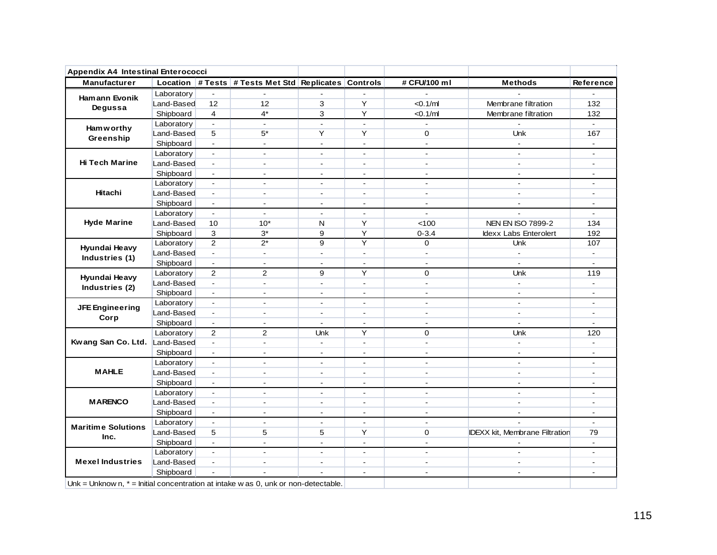| <b>Manufacturer</b><br>Ham ann Evonik                                                | Laboratory |                           | Location # Tests # Tests Met Std Replicates Controls |                |                          |                |                                       |                  |
|--------------------------------------------------------------------------------------|------------|---------------------------|------------------------------------------------------|----------------|--------------------------|----------------|---------------------------------------|------------------|
|                                                                                      |            |                           |                                                      |                |                          | # CFU/100 ml   | <b>Methods</b>                        | <b>Reference</b> |
|                                                                                      |            | ÷,                        |                                                      |                |                          |                |                                       |                  |
|                                                                                      | Land-Based | 12                        | 12                                                   | 3              | Y                        | < 0.1/ml       | Membrane filtration                   | 132              |
| Degussa                                                                              | Shipboard  | 4                         | $4^*$                                                | 3              | Y                        | $<$ 0.1/ml     | Membrane filtration                   | 132              |
| <b>Ham w orthy</b>                                                                   | Laboratory | $\mathbb{Z}^{\mathbb{Z}}$ | $\blacksquare$                                       | $\blacksquare$ | $\blacksquare$           | $\blacksquare$ |                                       | $\mathbf{r}$     |
| Greenship                                                                            | Land-Based | 5                         | $5*$                                                 | Y              | Y                        | $\mathbf 0$    | <b>Unk</b>                            | 167              |
|                                                                                      | Shipboard  | $\mathbf{r}$              | $\mathbf{r}$                                         | $\sim$         | $\blacksquare$           | $\mathbf{r}$   | $\sim$                                | $\blacksquare$   |
|                                                                                      | Laboratory | $\blacksquare$            | $\sim$                                               | $\sim$         | $\sim$                   | $\blacksquare$ | $\blacksquare$                        |                  |
| <b>Hi Tech Marine</b>                                                                | Land-Based | $\blacksquare$            | $\overline{a}$                                       | $\overline{a}$ | $\overline{a}$           | $\mathbf{r}$   | $\sim$                                | $\overline{a}$   |
|                                                                                      | Shipboard  | $\blacksquare$            | $\overline{\phantom{a}}$                             | $\sim$         | $\overline{\phantom{a}}$ | $\mathbf{r}$   | $\sim$                                | $\blacksquare$   |
|                                                                                      | Laboratory | $\sim$                    | $\sim$                                               | $\sim$         | $\blacksquare$           | $\sim$         | $\sim$                                | $\blacksquare$   |
| Hitachi                                                                              | Land-Based | $\blacksquare$            | $\blacksquare$                                       | $\blacksquare$ | $\blacksquare$           | $\blacksquare$ | $\blacksquare$                        | $\blacksquare$   |
|                                                                                      | Shipboard  | $\blacksquare$            | $\blacksquare$                                       | $\sim$         | $\sim$                   | $\blacksquare$ | $\sim$                                | $\overline{a}$   |
|                                                                                      | Laboratory | $\blacksquare$            | $\sim$                                               | $\sim$         | $\sim$                   | $\blacksquare$ |                                       | $\blacksquare$   |
| <b>Hyde Marine</b>                                                                   | Land-Based | 10                        | $10*$                                                | N              | Y                        | < 100          | <b>NEN EN ISO 7899-2</b>              | 134              |
|                                                                                      | Shipboard  | 3                         | $3*$                                                 | 9              | Y                        | $0 - 3.4$      | Idexx Labs Enterolert                 | 192              |
|                                                                                      | Laboratory | $\overline{2}$            | $2^*$                                                | 9              | Y                        | $\mathbf 0$    | <b>Unk</b>                            | 107              |
| Hyundai Heavy                                                                        | Land-Based | $\blacksquare$            | $\blacksquare$                                       | $\blacksquare$ | $\blacksquare$           | $\blacksquare$ | $\blacksquare$                        | $\blacksquare$   |
| Industries (1)                                                                       | Shipboard  | $\blacksquare$            | $\overline{a}$                                       | $\overline{a}$ | $\mathbf{r}$             | $\mathbf{r}$   | $\sim$                                | $\overline{a}$   |
| Hyundai Heavy                                                                        | Laboratory | $\overline{2}$            | $\overline{2}$                                       | 9              | Y                        | $\mathbf 0$    | <b>Unk</b>                            | 119              |
|                                                                                      | Land-Based | $\mathbf{r}$              | $\blacksquare$                                       | $\sim$         | $\blacksquare$           | $\blacksquare$ | $\mathbf{r}$                          | $\blacksquare$   |
| Industries (2)                                                                       | Shipboard  | $\blacksquare$            | $\blacksquare$                                       | $\blacksquare$ | $\blacksquare$           | $\sim$         | $\blacksquare$                        | $\blacksquare$   |
|                                                                                      | Laboratory | $\blacksquare$            | $\mathbf{r}$                                         | $\sim$         | $\sim$                   | $\mathbf{r}$   | $\sim$                                | $\sim$           |
| <b>JFE Engineering</b>                                                               | Land-Based | $\blacksquare$            | $\blacksquare$                                       | $\blacksquare$ | $\blacksquare$           | $\blacksquare$ | $\blacksquare$                        | $\blacksquare$   |
| Corp                                                                                 | Shipboard  | $\blacksquare$            | $\blacksquare$                                       | $\blacksquare$ | $\blacksquare$           | $\omega$       | $\mathbf{r}$                          | $\blacksquare$   |
|                                                                                      | Laboratory | $\overline{2}$            | 2                                                    | Unk            | Y                        | $\mathbf 0$    | <b>Unk</b>                            | 120              |
| Kwang San Co. Ltd. Land-Based                                                        |            | $\mathbf{L}$              | $\blacksquare$                                       | $\sim$         | $\blacksquare$           | $\blacksquare$ | $\mathbf{r}$                          | $\blacksquare$   |
|                                                                                      | Shipboard  | $\mathbf{r}$              | $\sim$                                               | $\sim$         | $\blacksquare$           | $\blacksquare$ |                                       |                  |
|                                                                                      | Laboratory | $\blacksquare$            | $\mathbf{r}$                                         | $\blacksquare$ | $\blacksquare$           | $\mathbf{r}$   | $\sim$                                | $\blacksquare$   |
| <b>MAHLE</b>                                                                         | Land-Based | $\blacksquare$            | $\blacksquare$                                       | $\blacksquare$ | $\blacksquare$           | $\blacksquare$ | $\blacksquare$                        | $\blacksquare$   |
|                                                                                      | Shipboard  | $\blacksquare$            | $\mathbf{r}$                                         | $\sim$         | $\sim$                   | $\blacksquare$ | $\blacksquare$                        | $\overline{a}$   |
|                                                                                      | Laboratory | $\blacksquare$            | $\sim$                                               | $\blacksquare$ | $\blacksquare$           | $\sim$         | $\sim$                                | $\blacksquare$   |
| <b>MARENCO</b>                                                                       | Land-Based | $\blacksquare$            | $\mathbf{r}$                                         | $\overline{a}$ | $\overline{a}$           | ÷.             | $\sim$                                | $\overline{a}$   |
|                                                                                      | Shipboard  | $\blacksquare$            | $\blacksquare$                                       | $\blacksquare$ | $\blacksquare$           | $\overline{a}$ | $\blacksquare$                        | $\blacksquare$   |
|                                                                                      | Laboratory | $\blacksquare$            | $\blacksquare$                                       | $\blacksquare$ | $\blacksquare$           | $\blacksquare$ |                                       | $\sim$           |
| <b>Maritime Solutions</b>                                                            | Land-Based | 5                         | 5                                                    | 5              | Y                        | $\Omega$       | <b>IDEXX kit, Membrane Filtration</b> | 79               |
| Inc.                                                                                 | Shipboard  | $\mathbf{L}$              | $\blacksquare$                                       | $\blacksquare$ | $\blacksquare$           | $\blacksquare$ |                                       | $\blacksquare$   |
|                                                                                      | Laboratory | $\blacksquare$            | $\blacksquare$                                       | $\blacksquare$ | $\blacksquare$           | $\blacksquare$ | $\blacksquare$                        | $\blacksquare$   |
| <b>Mexel Industries</b>                                                              | Land-Based | $\sim$                    | $\blacksquare$                                       | $\sim$         | $\blacksquare$           | $\blacksquare$ | $\sim$                                | $\blacksquare$   |
|                                                                                      | Shipboard  |                           |                                                      |                | $\sim$                   | $\blacksquare$ | $\blacksquare$                        | $\blacksquare$   |
| Unk = Unknow n, $*$ = Initial concentration at intake w as 0, unk or non-detectable. |            |                           |                                                      |                |                          |                |                                       |                  |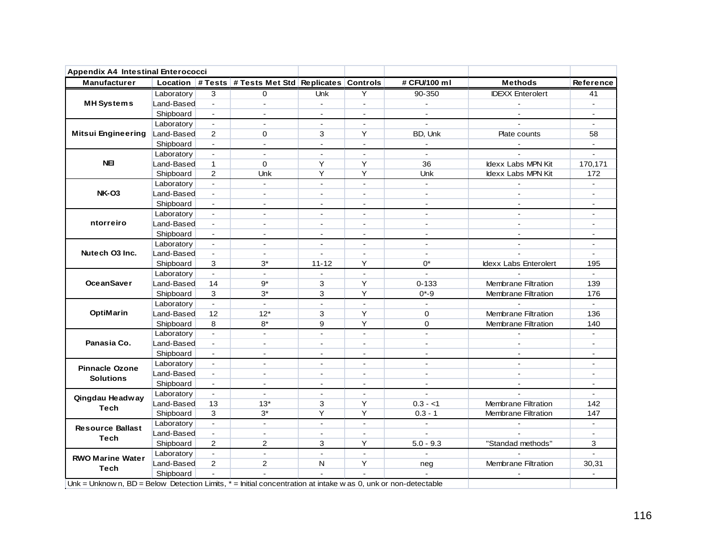| <b>Appendix A4 Intestinal Enterococci</b>                                                                          |            |                          |                                                      |                |                |                |                              |                  |
|--------------------------------------------------------------------------------------------------------------------|------------|--------------------------|------------------------------------------------------|----------------|----------------|----------------|------------------------------|------------------|
| <b>Manufacturer</b>                                                                                                |            |                          | Location # Tests # Tests Met Std Replicates Controls |                |                | # CFU/100 ml   | <b>Methods</b>               | <b>Reference</b> |
|                                                                                                                    | Laboratory | 3                        | 0                                                    | Unk            | Y              | 90-350         | <b>IDEXX</b> Enterolert      | 41               |
| <b>MH</b> Systems                                                                                                  | Land-Based | $\mathbf{r}$             | $\sim$                                               | $\sim$         | $\blacksquare$ | $\sim$         | $\sim$                       | $\blacksquare$   |
|                                                                                                                    | Shipboard  | $\blacksquare$           | $\overline{\phantom{a}}$                             | $\blacksquare$ |                |                |                              |                  |
|                                                                                                                    | Laboratory | $\mathbf{r}$             | $\blacksquare$                                       | $\sim$         | $\mathbf{r}$   | $\mathbf{r}$   | $\sim$                       | $\mathbf{r}$     |
| <b>Mitsui Engineering</b>                                                                                          | Land-Based | 2                        | $\Omega$                                             | 3              | Y              | BD, Unk        | Plate counts                 | 58               |
|                                                                                                                    | Shipboard  | $\mathbf{r}$             | $\blacksquare$                                       | $\blacksquare$ | $\blacksquare$ | $\sim$         | $\sim$                       | $\blacksquare$   |
|                                                                                                                    | Laboratory | $\blacksquare$           | $\sim$                                               | $\blacksquare$ | $\sim$         | $\mathbf{r}$   |                              |                  |
| NEI                                                                                                                | Land-Based | $\mathbf{1}$             | $\Omega$                                             | Y              | Y              | 36             | <b>Idexx Labs MPN Kit</b>    | 170,171          |
|                                                                                                                    | Shipboard  | 2                        | Unk                                                  | Y              | Υ              | Unk            | Idexx Labs MPN Kit           | 172              |
|                                                                                                                    | Laboratory | $\overline{a}$           | $\mathbf{r}$                                         | $\mathbf{r}$   | $\sim$         | $\sim$         |                              | $\sim$           |
| <b>NK-O3</b>                                                                                                       | Land-Based | $\blacksquare$           | $\sim$                                               | $\sim$         | $\sim$         | $\blacksquare$ | $\sim$                       | $\sim$           |
|                                                                                                                    | Shipboard  | $\mathbf{r}$             | $\blacksquare$                                       | $\mathbf{r}$   | $\blacksquare$ | $\mathbf{r}$   | $\mathbf{r}$                 | $\blacksquare$   |
|                                                                                                                    | Laboratory | $\blacksquare$           | $\blacksquare$                                       | $\blacksquare$ | $\blacksquare$ | $\mathbf{r}$   | $\blacksquare$               | $\blacksquare$   |
| ntorreiro                                                                                                          | Land-Based | $\blacksquare$           | $\sim$                                               | $\overline{a}$ | $\sim$         | $\mathbf{r}$   | $\sim$                       | $\blacksquare$   |
|                                                                                                                    | Shipboard  | $\sim$                   | $\sim$                                               | $\sim$         | $\sim$         | $\mathbf{r}$   | $\mathbf{r}$                 | $\sim$           |
|                                                                                                                    | Laboratory | $\sim$                   | $\overline{a}$                                       | ÷.             | $\sim$         | $\mathbf{r}$   | $\mathbf{r}$                 | $\overline{a}$   |
| Nutech O3 Inc.                                                                                                     | Land-Based | $\blacksquare$           | $\blacksquare$                                       | $\mathbf{r}$   | $\mathbf{r}$   | $\mathbf{r}$   |                              | $\blacksquare$   |
|                                                                                                                    | Shipboard  | 3                        | $3^*$                                                | $11 - 12$      | Y              | $0^*$          | <b>Idexx Labs Enterolert</b> | 195              |
|                                                                                                                    | Laboratory | $\overline{a}$           | $\blacksquare$                                       | $\overline{a}$ | $\sim$         | $\mathbf{r}$   |                              | $\mathbf{r}$     |
| <b>OceanSaver</b>                                                                                                  | Land-Based | 14                       | 9*                                                   | 3              | Y              | $0 - 133$      | <b>Membrane Filtration</b>   | 139              |
|                                                                                                                    | Shipboard  | 3                        | 3*                                                   | 3              | Y              | $0^* - 9$      | Membrane Filtration          | 176              |
|                                                                                                                    | Laboratory | $\blacksquare$           | $\blacksquare$                                       | $\blacksquare$ | $\blacksquare$ | $\blacksquare$ |                              | $\blacksquare$   |
| OptiMarin                                                                                                          | Land-Based | 12                       | $12*$                                                | 3              | Y              | $\mathbf 0$    | Membrane Filtration          | 136              |
|                                                                                                                    | Shipboard  | 8                        | $8*$                                                 | 9              | Y              | $\mathbf 0$    | Membrane Filtration          | 140              |
|                                                                                                                    | Laboratory | $\mathbf{L}$             | $\blacksquare$                                       | $\mathbf{r}$   | $\blacksquare$ | $\mathbf{r}$   | $\sim$                       | $\mathbf{r}$     |
| Panasia Co.                                                                                                        | Land-Based | $\sim$                   | $\blacksquare$                                       | $\blacksquare$ | $\blacksquare$ | $\blacksquare$ | $\blacksquare$               | $\blacksquare$   |
|                                                                                                                    | Shipboard  | $\blacksquare$           | $\sim$                                               | $\blacksquare$ | $\sim$         | $\mathbf{r}$   | $\sim$                       | $\blacksquare$   |
|                                                                                                                    | Laboratory | $\blacksquare$           | $\sim$                                               | $\sim$         | $\sim$         |                |                              | $\sim$           |
| <b>Pinnacle Ozone</b>                                                                                              | Land-Based | $\blacksquare$           | $\blacksquare$                                       | $\overline{a}$ | $\overline{a}$ | $\mathbf{r}$   | $\sim$                       | $\overline{a}$   |
| <b>Solutions</b>                                                                                                   | Shipboard  | $\mathbf{r}$             | $\blacksquare$                                       | $\mathbf{r}$   | $\sim$         | $\blacksquare$ | $\sim$                       | $\mathbf{r}$     |
|                                                                                                                    | Laboratory | $\blacksquare$           | $\blacksquare$                                       | $\mathbf{r}$   | $\sim$         | $\mathbf{r}$   | $\overline{a}$               | $\overline{a}$   |
| Qingdau Headway                                                                                                    | Land-Based | 13                       | $13*$                                                | 3              | Y              | $0.3 - 1$      | <b>Membrane Filtration</b>   | 142              |
| <b>Tech</b>                                                                                                        | Shipboard  | 3                        | $3^*$                                                | Y              | Y              | $0.3 - 1$      | Membrane Filtration          | 147              |
|                                                                                                                    | Laboratory | $\blacksquare$           | $\blacksquare$                                       | $\mathbf{r}$   | $\mathbf{r}$   | $\sim$         |                              | $\blacksquare$   |
| <b>Resource Ballast</b>                                                                                            | Land-Based | $\blacksquare$           | $\blacksquare$                                       | $\blacksquare$ | $\blacksquare$ |                |                              | $\blacksquare$   |
| <b>Tech</b>                                                                                                        | Shipboard  | $\overline{2}$           | $\overline{2}$                                       | 3              | Y              | $5.0 - 9.3$    | "Standad methods"            | 3                |
|                                                                                                                    | Laboratory | $\blacksquare$           | $\blacksquare$                                       | $\blacksquare$ | $\blacksquare$ |                |                              |                  |
| <b>RWO Marine Water</b>                                                                                            | Land-Based | $\overline{2}$           | $\overline{2}$                                       | N              | Y              | neg            | Membrane Filtration          | 30,31            |
| Tech                                                                                                               | Shipboard  | $\overline{\phantom{a}}$ |                                                      |                |                |                |                              |                  |
| Unk = Unknow n, $BD =$ Below Detection Limits, $* =$ Initial concentration at intake w as 0, unk or non-detectable |            |                          |                                                      |                |                |                |                              |                  |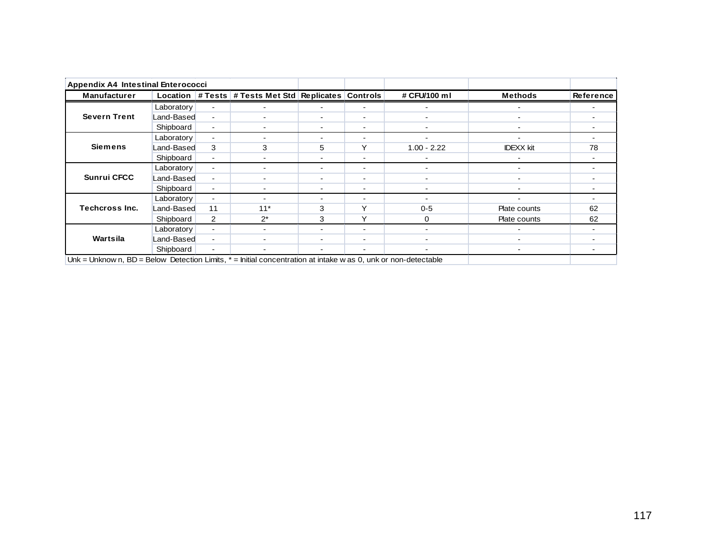| <b>Appendix A4 Intestinal Enterococci</b>                                                                          |            |                          |                                                   |                |                          |                          |                          |                          |
|--------------------------------------------------------------------------------------------------------------------|------------|--------------------------|---------------------------------------------------|----------------|--------------------------|--------------------------|--------------------------|--------------------------|
| <b>Manufacturer</b>                                                                                                | Location   |                          | # Tests   # Tests Met Std   Replicates   Controls |                |                          | # CFU/100 ml             | <b>Methods</b>           | Reference                |
|                                                                                                                    | Laboratory | $\blacksquare$           | $\blacksquare$                                    | ۰              | $\blacksquare$           | -                        | $\overline{\phantom{0}}$ |                          |
| <b>Severn Trent</b>                                                                                                | Land-Based | $\sim$                   | $\blacksquare$                                    | -              | $\blacksquare$           | Ξ.                       | $\overline{\phantom{0}}$ | $\overline{\phantom{0}}$ |
|                                                                                                                    | Shipboard  | $\sim$                   | $\overline{\phantom{a}}$                          | $\blacksquare$ | $\blacksquare$           | -                        | ۰                        | $\overline{\phantom{a}}$ |
|                                                                                                                    | Laboratory | $\sim$                   | $\blacksquare$                                    | $\blacksquare$ | $\blacksquare$           | $\overline{\phantom{0}}$ | $\blacksquare$           | $\blacksquare$           |
| <b>Siemens</b>                                                                                                     | Land-Based | 3                        | 3                                                 | 5              | Υ                        | $1.00 - 2.22$            | <b>IDEXX</b> kit         | 78                       |
|                                                                                                                    | Shipboard  | $\sim$                   | $\blacksquare$                                    | -              | $\overline{\phantom{a}}$ |                          |                          | $\overline{\phantom{a}}$ |
|                                                                                                                    | Laboratory | $\sim$                   | $\blacksquare$                                    | -              | $\blacksquare$           | -                        | $\overline{\phantom{0}}$ | $\overline{\phantom{0}}$ |
| <b>Sunrui CFCC</b>                                                                                                 | Land-Based | $\sim$                   | -                                                 | -              | $\blacksquare$           | Ξ.                       | $\overline{\phantom{0}}$ | $\overline{\phantom{0}}$ |
|                                                                                                                    | Shipboard  | ۰.                       | $\blacksquare$                                    | $\blacksquare$ | $\blacksquare$           | -                        | $\overline{\phantom{0}}$ | $\overline{\phantom{a}}$ |
|                                                                                                                    | Laboratory | $\blacksquare$           |                                                   | $\blacksquare$ | $\blacksquare$           |                          |                          |                          |
| Techcross Inc.                                                                                                     | Land-Based | 11                       | $11*$                                             | 3              | $\checkmark$             | $0 - 5$                  | Plate counts             | 62                       |
|                                                                                                                    | Shipboard  | $\overline{2}$           | $2^*$                                             | 3              | Υ                        | $\Omega$                 | Plate counts             | 62                       |
|                                                                                                                    | Laboratory | $\overline{\phantom{0}}$ | $\blacksquare$                                    | $\blacksquare$ | $\overline{\phantom{a}}$ |                          |                          |                          |
| Wartsila                                                                                                           | Land-Based | $\overline{\phantom{0}}$ |                                                   | $\blacksquare$ | $\overline{\phantom{a}}$ | -                        | ۰                        |                          |
|                                                                                                                    | Shipboard  | $\sim$                   | $\blacksquare$                                    | $\blacksquare$ | $\overline{\phantom{a}}$ |                          | $\overline{\phantom{0}}$ | $\overline{\phantom{0}}$ |
| $Unk = Unknown$ , BD = Below Detection Limits, $* =$ Initial concentration at intake w as 0, unk or non-detectable |            |                          |                                                   |                |                          |                          |                          |                          |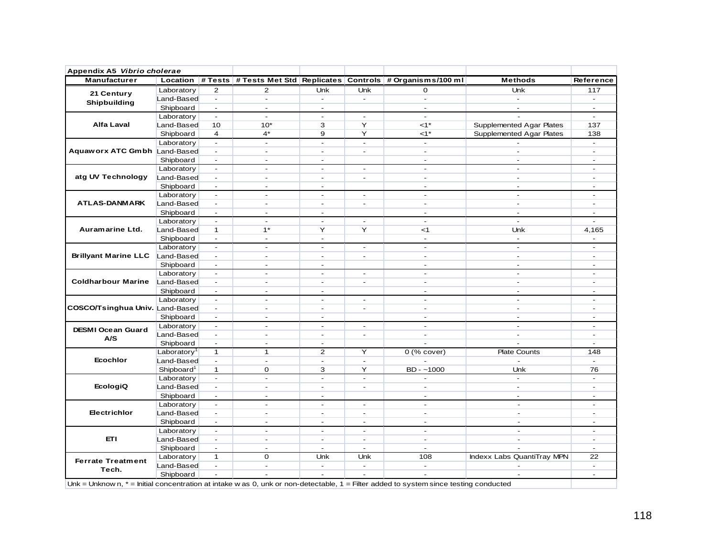| Appendix A5 Vibrio cholerae                                                                                                              |                         |                          |                          |                          |                          |                                                                         |                                 |                          |
|------------------------------------------------------------------------------------------------------------------------------------------|-------------------------|--------------------------|--------------------------|--------------------------|--------------------------|-------------------------------------------------------------------------|---------------------------------|--------------------------|
| Manufacturer                                                                                                                             |                         |                          |                          |                          |                          | Location # Tests # Tests Met Std Replicates Controls # Organisms/100 ml | <b>Methods</b>                  | Reference                |
| 21 Century                                                                                                                               | Laboratory              | 2                        | $\overline{2}$           | Unk                      | Unk                      | $\mathbf 0$                                                             | Unk                             | 117                      |
| Shipbuilding                                                                                                                             | Land-Based              | $\blacksquare$           | $\overline{\phantom{a}}$ | $\sim$                   | $\sim$                   | $\blacksquare$                                                          | $\sim$                          | $\sim$                   |
|                                                                                                                                          | Shipboard               | $\overline{\phantom{a}}$ | $\sim$                   | $\sim$                   |                          | $\sim$                                                                  | $\sim$                          | $\sim$                   |
|                                                                                                                                          | Laboratory              | $\blacksquare$           | $\sim$                   | $\blacksquare$           | $\sim$                   | $\blacksquare$                                                          |                                 | $\blacksquare$           |
| Alfa Laval                                                                                                                               | Land-Based              | 10                       | $10*$                    | 3                        | Y                        | $\leq 1$ *                                                              | <b>Supplemented Agar Plates</b> | 137                      |
|                                                                                                                                          | Shipboard               | $\overline{4}$           | $4^*$                    | 9                        | Y                        | $\leq 1$ *                                                              | Supplemented Agar Plates        | 138                      |
|                                                                                                                                          | Laboratory              | $\blacksquare$           | ÷.                       | $\blacksquare$           | $\blacksquare$           | $\sim$                                                                  |                                 | $\sim$                   |
| Aquaworx ATC Gmbh Land-Based                                                                                                             |                         | $\blacksquare$           | $\sim$                   | $\sim$                   | $\blacksquare$           | $\sim$                                                                  | $\blacksquare$                  | $\blacksquare$           |
|                                                                                                                                          | Shipboard               | $\sim$                   | $\sim$                   | $\sim$                   |                          | $\sim$                                                                  | $\sim$                          | $\sim$                   |
|                                                                                                                                          | Laboratory              | $\blacksquare$           | $\sim$                   | $\sim$                   | $\blacksquare$           | $\sim$                                                                  | $\sim$                          | $\sim$                   |
| atg UV Technology                                                                                                                        | Land-Based              | $\overline{\phantom{a}}$ | ÷                        | $\sim$                   | $\sim$                   | $\sim$                                                                  | $\overline{a}$                  | $\blacksquare$           |
|                                                                                                                                          | Shipboard               | $\overline{\phantom{a}}$ | $\blacksquare$           | $\blacksquare$           |                          | $\blacksquare$                                                          | $\blacksquare$                  | $\blacksquare$           |
|                                                                                                                                          | Laboratory              | $\blacksquare$           | ÷                        | $\sim$                   | ÷.                       | $\overline{a}$                                                          | $\overline{a}$                  | ÷                        |
| <b>ATLAS-DANMARK</b>                                                                                                                     | Land-Based              | $\blacksquare$           | $\blacksquare$           | $\sim$                   | $\sim$                   | $\sim$                                                                  | $\overline{a}$                  | ÷.                       |
|                                                                                                                                          | Shipboard               | $\blacksquare$           | ÷.                       | $\sim$                   |                          | $\sim$                                                                  | $\blacksquare$                  | $\blacksquare$           |
|                                                                                                                                          | Laboratory              | $\blacksquare$           | ÷.                       | $\sim$                   | $\sim$                   | $\sim$                                                                  | $\overline{a}$                  |                          |
| Auramarine Ltd.                                                                                                                          | Land-Based              | $\mathbf{1}$             | $1^*$                    | Y                        | Y                        | $<$ 1                                                                   | Unk                             | 4,165                    |
|                                                                                                                                          | Shipboard               | $\overline{\phantom{a}}$ | $\blacksquare$           | $\overline{\phantom{a}}$ |                          | $\blacksquare$                                                          | $\overline{\phantom{a}}$        |                          |
|                                                                                                                                          | Laboratory              | $\blacksquare$           | $\blacksquare$           | $\omega$                 | $\blacksquare$           | $\overline{\phantom{a}}$                                                | $\overline{a}$                  | $\blacksquare$           |
| <b>Brillyant Marine LLC</b>                                                                                                              | Land-Based              | $\sim$                   | $\omega$                 | $\omega$                 | $\blacksquare$           | $\blacksquare$                                                          | $\blacksquare$                  | $\sim$                   |
|                                                                                                                                          | Shipboard               | $\blacksquare$           | $\sim$                   | $\omega$                 |                          | $\sim$                                                                  | $\sim$                          | $\sim$                   |
|                                                                                                                                          |                         |                          | $\overline{\phantom{a}}$ | $\sim$                   |                          | $\sim$                                                                  | $\sim$                          | $\sim$                   |
| <b>Coldharbour Marine</b>                                                                                                                | Laboratory              | $\overline{\phantom{a}}$ |                          |                          | $\overline{\phantom{a}}$ |                                                                         |                                 |                          |
|                                                                                                                                          | Land-Based              | $\overline{\phantom{a}}$ | $\blacksquare$           | $\sim$                   | $\blacksquare$           | $\overline{\phantom{a}}$                                                | $\blacksquare$                  | $\blacksquare$           |
|                                                                                                                                          | Shipboard               | $\overline{\phantom{a}}$ | $\blacksquare$           | $\sim$                   |                          | $\sim$                                                                  | $\blacksquare$                  | ٠                        |
|                                                                                                                                          | Laboratory              | $\blacksquare$           | $\blacksquare$           | $\sim$                   | $\blacksquare$           | $\blacksquare$                                                          | $\blacksquare$                  | $\blacksquare$           |
| COSCO/Tsinghua Univ. Land-Based                                                                                                          |                         | $\blacksquare$           | ÷                        | $\sim$                   | $\blacksquare$           | $\overline{a}$                                                          | $\overline{a}$                  | ÷                        |
|                                                                                                                                          | Shipboard               | $\overline{\phantom{a}}$ | $\sim$                   | $\sim$                   |                          | $\blacksquare$                                                          | $\sim$                          | ÷                        |
| <b>DESMI Ocean Guard</b>                                                                                                                 | Laboratory              | $\blacksquare$           | ÷                        | $\sim$                   | $\sim$                   | $\sim$                                                                  | $\sim$                          | $\sim$                   |
| A/S                                                                                                                                      | Land-Based              | $\overline{\phantom{a}}$ | $\sim$                   | $\sim$                   | $\overline{\phantom{a}}$ | $\sim$                                                                  | $\sim$                          | ٠                        |
|                                                                                                                                          | Shipboard               | $\overline{\phantom{a}}$ | $\blacksquare$           | $\sim$                   |                          | $\sim$                                                                  | $\overline{a}$                  | $\blacksquare$           |
|                                                                                                                                          | Laboratory <sup>1</sup> | $\mathbf{1}$             | $\mathbf{1}$             | $\overline{2}$           | Y                        | $0$ (% cover)                                                           | <b>Plate Counts</b>             | 148                      |
| <b>Ecochlor</b>                                                                                                                          | Land-Based              | $\blacksquare$           | ÷.                       | $\blacksquare$           | $\blacksquare$           |                                                                         | $\overline{a}$                  | $\blacksquare$           |
|                                                                                                                                          | Shipboard <sup>1</sup>  | $\mathbf{1}$             | 0                        | 3                        | Y                        | $BD - -1000$                                                            | Unk                             | 76                       |
|                                                                                                                                          | Laboratory              | $\overline{\phantom{a}}$ | $\sim$                   | $\sim$                   | $\blacksquare$           | $\blacksquare$                                                          | $\mathbf{r}$                    | $\mathbf{r}$             |
| <b>EcologiQ</b>                                                                                                                          | Land-Based              | $\blacksquare$           | $\sim$                   | $\sim$                   | $\blacksquare$           | $\blacksquare$                                                          | $\sim$                          | $\sim$                   |
|                                                                                                                                          | Shipboard               | $\blacksquare$           | $\blacksquare$           | $\blacksquare$           |                          | $\blacksquare$                                                          | $\blacksquare$                  | $\overline{\phantom{a}}$ |
|                                                                                                                                          | Laboratory              | $\overline{\phantom{a}}$ | $\blacksquare$           | $\sim$                   | $\blacksquare$           | $\blacksquare$                                                          | $\sim$                          | $\overline{\phantom{a}}$ |
| Electrichlor                                                                                                                             | Land-Based              | $\blacksquare$           | $\overline{\phantom{a}}$ | $\sim$                   | $\sim$                   | $\sim$                                                                  | $\blacksquare$                  | $\overline{a}$           |
|                                                                                                                                          | Shipboard               | $\sim$                   | $\blacksquare$           | $\sim$                   | $\blacksquare$           | $\sim$                                                                  | $\sim$                          | $\overline{\phantom{a}}$ |
|                                                                                                                                          | Laboratory              | $\omega$                 | $\overline{a}$           | $\overline{a}$           | $\blacksquare$           | $\mathbf{r}$                                                            | $\overline{a}$                  | ٠                        |
| <b>ETI</b>                                                                                                                               | Land-Based              | $\overline{\phantom{a}}$ | $\sim$                   | $\sim$                   | $\blacksquare$           | $\sim$                                                                  | $\sim$                          | $\blacksquare$           |
|                                                                                                                                          | Shipboard               | $\blacksquare$           | ٠                        | ٠                        | ÷,                       | $\blacksquare$                                                          |                                 |                          |
| <b>Ferrate Treatment</b>                                                                                                                 | Laboratory              | $\mathbf{1}$             | $\mathbf 0$              | Unk                      | Unk                      | 108                                                                     | Indexx Labs QuantiTray MPN      | 22                       |
|                                                                                                                                          | Land-Based              | $\blacksquare$           | $\blacksquare$           | $\sim$                   | $\blacksquare$           | $\blacksquare$                                                          |                                 | $\blacksquare$           |
| Tech.                                                                                                                                    | Shipboard               | $\blacksquare$           | ÷.                       | $\omega$                 | $\sim$                   | $\blacksquare$                                                          | $\blacksquare$                  | $\overline{\phantom{a}}$ |
| Unk = Unknown, $*$ = Initial concentration at intake w as 0, unk or non-detectable, $1$ = Filter added to system since testing conducted |                         |                          |                          |                          |                          |                                                                         |                                 |                          |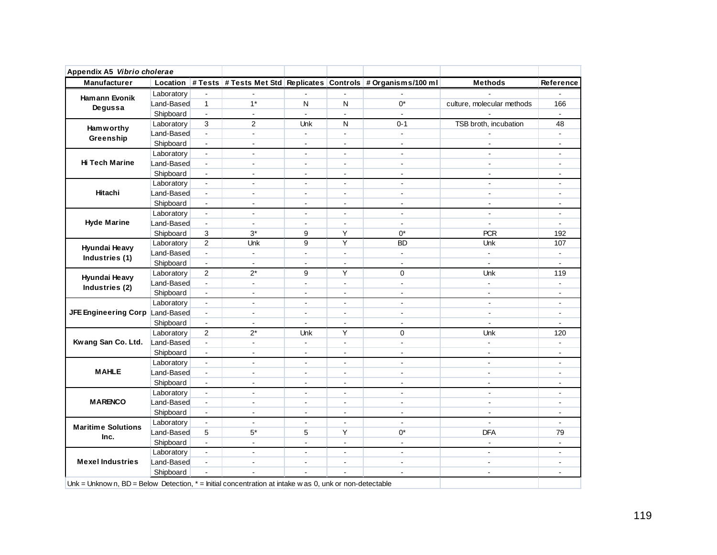| Appendix A5 Vibrio cholerae<br><b>Manufacturer</b> | Location   |                          |                |                          |                      | # Tests   # Tests Met Std   Replicates   Controls   # Organisms/100 m l | <b>Methods</b>             | Reference                |
|----------------------------------------------------|------------|--------------------------|----------------|--------------------------|----------------------|-------------------------------------------------------------------------|----------------------------|--------------------------|
|                                                    |            |                          |                |                          |                      |                                                                         |                            |                          |
| <b>Hamann Evonik</b>                               | Laboratory | ÷,                       |                |                          |                      |                                                                         |                            |                          |
| Degussa                                            | Land-Based | $\mathbf{1}$             | $1*$           | N                        | N                    | $0^*$                                                                   | culture, molecular methods | 166                      |
|                                                    | Shipboard  | $\blacksquare$           | $\blacksquare$ | $\Box$                   |                      | ä,                                                                      |                            |                          |
| <b>Ham w orthy</b>                                 | Laboratory | 3                        | 2              | <b>Unk</b>               | N                    | $0 - 1$                                                                 | TSB broth, incubation      | 48                       |
| Greenship                                          | Land-Based | $\blacksquare$           | $\blacksquare$ | $\blacksquare$           | $\blacksquare$       | $\blacksquare$                                                          |                            |                          |
|                                                    | Shipboard  | $\blacksquare$           | $\mathbf{r}$   | $\mathbf{r}$             | $\overline{a}$       | $\sim$                                                                  | $\mathbf{r}$               | $\sim$                   |
|                                                    | Laboratory | $\blacksquare$           | $\blacksquare$ | $\blacksquare$           | $\ddot{\phantom{a}}$ | $\blacksquare$                                                          | $\sim$                     |                          |
| Hi Tech Marine                                     | Land-Based | $\omega$                 | $\blacksquare$ | $\blacksquare$           | $\blacksquare$       | $\sim$                                                                  | $\blacksquare$             | $\blacksquare$           |
|                                                    | Shipboard  | $\blacksquare$           | $\sim$         | $\sim$                   | $\blacksquare$       | $\blacksquare$                                                          | $\sim$                     |                          |
|                                                    | Laboratory | $\blacksquare$           | $\mathbf{r}$   | $\blacksquare$           | $\blacksquare$       | $\sim$                                                                  | $\blacksquare$             | $\mathbf{r}$             |
| Hitachi                                            | Land-Based | $\blacksquare$           | $\blacksquare$ | $\blacksquare$           | $\blacksquare$       | $\blacksquare$                                                          | $\blacksquare$             |                          |
|                                                    | Shipboard  | $\omega$                 | $\blacksquare$ | $\mathbf{r}$             | $\blacksquare$       | $\sim$                                                                  | $\blacksquare$             | $\mathbf{r}$             |
|                                                    | Laboratory | $\blacksquare$           | $\blacksquare$ | $\sim$                   | $\blacksquare$       | $\sim$                                                                  | $\sim$                     | $\blacksquare$           |
| <b>Hyde Marine</b>                                 | Land-Based | $\blacksquare$           | $\mathbf{r}$   | $\blacksquare$           | $\blacksquare$       | $\sim$                                                                  | $\mathbf{r}$               | $\blacksquare$           |
|                                                    | Shipboard  | 3                        | $3^*$          | 9                        | Υ                    | 0*                                                                      | <b>PCR</b>                 | 192                      |
|                                                    | Laboratory | $\overline{2}$           | Unk            | 9                        | Υ                    | <b>BD</b>                                                               | <b>Unk</b>                 | 107                      |
| Hyundai Heavy<br>Industries (1)                    | Land-Based | $\blacksquare$           | $\blacksquare$ | $\blacksquare$           | $\blacksquare$       | $\blacksquare$                                                          | $\omega$                   | $\blacksquare$           |
|                                                    | Shipboard  | $\blacksquare$           | $\blacksquare$ | $\blacksquare$           | $\blacksquare$       | $\sim$                                                                  | $\blacksquare$             | $\mathbf{r}$             |
| <b>Hyundai Heavy</b><br>Industries (2)             | Laboratory | 2                        | $2^*$          | 9                        | Y                    | $\Omega$                                                                | Unk                        | 119                      |
|                                                    | Land-Based | $\overline{\phantom{a}}$ | $\blacksquare$ | $\mathbf{r}$             | ä,                   | ÷.                                                                      | $\blacksquare$             | $\sim$                   |
|                                                    | Shipboard  | $\blacksquare$           | $\mathbf{r}$   | $\sim$                   | $\ddot{\phantom{a}}$ | $\sim$                                                                  | $\blacksquare$             | $\mathbf{r}$             |
|                                                    | Laboratory | $\omega$                 | $\mathbf{r}$   | $\blacksquare$           | $\blacksquare$       | $\sim$                                                                  | $\blacksquare$             | $\mathbf{r}$             |
| JFE Engineering Corp Land-Based                    |            | $\blacksquare$           | $\blacksquare$ | $\blacksquare$           | $\overline{a}$       | $\sim$                                                                  | $\sim$                     | $\mathbf{r}$             |
|                                                    | Shipboard  | $\blacksquare$           | $\mathbf{r}$   | $\mathbf{r}$             | $\overline{a}$       | $\overline{a}$                                                          | $\mathbf{r}$               | $\overline{a}$           |
|                                                    | Laboratory | $\overline{2}$           | $2^*$          | Unk                      | Υ                    | 0                                                                       | Unk                        | 120                      |
| Kwang San Co. Ltd.                                 | Land-Based | $\omega$                 | $\mathbf{r}$   | $\mathbf{r}$             | $\ddot{\phantom{a}}$ | ÷.                                                                      | $\mathbf{r}$               | $\ddot{\phantom{a}}$     |
|                                                    | Shipboard  | $\blacksquare$           | $\blacksquare$ | $\blacksquare$           | $\blacksquare$       | $\sim$                                                                  | $\blacksquare$             | $\overline{a}$           |
|                                                    | Laboratory | $\omega$                 | $\mathbf{r}$   | $\mathbf{r}$             | $\ddot{\phantom{a}}$ | ÷.                                                                      | ÷.                         | $\overline{a}$           |
| <b>MAHLE</b>                                       | Land-Based |                          | $\blacksquare$ | $\blacksquare$           | $\ddot{\phantom{a}}$ | $\blacksquare$                                                          | $\blacksquare$             | $\blacksquare$           |
|                                                    |            | $\blacksquare$           |                |                          |                      |                                                                         |                            |                          |
|                                                    | Shipboard  | $\blacksquare$           | $\mathbf{r}$   | $\ddot{\phantom{a}}$     | $\blacksquare$       | $\overline{a}$                                                          | $\sim$                     | $\overline{a}$           |
|                                                    | Laboratory | $\blacksquare$           | $\sim$         | $\overline{\phantom{a}}$ | $\blacksquare$       | $\sim$                                                                  | $\overline{a}$             | $\sim$                   |
| <b>MARENCO</b>                                     | Land-Based | $\blacksquare$           | $\overline{a}$ | $\overline{a}$           | $\overline{a}$       | $\overline{a}$                                                          | $\overline{a}$             |                          |
|                                                    | Shipboard  | $\blacksquare$           | $\blacksquare$ | $\blacksquare$           | $\sim$               | $\sim$                                                                  | $\sim$                     | $\mathbf{r}$             |
| <b>Maritime Solutions</b>                          | Laboratory | $\blacksquare$           | $\sim$         | $\overline{a}$           | $\ddot{\phantom{a}}$ | $\sim$                                                                  |                            | $\overline{\phantom{a}}$ |
| Inc.                                               | Land-Based | 5                        | $5*$           | 5                        | Y                    | $0^*$                                                                   | <b>DFA</b>                 | 79                       |
|                                                    | Shipboard  | ÷.                       | $\mathbf{r}$   | $\mathbf{r}$             | $\overline{a}$       | $\sim$                                                                  | $\mathbf{r}$               |                          |
|                                                    | Laboratory | $\blacksquare$           | $\overline{a}$ | $\overline{a}$           | $\mathbf{r}$         | $\sim$                                                                  | $\overline{a}$             | $\overline{a}$           |
| <b>Mexel Industries</b>                            | Land-Based | $\blacksquare$           | $\sim$         | $\sim$                   | $\blacksquare$       | $\sim$                                                                  | $\overline{a}$             | $\overline{a}$           |
|                                                    | Shipboard  | ÷,                       |                |                          |                      | $\mathbf{r}$                                                            | $\sim$                     | $\mathbf{r}$             |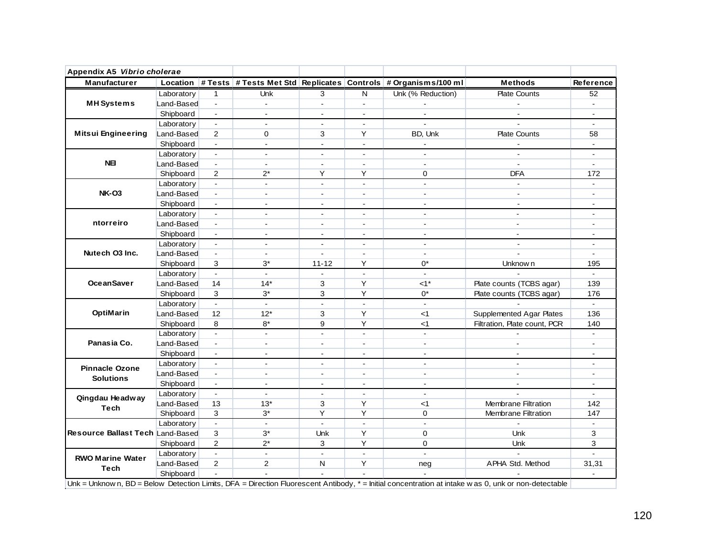| Appendix A5 Vibrio cholerae      |            |                             |                |                          |                          |                                                                         |                                                                                                                                                      |                  |
|----------------------------------|------------|-----------------------------|----------------|--------------------------|--------------------------|-------------------------------------------------------------------------|------------------------------------------------------------------------------------------------------------------------------------------------------|------------------|
| <b>Manufacturer</b>              |            |                             |                |                          |                          | Location # Tests # Tests Met Std Replicates Controls # Organisms/100 ml | <b>Methods</b>                                                                                                                                       | <b>Reference</b> |
|                                  | Laboratory | 1                           | Unk            | 3                        | N                        | Unk (% Reduction)                                                       | <b>Plate Counts</b>                                                                                                                                  | 52               |
| <b>MH</b> Systems                | Land-Based | $\omega$                    | $\blacksquare$ | $\blacksquare$           | $\blacksquare$           | $\blacksquare$                                                          | $\overline{a}$                                                                                                                                       | $\blacksquare$   |
|                                  | Shipboard  | $\blacksquare$              | $\blacksquare$ | $\overline{\phantom{a}}$ | $\blacksquare$           | $\blacksquare$                                                          |                                                                                                                                                      |                  |
|                                  | Laboratory | $\mathbf{r}$                | $\mathbf{r}$   | $\mathbf{r}$             | $\mathbf{r}$             | $\mathbf{r}$                                                            | $\overline{a}$                                                                                                                                       | $\blacksquare$   |
| <b>Mitsui Engineering</b>        | Land-Based | 2                           | 0              | 3                        | Y                        | BD, Unk                                                                 | <b>Plate Counts</b>                                                                                                                                  | 58               |
|                                  | Shipboard  | $\blacksquare$              | $\blacksquare$ | $\blacksquare$           | $\blacksquare$           | $\sim$                                                                  |                                                                                                                                                      |                  |
|                                  | Laboratory | $\blacksquare$              | $\blacksquare$ | $\blacksquare$           | $\overline{\phantom{a}}$ | $\sim$                                                                  |                                                                                                                                                      |                  |
| <b>NEI</b>                       | Land-Based | $\omega$                    | $\mathbf{r}$   | $\mathbf{r}$             | ÷.                       | $\blacksquare$                                                          | $\mathbf{r}$                                                                                                                                         | ä,               |
|                                  | Shipboard  | $\overline{2}$              | $2^*$          | Y                        | Υ                        | 0                                                                       | <b>DFA</b>                                                                                                                                           | 172              |
|                                  | Laboratory | $\mathbf{r}$                | $\blacksquare$ | $\overline{a}$           | ä,                       | $\mathbf{r}$                                                            | $\sim$                                                                                                                                               |                  |
| <b>NK-03</b>                     | Land-Based | $\sim$                      | $\blacksquare$ | $\sim$                   | $\blacksquare$           | $\sim$                                                                  | $\blacksquare$                                                                                                                                       | $\blacksquare$   |
|                                  | Shipboard  | $\blacksquare$              | $\sim$         | $\blacksquare$           | $\overline{\phantom{a}}$ | $\blacksquare$                                                          |                                                                                                                                                      | $\blacksquare$   |
|                                  | Laboratory | $\blacksquare$              | $\mathbf{r}$   | $\sim$                   | ÷.                       | $\sim$                                                                  | $\overline{a}$                                                                                                                                       | $\overline{a}$   |
| ntorreiro                        | Land-Based | $\blacksquare$              | $\sim$         | $\sim$                   | $\blacksquare$           | $\sim$                                                                  | $\mathbf{r}$                                                                                                                                         | $\blacksquare$   |
|                                  | Shipboard  | $\blacksquare$              | $\overline{a}$ | $\sim$                   | $\mathbf{r}$             | $\sim$                                                                  | $\overline{a}$                                                                                                                                       | $\blacksquare$   |
|                                  | Laboratory | $\blacksquare$              | $\sim$         | $\sim$                   | $\blacksquare$           | $\sim$                                                                  |                                                                                                                                                      |                  |
| Nutech O3 Inc.                   | Land-Based | $\omega$                    | $\blacksquare$ | ÷.                       | ÷.                       | $\sim$                                                                  | $\overline{a}$                                                                                                                                       | $\mathbf{r}$     |
|                                  | Shipboard  | 3                           | $3^*$          | $11 - 12$                | Υ                        | 0*                                                                      | Unknow n                                                                                                                                             | 195              |
|                                  | Laboratory | $\omega$                    | $\blacksquare$ | $\sim$                   | $\blacksquare$           | $\sim$                                                                  |                                                                                                                                                      | $\sim$           |
| <b>OceanSaver</b>                | Land-Based | 14                          | $14*$          | 3                        | Y                        | $1<^*$                                                                  | Plate counts (TCBS agar)                                                                                                                             | 139              |
|                                  | Shipboard  | 3                           | $3^*$          | 3                        | Υ                        | 0*                                                                      | Plate counts (TCBS agar)                                                                                                                             | 176              |
|                                  | Laboratory | $\mathbf{r}$                | $\blacksquare$ | $\blacksquare$           | $\blacksquare$           | $\blacksquare$                                                          |                                                                                                                                                      | $\blacksquare$   |
| OptiMarin                        | Land-Based | 12                          | $12*$          | 3                        | Y                        | $<$ 1                                                                   | Supplemented Agar Plates                                                                                                                             | 136              |
|                                  | Shipboard  | 8                           | $8*$           | 9                        | Y                        | $<$ 1                                                                   | Filtration, Plate count, PCR                                                                                                                         | 140              |
|                                  | Laboratory | $\mathcal{L}^{\mathcal{L}}$ | $\overline{a}$ | $\mathbf{r}$             | $\overline{a}$           | $\overline{a}$                                                          |                                                                                                                                                      | $\mathbb{Z}^+$   |
| Panasia Co.                      | Land-Based | $\blacksquare$              | $\blacksquare$ | $\blacksquare$           | $\blacksquare$           | $\blacksquare$                                                          | $\blacksquare$                                                                                                                                       | $\blacksquare$   |
|                                  | Shipboard  | $\blacksquare$              | $\mathbf{r}$   | $\mathbf{r}$             | $\blacksquare$           | $\mathbf{r}$                                                            | ÷.                                                                                                                                                   | $\blacksquare$   |
|                                  | Laboratory | $\blacksquare$              | $\overline{a}$ | $\sim$                   | $\overline{\phantom{a}}$ | $\sim$                                                                  |                                                                                                                                                      |                  |
| <b>Pinnacle Ozone</b>            | Land-Based | $\omega$                    | $\overline{a}$ | $\blacksquare$           | $\overline{\phantom{a}}$ | $\sim$                                                                  |                                                                                                                                                      |                  |
| <b>Solutions</b>                 | Shipboard  | $\omega$                    | $\blacksquare$ | $\mathbf{u}$             | ÷.                       | $\blacksquare$                                                          | $\sim$                                                                                                                                               | $\sim$           |
|                                  | Laboratory | $\mathbf{r}$                | $\mathbf{r}$   | $\sim$                   | $\mathbf{r}$             | $\mathbf{r}$                                                            |                                                                                                                                                      | $\sim$           |
| Qingdau Headway                  | Land-Based | 13                          | $13*$          | 3                        | Y                        | $<$ 1                                                                   | <b>Membrane Filtration</b>                                                                                                                           | 142              |
| Tech                             | Shipboard  | 3                           | $3^*$          | Y                        | Y                        | $\mathbf 0$                                                             | <b>Membrane Filtration</b>                                                                                                                           | 147              |
|                                  | Laboratory | $\omega$                    | $\blacksquare$ | $\blacksquare$           | $\blacksquare$           | $\sim$                                                                  |                                                                                                                                                      | $\mathbf{r}$     |
| Resource Ballast Tech Land-Based |            | 3                           | $3^*$          | <b>Unk</b>               | Υ                        | $\Omega$                                                                | <b>Unk</b>                                                                                                                                           | 3                |
|                                  | Shipboard  | $\overline{2}$              | $2^*$          | 3                        | Y                        | $\mathbf 0$                                                             | Unk                                                                                                                                                  | 3                |
|                                  | Laboratory | $\mathbf{r}$                | $\blacksquare$ | $\mathbf{r}$             | $\blacksquare$           | $\mathbf{r}$                                                            |                                                                                                                                                      |                  |
| <b>RWO Marine Water</b>          | Land-Based | 2                           | $\overline{2}$ | N                        | Y                        |                                                                         | APHA Std. Method                                                                                                                                     | 31,31            |
| Tech                             | Shipboard  |                             |                |                          |                          | neg                                                                     |                                                                                                                                                      |                  |
|                                  |            |                             |                |                          |                          |                                                                         | Unk = Unknow n, BD = Below Detection Limits, DFA = Direction Fluorescent Antibody, * = Initial concentration at intake w as 0, unk or non-detectable |                  |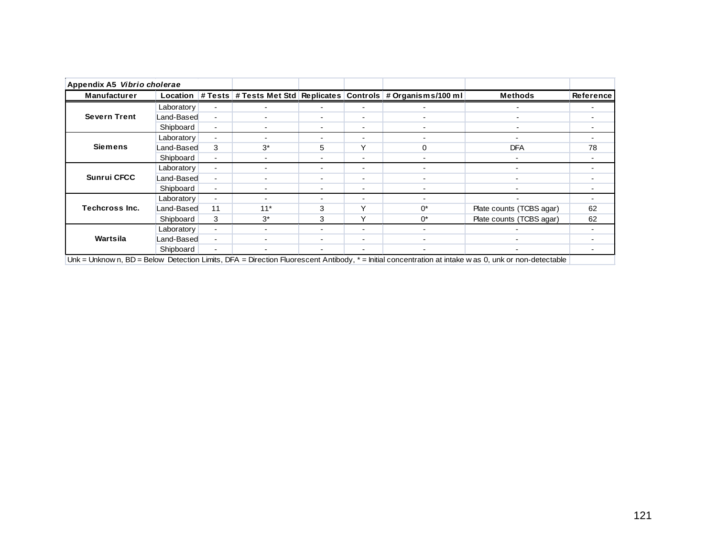| Appendix A5 Vibrio cholerae |                 |                          |                          |                          |                          |                                                                        |                                                                                                                                                      |           |
|-----------------------------|-----------------|--------------------------|--------------------------|--------------------------|--------------------------|------------------------------------------------------------------------|------------------------------------------------------------------------------------------------------------------------------------------------------|-----------|
| <b>Manufacturer</b>         | <b>Location</b> |                          |                          |                          |                          | # Tests   # Tests Met Std   Replicates   Controls   # Organisms/100 ml | <b>Methods</b>                                                                                                                                       | Reference |
|                             | Laboratory      | $\blacksquare$           |                          |                          | $\overline{\phantom{0}}$ |                                                                        |                                                                                                                                                      |           |
| <b>Severn Trent</b>         | Land-Based      | $\blacksquare$           |                          |                          | $\blacksquare$           |                                                                        | $\overline{\phantom{0}}$                                                                                                                             |           |
|                             | Shipboard       | $\blacksquare$           |                          |                          | $\overline{\phantom{a}}$ |                                                                        |                                                                                                                                                      |           |
|                             | Laboratory      | $\blacksquare$           |                          |                          | $\overline{\phantom{0}}$ |                                                                        |                                                                                                                                                      |           |
| <b>Siemens</b>              | Land-Based      | 3                        | $3^*$                    | 5                        | Y                        | $\Omega$                                                               | <b>DFA</b>                                                                                                                                           | 78        |
|                             | Shipboard       | $\blacksquare$           | $\overline{\phantom{a}}$ | $\overline{\phantom{0}}$ | $\blacksquare$           |                                                                        |                                                                                                                                                      |           |
|                             | Laboratory      | $\blacksquare$           |                          | $\overline{\phantom{0}}$ | $\blacksquare$           | $\overline{\phantom{0}}$                                               | $\blacksquare$                                                                                                                                       |           |
| <b>Sunrui CFCC</b>          | Land-Based      | $\blacksquare$           | $\overline{\phantom{a}}$ | ۰                        | $\overline{\phantom{a}}$ |                                                                        | $\blacksquare$                                                                                                                                       |           |
|                             | Shipboard       | $\blacksquare$           | $\overline{\phantom{a}}$ | -                        | $\blacksquare$           |                                                                        | $\overline{\phantom{0}}$                                                                                                                             |           |
|                             | Laboratory      | $\blacksquare$           |                          |                          | $\overline{\phantom{0}}$ |                                                                        | $\overline{\phantom{a}}$                                                                                                                             |           |
| <b>Techcross Inc.</b>       | Land-Based      | 11                       | $11*$                    | 3                        | Υ                        | ሰ*                                                                     | Plate counts (TCBS agar)                                                                                                                             | 62        |
|                             | Shipboard       | 3                        | $3^*$                    | 3                        | Y                        | $0^*$                                                                  | Plate counts (TCBS agar)                                                                                                                             | 62        |
|                             | Laboratory      | $\sim$                   |                          | ۰.                       | $\blacksquare$           |                                                                        |                                                                                                                                                      |           |
| Wartsila                    | Land-Based      | $\blacksquare$           |                          | ۰.                       | $\blacksquare$           |                                                                        |                                                                                                                                                      |           |
|                             | Shipboard       | $\overline{\phantom{0}}$ |                          |                          | $\blacksquare$           |                                                                        |                                                                                                                                                      |           |
|                             |                 |                          |                          |                          |                          |                                                                        | Unk = Unknow n, BD = Below Detection Limits, DFA = Direction Fluorescent Antibody, * = Initial concentration at intake w as 0, unk or non-detectable |           |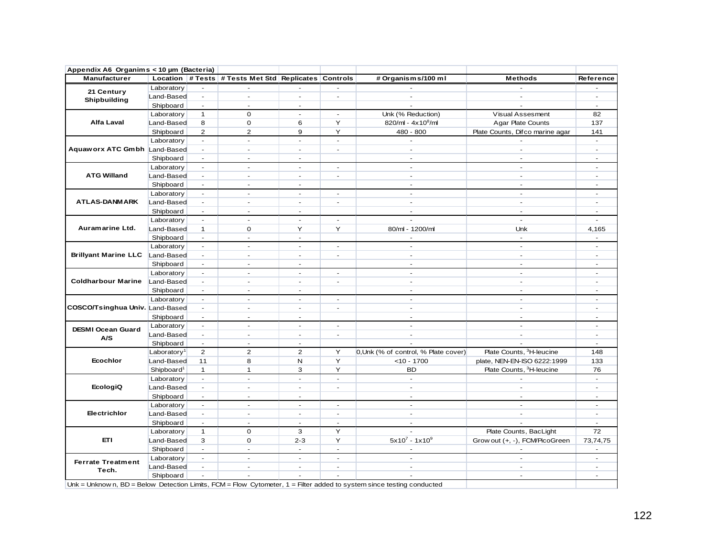| Appendix A6 Organims < 10 µm (Bacteria) |                         |                             |                                                      |                          |                          |                                                                                                                           |                                      |                                |
|-----------------------------------------|-------------------------|-----------------------------|------------------------------------------------------|--------------------------|--------------------------|---------------------------------------------------------------------------------------------------------------------------|--------------------------------------|--------------------------------|
| Manufacturer                            |                         |                             | Location # Tests # Tests Met Std Replicates Controls |                          |                          | # Organisms/100 ml                                                                                                        | <b>Methods</b>                       | Reference                      |
| 21 Century                              | Laboratory              | ÷                           | $\overline{a}$                                       |                          | $\overline{\phantom{a}}$ |                                                                                                                           |                                      |                                |
| Shipbuilding                            | Land-Based              | $\blacksquare$              | $\blacksquare$                                       | ×.                       | $\blacksquare$           | $\mathcal{L}_{\mathcal{A}}$                                                                                               |                                      | $\sim$                         |
|                                         | Shipboard               | $\sim$                      | ÷.                                                   | $\sim$                   |                          |                                                                                                                           |                                      | $\sim$                         |
|                                         | Laboratory              | $\mathbf{1}$                | $\mathbf 0$                                          | ÷.                       | $\blacksquare$           | Unk (% Reduction)                                                                                                         | Visual Assesment                     | 82                             |
| Alfa Laval                              | Land-Based              | 8                           | $\mathbf 0$                                          | 6                        | Y                        | 820/ml - $4x10^8$ /ml                                                                                                     | Agar Plate Counts                    | 137                            |
|                                         | Shipboard               | $\overline{2}$              | $\overline{2}$                                       | 9                        | Y                        | 480 - 800                                                                                                                 | Plate Counts, Difco marine agar      | 141                            |
|                                         | Laboratory              | $\omega$                    | $\blacksquare$                                       | $\mathbf{r}$             | $\blacksquare$           | $\sim$                                                                                                                    |                                      | $\sim$                         |
| Aquaworx ATC Gmbh Land-Based            |                         | $\sim$                      | ÷                                                    | $\mathbf{r}$             | $\omega$                 | ÷.                                                                                                                        | $\sim$                               | $\sim$                         |
|                                         | Shipboard               | $\omega$                    | $\blacksquare$                                       | $\sim$                   |                          | $\sim$                                                                                                                    | $\sim$                               | $\mathbf{r}$                   |
|                                         | Laboratory              | $\sim$                      | ÷.                                                   | $\sim$                   | $\mathbf{r}$             | $\mathbf{r}$                                                                                                              | $\overline{a}$                       |                                |
| <b>ATG Willand</b>                      | Land-Based              | $\sim$                      | $\overline{a}$                                       | $\sim$                   | $\blacksquare$           | $\sim$                                                                                                                    | $\overline{a}$                       | ÷                              |
|                                         | Shipboard               | $\sim$                      | $\sim$                                               | $\sim$                   |                          | $\sim$                                                                                                                    | ÷                                    | $\sim$                         |
|                                         | Laboratory              | $\blacksquare$              | ÷.                                                   | $\sim$                   | $\blacksquare$           | $\sim$                                                                                                                    | ÷.                                   | ÷                              |
| <b>ATLAS-DANMARK</b>                    | Land-Based              | $\blacksquare$              | $\overline{\phantom{a}}$                             | $\blacksquare$           | $\overline{\phantom{a}}$ | $\sim$                                                                                                                    | $\blacksquare$                       | $\blacksquare$                 |
|                                         | Shipboard               | $\mathbf{r}$                | ÷,                                                   | $\sim$                   |                          | $\sim$                                                                                                                    | ÷.                                   | ÷.                             |
|                                         | Laboratory              | $\blacksquare$              | $\mathbf{r}$                                         | $\sim$                   | $\blacksquare$           |                                                                                                                           | $\omega$                             | $\omega$                       |
| Auramarine Ltd.                         | Land-Based              | $\mathbf{1}$                | $\mathbf 0$                                          | Y                        | Y                        | 80/ml - 1200/ml                                                                                                           | Unk                                  | 4,165                          |
|                                         | Shipboard               | $\sim$                      | $\omega$                                             | $\blacksquare$           |                          |                                                                                                                           | $\sim$                               | $\sim$                         |
|                                         | Laboratory              | $\mathbf{r}$                | $\mathbf{r}$                                         | $\sim$                   | $\mathbf{r}$             | ÷.                                                                                                                        | $\overline{a}$                       | ÷.                             |
| <b>Brillyant Marine LLC</b>             | Land-Based              | $\sim$                      | $\mathbf{r}$                                         | $\mathbf{r}$             | $\mathbf{r}$             | ÷.                                                                                                                        | ÷.                                   | ÷.                             |
|                                         | Shipboard               | $\sim$                      | ÷.                                                   | $\sim$                   |                          | $\sim$                                                                                                                    | $\sim$                               | $\sim$                         |
|                                         | Laboratory              | $\blacksquare$              | ÷.                                                   | $\sim$                   | $\sim$                   | $\mathbf{r}$                                                                                                              | ÷.                                   |                                |
| <b>Coldharbour Marine</b>               | Land-Based              | $\blacksquare$              | ÷.                                                   | $\mathbf{r}$             | $\overline{a}$           | $\mathbf{r}$                                                                                                              | ÷.                                   | ÷.                             |
|                                         | Shipboard               | $\mathbf{r}$                | L.                                                   | $\mathbf{r}$             |                          | ÷.                                                                                                                        | ÷.                                   | ÷.                             |
|                                         | Laboratory              | $\sim$                      | $\sim$                                               | $\overline{\phantom{a}}$ | $\blacksquare$           | $\sim$                                                                                                                    | $\sim$                               | $\sim$                         |
| COSCO/Tsinghua Univ. Land-Based         |                         | $\mathbb{Z}^2$              | ÷.                                                   | $\sim$                   | $\overline{\phantom{a}}$ | $\sim$                                                                                                                    | $\sim$                               | ÷                              |
|                                         | Shipboard               | $\sim$                      | $\omega$                                             | $\mathbf{r}$             |                          | $\mathbf{r}$                                                                                                              | $\blacksquare$                       | $\sim$                         |
|                                         | Laboratory              | $\mathbf{r}$                | $\mathbf{r}$                                         | $\sim$                   | $\mathbf{r}$             | ÷.                                                                                                                        | $\overline{a}$                       | ÷                              |
| <b>DESMI Ocean Guard</b>                | Land-Based              | $\sim$                      | $\mathbf{r}$                                         | $\mathbf{r}$             | $\mathbf{r}$             | $\sim$                                                                                                                    |                                      | ÷.                             |
| A/S                                     | Shipboard               | $\sim$                      | $\sim$                                               | $\sim$                   |                          |                                                                                                                           |                                      | $\sim$                         |
|                                         | Laboratory <sup>1</sup> | 2                           | $\overline{2}$                                       | $\overline{2}$           | Y                        | 0, Unk (% of control, % Plate cover)                                                                                      | Plate Counts, <sup>3</sup> H-leucine | 148                            |
| Ecochlor                                | Land-Based              | 11                          | 8                                                    | N                        | Y                        | $<$ 10 - 1700                                                                                                             | plate, NEN-EN-ISO 6222:1999          | 133                            |
|                                         | Shipboard <sup>1</sup>  | $\mathbf{1}$                | $\mathbf{1}$                                         | 3                        | Y                        | BD                                                                                                                        | Plate Counts, <sup>3</sup> H-leucine | 76                             |
|                                         |                         | $\sim$                      | $\sim$                                               | $\mathbf{r}$             | $\omega$                 | $\sim$                                                                                                                    | $\sim$                               | $\omega$                       |
| EcologiQ                                | Laboratory              | $\sim$                      | $\sim$                                               | $\sim$                   | $\overline{\phantom{a}}$ | $\sim$                                                                                                                    | $\sim$                               | ÷                              |
|                                         | Land-Based              | $\sim$                      | $\omega$                                             | $\sim$                   |                          | $\sim$                                                                                                                    | $\mathbf{r}$                         | $\sim$                         |
|                                         | Shipboard               | $\sim$                      | $\sim$                                               | $\sim$                   | $\sim$                   | $\omega$                                                                                                                  | ÷                                    | $\sim$                         |
| Electrichlor                            | Laboratory              | $\sim$                      | $\sim$                                               | $\sim$                   | $\sim$                   | $\sim$                                                                                                                    | $\sim$                               | $\sim$                         |
|                                         | Land-Based              |                             |                                                      |                          |                          |                                                                                                                           |                                      |                                |
|                                         | Shipboard               | $\sim$<br>$\mathbf{1}$      | $\blacksquare$<br>$\mathbf 0$                        | $\blacksquare$<br>3      | $\blacksquare$<br>Y      | $\blacksquare$                                                                                                            | Plate Counts, BacLight               | $\overline{\phantom{a}}$<br>72 |
|                                         | Laboratory              |                             |                                                      |                          |                          |                                                                                                                           |                                      |                                |
| ETI                                     | Land-Based              | 3                           | $\Omega$                                             | $2 - 3$                  | Y                        | $5x10^7 - 1x10^9$                                                                                                         | Grow out (+, -), FCM/PicoGreen       | 73,74,75                       |
|                                         | Shipboard               | $\sim$                      | ÷.                                                   | $\sim$                   | $\sim$                   |                                                                                                                           |                                      | $\overline{\phantom{a}}$       |
| <b>Ferrate Treatment</b>                | Laboratory              | $\sim$                      | $\sim$                                               | $\sim$                   | $\omega$                 | $\sim$                                                                                                                    | $\sim$                               | $\omega$                       |
| Tech.                                   | Land-Based              | $\sim$                      | $\mathbf{r}$                                         | $\mathbf{r}$             | $\mathbf{r}$             | $\sim$                                                                                                                    | $\sim$                               | $\sim$                         |
|                                         | Shipboard               | $\mathcal{L}_{\mathcal{A}}$ | $\overline{a}$                                       | $\sim$                   | ÷.                       |                                                                                                                           | $\mathbf{r}$                         | $\mathbf{r}$                   |
|                                         |                         |                             |                                                      |                          |                          | Unk = Unknow n, $BD =$ Below Detection Limits, FCM = Flow Cytometer, $1 =$ Filter added to system since testing conducted |                                      |                                |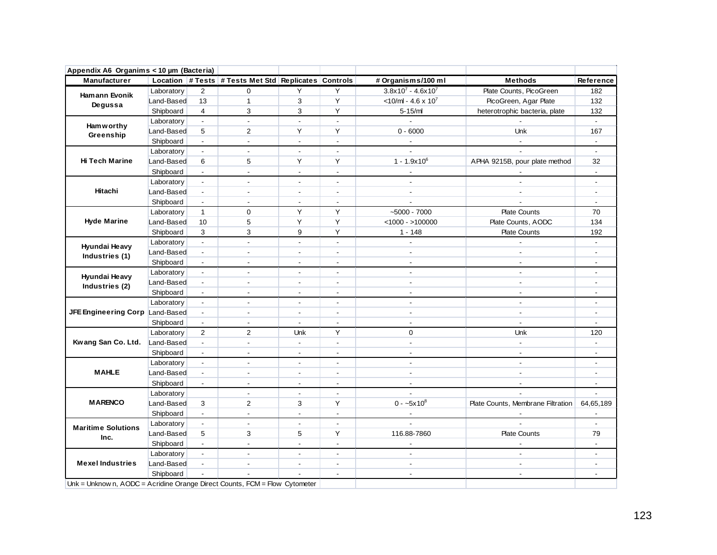| Appendix A6 Organims < 10 µm (Bacteria)                                                                                                                                                                                                                                                     |            |                             |                                                      |                          |                          |                                   |                                   |                          |
|---------------------------------------------------------------------------------------------------------------------------------------------------------------------------------------------------------------------------------------------------------------------------------------------|------------|-----------------------------|------------------------------------------------------|--------------------------|--------------------------|-----------------------------------|-----------------------------------|--------------------------|
| Manufacturer                                                                                                                                                                                                                                                                                |            |                             | Location # Tests # Tests Met Std Replicates Controls |                          |                          | # Organisms/100 ml                | <b>Methods</b>                    | Reference                |
|                                                                                                                                                                                                                                                                                             | Laboratory | 2                           | 0                                                    | Y                        | Y                        | $3.8x10^7 - 4.6x10^7$             | Plate Counts, PicoGreen           | 182                      |
|                                                                                                                                                                                                                                                                                             | Land-Based | 13                          | $\mathbf{1}$                                         | 3                        | Υ                        | $<$ 10/ml - 4.6 x 10 <sup>7</sup> | PicoGreen, Agar Plate             | 132                      |
|                                                                                                                                                                                                                                                                                             | Shipboard  | $\overline{4}$              | 3                                                    | 3                        | Υ                        | $5 - 15/m$                        | heterotrophic bacteria, plate     | 132                      |
|                                                                                                                                                                                                                                                                                             | Laboratory | $\blacksquare$              | $\overline{\phantom{a}}$                             | $\blacksquare$           | $\mathbf{r}$             | $\sim$                            |                                   | $\sim$                   |
| <b>Hamann Evonik</b><br>Degussa<br><b>Hamworthy</b><br>Greenship<br>Hi Tech Marine<br>Hitachi<br><b>Hyde Marine</b><br>Hyundai Heavy<br>Industries (1)<br>Hyundai Heavy<br>Industries (2)<br><b>MAHLE</b><br><b>MARENCO</b><br><b>Maritime Solutions</b><br>Inc.<br><b>Mexel Industries</b> | Land-Based | 5                           | $\overline{2}$                                       | Y                        | Y                        | $0 - 6000$                        | Unk                               | 167                      |
|                                                                                                                                                                                                                                                                                             | Shipboard  | $\mathbb{Z}^{\mathbb{Z}}$   | $\overline{\phantom{a}}$                             | $\blacksquare$           | $\overline{\phantom{a}}$ |                                   |                                   | $\blacksquare$           |
|                                                                                                                                                                                                                                                                                             | Laboratory | $\blacksquare$              | $\blacksquare$                                       | $\blacksquare$           | $\blacksquare$           | $\blacksquare$                    |                                   | $\sim$                   |
|                                                                                                                                                                                                                                                                                             | Land-Based | 6                           | 5                                                    | Y                        | Y                        | $1 - 1.9x10^6$                    | APHA 9215B, pour plate method     | 32                       |
|                                                                                                                                                                                                                                                                                             | Shipboard  | $\mathcal{L}^{\mathcal{L}}$ | $\blacksquare$                                       | $\sim$                   | $\overline{\phantom{a}}$ | $\overline{\phantom{a}}$          |                                   | $\sim$                   |
|                                                                                                                                                                                                                                                                                             | Laboratory | $\blacksquare$              | $\overline{a}$                                       | $\overline{a}$           | $\overline{a}$           | $\overline{a}$                    |                                   |                          |
|                                                                                                                                                                                                                                                                                             | Land-Based | $\blacksquare$              | $\blacksquare$                                       | $\sim$                   | $\blacksquare$           | $\sim$                            | $\overline{a}$                    | $\blacksquare$           |
|                                                                                                                                                                                                                                                                                             | Shipboard  | $\overline{\phantom{a}}$    | $\blacksquare$                                       | $\overline{a}$           | $\blacksquare$           |                                   |                                   | $\blacksquare$           |
|                                                                                                                                                                                                                                                                                             | Laboratory | $\mathbf{1}$                | $\mathbf 0$                                          | Y                        | Y                        | $-5000 - 7000$                    | <b>Plate Counts</b>               | 70                       |
|                                                                                                                                                                                                                                                                                             | Land-Based | 10                          | 5                                                    | Y                        | Y                        | $<$ 1000 - >100000                | Plate Counts, AODC                | 134                      |
|                                                                                                                                                                                                                                                                                             | Shipboard  | 3                           | 3                                                    | 9                        | Υ                        | $1 - 148$                         | <b>Plate Counts</b>               | 192                      |
|                                                                                                                                                                                                                                                                                             | Laboratory | $\blacksquare$              | $\blacksquare$                                       | $\blacksquare$           | $\blacksquare$           | $\blacksquare$                    |                                   | $\blacksquare$           |
|                                                                                                                                                                                                                                                                                             | Land-Based | $\blacksquare$              | $\blacksquare$                                       | $\mathbf{r}$             | $\blacksquare$           | $\blacksquare$                    | $\blacksquare$                    | $\blacksquare$           |
|                                                                                                                                                                                                                                                                                             | Shipboard  | $\blacksquare$              | $\overline{a}$                                       | $\overline{a}$           | $\overline{a}$           | $\mathbf{r}$                      | $\overline{a}$                    | $\blacksquare$           |
|                                                                                                                                                                                                                                                                                             | Laboratory | $\sim$                      | $\mathbb{Z}^{\mathbb{Z}}$                            | $\Delta$                 | $\mathbf{r}$             | $\sim$                            | $\overline{a}$                    | $\blacksquare$           |
|                                                                                                                                                                                                                                                                                             | Land-Based | $\overline{\phantom{a}}$    | $\blacksquare$                                       | $\sim$                   | $\blacksquare$           | $\sim$                            | $\sim$                            | $\blacksquare$           |
|                                                                                                                                                                                                                                                                                             | Shipboard  | $\blacksquare$              | $\overline{a}$                                       | $\mathbf{r}$             | $\overline{a}$           | $\overline{\phantom{a}}$          | $\overline{a}$                    | $\overline{a}$           |
|                                                                                                                                                                                                                                                                                             | Laboratory | $\sim$                      | $\overline{a}$                                       | $\sim$                   | $\sim$                   | $\overline{a}$                    | $\mathbf{r}$                      | $\sim$                   |
| JFE Engineering Corp Land-Based                                                                                                                                                                                                                                                             |            | $\blacksquare$              | $\overline{a}$                                       | $\overline{a}$           | $\overline{a}$           | $\overline{a}$                    | $\mathbf{r}$                      | $\overline{a}$           |
|                                                                                                                                                                                                                                                                                             | Shipboard  | $\mathcal{L}_{\mathcal{A}}$ | $\blacksquare$                                       | $\blacksquare$           | $\blacksquare$           | $\mathbb{Z}^2$                    | $\blacksquare$                    | $\blacksquare$           |
|                                                                                                                                                                                                                                                                                             | Laboratory | 2                           | 2                                                    | Unk                      | Y                        | $\Omega$                          | Unk                               | 120                      |
| Kwang San Co. Ltd. Land-Based                                                                                                                                                                                                                                                               |            | $\mathbb{Z}^{\mathbb{Z}}$   | $\mathbf{r}$                                         | $\sim$                   | $\blacksquare$           | $\sim$                            | $\sim$                            | $\blacksquare$           |
|                                                                                                                                                                                                                                                                                             | Shipboard  | $\blacksquare$              | $\blacksquare$                                       | $\blacksquare$           | $\blacksquare$           | $\overline{\phantom{a}}$          |                                   |                          |
|                                                                                                                                                                                                                                                                                             | Laboratory | $\sim$                      | $\blacksquare$                                       | $\blacksquare$           | $\blacksquare$           | $\sim$                            | $\blacksquare$                    | $\sim$                   |
|                                                                                                                                                                                                                                                                                             | Land-Based | $\blacksquare$              | $\blacksquare$                                       | $\blacksquare$           | $\blacksquare$           | $\overline{a}$                    | $\blacksquare$                    | $\overline{a}$           |
|                                                                                                                                                                                                                                                                                             | Shipboard  | $\blacksquare$              | $\blacksquare$                                       | $\mathbf{r}$             | $\blacksquare$           | $\mathbf{r}$                      | $\overline{a}$                    | $\blacksquare$           |
|                                                                                                                                                                                                                                                                                             | Laboratory |                             | $\blacksquare$                                       | $\sim$                   | $\overline{a}$           |                                   |                                   | $\ddot{\phantom{1}}$     |
|                                                                                                                                                                                                                                                                                             | Land-Based | 3                           | $\overline{2}$                                       | 3                        | Υ                        | $0 - -5x10^8$                     | Plate Counts, Membrane Filtration | 64,65,189                |
|                                                                                                                                                                                                                                                                                             | Shipboard  | $\blacksquare$              | $\blacksquare$                                       | $\Delta$                 | $\blacksquare$           | $\blacksquare$                    |                                   | $\blacksquare$           |
|                                                                                                                                                                                                                                                                                             | Laboratory | $\blacksquare$              | $\overline{a}$                                       | $\mathbf{r}$             | $\blacksquare$           |                                   |                                   | $\mathbf{r}$             |
|                                                                                                                                                                                                                                                                                             | Land-Based | 5                           | 3                                                    | 5                        | Y                        | 116.88-7860                       | <b>Plate Counts</b>               | 79                       |
|                                                                                                                                                                                                                                                                                             | Shipboard  | $\omega$                    | $\Box$                                               | $\blacksquare$           | $\overline{\phantom{0}}$ |                                   |                                   |                          |
|                                                                                                                                                                                                                                                                                             | Laboratory | $\omega$                    | $\overline{\phantom{a}}$                             | $\overline{\phantom{a}}$ | $\blacksquare$           | $\mathbb{Z}^2$                    | $\sim$                            | $\overline{\phantom{a}}$ |
|                                                                                                                                                                                                                                                                                             | Land-Based | $\blacksquare$              | $\blacksquare$                                       | $\blacksquare$           | $\blacksquare$           | $\sim$                            | $\overline{\phantom{a}}$          | $\blacksquare$           |
|                                                                                                                                                                                                                                                                                             | Shipboard  |                             |                                                      | $\overline{a}$           | $\blacksquare$           | $\mathbf{r}$                      | $\overline{a}$                    | $\blacksquare$           |
| Unk = Unknow n, AODC = Acridine Orange Direct Counts, FCM = Flow Cytometer                                                                                                                                                                                                                  |            |                             |                                                      |                          |                          |                                   |                                   |                          |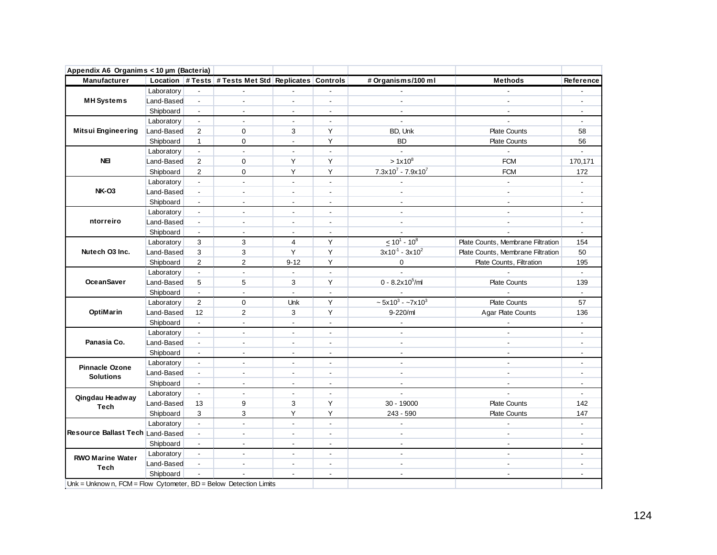| Appendix A6 Organims < 10 µm (Bacteria)                           |            |                           |                                                      |                          |                           |                          |                                   |                          |
|-------------------------------------------------------------------|------------|---------------------------|------------------------------------------------------|--------------------------|---------------------------|--------------------------|-----------------------------------|--------------------------|
| Manufacturer                                                      |            |                           | Location # Tests # Tests Met Std Replicates Controls |                          |                           | # Organisms/100 ml       | <b>Methods</b>                    | Reference                |
|                                                                   | Laboratory |                           |                                                      |                          |                           |                          |                                   |                          |
| <b>MH</b> Systems                                                 | Land-Based | $\blacksquare$            | $\overline{a}$                                       | $\overline{a}$           | $\overline{a}$            | $\overline{a}$           | $\overline{a}$                    | $\sim$                   |
|                                                                   | Shipboard  | $\overline{\phantom{a}}$  | $\blacksquare$                                       | $\blacksquare$           | $\overline{\phantom{a}}$  |                          |                                   |                          |
|                                                                   | Laboratory | $\sim$                    | $\overline{a}$                                       | $\blacksquare$           | $\blacksquare$            | $\mathbf{r}$             | $\overline{a}$                    | $\blacksquare$           |
| <b>Mitsui Engineering</b>                                         | Land-Based | 2                         | 0                                                    | 3                        | Y                         | BD, Unk                  | <b>Plate Counts</b>               | 58                       |
|                                                                   | Shipboard  | $\mathbf{1}$              | 0                                                    | $\mathbf{r}$             | Υ                         | <b>BD</b>                | <b>Plate Counts</b>               | 56                       |
|                                                                   | Laboratory | $\sim$                    | $\blacksquare$                                       | $\blacksquare$           | $\blacksquare$            |                          |                                   | $\mathbf{r}$             |
| <b>NE</b>                                                         | Land-Based | 2                         | 0                                                    | Y                        | Y                         | $>1x10^8$                | <b>FCM</b>                        | 170,171                  |
|                                                                   | Shipboard  | $\overline{2}$            | 0                                                    | Y                        | Y                         | $7.3x10^7 - 7.9x10^7$    | <b>FCM</b>                        | 172                      |
|                                                                   | Laboratory | $\omega$                  | $\overline{a}$                                       | $\overline{a}$           | ä,                        |                          | $\overline{a}$                    |                          |
| <b>NK-03</b>                                                      | Land-Based | $\blacksquare$            | $\mathbf{r}$                                         | $\overline{a}$           | $\blacksquare$            | $\mathbf{r}$             | $\mathcal{L}_{\mathcal{A}}$       | $\overline{a}$           |
|                                                                   | Shipboard  | $\overline{\phantom{a}}$  | $\overline{\phantom{a}}$                             | $\blacksquare$           | $\blacksquare$            |                          | $\overline{a}$                    | $\blacksquare$           |
|                                                                   | Laboratory | $\sim$                    | $\sim$                                               | $\blacksquare$           | $\overline{\phantom{a}}$  | $\sim$                   | $\sim$                            | $\overline{\phantom{a}}$ |
| ntorreiro                                                         | Land-Based | $\blacksquare$            | $\blacksquare$                                       | $\overline{\phantom{a}}$ | $\overline{\phantom{a}}$  |                          |                                   | $\overline{\phantom{a}}$ |
|                                                                   | Shipboard  | $\blacksquare$            | $\blacksquare$                                       | $\blacksquare$           | $\blacksquare$            |                          |                                   | $\blacksquare$           |
|                                                                   | Laboratory | 3                         | 3                                                    | $\overline{4}$           | Y                         | $\leq 10^{1} - 10^{8}$   | Plate Counts, Membrane Filtration | 154                      |
| Nutech O3 Inc.                                                    | Land-Based | 3                         | 3                                                    | Y                        | Y                         | $3x10^{-1} - 3x10^{2}$   | Plate Counts, Membrane Filtration | 50                       |
|                                                                   | Shipboard  | $\overline{2}$            | $\overline{2}$                                       | $9 - 12$                 | Y                         | 0                        | Plate Counts, Filtration          | 195                      |
|                                                                   | Laboratory | $\mathbb{Z}^2$            | ä,                                                   | $\mathcal{L}$            | ä,                        |                          |                                   | ä,                       |
| <b>OceanSaver</b>                                                 | Land-Based | 5                         | 5                                                    | 3                        | Y                         | $0 - 8.2x10^5$ /ml       | <b>Plate Counts</b>               | 139                      |
|                                                                   | Shipboard  | $\blacksquare$            | $\blacksquare$                                       | $\blacksquare$           | $\overline{a}$            |                          |                                   |                          |
|                                                                   | Laboratory | $\overline{2}$            | 0                                                    | Unk                      | Υ                         | $\sim 5x10^3 - 7x10^3$   | <b>Plate Counts</b>               | 57                       |
| OptiMarin                                                         | Land-Based | 12                        | $\overline{2}$                                       | 3                        | Y                         | 9-220/ml                 | Agar Plate Counts                 | 136                      |
|                                                                   | Shipboard  | $\mathbb{Z}^{\mathbb{Z}}$ | $\mathbf{r}$                                         | $\blacksquare$           | $\blacksquare$            |                          |                                   | $\blacksquare$           |
|                                                                   | Laboratory | $\overline{\phantom{a}}$  | $\sim$                                               | $\overline{\phantom{a}}$ | $\overline{\phantom{a}}$  | $\overline{\phantom{a}}$ | $\overline{\phantom{a}}$          | $\overline{\phantom{a}}$ |
| Panasia Co.                                                       | Land-Based | $\blacksquare$            | $\blacksquare$                                       | $\blacksquare$           | $\blacksquare$            | $\blacksquare$           | $\blacksquare$                    | $\blacksquare$           |
|                                                                   | Shipboard  | $\blacksquare$            | $\mathbf{r}$                                         | $\blacksquare$           | $\blacksquare$            | $\blacksquare$           | ÷,                                | $\overline{a}$           |
| <b>Pinnacle Ozone</b>                                             | Laboratory | $\blacksquare$            | $\mathbf{r}$                                         | $\overline{a}$           | $\mathbf{r}$              | $\sim$                   | $\overline{\phantom{a}}$          | $\blacksquare$           |
| <b>Solutions</b>                                                  | Land-Based | $\sim$                    | $\mathbf{r}$                                         | $\overline{\phantom{a}}$ | $\blacksquare$            | $\blacksquare$           | $\overline{a}$                    | $\overline{\phantom{a}}$ |
|                                                                   | Shipboard  | $\blacksquare$            | $\blacksquare$                                       | $\overline{a}$           | $\overline{a}$            | $\mathbf{r}$             | ÷.                                | $\blacksquare$           |
| Qingdau Headway                                                   | Laboratory | $\blacksquare$            | $\mathbf{r}$                                         | $\overline{a}$           | $\overline{a}$            |                          |                                   | $\sim$                   |
| Tech                                                              | Land-Based | 13                        | 9                                                    | 3                        | Y                         | 30 - 19000               | <b>Plate Counts</b>               | 142                      |
|                                                                   | Shipboard  | 3                         | 3                                                    | Y                        | Y                         | $243 - 590$              | <b>Plate Counts</b>               | 147                      |
|                                                                   | Laboratory | $\sim$                    | $\blacksquare$                                       | $\blacksquare$           | $\overline{\phantom{a}}$  | $\blacksquare$           |                                   |                          |
| Resource Ballast Tech Land-Based                                  |            | $\sim$                    | $\blacksquare$                                       | $\blacksquare$           | $\blacksquare$            | $\blacksquare$           | $\blacksquare$                    | $\blacksquare$           |
|                                                                   | Shipboard  | $\sim$                    | $\blacksquare$                                       | $\overline{\phantom{a}}$ | $\overline{\phantom{a}}$  | $\overline{\phantom{a}}$ | $\overline{\phantom{a}}$          | $\overline{\phantom{a}}$ |
| <b>RWO Marine Water</b>                                           | Laboratory | $\sim$                    | $\mathcal{L}_{\mathcal{A}}$                          | $\blacksquare$           | $\mathbb{Z}^{\mathbb{Z}}$ | $\blacksquare$           | $\mathbf{r}$                      | $\blacksquare$           |
| <b>Tech</b>                                                       | Land-Based | $\blacksquare$            | $\blacksquare$                                       | $\blacksquare$           | $\blacksquare$            | $\blacksquare$           | $\overline{\phantom{a}}$          | $\blacksquare$           |
|                                                                   | Shipboard  |                           |                                                      | $\blacksquare$           | $\blacksquare$            | $\blacksquare$           | $\overline{a}$                    | $\blacksquare$           |
| Unk = Unknow n, FCM = Flow Cytometer, BD = Below Detection Limits |            |                           |                                                      |                          |                           |                          |                                   |                          |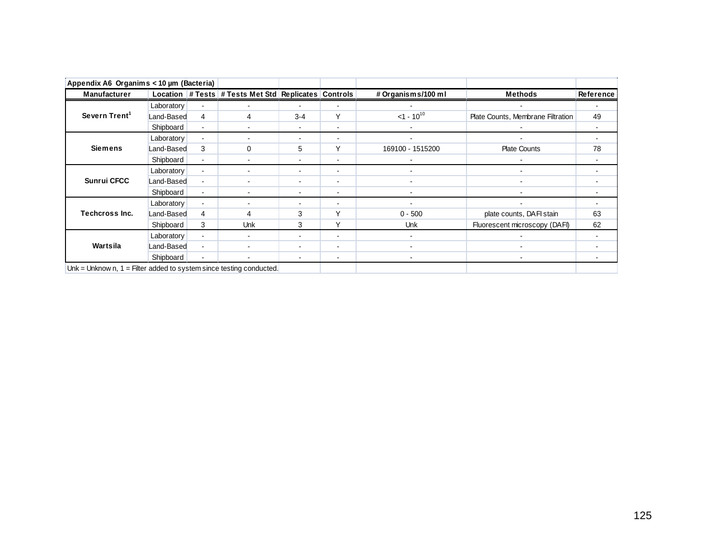| Appendix A6 Organims < 10 µm (Bacteria)                               |            |                          |                                                      |                |                |                    |                                   |           |
|-----------------------------------------------------------------------|------------|--------------------------|------------------------------------------------------|----------------|----------------|--------------------|-----------------------------------|-----------|
| Manufacturer                                                          |            |                          | Location # Tests # Tests Met Std Replicates Controls |                |                | # Organisms/100 ml | <b>Methods</b>                    | Reference |
|                                                                       | Laboratory |                          |                                                      |                |                |                    |                                   |           |
| Severn Trent <sup>1</sup>                                             | Land-Based | 4                        | 4                                                    | $3 - 4$        | v              | $<1 - 10^{10}$     | Plate Counts, Membrane Filtration | 49        |
|                                                                       | Shipboard  |                          |                                                      |                |                |                    |                                   |           |
|                                                                       | Laboratory | $\blacksquare$           |                                                      |                |                |                    |                                   |           |
| <b>Siemens</b>                                                        | Land-Based | 3                        | 0                                                    | 5              | ٧              | 169100 - 1515200   | <b>Plate Counts</b>               | 78        |
|                                                                       | Shipboard  | $\blacksquare$           |                                                      |                | -              |                    |                                   |           |
|                                                                       | Laboratory | $\blacksquare$           |                                                      |                | -              |                    |                                   |           |
| <b>Sunrui CFCC</b>                                                    | Land-Based | $\overline{\phantom{a}}$ |                                                      |                | $\blacksquare$ | $\sim$             |                                   |           |
|                                                                       | Shipboard  | $\blacksquare$           | -                                                    |                | $\blacksquare$ | $\blacksquare$     |                                   |           |
|                                                                       | Laboratory | $\blacksquare$           |                                                      |                |                |                    |                                   |           |
| Techcross Inc.                                                        | Land-Based | 4                        | $\overline{a}$                                       | 3              | v              | $0 - 500$          | plate counts, DAFI stain          | 63        |
|                                                                       | Shipboard  | 3                        | Unk                                                  | 3              | $\checkmark$   | <b>Unk</b>         | Fluorescent microscopy (DAFI)     | 62        |
|                                                                       | Laboratory | $\blacksquare$           |                                                      |                | ۰              |                    |                                   |           |
| Wartsila                                                              | Land-Based | $\blacksquare$           |                                                      |                | ۰.             |                    |                                   |           |
|                                                                       | Shipboard  | $\overline{\phantom{a}}$ |                                                      | $\blacksquare$ | $\blacksquare$ |                    |                                   |           |
| Unk = Unknow n, $1 =$ Filter added to system since testing conducted. |            |                          |                                                      |                |                |                    |                                   |           |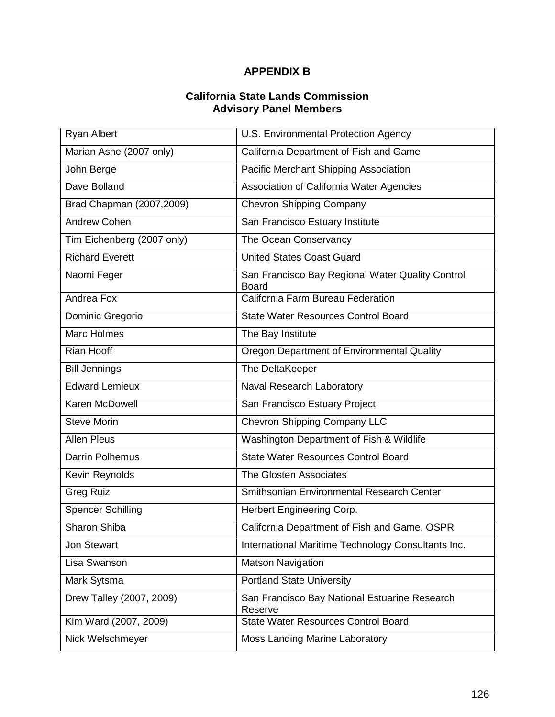# **APPENDIX B**

#### **California State Lands Commission Advisory Panel Members**

| <b>Ryan Albert</b>         | U.S. Environmental Protection Agency                             |
|----------------------------|------------------------------------------------------------------|
| Marian Ashe (2007 only)    | California Department of Fish and Game                           |
| John Berge                 | Pacific Merchant Shipping Association                            |
| Dave Bolland               | Association of California Water Agencies                         |
| Brad Chapman (2007,2009)   | <b>Chevron Shipping Company</b>                                  |
| <b>Andrew Cohen</b>        | San Francisco Estuary Institute                                  |
| Tim Eichenberg (2007 only) | The Ocean Conservancy                                            |
| <b>Richard Everett</b>     | <b>United States Coast Guard</b>                                 |
| Naomi Feger                | San Francisco Bay Regional Water Quality Control<br><b>Board</b> |
| Andrea Fox                 | California Farm Bureau Federation                                |
| Dominic Gregorio           | <b>State Water Resources Control Board</b>                       |
| <b>Marc Holmes</b>         | The Bay Institute                                                |
| Rian Hooff                 | Oregon Department of Environmental Quality                       |
| <b>Bill Jennings</b>       | The DeltaKeeper                                                  |
| <b>Edward Lemieux</b>      | Naval Research Laboratory                                        |
| Karen McDowell             | San Francisco Estuary Project                                    |
| <b>Steve Morin</b>         | Chevron Shipping Company LLC                                     |
| <b>Allen Pleus</b>         | Washington Department of Fish & Wildlife                         |
| <b>Darrin Polhemus</b>     | <b>State Water Resources Control Board</b>                       |
| Kevin Reynolds             | The Glosten Associates                                           |
| <b>Greg Ruiz</b>           | Smithsonian Environmental Research Center                        |
| <b>Spencer Schilling</b>   | Herbert Engineering Corp.                                        |
| <b>Sharon Shiba</b>        | California Department of Fish and Game, OSPR                     |
| Jon Stewart                | International Maritime Technology Consultants Inc.               |
| Lisa Swanson               | <b>Matson Navigation</b>                                         |
| Mark Sytsma                | <b>Portland State University</b>                                 |
| Drew Talley (2007, 2009)   | San Francisco Bay National Estuarine Research<br>Reserve         |
| Kim Ward (2007, 2009)      | <b>State Water Resources Control Board</b>                       |
| Nick Welschmeyer           | <b>Moss Landing Marine Laboratory</b>                            |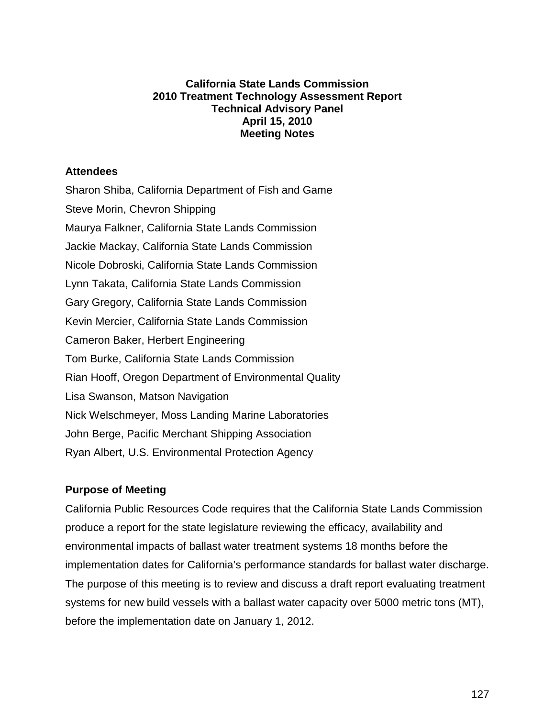#### **California State Lands Commission 2010 Treatment Technology Assessment Report Technical Advisory Panel April 15, 2010 Meeting Notes**

#### **Attendees**

Sharon Shiba, California Department of Fish and Game Steve Morin, Chevron Shipping Maurya Falkner, California State Lands Commission Jackie Mackay, California State Lands Commission Nicole Dobroski, California State Lands Commission Lynn Takata, California State Lands Commission Gary Gregory, California State Lands Commission Kevin Mercier, California State Lands Commission Cameron Baker, Herbert Engineering Tom Burke, California State Lands Commission Rian Hooff, Oregon Department of Environmental Quality Lisa Swanson, Matson Navigation Nick Welschmeyer, Moss Landing Marine Laboratories John Berge, Pacific Merchant Shipping Association Ryan Albert, U.S. Environmental Protection Agency

### **Purpose of Meeting**

California Public Resources Code requires that the California State Lands Commission produce a report for the state legislature reviewing the efficacy, availability and environmental impacts of ballast water treatment systems 18 months before the implementation dates for California's performance standards for ballast water discharge. The purpose of this meeting is to review and discuss a draft report evaluating treatment systems for new build vessels with a ballast water capacity over 5000 metric tons (MT), before the implementation date on January 1, 2012.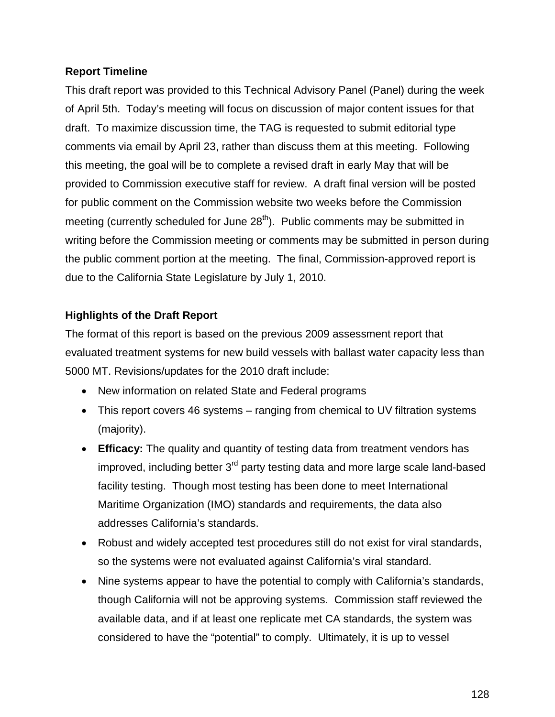## **Report Timeline**

This draft report was provided to this Technical Advisory Panel (Panel) during the week of April 5th. Today's meeting will focus on discussion of major content issues for that draft. To maximize discussion time, the TAG is requested to submit editorial type comments via email by April 23, rather than discuss them at this meeting. Following this meeting, the goal will be to complete a revised draft in early May that will be provided to Commission executive staff for review. A draft final version will be posted for public comment on the Commission website two weeks before the Commission meeting (currently scheduled for June 28<sup>th</sup>). Public comments may be submitted in writing before the Commission meeting or comments may be submitted in person during the public comment portion at the meeting. The final, Commission-approved report is due to the California State Legislature by July 1, 2010.

# **Highlights of the Draft Report**

The format of this report is based on the previous 2009 assessment report that evaluated treatment systems for new build vessels with ballast water capacity less than 5000 MT. Revisions/updates for the 2010 draft include:

- New information on related State and Federal programs
- This report covers 46 systems ranging from chemical to UV filtration systems (majority).
- **Efficacy:** The quality and quantity of testing data from treatment vendors has improved, including better  $3<sup>rd</sup>$  party testing data and more large scale land-based facility testing. Though most testing has been done to meet International Maritime Organization (IMO) standards and requirements, the data also addresses California's standards.
- Robust and widely accepted test procedures still do not exist for viral standards, so the systems were not evaluated against California's viral standard.
- Nine systems appear to have the potential to comply with California's standards, though California will not be approving systems. Commission staff reviewed the available data, and if at least one replicate met CA standards, the system was considered to have the "potential" to comply. Ultimately, it is up to vessel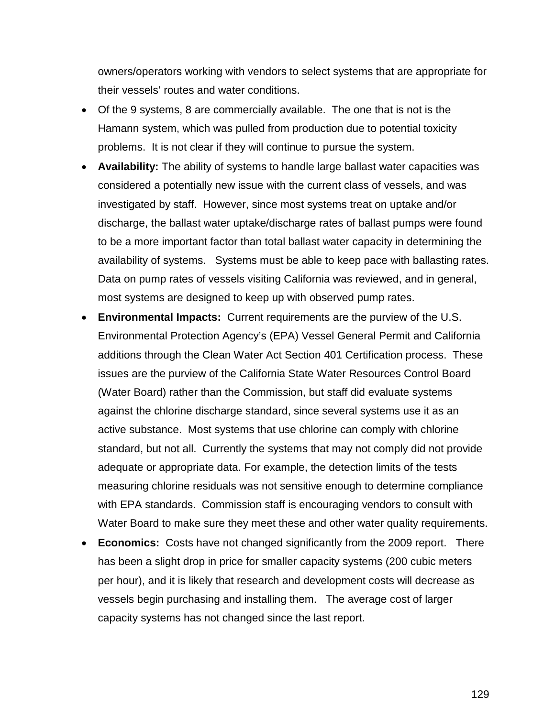owners/operators working with vendors to select systems that are appropriate for their vessels' routes and water conditions.

- Of the 9 systems, 8 are commercially available. The one that is not is the Hamann system, which was pulled from production due to potential toxicity problems. It is not clear if they will continue to pursue the system.
- **Availability:** The ability of systems to handle large ballast water capacities was considered a potentially new issue with the current class of vessels, and was investigated by staff. However, since most systems treat on uptake and/or discharge, the ballast water uptake/discharge rates of ballast pumps were found to be a more important factor than total ballast water capacity in determining the availability of systems. Systems must be able to keep pace with ballasting rates. Data on pump rates of vessels visiting California was reviewed, and in general, most systems are designed to keep up with observed pump rates.
- **Environmental Impacts:** Current requirements are the purview of the U.S. Environmental Protection Agency's (EPA) Vessel General Permit and California additions through the Clean Water Act Section 401 Certification process. These issues are the purview of the California State Water Resources Control Board (Water Board) rather than the Commission, but staff did evaluate systems against the chlorine discharge standard, since several systems use it as an active substance. Most systems that use chlorine can comply with chlorine standard, but not all. Currently the systems that may not comply did not provide adequate or appropriate data. For example, the detection limits of the tests measuring chlorine residuals was not sensitive enough to determine compliance with EPA standards. Commission staff is encouraging vendors to consult with Water Board to make sure they meet these and other water quality requirements.
- **Economics:** Costs have not changed significantly from the 2009 report. There has been a slight drop in price for smaller capacity systems (200 cubic meters per hour), and it is likely that research and development costs will decrease as vessels begin purchasing and installing them. The average cost of larger capacity systems has not changed since the last report.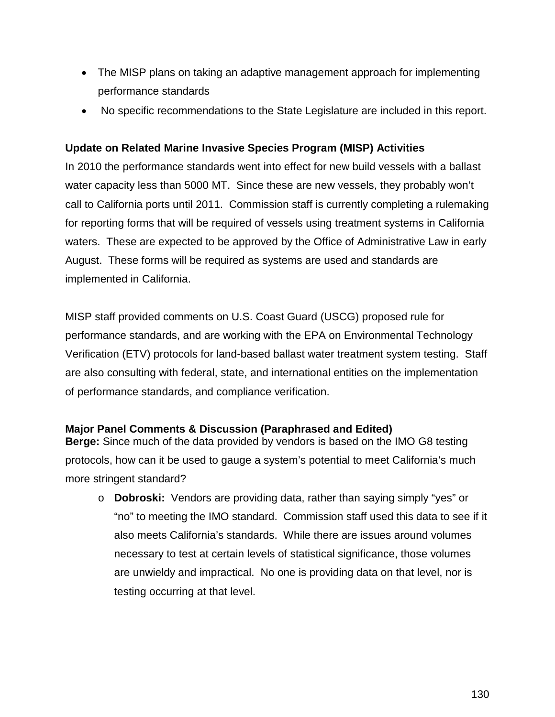- The MISP plans on taking an adaptive management approach for implementing performance standards
- No specific recommendations to the State Legislature are included in this report.

### **Update on Related Marine Invasive Species Program (MISP) Activities**

In 2010 the performance standards went into effect for new build vessels with a ballast water capacity less than 5000 MT. Since these are new vessels, they probably won't call to California ports until 2011. Commission staff is currently completing a rulemaking for reporting forms that will be required of vessels using treatment systems in California waters. These are expected to be approved by the Office of Administrative Law in early August. These forms will be required as systems are used and standards are implemented in California.

MISP staff provided comments on U.S. Coast Guard (USCG) proposed rule for performance standards, and are working with the EPA on Environmental Technology Verification (ETV) protocols for land-based ballast water treatment system testing. Staff are also consulting with federal, state, and international entities on the implementation of performance standards, and compliance verification.

### **Major Panel Comments & Discussion (Paraphrased and Edited)**

**Berge:** Since much of the data provided by vendors is based on the IMO G8 testing protocols, how can it be used to gauge a system's potential to meet California's much more stringent standard?

o **Dobroski:** Vendors are providing data, rather than saying simply "yes" or "no" to meeting the IMO standard. Commission staff used this data to see if it also meets California's standards. While there are issues around volumes necessary to test at certain levels of statistical significance, those volumes are unwieldy and impractical. No one is providing data on that level, nor is testing occurring at that level.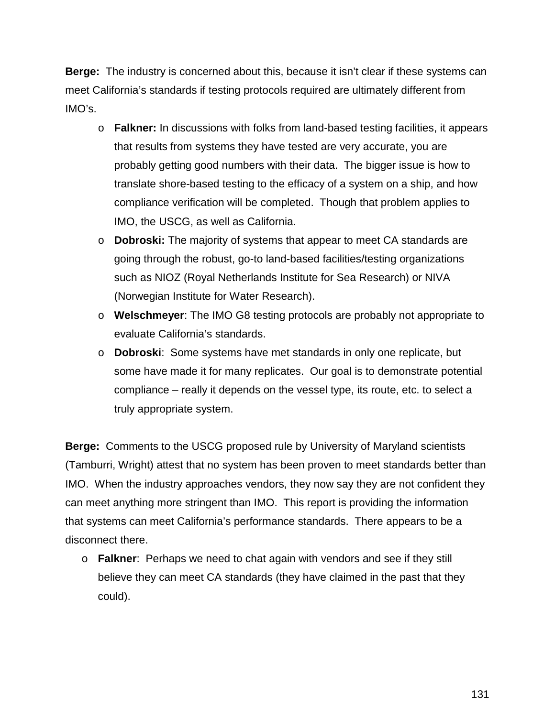**Berge:** The industry is concerned about this, because it isn't clear if these systems can meet California's standards if testing protocols required are ultimately different from IMO's.

- o **Falkner:** In discussions with folks from land-based testing facilities, it appears that results from systems they have tested are very accurate, you are probably getting good numbers with their data. The bigger issue is how to translate shore-based testing to the efficacy of a system on a ship, and how compliance verification will be completed. Though that problem applies to IMO, the USCG, as well as California.
- o **Dobroski:** The majority of systems that appear to meet CA standards are going through the robust, go-to land-based facilities/testing organizations such as NIOZ (Royal Netherlands Institute for Sea Research) or NIVA (Norwegian Institute for Water Research).
- o **Welschmeyer**: The IMO G8 testing protocols are probably not appropriate to evaluate California's standards.
- o **Dobroski**: Some systems have met standards in only one replicate, but some have made it for many replicates. Our goal is to demonstrate potential compliance – really it depends on the vessel type, its route, etc. to select a truly appropriate system.

**Berge:** Comments to the USCG proposed rule by University of Maryland scientists (Tamburri, Wright) attest that no system has been proven to meet standards better than IMO. When the industry approaches vendors, they now say they are not confident they can meet anything more stringent than IMO. This report is providing the information that systems can meet California's performance standards. There appears to be a disconnect there.

o **Falkner**: Perhaps we need to chat again with vendors and see if they still believe they can meet CA standards (they have claimed in the past that they could).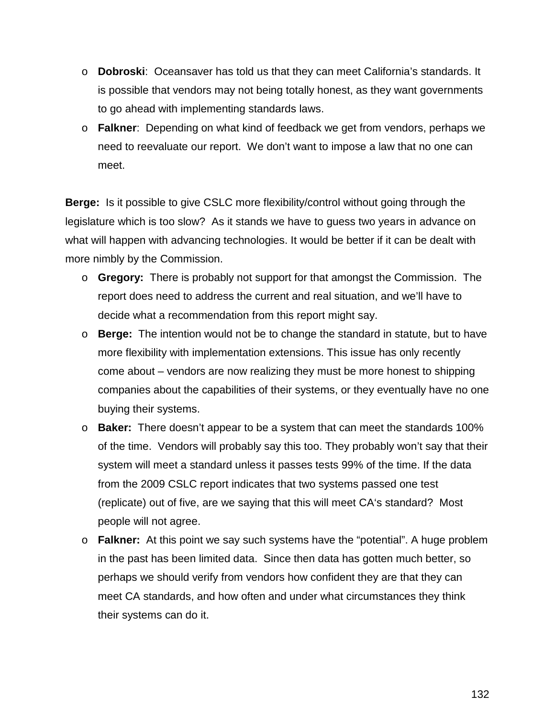- o **Dobroski**: Oceansaver has told us that they can meet California's standards. It is possible that vendors may not being totally honest, as they want governments to go ahead with implementing standards laws.
- o **Falkner**: Depending on what kind of feedback we get from vendors, perhaps we need to reevaluate our report. We don't want to impose a law that no one can meet.

**Berge:** Is it possible to give CSLC more flexibility/control without going through the legislature which is too slow? As it stands we have to guess two years in advance on what will happen with advancing technologies. It would be better if it can be dealt with more nimbly by the Commission.

- o **Gregory:** There is probably not support for that amongst the Commission. The report does need to address the current and real situation, and we'll have to decide what a recommendation from this report might say.
- o **Berge:** The intention would not be to change the standard in statute, but to have more flexibility with implementation extensions. This issue has only recently come about – vendors are now realizing they must be more honest to shipping companies about the capabilities of their systems, or they eventually have no one buying their systems.
- o **Baker:** There doesn't appear to be a system that can meet the standards 100% of the time. Vendors will probably say this too. They probably won't say that their system will meet a standard unless it passes tests 99% of the time. If the data from the 2009 CSLC report indicates that two systems passed one test (replicate) out of five, are we saying that this will meet CA's standard? Most people will not agree.
- o **Falkner:** At this point we say such systems have the "potential". A huge problem in the past has been limited data. Since then data has gotten much better, so perhaps we should verify from vendors how confident they are that they can meet CA standards, and how often and under what circumstances they think their systems can do it.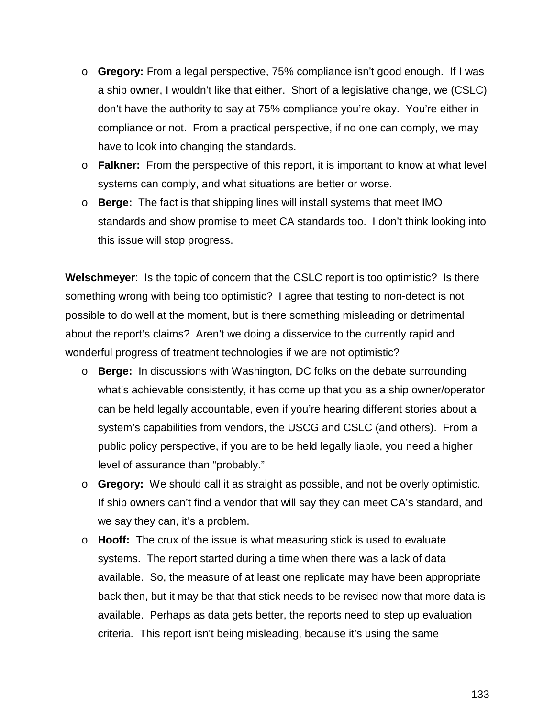- o **Gregory:** From a legal perspective, 75% compliance isn't good enough. If I was a ship owner, I wouldn't like that either. Short of a legislative change, we (CSLC) don't have the authority to say at 75% compliance you're okay. You're either in compliance or not. From a practical perspective, if no one can comply, we may have to look into changing the standards.
- o **Falkner:** From the perspective of this report, it is important to know at what level systems can comply, and what situations are better or worse.
- o **Berge:** The fact is that shipping lines will install systems that meet IMO standards and show promise to meet CA standards too. I don't think looking into this issue will stop progress.

**Welschmeyer**: Is the topic of concern that the CSLC report is too optimistic? Is there something wrong with being too optimistic? I agree that testing to non-detect is not possible to do well at the moment, but is there something misleading or detrimental about the report's claims? Aren't we doing a disservice to the currently rapid and wonderful progress of treatment technologies if we are not optimistic?

- o **Berge:** In discussions with Washington, DC folks on the debate surrounding what's achievable consistently, it has come up that you as a ship owner/operator can be held legally accountable, even if you're hearing different stories about a system's capabilities from vendors, the USCG and CSLC (and others). From a public policy perspective, if you are to be held legally liable, you need a higher level of assurance than "probably."
- o **Gregory:** We should call it as straight as possible, and not be overly optimistic. If ship owners can't find a vendor that will say they can meet CA's standard, and we say they can, it's a problem.
- o **Hooff:** The crux of the issue is what measuring stick is used to evaluate systems. The report started during a time when there was a lack of data available. So, the measure of at least one replicate may have been appropriate back then, but it may be that that stick needs to be revised now that more data is available. Perhaps as data gets better, the reports need to step up evaluation criteria. This report isn't being misleading, because it's using the same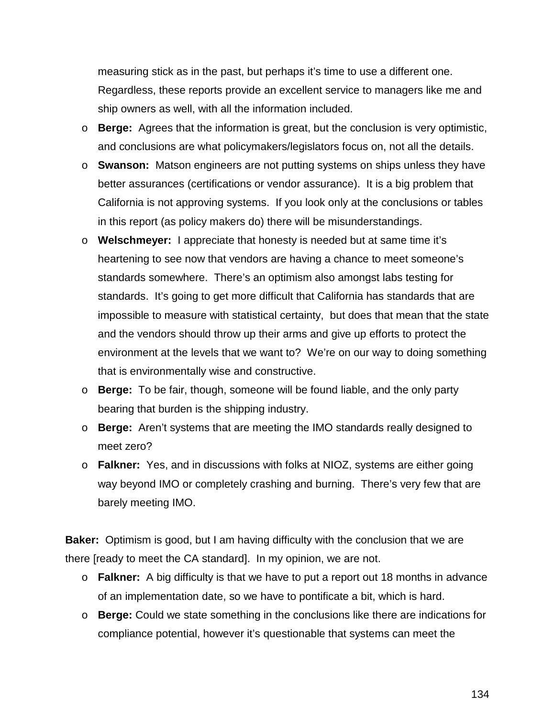measuring stick as in the past, but perhaps it's time to use a different one. Regardless, these reports provide an excellent service to managers like me and ship owners as well, with all the information included.

- o **Berge:** Agrees that the information is great, but the conclusion is very optimistic, and conclusions are what policymakers/legislators focus on, not all the details.
- o **Swanson:** Matson engineers are not putting systems on ships unless they have better assurances (certifications or vendor assurance). It is a big problem that California is not approving systems. If you look only at the conclusions or tables in this report (as policy makers do) there will be misunderstandings.
- o **Welschmeyer:** I appreciate that honesty is needed but at same time it's heartening to see now that vendors are having a chance to meet someone's standards somewhere. There's an optimism also amongst labs testing for standards. It's going to get more difficult that California has standards that are impossible to measure with statistical certainty, but does that mean that the state and the vendors should throw up their arms and give up efforts to protect the environment at the levels that we want to? We're on our way to doing something that is environmentally wise and constructive.
- o **Berge:** To be fair, though, someone will be found liable, and the only party bearing that burden is the shipping industry.
- o **Berge:** Aren't systems that are meeting the IMO standards really designed to meet zero?
- o **Falkner:** Yes, and in discussions with folks at NIOZ, systems are either going way beyond IMO or completely crashing and burning. There's very few that are barely meeting IMO.

**Baker:** Optimism is good, but I am having difficulty with the conclusion that we are there [ready to meet the CA standard]. In my opinion, we are not.

- o **Falkner:** A big difficulty is that we have to put a report out 18 months in advance of an implementation date, so we have to pontificate a bit, which is hard.
- o **Berge:** Could we state something in the conclusions like there are indications for compliance potential, however it's questionable that systems can meet the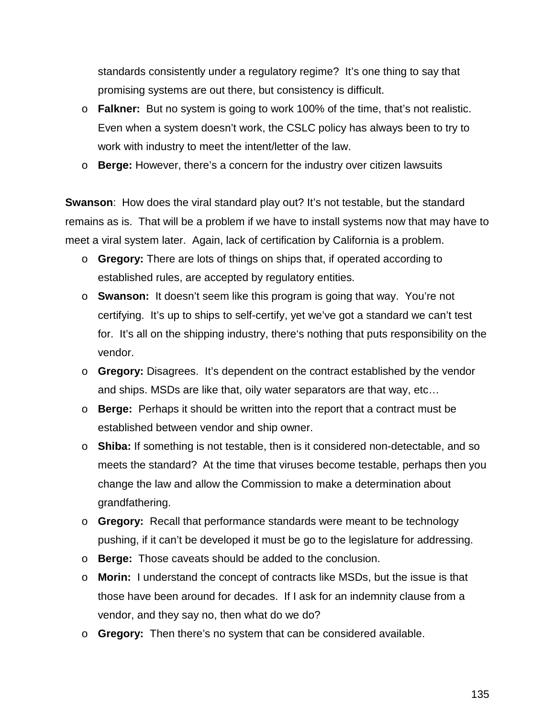standards consistently under a regulatory regime? It's one thing to say that promising systems are out there, but consistency is difficult.

- o **Falkner:** But no system is going to work 100% of the time, that's not realistic. Even when a system doesn't work, the CSLC policy has always been to try to work with industry to meet the intent/letter of the law.
- o **Berge:** However, there's a concern for the industry over citizen lawsuits

**Swanson**: How does the viral standard play out? It's not testable, but the standard remains as is. That will be a problem if we have to install systems now that may have to meet a viral system later. Again, lack of certification by California is a problem.

- o **Gregory:** There are lots of things on ships that, if operated according to established rules, are accepted by regulatory entities.
- o **Swanson:** It doesn't seem like this program is going that way. You're not certifying. It's up to ships to self-certify, yet we've got a standard we can't test for. It's all on the shipping industry, there's nothing that puts responsibility on the vendor.
- o **Gregory:** Disagrees. It's dependent on the contract established by the vendor and ships. MSDs are like that, oily water separators are that way, etc…
- o **Berge:** Perhaps it should be written into the report that a contract must be established between vendor and ship owner.
- o **Shiba:** If something is not testable, then is it considered non-detectable, and so meets the standard? At the time that viruses become testable, perhaps then you change the law and allow the Commission to make a determination about grandfathering.
- o **Gregory:** Recall that performance standards were meant to be technology pushing, if it can't be developed it must be go to the legislature for addressing.
- o **Berge:** Those caveats should be added to the conclusion.
- o **Morin:** I understand the concept of contracts like MSDs, but the issue is that those have been around for decades. If I ask for an indemnity clause from a vendor, and they say no, then what do we do?
- o **Gregory:** Then there's no system that can be considered available.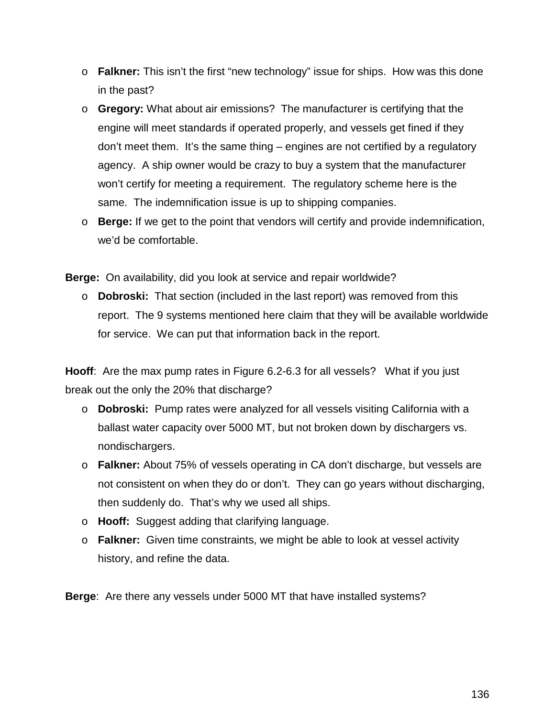- o **Falkner:** This isn't the first "new technology" issue for ships. How was this done in the past?
- o **Gregory:** What about air emissions? The manufacturer is certifying that the engine will meet standards if operated properly, and vessels get fined if they don't meet them. It's the same thing – engines are not certified by a regulatory agency. A ship owner would be crazy to buy a system that the manufacturer won't certify for meeting a requirement. The regulatory scheme here is the same. The indemnification issue is up to shipping companies.
- o **Berge:** If we get to the point that vendors will certify and provide indemnification, we'd be comfortable.

**Berge:** On availability, did you look at service and repair worldwide?

o **Dobroski:** That section (included in the last report) was removed from this report. The 9 systems mentioned here claim that they will be available worldwide for service. We can put that information back in the report.

**Hooff**: Are the max pump rates in Figure 6.2-6.3 for all vessels? What if you just break out the only the 20% that discharge?

- o **Dobroski:** Pump rates were analyzed for all vessels visiting California with a ballast water capacity over 5000 MT, but not broken down by dischargers vs. nondischargers.
- o **Falkner:** About 75% of vessels operating in CA don't discharge, but vessels are not consistent on when they do or don't. They can go years without discharging, then suddenly do. That's why we used all ships.
- o **Hooff:** Suggest adding that clarifying language.
- o **Falkner:** Given time constraints, we might be able to look at vessel activity history, and refine the data.

**Berge**: Are there any vessels under 5000 MT that have installed systems?